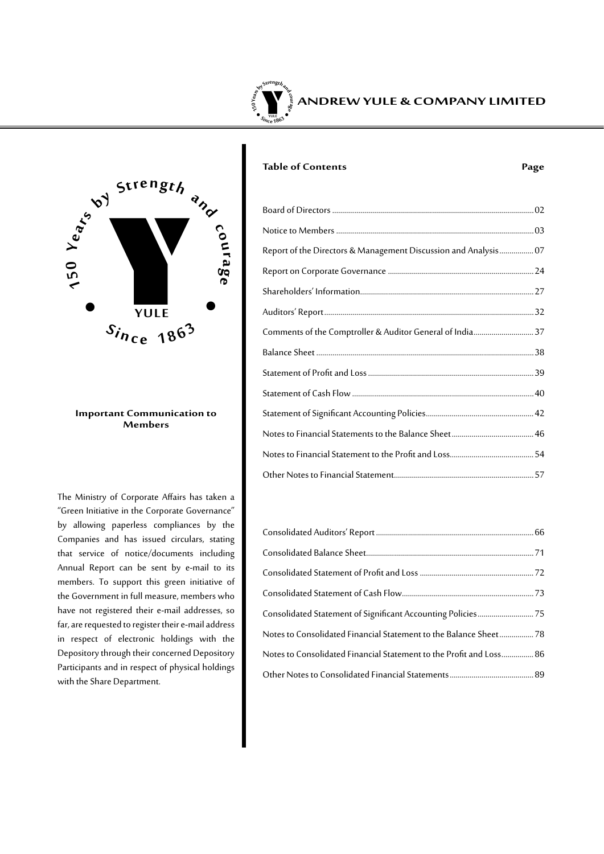



#### **Important Communication to Members**

The Ministry of Corporate Affairs has taken a "Green Initiative in the Corporate Governance" by allowing paperless compliances by the Companies and has issued circulars, stating that service of notice/documents including Annual Report can be sent by e-mail to its members. To support this green initiative of the Government in full measure, members who have not registered their e-mail addresses, so far, are requested to register their e-mail address in respect of electronic holdings with the Depository through their concerned Depository Participants and in respect of physical holdings with the Share Department.

### **Table of Contents Page**

| Report of the Directors & Management Discussion and Analysis 07 |  |
|-----------------------------------------------------------------|--|
|                                                                 |  |
|                                                                 |  |
|                                                                 |  |
| Comments of the Comptroller & Auditor General of India 37       |  |
|                                                                 |  |
|                                                                 |  |
|                                                                 |  |
|                                                                 |  |
|                                                                 |  |
|                                                                 |  |
|                                                                 |  |
|                                                                 |  |

| Notes to Consolidated Financial Statement to the Balance Sheet 78   |  |
|---------------------------------------------------------------------|--|
| Notes to Consolidated Financial Statement to the Profit and Loss 86 |  |
|                                                                     |  |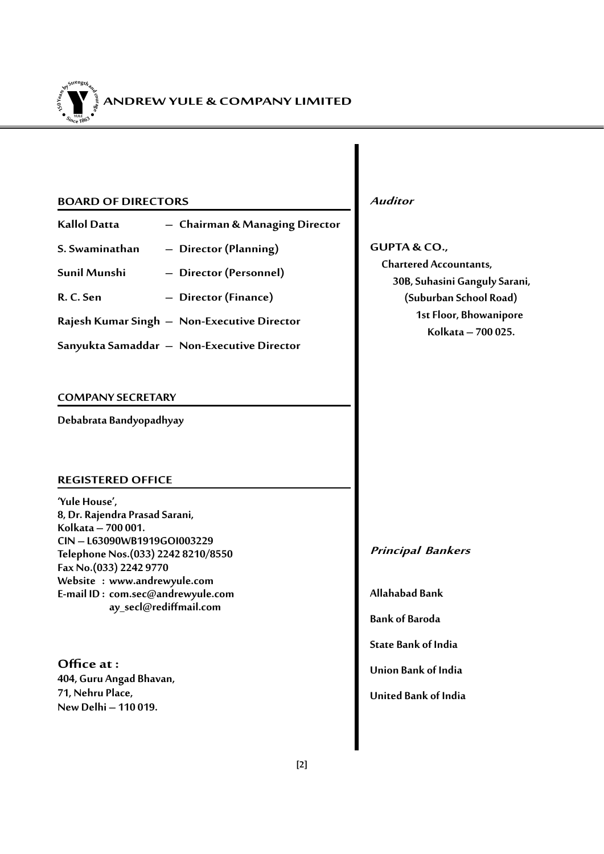

#### **BOARD OF DIRECTORS**

- **Kallol Datta – Chairman & Managing Director**
- **S. Swaminathan – Director (Planning)**
- **Sunil Munshi – Director (Personnel)**
- **R. C. Sen – Director (Finance)**
- **Rajesh Kumar Singh – Non-Executive Director**
- **Sanyukta Samaddar – Non-Executive Director**

#### **COMPANY SECRETARY**

**Debabrata Bandyopadhyay**

### **REGISTERED OFFICE**

**'Yule House', 8, Dr. Rajendra Prasad Sarani, Kolkata – 700 001. CIN – L63090WB1919GOI003229 Telephone Nos.(033) 2242 8210/8550 Fax No.(033) 2242 9770 Website : www.andrewyule.com E-mail ID : com.sec@andrewyule.com ay\_secl@rediffmail.com**

**Officeat : 404, Guru Angad Bhavan, 71, Nehru Place, New Delhi – 110 019.**

**Auditor**

**GUPTA & CO., Chartered Accountants, 30B, Suhasini Ganguly Sarani, (Suburban School Road) 1st Floor, Bhowanipore Kolkata – 700 025.**

### **Principal Bankers**

**Allahabad Bank**

**Bank of Baroda**

**State Bank of India**

**Union Bank of India**

**United Bank of India**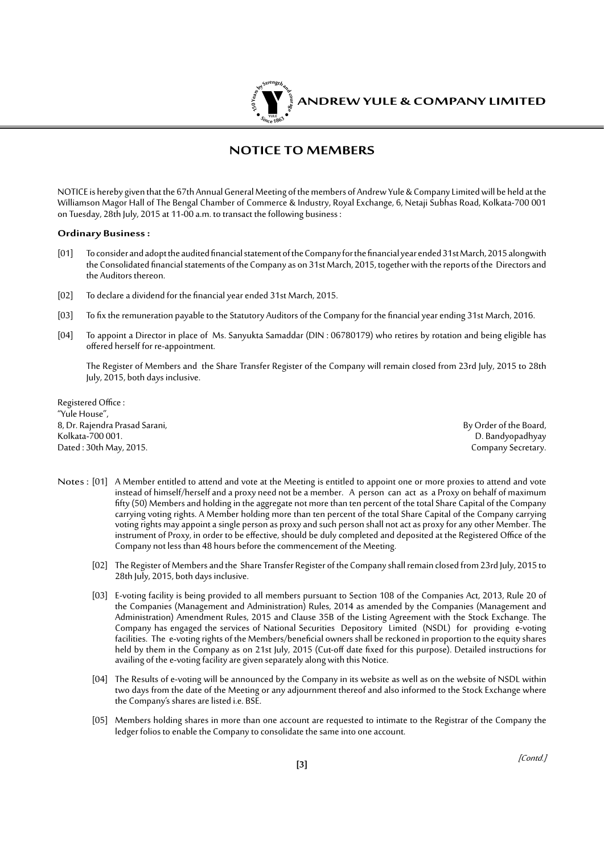

### **NOTICE TO MEMBERS**

NOTICE is hereby given that the 67th Annual General Meeting of the members of Andrew Yule & Company Limited will be held at the Williamson Magor Hall of The Bengal Chamber of Commerce & Industry, Royal Exchange, 6, Netaji Subhas Road, Kolkata-700 001 on Tuesday, 28th July, 2015 at 11-00 a.m. to transact the following business :

#### **Ordinary Business :**

- [01] To consider and adopt the audited financial statement of the Company for the financial year ended 31st March, 2015 alongwith the Consolidated financial statements of the Company as on 31st March, 2015, together with the reports of the Directors and the Auditors thereon.
- [02] To declare a dividend for the financial year ended 31st March, 2015.
- [03] To fix the remuneration payable to the Statutory Auditors of the Company for the financial year ending 31st March, 2016.
- [04] To appoint a Director in place of Ms. Sanyukta Samaddar (DIN : 06780179) who retires by rotation and being eligible has offered herself for re-appointment.

The Register of Members and the Share Transfer Register of the Company will remain closed from 23rd July, 2015 to 28th July, 2015, both days inclusive.

Registered Office : "Yule House", 8, Dr. Rajendra Prasad Sarani, By Order of the Board, Dated : 30th May, 2015.

D. Bandyopadhyay<br>Company Secretary.

- Notes : [01] A Member entitled to attend and vote at the Meeting is entitled to appoint one or more proxies to attend and vote instead of himself/herself and a proxy need not be a member. A person can act as a Proxy on behalf of maximum fifty (50) Members and holding in the aggregate not more than ten percent of the total Share Capital of the Company carrying voting rights. A Member holding more than ten percent of the total Share Capital of the Company carrying voting rights may appoint a single person as proxy and such person shall not act as proxy for any other Member. The instrument of Proxy, in order to be effective, should be duly completed and deposited at the Registered Office of the Company not less than 48 hours before the commencement of the Meeting.
	- [02] The Register of Members and the Share Transfer Register of the Company shall remain closed from 23rd July, 2015 to 28th July, 2015, both days inclusive.
	- [03] E-voting facility is being provided to all members pursuant to Section 108 of the Companies Act, 2013, Rule 20 of the Companies (Management and Administration) Rules, 2014 as amended by the Companies (Management and Administration) Amendment Rules, 2015 and Clause 35B of the Listing Agreement with the Stock Exchange. The Company has engaged the services of National Securities Depository Limited (NSDL) for providing e-voting facilities. The e-voting rights of the Members/beneficial owners shall be reckoned in proportion to the equity shares held by them in the Company as on 21st July, 2015 (Cut-off date fixed for this purpose). Detailed instructions for availing of the e-voting facility are given separately along with this Notice.
	- [04] The Results of e-voting will be announced by the Company in its website as well as on the website of NSDL within two days from the date of the Meeting or any adjournment thereof and also informed to the Stock Exchange where the Company's shares are listed i.e. BSE.
	- [05] Members holding shares in more than one account are requested to intimate to the Registrar of the Company the ledger folios to enable the Company to consolidate the same into one account.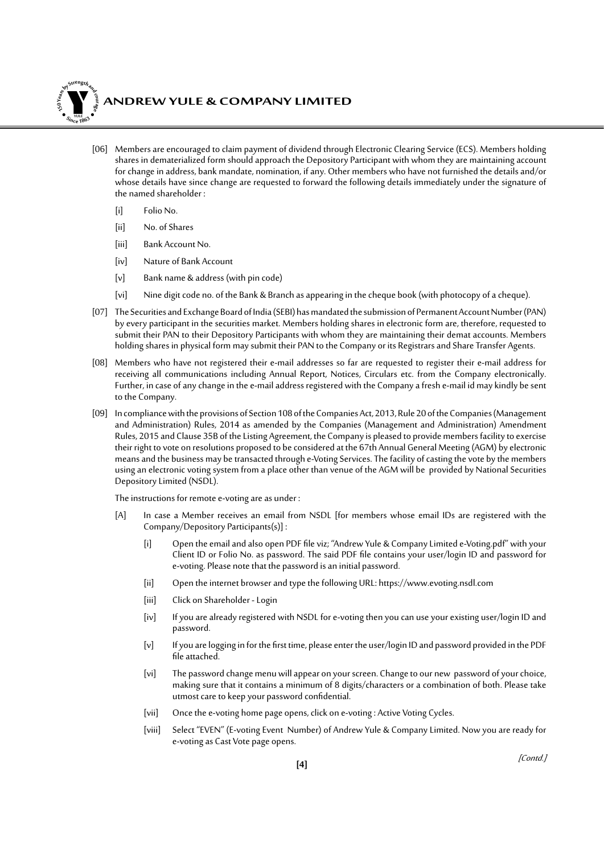

### **ANDREW YULE & COMPANY LIMITED**

- [06] Members are encouraged to claim payment of dividend through Electronic Clearing Service (ECS). Members holding shares in dematerialized form should approach the Depository Participant with whom they are maintaining account for change in address, bank mandate, nomination, if any. Other members who have not furnished the details and/or whose details have since change are requested to forward the following details immediately under the signature of the named shareholder :
	- [i] Folio No.
	- [ii] No. of Shares
	- [iii] Bank Account No.
	- [iv] Nature of Bank Account
	- [v] Bank name & address (with pin code)
	- [vi] Nine digit code no. of the Bank & Branch as appearing in the cheque book (with photocopy of a cheque).
- [07] The Securities and Exchange Board of India (SEBI) has mandated the submission of Permanent Account Number (PAN) by every participant in the securities market. Members holding shares in electronic form are, therefore, requested to submit their PAN to their Depository Participants with whom they are maintaining their demat accounts. Members holding shares in physical form may submit their PAN to the Company or its Registrars and Share Transfer Agents.
- [08] Members who have not registered their e-mail addresses so far are requested to register their e-mail address for receiving all communications including Annual Report, Notices, Circulars etc. from the Company electronically. Further, in case of any change in the e-mail address registered with the Company a fresh e-mail id may kindly be sent to the Company.
- [09] In compliance with the provisions of Section 108 of the Companies Act, 2013, Rule 20 of the Companies (Management and Administration) Rules, 2014 as amended by the Companies (Management and Administration) Amendment Rules, 2015 and Clause 35B of the Listing Agreement, the Company is pleased to provide members facility to exercise their right to vote on resolutions proposed to be considered at the 67th Annual General Meeting (AGM) by electronic means and the business may be transacted through e-Voting Services. The facility of casting the vote by the members using an electronic voting system from a place other than venue of the AGM will be provided by National Securities Depository Limited (NSDL).

The instructions for remote e-voting are as under :

- [A] In case a Member receives an email from NSDL [for members whose email IDs are registered with the Company/Depository Participants(s)] :
	- [i] Open the email and also open PDF file viz; "Andrew Yule & Company Limited e-Voting.pdf" with your Client ID or Folio No. as password. The said PDF file contains your user/login ID and password for e-voting. Please note that the password is an initial password.
	- [ii] Open the internet browser and type the following URL: https://www.evoting.nsdl.com
	- [iii] Click on Shareholder Login
	- [iv] If you are already registered with NSDL for e-voting then you can use your existing user/login ID and password.
	- [v] If you are logging in for the first time, please enter the user/login ID and password provided in the PDF file attached.
	- [vi] The password change menu will appear on your screen. Change to our new password of your choice, making sure that it contains a minimum of 8 digits/characters or a combination of both. Please take utmost care to keep your password confidential.
	- [vii] Once the e-voting home page opens, click on e-voting : Active Voting Cycles.
	- [viii] Select "EVEN" (E-voting Event Number) of Andrew Yule & Company Limited. Now you are ready for e-voting as Cast Vote page opens.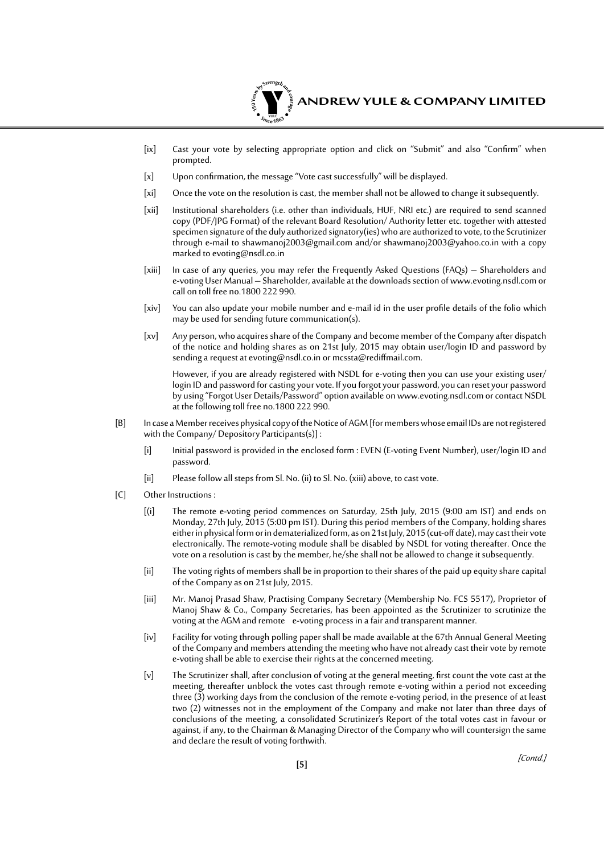

- [ix] Cast your vote by selecting appropriate option and click on "Submit" and also "Confirm" when prompted.
- [x] Upon confirmation, the message "Vote cast successfully" will be displayed.
- [xi] Once the vote on the resolution is cast, the member shall not be allowed to change it subsequently.
- [xii] Institutional shareholders (i.e. other than individuals, HUF, NRI etc.) are required to send scanned copy (PDF/JPG Format) of the relevant Board Resolution/ Authority letter etc. together with attested specimen signature of the duly authorized signatory(ies) who are authorized to vote, to the Scrutinizer through e-mail to shawmanoj2003@gmail.com and/or shawmanoj2003@yahoo.co.in with a copy marked to evoting@nsdl.co.in
- [xiii] In case of any queries, you may refer the Frequently Asked Questions (FAQs) Shareholders and e-voting User Manual – Shareholder, available at the downloads section of www.evoting.nsdl.com or call on toll free no.1800 222 990.
- [xiv] You can also update your mobile number and e-mail id in the user profile details of the folio which may be used for sending future communication(s).
- [xv] Any person, who acquires share of the Company and become member of the Company after dispatch of the notice and holding shares as on 21st July, 2015 may obtain user/login ID and password by sending a request at evoting@nsdl.co.in or mcssta@rediffmail.com.

However, if you are already registered with NSDL for e-voting then you can use your existing user/ login ID and password for casting your vote. If you forgot your password, you can reset your password by using "Forgot User Details/Password" option available on www.evoting.nsdl.com or contact NSDL at the following toll free no.1800 222 990.

- [B] In case a Member receives physical copy of the Notice of AGM [for members whose email IDs are not registered with the Company/ Depository Participants(s)] :
	- [i] Initial password is provided in the enclosed form : EVEN (E-voting Event Number), user/login ID and password.
	- [ii] Please follow all steps from Sl. No. (ii) to Sl. No. (xiii) above, to cast vote.
- [C] Other Instructions :
	- [(i] The remote e-voting period commences on Saturday, 25th July, 2015 (9:00 am IST) and ends on Monday, 27th July, 2015 (5:00 pm IST). During this period members of the Company, holding shares either in physical form or in dematerialized form, as on 21st July, 2015 (cut-off date), may cast their vote electronically. The remote-voting module shall be disabled by NSDL for voting thereafter. Once the vote on a resolution is cast by the member, he/she shall not be allowed to change it subsequently.
	- [ii] The voting rights of members shall be in proportion to their shares of the paid up equity share capital of the Company as on 21st July, 2015.
	- [iii] Mr. Manoj Prasad Shaw, Practising Company Secretary (Membership No. FCS 5517), Proprietor of Manoj Shaw & Co., Company Secretaries, has been appointed as the Scrutinizer to scrutinize the voting at the AGM and remote e-voting process in a fair and transparent manner.
	- [iv] Facility for voting through polling paper shall be made available at the 67th Annual General Meeting of the Company and members attending the meeting who have not already cast their vote by remote e-voting shall be able to exercise their rights at the concerned meeting.
	- [v] The Scrutinizer shall, after conclusion of voting at the general meeting, first count the vote cast at the meeting, thereafter unblock the votes cast through remote e-voting within a period not exceeding three (3) working days from the conclusion of the remote e-voting period, in the presence of at least two (2) witnesses not in the employment of the Company and make not later than three days of conclusions of the meeting, a consolidated Scrutinizer's Report of the total votes cast in favour or against, if any, to the Chairman & Managing Director of the Company who will countersign the same and declare the result of voting forthwith.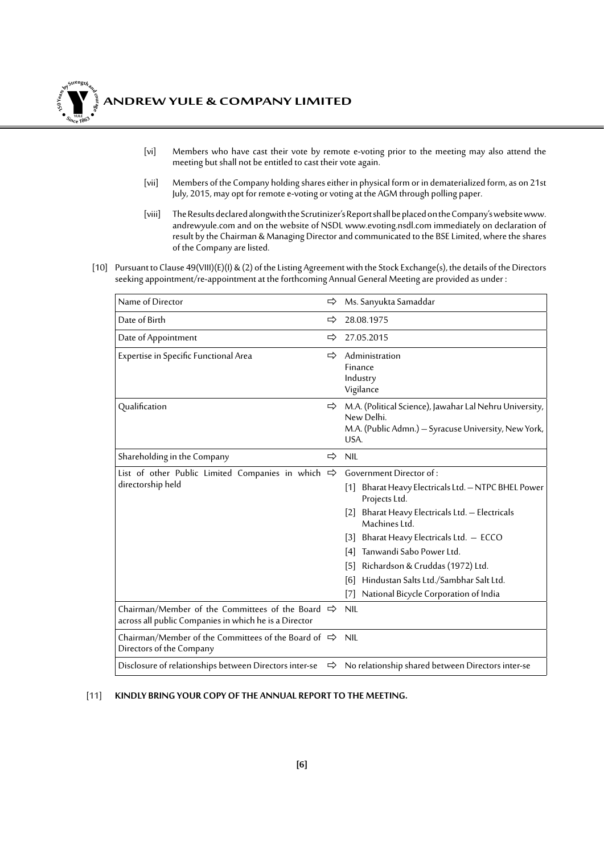

- [vi] Members who have cast their vote by remote e-voting prior to the meeting may also attend the meeting but shall not be entitled to cast their vote again.
- [vii] Members of the Company holding shares either in physical form or in dematerialized form, as on 21st July, 2015, may opt for remote e-voting or voting at the AGM through polling paper.
- [viii] The Results declared alongwith the Scrutinizer's Report shall be placed on the Company's website www. andrewyule.com and on the website of NSDL www.evoting.nsdl.com immediately on declaration of result by the Chairman & Managing Director and communicated to the BSE Limited, where the shares of the Company are listed.
- [10] Pursuant to Clause 49(VIII)(E)(I) & (2) of the Listing Agreement with the Stock Exchange(s), the details of the Directors seeking appointment/re-appointment at the forthcoming Annual General Meeting are provided as under :

| Name of Director                                                                                                         | ⇨ | Ms. Sanyukta Samaddar                                                                                                                                                                                                                                                                                                                                     |
|--------------------------------------------------------------------------------------------------------------------------|---|-----------------------------------------------------------------------------------------------------------------------------------------------------------------------------------------------------------------------------------------------------------------------------------------------------------------------------------------------------------|
| Date of Birth                                                                                                            | ⇨ | 28.08.1975                                                                                                                                                                                                                                                                                                                                                |
| Date of Appointment                                                                                                      | ⇨ | 27.05.2015                                                                                                                                                                                                                                                                                                                                                |
| Expertise in Specific Functional Area                                                                                    | ⇨ | Administration<br>Finance<br>Industry<br>Vigilance                                                                                                                                                                                                                                                                                                        |
| Qualification                                                                                                            | ⇨ | M.A. (Political Science), Jawahar Lal Nehru University,<br>New Delhi.<br>M.A. (Public Admn.) - Syracuse University, New York,<br>USA.                                                                                                                                                                                                                     |
| Shareholding in the Company                                                                                              | ⇨ | <b>NIL</b>                                                                                                                                                                                                                                                                                                                                                |
| List of other Public Limited Companies in which $\Rightarrow$<br>directorship held                                       |   | Government Director of:<br>Bharat Heavy Electricals Ltd. - NTPC BHEL Power<br> 1 <br>Projects Ltd.<br>Bharat Heavy Electricals Ltd. - Electricals<br> 2 <br>Machines Ltd.<br>Bharat Heavy Electricals Ltd. - ECCO<br> 3 <br>Tanwandi Sabo Power Ltd.<br>[4]<br>Richardson & Cruddas (1972) Ltd.<br>$[5]$<br>Hindustan Salts Ltd./Sambhar Salt Ltd.<br>[6] |
| Chairman/Member of the Committees of the Board $\Rightarrow$                                                             |   | National Bicycle Corporation of India<br>$[7]$<br><b>NIL</b>                                                                                                                                                                                                                                                                                              |
| across all public Companies in which he is a Director<br>Chairman/Member of the Committees of the Board of $\Rightarrow$ |   | <b>NIL</b>                                                                                                                                                                                                                                                                                                                                                |
| Directors of the Company                                                                                                 |   |                                                                                                                                                                                                                                                                                                                                                           |
| Disclosure of relationships between Directors inter-se                                                                   | ⇨ | No relationship shared between Directors inter-se                                                                                                                                                                                                                                                                                                         |

[11] **KINDLY BRING YOUR COPY OF THE ANNUAL REPORT TO THE MEETING.**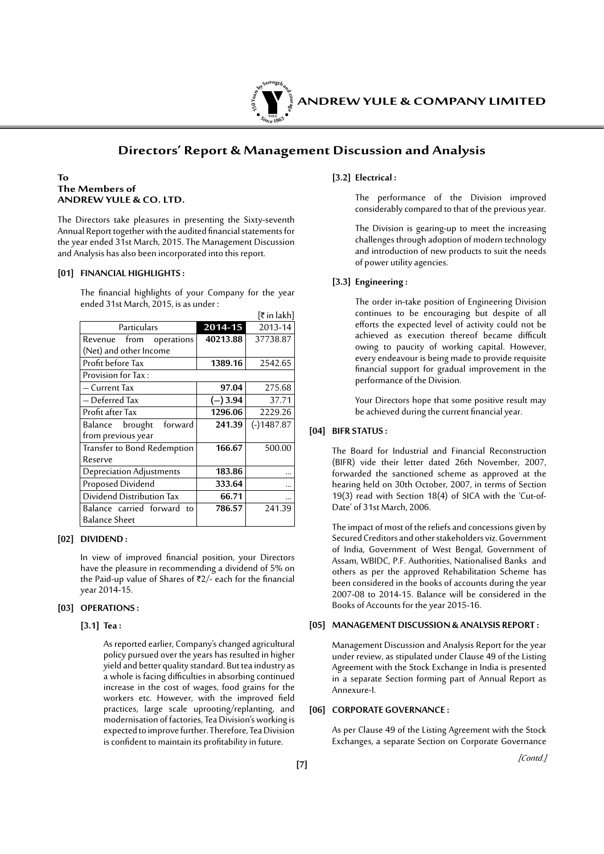

### **Directors' Report & Management Discussion and Analysis**

#### **To The Members of ANDREW YULE & CO. LTD.**

The Directors take pleasures in presenting the Sixty-seventh Annual Report together with the audited financial statements for the year ended 31st March, 2015. The Management Discussion and Analysis has also been incorporated into this report.

#### **[01] FINANCIAL HIGHLIGHTS :**

The financial highlights of your Company for the year ended 31st March, 2015, is as under :

|                                 |          | [₹ in lakh]  |
|---------------------------------|----------|--------------|
| Particulars                     | 2014-15  | 2013-14      |
| Revenue from operations         | 40213.88 | 37738.87     |
| (Net) and other Income          |          |              |
| Profit before Tax               | 1389.16  | 2542.65      |
| Provision for Tax:              |          |              |
| - Current Tax                   | 97.04    | 275.68       |
| - Deferred Tax                  | (–) 3.94 | 37.71        |
| Profit after Tax                | 1296.06  | 2229.26      |
| forward<br>Balance brought      | 241.39   | $(-)1487.87$ |
| from previous year              |          |              |
| Transfer to Bond Redemption     | 166.67   | 500.00       |
| Reserve                         |          |              |
| <b>Depreciation Adjustments</b> | 183.86   |              |
| Proposed Dividend               | 333.64   |              |
| Dividend Distribution Tax       | 66.71    |              |
| Balance carried forward<br>to   | 786.57   | 241.39       |
| <b>Balance Sheet</b>            |          |              |

#### **[02] DIVIDEND :**

In view of improved financial position, your Directors have the pleasure in recommending a dividend of 5% on the Paid-up value of Shares of  $Z/-$  each for the financial year 2014-15.

#### **[03] OPERATIONS :**

#### **[3.1] Tea :**

 As reported earlier, Company's changed agricultural policy pursued over the years has resulted in higher yield and better quality standard. But tea industry as a whole is facing difficulties in absorbing continued increase in the cost of wages, food grains for the workers etc. However, with the improved field practices, large scale uprooting/replanting, and modernisation of factories, Tea Division's working is expected to improve further. Therefore, Tea Division is confident to maintain its profitability in future.

#### **[3.2] Electrical :**

 The performance of the Division improved considerably compared to that of the previous year.

 The Division is gearing-up to meet the increasing challenges through adoption of modern technology and introduction of new products to suit the needs of power utility agencies.

#### **[3.3] Engineering :**

The order in-take position of Engineering Division continues to be encouraging but despite of all efforts the expected level of activity could not be achieved as execution thereof became difficult owing to paucity of working capital. However, every endeavour is being made to provide requisite financial support for gradual improvement in the performance of the Division.

 Your Directors hope that some positive result may be achieved during the current financial year.

#### **[04] BIFR STATUS :**

The Board for Industrial and Financial Reconstruction (BIFR) vide their letter dated 26th November, 2007, forwarded the sanctioned scheme as approved at the hearing held on 30th October, 2007, in terms of Section 19(3) read with Section 18(4) of SICA with the 'Cut-of-Date' of 31st March, 2006.

The impact of most of the reliefs and concessions given by Secured Creditors and other stakeholders viz. Government of India, Government of West Bengal, Government of Assam, WBIDC, P.F. Authorities, Nationalised Banks and others as per the approved Rehabilitation Scheme has been considered in the books of accounts during the year 2007-08 to 2014-15. Balance will be considered in the Books of Accounts for the year 2015-16.

#### **[05] MANAGEMENT DISCUSSION & ANALYSIS REPORT :**

Management Discussion and Analysis Report for the year under review, as stipulated under Clause 49 of the Listing Agreement with the Stock Exchange in India is presented in a separate Section forming part of Annual Report as Annexure-I.

#### **[06] CORPORATE GOVERNANCE :**

As per Clause 49 of the Listing Agreement with the Stock Exchanges, a separate Section on Corporate Governance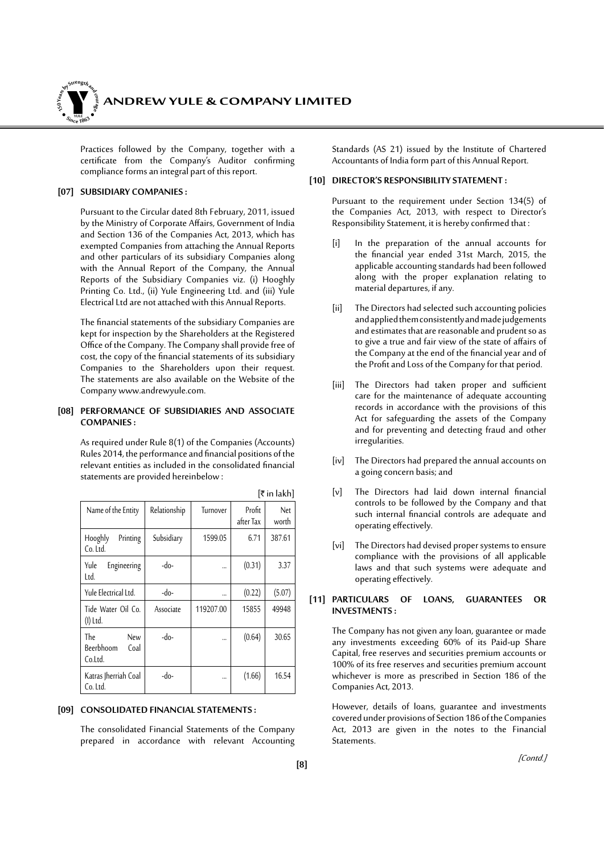

Practices followed by the Company, together with a certificate from the Company's Auditor confirming compliance forms an integral part of this report.

#### **[07] SUBSIDIARY COMPANIES :**

Pursuant to the Circular dated 8th February, 2011, issued by the Ministry of Corporate Affairs, Government of India and Section 136 of the Companies Act, 2013, which has exempted Companies from attaching the Annual Reports and other particulars of its subsidiary Companies along with the Annual Report of the Company, the Annual Reports of the Subsidiary Companies viz. (i) Hooghly Printing Co. Ltd., (ii) Yule Engineering Ltd. and (iii) Yule Electrical Ltd are not attached with this Annual Reports.

The financial statements of the subsidiary Companies are kept for inspection by the Shareholders at the Registered Office of the Company. The Company shall provide free of cost, the copy of the financial statements of its subsidiary Companies to the Shareholders upon their request. The statements are also available on the Website of the Company www.andrewyule.com.

#### **[08] PERFORMANCE OF SUBSIDIARIES AND ASSOCIATE COMPANIES :**

As required under Rule 8(1) of the Companies (Accounts) Rules 2014, the performance and financial positions of the relevant entities as included in the consolidated financial statements are provided hereinbelow :

| Name of the Entity                                | Relationship | Turnover  | Profit<br>after Tax | Net<br>worth |
|---------------------------------------------------|--------------|-----------|---------------------|--------------|
| Hooghly<br>Printing<br>Co. Ltd.                   | Subsidiary   | 1599.05   | 6.71                | 387.61       |
| Yule<br>Engineering<br>Ltd.                       | $-do-$       |           | (0.31)              | 3.37         |
| Yule Electrical Ltd.                              | $-do-$       |           | (0.22)              | (5.07)       |
| Tide Water Oil Co.<br>(I) Ltd.                    | Associate    | 119207.00 | 15855               | 49948        |
| <b>The</b><br>New<br>Beerbhoom<br>Coal<br>Co.Ltd. | -do-         |           | (0.64)              | 30.65        |
| Katras Jherriah Coal<br>Co. Ltd.                  | -do-         |           | (1.66)              | 16.54        |

 $[\bar{\bar{\mathbf{z}}}$  in lakh]

#### **[09] CONSOLIDATED FINANCIAL STATEMENTS :**

The consolidated Financial Statements of the Company prepared in accordance with relevant Accounting Standards (AS 21) issued by the Institute of Chartered Accountants of India form part of this Annual Report.

#### **[10] DIRECTOR'S RESPONSIBILITY STATEMENT :**

Pursuant to the requirement under Section 134(5) of the Companies Act, 2013, with respect to Director's Responsibility Statement, it is hereby confirmed that :

- [i] In the preparation of the annual accounts for the financial year ended 31st March, 2015, the applicable accounting standards had been followed along with the proper explanation relating to material departures, if any.
- [ii] The Directors had selected such accounting policies and applied them consistently and made judgements and estimates that are reasonable and prudent so as to give a true and fair view of the state of affairs of the Company at the end of the financial year and of the Profit and Loss of the Company for that period.
- [iii] The Directors had taken proper and sufficient care for the maintenance of adequate accounting records in accordance with the provisions of this Act for safeguarding the assets of the Company and for preventing and detecting fraud and other irregularities.
- [iv] The Directors had prepared the annual accounts on a going concern basis; and
- [v] The Directors had laid down internal financial controls to be followed by the Company and that such internal financial controls are adequate and operating effectively.
- [vi] The Directors had devised proper systems to ensure compliance with the provisions of all applicable laws and that such systems were adequate and operating effectively.

#### **[11] PARTICULARS OF LOANS, GUARANTEES OR INVESTMENTS :**

The Company has not given any loan, guarantee or made any investments exceeding 60% of its Paid-up Share Capital, free reserves and securities premium accounts or 100% of its free reserves and securities premium account whichever is more as prescribed in Section 186 of the Companies Act, 2013.

However, details of loans, guarantee and investments covered under provisions of Section 186 of the Companies Act, 2013 are given in the notes to the Financial Statements.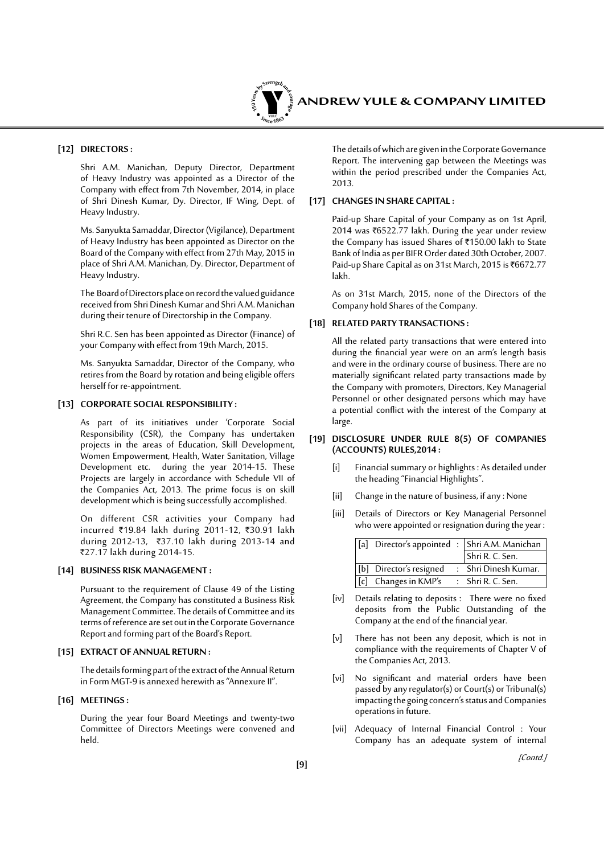

#### **[12] DIRECTORS :**

Shri A.M. Manichan, Deputy Director, Department of Heavy Industry was appointed as a Director of the Company with effect from 7th November, 2014, in place of Shri Dinesh Kumar, Dy. Director, IF Wing, Dept. of Heavy Industry.

Ms. Sanyukta Samaddar, Director (Vigilance), Department of Heavy Industry has been appointed as Director on the Board of the Company with effect from 27th May, 2015 in place of Shri A.M. Manichan, Dy. Director, Department of Heavy Industry.

The Board of Directors place on record the valued guidance received from Shri Dinesh Kumar and Shri A.M. Manichan during their tenure of Directorship in the Company.

Shri R.C. Sen has been appointed as Director (Finance) of your Company with effect from 19th March, 2015.

Ms. Sanyukta Samaddar, Director of the Company, who retires from the Board by rotation and being eligible offers herself for re-appointment.

#### **[13] CORPORATE SOCIAL RESPONSIBILITY :**

As part of its initiatives under 'Corporate Social Responsibility (CSR), the Company has undertaken projects in the areas of Education, Skill Development, Women Empowerment, Health, Water Sanitation, Village Development etc. during the year 2014-15. These Projects are largely in accordance with Schedule VII of the Companies Act, 2013. The prime focus is on skill development which is being successfully accomplished.

On different CSR activities your Company had incurred ₹19.84 lakh during 2011-12, ₹30.91 lakh during 2012-13, `37.10 lakh during 2013-14 and `27.17 lakh during 2014-15.

#### **[14] BUSINESS RISK MANAGEMENT :**

Pursuant to the requirement of Clause 49 of the Listing Agreement, the Company has constituted a Business Risk Management Committee. The details of Committee and its terms of reference are set out in the Corporate Governance Report and forming part of the Board's Report.

#### **[15] EXTRACT OF ANNUAL RETURN :**

The details forming part of the extract of the Annual Return in Form MGT-9 is annexed herewith as "Annexure II".

#### **[16] MEETINGS :**

During the year four Board Meetings and twenty-two Committee of Directors Meetings were convened and held.

The details of which are given in the Corporate Governance Report. The intervening gap between the Meetings was within the period prescribed under the Companies Act, 2013.

#### **[17] CHANGES IN SHARE CAPITAL :**

Paid-up Share Capital of your Company as on 1st April, 2014 was ₹6522.77 lakh. During the year under review the Company has issued Shares of ₹150.00 lakh to State Bank of India as per BIFR Order dated 30th October, 2007. Paid-up Share Capital as on 31st March, 2015 is ₹6672.77 lakh.

As on 31st March, 2015, none of the Directors of the Company hold Shares of the Company.

#### **[18] RELATED PARTY TRANSACTIONS :**

All the related party transactions that were entered into during the financial year were on an arm's length basis and were in the ordinary course of business. There are no materially significant related party transactions made by the Company with promoters, Directors, Key Managerial Personnel or other designated persons which may have a potential conflict with the interest of the Company at large.

#### **[19] DISCLOSURE UNDER RULE 8(5) OF COMPANIES (ACCOUNTS) RULES,2014 :**

- [i] Financial summary or highlights : As detailed under the heading "Financial Highlights".
- [ii] Change in the nature of business, if any : None
- [iii] Details of Directors or Key Managerial Personnel who were appointed or resignation during the year :

|                                        | [[a] Director's appointed : Shri A.M. Manichan |
|----------------------------------------|------------------------------------------------|
|                                        | Shri R. C. Sen.                                |
| [b] Director's resigned                | : Shri Dinesh Kumar.                           |
| [c] Changes in KMP's : Shri R. C. Sen. |                                                |

- [iv] Details relating to deposits : There were no fixed deposits from the Public Outstanding of the Company at the end of the financial year.
- [v] There has not been any deposit, which is not in compliance with the requirements of Chapter V of the Companies Act, 2013.
- [vi] No significant and material orders have been passed by any regulator(s) or Court(s) or Tribunal(s) impacting the going concern's status and Companies operations in future.
- [vii] Adequacy of Internal Financial Control : Your Company has an adequate system of internal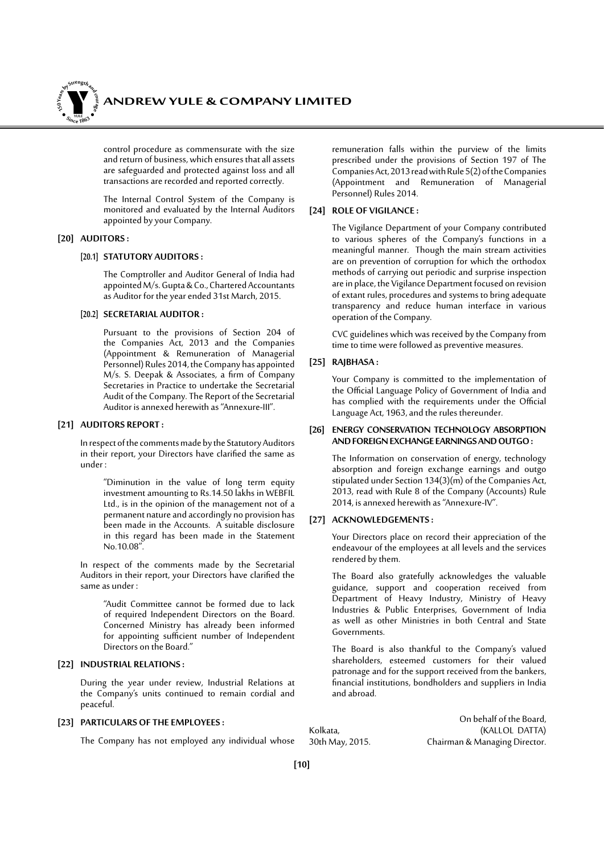*ANDREW YULE & COMPANY LIMITED* **150Year<sup>s</sup>byStre<sup>n</sup>gthand<sup>c</sup>ou<sup>r</sup>age <sup>S</sup>inc<sup>e</sup> <sup>1</sup>86<sup>3</sup>**  $\bullet$ . When  $\bullet$ 

> control procedure as commensurate with the size and return of business, which ensures that all assets are safeguarded and protected against loss and all transactions are recorded and reported correctly.

> The Internal Control System of the Company is monitored and evaluated by the Internal Auditors appointed by your Company.

#### **[20] AUDITORS :**

#### **[20.1] STATUTORY AUDITORS :**

 The Comptroller and Auditor General of India had appointed M/s. Gupta & Co., Chartered Accountants as Auditor for the year ended 31st March, 2015.

#### **[20.2] SECRETARIAL AUDITOR :**

 Pursuant to the provisions of Section 204 of the Companies Act, 2013 and the Companies (Appointment & Remuneration of Managerial Personnel) Rules 2014, the Company has appointed M/s. S. Deepak & Associates, a firm of Company Secretaries in Practice to undertake the Secretarial Audit of the Company. The Report of the Secretarial Auditor is annexed herewith as "Annexure-III".

#### **[21] AUDITORS REPORT :**

In respect of the comments made by the Statutory Auditors in their report, your Directors have clarified the same as under :

> "Diminution in the value of long term equity investment amounting to Rs.14.50 lakhs in WEBFIL Ltd., is in the opinion of the management not of a permanent nature and accordingly no provision has been made in the Accounts. A suitable disclosure in this regard has been made in the Statement No.10.08".

In respect of the comments made by the Secretarial Auditors in their report, your Directors have clarified the same as under :

> "Audit Committee cannot be formed due to lack of required Independent Directors on the Board. Concerned Ministry has already been informed for appointing sufficient number of Independent Directors on the Board."

#### **[22] INDUSTRIAL RELATIONS :**

During the year under review, Industrial Relations at the Company's units continued to remain cordial and peaceful.

#### **[23] PARTICULARS OF THE EMPLOYEES :**

The Company has not employed any individual whose

remuneration falls within the purview of the limits prescribed under the provisions of Section 197 of The Companies Act, 2013 read with Rule 5(2) of the Companies (Appointment and Remuneration of Managerial Personnel) Rules 2014.

#### **[24] ROLE OF VIGILANCE :**

The Vigilance Department of your Company contributed to various spheres of the Company's functions in a meaningful manner. Though the main stream activities are on prevention of corruption for which the orthodox methods of carrying out periodic and surprise inspection are in place, the Vigilance Department focused on revision of extant rules, procedures and systems to bring adequate transparency and reduce human interface in various operation of the Company.

CVC guidelines which was received by the Company from time to time were followed as preventive measures.

#### **[25] RAJBHASA :**

Your Company is committed to the implementation of the Official Language Policy of Government of India and has complied with the requirements under the Official Language Act, 1963, and the rules thereunder.

#### **[26] ENERGY CONSERVATION TECHNOLOGY ABSORPTION AND FOREIGN EXCHANGE EARNINGS AND OUTGO :**

The Information on conservation of energy, technology absorption and foreign exchange earnings and outgo stipulated under Section 134(3)(m) of the Companies Act, 2013, read with Rule 8 of the Company (Accounts) Rule 2014, is annexed herewith as "Annexure-IV".

#### **[27] ACKNOWLEDGEMENTS :**

Your Directors place on record their appreciation of the endeavour of the employees at all levels and the services rendered by them.

The Board also gratefully acknowledges the valuable guidance, support and cooperation received from Department of Heavy Industry, Ministry of Heavy Industries & Public Enterprises, Government of India as well as other Ministries in both Central and State Governments.

The Board is also thankful to the Company's valued shareholders, esteemed customers for their valued patronage and for the support received from the bankers, financial institutions, bondholders and suppliers in India and abroad.

On behalf of the Board, Kolkata, (KALLOL DATTA) Chairman & Managing Director.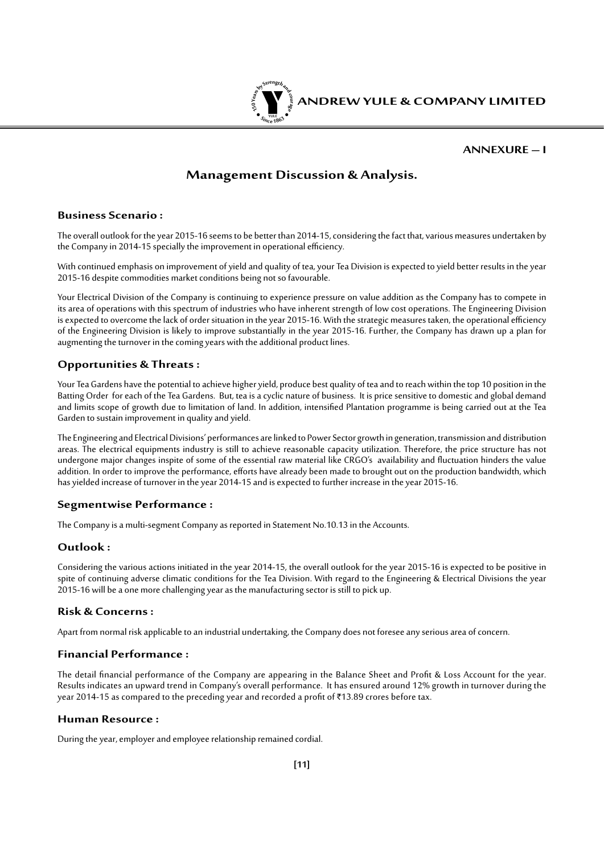

#### **Annexure – I**

### **Management Discussion & Analysis.**

#### **Business Scenario :**

The overall outlook for the year 2015-16 seems to be better than 2014-15, considering the fact that, various measures undertaken by the Company in 2014-15 specially the improvement in operational efficiency.

With continued emphasis on improvement of yield and quality of tea, your Tea Division is expected to yield better results in the year 2015-16 despite commodities market conditions being not so favourable.

Your Electrical Division of the Company is continuing to experience pressure on value addition as the Company has to compete in its area of operations with this spectrum of industries who have inherent strength of low cost operations. The Engineering Division is expected to overcome the lack of order situation in the year 2015-16. With the strategic measures taken, the operational efficiency of the Engineering Division is likely to improve substantially in the year 2015-16. Further, the Company has drawn up a plan for augmenting the turnover in the coming years with the additional product lines.

### **Opportunities & Threats :**

Your Tea Gardens have the potential to achieve higher yield, produce best quality of tea and to reach within the top 10 position in the Batting Order for each of the Tea Gardens. But, tea is a cyclic nature of business. It is price sensitive to domestic and global demand and limits scope of growth due to limitation of land. In addition, intensified Plantation programme is being carried out at the Tea Garden to sustain improvement in quality and yield.

The Engineering and Electrical Divisions' performances are linked to Power Sector growth in generation, transmission and distribution areas. The electrical equipments industry is still to achieve reasonable capacity utilization. Therefore, the price structure has not undergone major changes inspite of some of the essential raw material like CRGO's availability and fluctuation hinders the value addition. In order to improve the performance, efforts have already been made to brought out on the production bandwidth, which has yielded increase of turnover in the year 2014-15 and is expected to further increase in the year 2015-16.

### **Segmentwise Performance :**

The Company is a multi-segment Company as reported in Statement No.10.13 in the Accounts.

### **Outlook :**

Considering the various actions initiated in the year 2014-15, the overall outlook for the year 2015-16 is expected to be positive in spite of continuing adverse climatic conditions for the Tea Division. With regard to the Engineering & Electrical Divisions the year 2015-16 will be a one more challenging year as the manufacturing sector is still to pick up.

#### **Risk & Concerns :**

Apart from normal risk applicable to an industrial undertaking, the Company does not foresee any serious area of concern.

#### **Financial Performance :**

The detail financial performance of the Company are appearing in the Balance Sheet and Profit & Loss Account for the year. Results indicates an upward trend in Company's overall performance. It has ensured around 12% growth in turnover during the year 2014-15 as compared to the preceding year and recorded a profit of ₹13.89 crores before tax.

#### **Human Resource :**

During the year, employer and employee relationship remained cordial.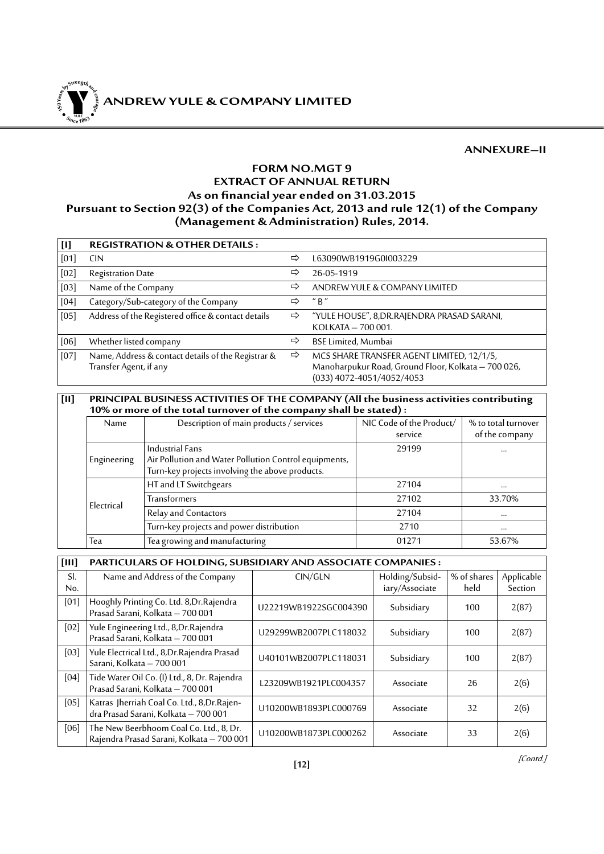**<sup>S</sup>inc<sup>e</sup> <sup>1</sup>86<sup>3</sup>**  $\bullet$ . When  $\bullet$ 

### **ANNEXURE–II**

### **FORM NO.MGT 9 EXTRACT OF ANNUAL RETURN As on financialyearended on 31.03.2015 Pursuant to Section 92(3) of the Companies Act, 2013 and rule 12(1) of the Company (Management & Administration) Rules, 2014.**

| $[1] % \includegraphics[width=0.9\columnwidth]{figures/fig_10.pdf} \caption{The graph $\mathcal{N}_1$ is a function of the number of times, and the number of times, and the number of times, respectively.} \label{fig:11}$ | <b>REGISTRATION &amp; OTHER DETAILS:</b>                                     |   |                                                                                                                                 |
|------------------------------------------------------------------------------------------------------------------------------------------------------------------------------------------------------------------------------|------------------------------------------------------------------------------|---|---------------------------------------------------------------------------------------------------------------------------------|
| [01]                                                                                                                                                                                                                         | <b>CIN</b>                                                                   | ⇨ | L63090WB1919G0I003229                                                                                                           |
| [02]                                                                                                                                                                                                                         | <b>Registration Date</b>                                                     | ⇨ | 26-05-1919                                                                                                                      |
| [03]                                                                                                                                                                                                                         | Name of the Company                                                          | ⇨ | ANDREW YULE & COMPANY LIMITED                                                                                                   |
| [04]                                                                                                                                                                                                                         | Category/Sub-category of the Company                                         | ⇨ | $''$ R $''$                                                                                                                     |
| [05]                                                                                                                                                                                                                         | Address of the Registered office & contact details                           | ⇨ | "YULE HOUSE", 8, DR. RAJENDRA PRASAD SARANI,<br>KOLKATA - 700 001.                                                              |
| [06]                                                                                                                                                                                                                         | Whether listed company                                                       | ⇨ | <b>BSE Limited, Mumbai</b>                                                                                                      |
| [07]                                                                                                                                                                                                                         | Name, Address & contact details of the Registrar &<br>Transfer Agent, if any | ⇨ | MCS SHARE TRANSFER AGENT LIMITED, 12/1/5,<br>Manoharpukur Road, Ground Floor, Kolkata - 700 026,<br>$(033)$ 4072-4051/4052/4053 |

#### **[II] PRINCIPAL BUSINESS ACTIVITIES OF THE COMPANY (All the business activities contributing 10% or more of the total turnover of the company shall be stated) :**

| <b>Name</b> | Description of main products / services               | NIC Code of the Product/ | % to total turnover |  |  |  |  |  |  |
|-------------|-------------------------------------------------------|--------------------------|---------------------|--|--|--|--|--|--|
|             |                                                       | service                  | of the company      |  |  |  |  |  |  |
|             | Industrial Fans                                       | 29199                    | $\cdots$            |  |  |  |  |  |  |
| Engineering | Air Pollution and Water Pollution Control equipments, |                          |                     |  |  |  |  |  |  |
|             | Turn-key projects involving the above products.       |                          |                     |  |  |  |  |  |  |
|             | HT and LT Switchgears                                 | 27104                    | $\cdots$            |  |  |  |  |  |  |
| Electrical  | <b>Transformers</b>                                   | 27102                    | 33.70%              |  |  |  |  |  |  |
|             | Relay and Contactors                                  | 27104                    | $\cdots$            |  |  |  |  |  |  |
|             | Turn-key projects and power distribution              | 2710                     | $\cdots$            |  |  |  |  |  |  |
| Tea         | Tea growing and manufacturing                         | 01271                    | 53.67%              |  |  |  |  |  |  |

**[III] PARTICULARS OF HOLDING, SUBSIDIARY AND ASSOCIATE COMPANIES :**

| SI.  | Name and Address of the Company                                                      | CIN/GLN               | Holding/Subsid- | % of shares | Applicable |
|------|--------------------------------------------------------------------------------------|-----------------------|-----------------|-------------|------------|
| No.  |                                                                                      |                       | iary/Associate  | held        | Section    |
| [01] | Hooghly Printing Co. Ltd. 8, Dr. Rajendra<br>Prasad Sarani, Kolkata - 700 001        | U22219WB1922SGC004390 | Subsidiary      | 100         | 2(87)      |
| [02] | Yule Engineering Ltd., 8, Dr. Rajendra<br>Prasad Šarani, Kolkata - 700 001           | U29299WB2007PLC118032 | Subsidiary      | 100         | 2(87)      |
| [03] | Yule Electrical Ltd., 8, Dr. Rajendra Prasad<br>Sarani, Kolkata - 700 001            | U40101WB2007PLC118031 | Subsidiary      | 100         | 2(87)      |
| [04] | Tide Water Oil Co. (I) Ltd., 8, Dr. Rajendra<br>Prasad Sarani, Kolkata - 700 001     | L23209WB1921PLC004357 | Associate       | 26          | 2(6)       |
| [05] | Katras Jherriah Coal Co. Ltd., 8, Dr. Rajen-<br>dra Prasad Sarani, Kolkata - 700 001 | U10200WB1893PLC000769 | Associate       | 32          | 2(6)       |
| [06] | The New Beerbhoom Coal Co. Ltd., 8, Dr.<br>Rajendra Prasad Sarani, Kolkata - 700 001 | U10200WB1873PLC000262 | Associate       | 33          | 2(6)       |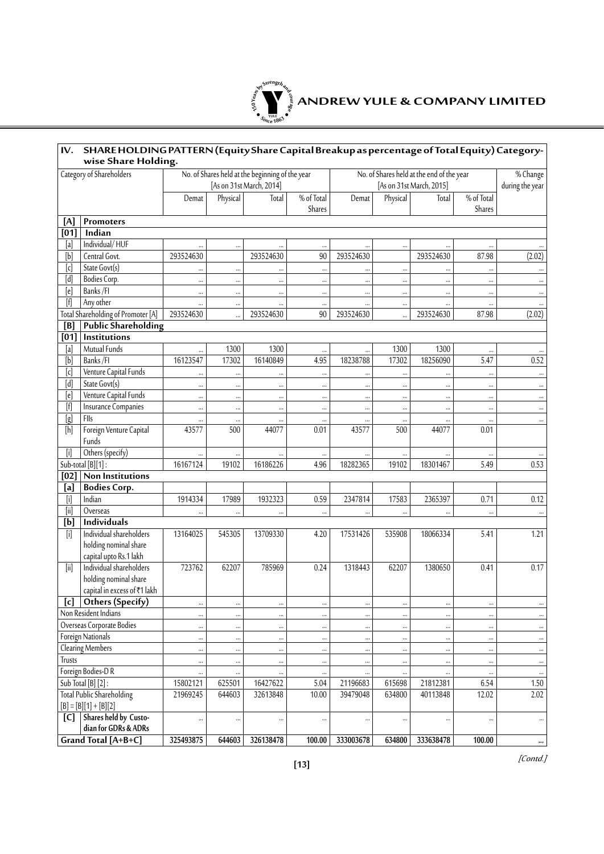

| Category of Shareholders<br>No. of Shares held at the beginning of the year<br>No. of Shares held at the end of the year<br>% Change<br>[As on 31st March, 2014]<br>during the year<br>[As on 31st March, 2015]<br>% of Total<br>% of Total<br>Physical<br>Physical<br>Demat<br>Total<br>Demat<br>Total<br>Shares<br>Shares<br>Promoters<br>[A]<br>Indian<br>[01]<br>Individual/HUF<br>[a]<br><br><br>87.98<br>[b]<br>Central Govt.<br>293524630<br>293524630<br>90<br>293524630<br>293524630<br>(2.02)<br>$[{\mathfrak c}]$<br>State Govt(s)<br><br><br><br>$\cdots$<br><br>$\ddotsc$<br><br>Bodies Corp.<br><br><br><br><br><br><br><br><br>Banks/FI<br><br><br><br><br>$\cdots$<br><br>$\cdots$<br>$\cdots$<br>$[f]$<br>Any other<br>$\cdots$<br>$\cdots$<br>$\ddotsc$<br><br><br><br><br>Total Shareholding of Promoter [A]<br>293524630<br>293524630<br>90<br>293524630<br>293524630<br>87.98<br>(2.02)<br><b>Public Shareholding</b><br>[B]<br>[01]<br>Institutions<br>Mutual Funds<br>[a]<br>1300<br>1300<br>1300<br>1300<br><br><br><br><br>[b]<br>Banks/FI<br>16123547<br>16140849<br>4.95<br>18238788<br>18256090<br>5.47<br>0.52<br>17302<br>17302<br>Venture Capital Funds<br>[c]<br><br>$\ddotsc$<br><br><br><br><br><br><br><br>$\overline{[d]}$<br>State Govt(s)<br><br><br><br><br><br><br><br><br>[e]<br>Venture Capital Funds<br><br><br><br><br><br>$\cdots$<br><br>$\cdots$<br>$\cdots$<br>$[f] % \begin{center} % \includegraphics[width=\linewidth]{imagesSupplemental_3.png} % \end{center} % \caption { % Our method can be used for the use of the image. % Note that the \emph{DefNet} and the \emph{DefNet} is used for the image. % Note that the \emph{DefNet} is used for the image. % Note that the \emph{DefNet} is used for the \emph{DefNet} and the \emph{DefNet} is used for the \emph{DefNet} and the \emph{DefNet} is used for the \emph{DefNet} and the \emph{DefNet} is used for the \emph{DefNet} and the \emph{DefNet} is used for the \emph{DefNet} and the \emph{DefNet} is used for the \emph{DefNet} and the \emph{$<br><b>Insurance Companies</b><br><br><br><br><br><br><br><br><br>[g]<br>Flls<br><br>$\cdots$<br><br><br><br><br>$\cdots$<br>Foreign Venture Capital<br>43577<br>500<br>44077<br>43577<br>0.01<br>0.01<br>500<br>44077<br>Funds<br>$[$<br>Others (specify)<br><br>$\cdots$<br><br>0.53<br>Sub-total [B][1]:<br>16167124<br>16186226<br>4.96<br>18282365<br>5.49<br>19102<br>19102<br>18301467<br>Non Institutions<br>[02]<br><b>Bodies Corp.</b><br>[a]<br>$[{\sf i}]$<br>Indian<br>1914334<br>17989<br>1932323<br>0.59<br>2347814<br>17583<br>2365397<br>0.71<br>0.12<br>$[ii] % \begin{center} % \includegraphics[width=\linewidth]{imagesSupplemental_3.png} % \end{center} % \caption { % \textit{DefNet} of the image \textit{DefNet} and the image \textit{DefNet} and the image \textit{DefNet} and the image \textit{DefNet} and the image \textit{DefNet} and the image \textit{DefNet} and the image \textit{DefNet} and the image \textit{DefNet} and the image \textit{DefNet} and the image \textit{DefNet} and the image \textit{DefNet} and the image \textit{DefNet} and the image \textit{DefNet} and the image \textit{DefNet} and the image \textit{DefNet} and the image \textit{DefNet} and the image \textit{DefNet} and the image \textit$<br>Overseas<br><br><br>$\ddotsc$<br><br>[b]<br>Individuals<br>$[$<br>Individual shareholders<br>13164025<br>545305<br>13709330<br>17531426<br>535908<br>18066334<br>5.41<br>1.21<br>4.20<br>holding nominal share<br>capital upto Rs.1 lakh<br>Individual shareholders<br>[ii]<br>723762<br>62207<br>785969<br>1318443<br>62207<br>1380650<br>0.17<br>0.24<br>0.41<br>holding nominal share<br>capital in excess of ₹1 lakh<br>[c] Others (Specify)<br><br><br><br><br><br><br><br><br>$\cdots$<br>Non Resident Indians<br><br>$\cdots$<br><br><br><br><br><br>$\cdots$<br>Overseas Corporate Bodies<br><br>$\cdots$<br><br>$\cdots$<br>$\cdots$<br><br><br><br><b>Foreign Nationals</b><br><br><br><br><br><br><br><br><br><b>Clearing Members</b><br><br><br>$\cdots$<br><br><br><br>$\cdots$<br>Trusts<br><br><br>$\cdots$<br><br>$\cdots$<br>$\cdots$<br>$\cdots$<br>$\ddotsc$<br>$\cdots$<br>Foreign Bodies-DR<br>$\cdots$<br><br><br>Sub Total [B] [2]:<br>16427622<br>5.04<br>21196683<br>21812381<br>6.54<br>1.50<br>15802121<br>625501<br>615698<br><b>Total Public Shareholding</b><br>2.02<br>21969245<br>32613848<br>10.00<br>39479048<br>634800<br>12.02<br>644603<br>40113848<br>$[B] = [B][1] + [B][2]$<br>Shares held by Custo-<br>[C]<br>$\cdots$<br><br><br><br><br>$\cdots$<br>dian for GDRs & ADRs<br>Grand Total [A+B+C]<br>325493875<br>326138478<br>333638478<br>100.00<br>644603<br>100.00<br>333003678<br>634800<br>$\cdots$ | IV. | SHARE HOLDING PATTERN (Equity Share Capital Breakup as percentage of Total Equity) Category-<br>wise Share Holding. |  |  |  |  |  |  |  |  |  |
|-------------------------------------------------------------------------------------------------------------------------------------------------------------------------------------------------------------------------------------------------------------------------------------------------------------------------------------------------------------------------------------------------------------------------------------------------------------------------------------------------------------------------------------------------------------------------------------------------------------------------------------------------------------------------------------------------------------------------------------------------------------------------------------------------------------------------------------------------------------------------------------------------------------------------------------------------------------------------------------------------------------------------------------------------------------------------------------------------------------------------------------------------------------------------------------------------------------------------------------------------------------------------------------------------------------------------------------------------------------------------------------------------------------------------------------------------------------------------------------------------------------------------------------------------------------------------------------------------------------------------------------------------------------------------------------------------------------------------------------------------------------------------------------------------------------------------------------------------------------------------------------------------------------------------------------------------------------------------------------------------------------------------------------------------------------------------------------------------------------------------------------------------------------------------------------------------------------------------------------------------------------------------------------------------------------------------------------------------------------------------------------------------------------------------------------------------------------------------------------------------------------------------------------------------------------------------------------------------------------------------------------------------------------------------------------------------------------------------------------------------------------------------------------------------------------------------------------------------------------------------------------------------------------------------------------------------------------------------------------------------------------------------------------------------------------------------------------------------------------------------------------------------------------------------------------------------------------------------------------------------------------------------------------------------------------------------------------------------------------------------------------------------------------------------------------------------------------------------------------------------------------------------------------------------------------------------------------------------------------------------------------------------------------------------------------------------------------------------------------------------------------------------------------------------------------------------------------------------------------------------------------------------------------------------------------------------------------------------------------------------------------------------------------------------------------------------------------------------------------------------------------------------------------------------------------------------------------------------------------------------------------------------------------------------------------------------------------------------------------------------------------------------------------------------------------------------------------------------------------------------------------------------------------------------------------------------------------------------------------------------------------------------------------------------------------------------------------------------------------------------------------------------------------------|-----|---------------------------------------------------------------------------------------------------------------------|--|--|--|--|--|--|--|--|--|
|                                                                                                                                                                                                                                                                                                                                                                                                                                                                                                                                                                                                                                                                                                                                                                                                                                                                                                                                                                                                                                                                                                                                                                                                                                                                                                                                                                                                                                                                                                                                                                                                                                                                                                                                                                                                                                                                                                                                                                                                                                                                                                                                                                                                                                                                                                                                                                                                                                                                                                                                                                                                                                                                                                                                                                                                                                                                                                                                                                                                                                                                                                                                                                                                                                                                                                                                                                                                                                                                                                                                                                                                                                                                                                                                                                                                                                                                                                                                                                                                                                                                                                                                                                                                                                                                                                                                                                                                                                                                                                                                                                                                                                                                                                                                                                                           |     |                                                                                                                     |  |  |  |  |  |  |  |  |  |
|                                                                                                                                                                                                                                                                                                                                                                                                                                                                                                                                                                                                                                                                                                                                                                                                                                                                                                                                                                                                                                                                                                                                                                                                                                                                                                                                                                                                                                                                                                                                                                                                                                                                                                                                                                                                                                                                                                                                                                                                                                                                                                                                                                                                                                                                                                                                                                                                                                                                                                                                                                                                                                                                                                                                                                                                                                                                                                                                                                                                                                                                                                                                                                                                                                                                                                                                                                                                                                                                                                                                                                                                                                                                                                                                                                                                                                                                                                                                                                                                                                                                                                                                                                                                                                                                                                                                                                                                                                                                                                                                                                                                                                                                                                                                                                                           |     |                                                                                                                     |  |  |  |  |  |  |  |  |  |
|                                                                                                                                                                                                                                                                                                                                                                                                                                                                                                                                                                                                                                                                                                                                                                                                                                                                                                                                                                                                                                                                                                                                                                                                                                                                                                                                                                                                                                                                                                                                                                                                                                                                                                                                                                                                                                                                                                                                                                                                                                                                                                                                                                                                                                                                                                                                                                                                                                                                                                                                                                                                                                                                                                                                                                                                                                                                                                                                                                                                                                                                                                                                                                                                                                                                                                                                                                                                                                                                                                                                                                                                                                                                                                                                                                                                                                                                                                                                                                                                                                                                                                                                                                                                                                                                                                                                                                                                                                                                                                                                                                                                                                                                                                                                                                                           |     |                                                                                                                     |  |  |  |  |  |  |  |  |  |
|                                                                                                                                                                                                                                                                                                                                                                                                                                                                                                                                                                                                                                                                                                                                                                                                                                                                                                                                                                                                                                                                                                                                                                                                                                                                                                                                                                                                                                                                                                                                                                                                                                                                                                                                                                                                                                                                                                                                                                                                                                                                                                                                                                                                                                                                                                                                                                                                                                                                                                                                                                                                                                                                                                                                                                                                                                                                                                                                                                                                                                                                                                                                                                                                                                                                                                                                                                                                                                                                                                                                                                                                                                                                                                                                                                                                                                                                                                                                                                                                                                                                                                                                                                                                                                                                                                                                                                                                                                                                                                                                                                                                                                                                                                                                                                                           |     |                                                                                                                     |  |  |  |  |  |  |  |  |  |
|                                                                                                                                                                                                                                                                                                                                                                                                                                                                                                                                                                                                                                                                                                                                                                                                                                                                                                                                                                                                                                                                                                                                                                                                                                                                                                                                                                                                                                                                                                                                                                                                                                                                                                                                                                                                                                                                                                                                                                                                                                                                                                                                                                                                                                                                                                                                                                                                                                                                                                                                                                                                                                                                                                                                                                                                                                                                                                                                                                                                                                                                                                                                                                                                                                                                                                                                                                                                                                                                                                                                                                                                                                                                                                                                                                                                                                                                                                                                                                                                                                                                                                                                                                                                                                                                                                                                                                                                                                                                                                                                                                                                                                                                                                                                                                                           |     |                                                                                                                     |  |  |  |  |  |  |  |  |  |
|                                                                                                                                                                                                                                                                                                                                                                                                                                                                                                                                                                                                                                                                                                                                                                                                                                                                                                                                                                                                                                                                                                                                                                                                                                                                                                                                                                                                                                                                                                                                                                                                                                                                                                                                                                                                                                                                                                                                                                                                                                                                                                                                                                                                                                                                                                                                                                                                                                                                                                                                                                                                                                                                                                                                                                                                                                                                                                                                                                                                                                                                                                                                                                                                                                                                                                                                                                                                                                                                                                                                                                                                                                                                                                                                                                                                                                                                                                                                                                                                                                                                                                                                                                                                                                                                                                                                                                                                                                                                                                                                                                                                                                                                                                                                                                                           |     |                                                                                                                     |  |  |  |  |  |  |  |  |  |
|                                                                                                                                                                                                                                                                                                                                                                                                                                                                                                                                                                                                                                                                                                                                                                                                                                                                                                                                                                                                                                                                                                                                                                                                                                                                                                                                                                                                                                                                                                                                                                                                                                                                                                                                                                                                                                                                                                                                                                                                                                                                                                                                                                                                                                                                                                                                                                                                                                                                                                                                                                                                                                                                                                                                                                                                                                                                                                                                                                                                                                                                                                                                                                                                                                                                                                                                                                                                                                                                                                                                                                                                                                                                                                                                                                                                                                                                                                                                                                                                                                                                                                                                                                                                                                                                                                                                                                                                                                                                                                                                                                                                                                                                                                                                                                                           |     |                                                                                                                     |  |  |  |  |  |  |  |  |  |
|                                                                                                                                                                                                                                                                                                                                                                                                                                                                                                                                                                                                                                                                                                                                                                                                                                                                                                                                                                                                                                                                                                                                                                                                                                                                                                                                                                                                                                                                                                                                                                                                                                                                                                                                                                                                                                                                                                                                                                                                                                                                                                                                                                                                                                                                                                                                                                                                                                                                                                                                                                                                                                                                                                                                                                                                                                                                                                                                                                                                                                                                                                                                                                                                                                                                                                                                                                                                                                                                                                                                                                                                                                                                                                                                                                                                                                                                                                                                                                                                                                                                                                                                                                                                                                                                                                                                                                                                                                                                                                                                                                                                                                                                                                                                                                                           |     |                                                                                                                     |  |  |  |  |  |  |  |  |  |
|                                                                                                                                                                                                                                                                                                                                                                                                                                                                                                                                                                                                                                                                                                                                                                                                                                                                                                                                                                                                                                                                                                                                                                                                                                                                                                                                                                                                                                                                                                                                                                                                                                                                                                                                                                                                                                                                                                                                                                                                                                                                                                                                                                                                                                                                                                                                                                                                                                                                                                                                                                                                                                                                                                                                                                                                                                                                                                                                                                                                                                                                                                                                                                                                                                                                                                                                                                                                                                                                                                                                                                                                                                                                                                                                                                                                                                                                                                                                                                                                                                                                                                                                                                                                                                                                                                                                                                                                                                                                                                                                                                                                                                                                                                                                                                                           |     |                                                                                                                     |  |  |  |  |  |  |  |  |  |
|                                                                                                                                                                                                                                                                                                                                                                                                                                                                                                                                                                                                                                                                                                                                                                                                                                                                                                                                                                                                                                                                                                                                                                                                                                                                                                                                                                                                                                                                                                                                                                                                                                                                                                                                                                                                                                                                                                                                                                                                                                                                                                                                                                                                                                                                                                                                                                                                                                                                                                                                                                                                                                                                                                                                                                                                                                                                                                                                                                                                                                                                                                                                                                                                                                                                                                                                                                                                                                                                                                                                                                                                                                                                                                                                                                                                                                                                                                                                                                                                                                                                                                                                                                                                                                                                                                                                                                                                                                                                                                                                                                                                                                                                                                                                                                                           |     |                                                                                                                     |  |  |  |  |  |  |  |  |  |
|                                                                                                                                                                                                                                                                                                                                                                                                                                                                                                                                                                                                                                                                                                                                                                                                                                                                                                                                                                                                                                                                                                                                                                                                                                                                                                                                                                                                                                                                                                                                                                                                                                                                                                                                                                                                                                                                                                                                                                                                                                                                                                                                                                                                                                                                                                                                                                                                                                                                                                                                                                                                                                                                                                                                                                                                                                                                                                                                                                                                                                                                                                                                                                                                                                                                                                                                                                                                                                                                                                                                                                                                                                                                                                                                                                                                                                                                                                                                                                                                                                                                                                                                                                                                                                                                                                                                                                                                                                                                                                                                                                                                                                                                                                                                                                                           |     |                                                                                                                     |  |  |  |  |  |  |  |  |  |
|                                                                                                                                                                                                                                                                                                                                                                                                                                                                                                                                                                                                                                                                                                                                                                                                                                                                                                                                                                                                                                                                                                                                                                                                                                                                                                                                                                                                                                                                                                                                                                                                                                                                                                                                                                                                                                                                                                                                                                                                                                                                                                                                                                                                                                                                                                                                                                                                                                                                                                                                                                                                                                                                                                                                                                                                                                                                                                                                                                                                                                                                                                                                                                                                                                                                                                                                                                                                                                                                                                                                                                                                                                                                                                                                                                                                                                                                                                                                                                                                                                                                                                                                                                                                                                                                                                                                                                                                                                                                                                                                                                                                                                                                                                                                                                                           |     |                                                                                                                     |  |  |  |  |  |  |  |  |  |
|                                                                                                                                                                                                                                                                                                                                                                                                                                                                                                                                                                                                                                                                                                                                                                                                                                                                                                                                                                                                                                                                                                                                                                                                                                                                                                                                                                                                                                                                                                                                                                                                                                                                                                                                                                                                                                                                                                                                                                                                                                                                                                                                                                                                                                                                                                                                                                                                                                                                                                                                                                                                                                                                                                                                                                                                                                                                                                                                                                                                                                                                                                                                                                                                                                                                                                                                                                                                                                                                                                                                                                                                                                                                                                                                                                                                                                                                                                                                                                                                                                                                                                                                                                                                                                                                                                                                                                                                                                                                                                                                                                                                                                                                                                                                                                                           |     |                                                                                                                     |  |  |  |  |  |  |  |  |  |
|                                                                                                                                                                                                                                                                                                                                                                                                                                                                                                                                                                                                                                                                                                                                                                                                                                                                                                                                                                                                                                                                                                                                                                                                                                                                                                                                                                                                                                                                                                                                                                                                                                                                                                                                                                                                                                                                                                                                                                                                                                                                                                                                                                                                                                                                                                                                                                                                                                                                                                                                                                                                                                                                                                                                                                                                                                                                                                                                                                                                                                                                                                                                                                                                                                                                                                                                                                                                                                                                                                                                                                                                                                                                                                                                                                                                                                                                                                                                                                                                                                                                                                                                                                                                                                                                                                                                                                                                                                                                                                                                                                                                                                                                                                                                                                                           |     |                                                                                                                     |  |  |  |  |  |  |  |  |  |
|                                                                                                                                                                                                                                                                                                                                                                                                                                                                                                                                                                                                                                                                                                                                                                                                                                                                                                                                                                                                                                                                                                                                                                                                                                                                                                                                                                                                                                                                                                                                                                                                                                                                                                                                                                                                                                                                                                                                                                                                                                                                                                                                                                                                                                                                                                                                                                                                                                                                                                                                                                                                                                                                                                                                                                                                                                                                                                                                                                                                                                                                                                                                                                                                                                                                                                                                                                                                                                                                                                                                                                                                                                                                                                                                                                                                                                                                                                                                                                                                                                                                                                                                                                                                                                                                                                                                                                                                                                                                                                                                                                                                                                                                                                                                                                                           |     |                                                                                                                     |  |  |  |  |  |  |  |  |  |
|                                                                                                                                                                                                                                                                                                                                                                                                                                                                                                                                                                                                                                                                                                                                                                                                                                                                                                                                                                                                                                                                                                                                                                                                                                                                                                                                                                                                                                                                                                                                                                                                                                                                                                                                                                                                                                                                                                                                                                                                                                                                                                                                                                                                                                                                                                                                                                                                                                                                                                                                                                                                                                                                                                                                                                                                                                                                                                                                                                                                                                                                                                                                                                                                                                                                                                                                                                                                                                                                                                                                                                                                                                                                                                                                                                                                                                                                                                                                                                                                                                                                                                                                                                                                                                                                                                                                                                                                                                                                                                                                                                                                                                                                                                                                                                                           |     |                                                                                                                     |  |  |  |  |  |  |  |  |  |
|                                                                                                                                                                                                                                                                                                                                                                                                                                                                                                                                                                                                                                                                                                                                                                                                                                                                                                                                                                                                                                                                                                                                                                                                                                                                                                                                                                                                                                                                                                                                                                                                                                                                                                                                                                                                                                                                                                                                                                                                                                                                                                                                                                                                                                                                                                                                                                                                                                                                                                                                                                                                                                                                                                                                                                                                                                                                                                                                                                                                                                                                                                                                                                                                                                                                                                                                                                                                                                                                                                                                                                                                                                                                                                                                                                                                                                                                                                                                                                                                                                                                                                                                                                                                                                                                                                                                                                                                                                                                                                                                                                                                                                                                                                                                                                                           |     |                                                                                                                     |  |  |  |  |  |  |  |  |  |
|                                                                                                                                                                                                                                                                                                                                                                                                                                                                                                                                                                                                                                                                                                                                                                                                                                                                                                                                                                                                                                                                                                                                                                                                                                                                                                                                                                                                                                                                                                                                                                                                                                                                                                                                                                                                                                                                                                                                                                                                                                                                                                                                                                                                                                                                                                                                                                                                                                                                                                                                                                                                                                                                                                                                                                                                                                                                                                                                                                                                                                                                                                                                                                                                                                                                                                                                                                                                                                                                                                                                                                                                                                                                                                                                                                                                                                                                                                                                                                                                                                                                                                                                                                                                                                                                                                                                                                                                                                                                                                                                                                                                                                                                                                                                                                                           |     |                                                                                                                     |  |  |  |  |  |  |  |  |  |
|                                                                                                                                                                                                                                                                                                                                                                                                                                                                                                                                                                                                                                                                                                                                                                                                                                                                                                                                                                                                                                                                                                                                                                                                                                                                                                                                                                                                                                                                                                                                                                                                                                                                                                                                                                                                                                                                                                                                                                                                                                                                                                                                                                                                                                                                                                                                                                                                                                                                                                                                                                                                                                                                                                                                                                                                                                                                                                                                                                                                                                                                                                                                                                                                                                                                                                                                                                                                                                                                                                                                                                                                                                                                                                                                                                                                                                                                                                                                                                                                                                                                                                                                                                                                                                                                                                                                                                                                                                                                                                                                                                                                                                                                                                                                                                                           |     |                                                                                                                     |  |  |  |  |  |  |  |  |  |
|                                                                                                                                                                                                                                                                                                                                                                                                                                                                                                                                                                                                                                                                                                                                                                                                                                                                                                                                                                                                                                                                                                                                                                                                                                                                                                                                                                                                                                                                                                                                                                                                                                                                                                                                                                                                                                                                                                                                                                                                                                                                                                                                                                                                                                                                                                                                                                                                                                                                                                                                                                                                                                                                                                                                                                                                                                                                                                                                                                                                                                                                                                                                                                                                                                                                                                                                                                                                                                                                                                                                                                                                                                                                                                                                                                                                                                                                                                                                                                                                                                                                                                                                                                                                                                                                                                                                                                                                                                                                                                                                                                                                                                                                                                                                                                                           |     |                                                                                                                     |  |  |  |  |  |  |  |  |  |
|                                                                                                                                                                                                                                                                                                                                                                                                                                                                                                                                                                                                                                                                                                                                                                                                                                                                                                                                                                                                                                                                                                                                                                                                                                                                                                                                                                                                                                                                                                                                                                                                                                                                                                                                                                                                                                                                                                                                                                                                                                                                                                                                                                                                                                                                                                                                                                                                                                                                                                                                                                                                                                                                                                                                                                                                                                                                                                                                                                                                                                                                                                                                                                                                                                                                                                                                                                                                                                                                                                                                                                                                                                                                                                                                                                                                                                                                                                                                                                                                                                                                                                                                                                                                                                                                                                                                                                                                                                                                                                                                                                                                                                                                                                                                                                                           |     |                                                                                                                     |  |  |  |  |  |  |  |  |  |
|                                                                                                                                                                                                                                                                                                                                                                                                                                                                                                                                                                                                                                                                                                                                                                                                                                                                                                                                                                                                                                                                                                                                                                                                                                                                                                                                                                                                                                                                                                                                                                                                                                                                                                                                                                                                                                                                                                                                                                                                                                                                                                                                                                                                                                                                                                                                                                                                                                                                                                                                                                                                                                                                                                                                                                                                                                                                                                                                                                                                                                                                                                                                                                                                                                                                                                                                                                                                                                                                                                                                                                                                                                                                                                                                                                                                                                                                                                                                                                                                                                                                                                                                                                                                                                                                                                                                                                                                                                                                                                                                                                                                                                                                                                                                                                                           |     |                                                                                                                     |  |  |  |  |  |  |  |  |  |
|                                                                                                                                                                                                                                                                                                                                                                                                                                                                                                                                                                                                                                                                                                                                                                                                                                                                                                                                                                                                                                                                                                                                                                                                                                                                                                                                                                                                                                                                                                                                                                                                                                                                                                                                                                                                                                                                                                                                                                                                                                                                                                                                                                                                                                                                                                                                                                                                                                                                                                                                                                                                                                                                                                                                                                                                                                                                                                                                                                                                                                                                                                                                                                                                                                                                                                                                                                                                                                                                                                                                                                                                                                                                                                                                                                                                                                                                                                                                                                                                                                                                                                                                                                                                                                                                                                                                                                                                                                                                                                                                                                                                                                                                                                                                                                                           |     |                                                                                                                     |  |  |  |  |  |  |  |  |  |
|                                                                                                                                                                                                                                                                                                                                                                                                                                                                                                                                                                                                                                                                                                                                                                                                                                                                                                                                                                                                                                                                                                                                                                                                                                                                                                                                                                                                                                                                                                                                                                                                                                                                                                                                                                                                                                                                                                                                                                                                                                                                                                                                                                                                                                                                                                                                                                                                                                                                                                                                                                                                                                                                                                                                                                                                                                                                                                                                                                                                                                                                                                                                                                                                                                                                                                                                                                                                                                                                                                                                                                                                                                                                                                                                                                                                                                                                                                                                                                                                                                                                                                                                                                                                                                                                                                                                                                                                                                                                                                                                                                                                                                                                                                                                                                                           |     |                                                                                                                     |  |  |  |  |  |  |  |  |  |
|                                                                                                                                                                                                                                                                                                                                                                                                                                                                                                                                                                                                                                                                                                                                                                                                                                                                                                                                                                                                                                                                                                                                                                                                                                                                                                                                                                                                                                                                                                                                                                                                                                                                                                                                                                                                                                                                                                                                                                                                                                                                                                                                                                                                                                                                                                                                                                                                                                                                                                                                                                                                                                                                                                                                                                                                                                                                                                                                                                                                                                                                                                                                                                                                                                                                                                                                                                                                                                                                                                                                                                                                                                                                                                                                                                                                                                                                                                                                                                                                                                                                                                                                                                                                                                                                                                                                                                                                                                                                                                                                                                                                                                                                                                                                                                                           |     |                                                                                                                     |  |  |  |  |  |  |  |  |  |
|                                                                                                                                                                                                                                                                                                                                                                                                                                                                                                                                                                                                                                                                                                                                                                                                                                                                                                                                                                                                                                                                                                                                                                                                                                                                                                                                                                                                                                                                                                                                                                                                                                                                                                                                                                                                                                                                                                                                                                                                                                                                                                                                                                                                                                                                                                                                                                                                                                                                                                                                                                                                                                                                                                                                                                                                                                                                                                                                                                                                                                                                                                                                                                                                                                                                                                                                                                                                                                                                                                                                                                                                                                                                                                                                                                                                                                                                                                                                                                                                                                                                                                                                                                                                                                                                                                                                                                                                                                                                                                                                                                                                                                                                                                                                                                                           |     |                                                                                                                     |  |  |  |  |  |  |  |  |  |
|                                                                                                                                                                                                                                                                                                                                                                                                                                                                                                                                                                                                                                                                                                                                                                                                                                                                                                                                                                                                                                                                                                                                                                                                                                                                                                                                                                                                                                                                                                                                                                                                                                                                                                                                                                                                                                                                                                                                                                                                                                                                                                                                                                                                                                                                                                                                                                                                                                                                                                                                                                                                                                                                                                                                                                                                                                                                                                                                                                                                                                                                                                                                                                                                                                                                                                                                                                                                                                                                                                                                                                                                                                                                                                                                                                                                                                                                                                                                                                                                                                                                                                                                                                                                                                                                                                                                                                                                                                                                                                                                                                                                                                                                                                                                                                                           |     |                                                                                                                     |  |  |  |  |  |  |  |  |  |
|                                                                                                                                                                                                                                                                                                                                                                                                                                                                                                                                                                                                                                                                                                                                                                                                                                                                                                                                                                                                                                                                                                                                                                                                                                                                                                                                                                                                                                                                                                                                                                                                                                                                                                                                                                                                                                                                                                                                                                                                                                                                                                                                                                                                                                                                                                                                                                                                                                                                                                                                                                                                                                                                                                                                                                                                                                                                                                                                                                                                                                                                                                                                                                                                                                                                                                                                                                                                                                                                                                                                                                                                                                                                                                                                                                                                                                                                                                                                                                                                                                                                                                                                                                                                                                                                                                                                                                                                                                                                                                                                                                                                                                                                                                                                                                                           |     |                                                                                                                     |  |  |  |  |  |  |  |  |  |
|                                                                                                                                                                                                                                                                                                                                                                                                                                                                                                                                                                                                                                                                                                                                                                                                                                                                                                                                                                                                                                                                                                                                                                                                                                                                                                                                                                                                                                                                                                                                                                                                                                                                                                                                                                                                                                                                                                                                                                                                                                                                                                                                                                                                                                                                                                                                                                                                                                                                                                                                                                                                                                                                                                                                                                                                                                                                                                                                                                                                                                                                                                                                                                                                                                                                                                                                                                                                                                                                                                                                                                                                                                                                                                                                                                                                                                                                                                                                                                                                                                                                                                                                                                                                                                                                                                                                                                                                                                                                                                                                                                                                                                                                                                                                                                                           |     |                                                                                                                     |  |  |  |  |  |  |  |  |  |
|                                                                                                                                                                                                                                                                                                                                                                                                                                                                                                                                                                                                                                                                                                                                                                                                                                                                                                                                                                                                                                                                                                                                                                                                                                                                                                                                                                                                                                                                                                                                                                                                                                                                                                                                                                                                                                                                                                                                                                                                                                                                                                                                                                                                                                                                                                                                                                                                                                                                                                                                                                                                                                                                                                                                                                                                                                                                                                                                                                                                                                                                                                                                                                                                                                                                                                                                                                                                                                                                                                                                                                                                                                                                                                                                                                                                                                                                                                                                                                                                                                                                                                                                                                                                                                                                                                                                                                                                                                                                                                                                                                                                                                                                                                                                                                                           |     |                                                                                                                     |  |  |  |  |  |  |  |  |  |
|                                                                                                                                                                                                                                                                                                                                                                                                                                                                                                                                                                                                                                                                                                                                                                                                                                                                                                                                                                                                                                                                                                                                                                                                                                                                                                                                                                                                                                                                                                                                                                                                                                                                                                                                                                                                                                                                                                                                                                                                                                                                                                                                                                                                                                                                                                                                                                                                                                                                                                                                                                                                                                                                                                                                                                                                                                                                                                                                                                                                                                                                                                                                                                                                                                                                                                                                                                                                                                                                                                                                                                                                                                                                                                                                                                                                                                                                                                                                                                                                                                                                                                                                                                                                                                                                                                                                                                                                                                                                                                                                                                                                                                                                                                                                                                                           |     |                                                                                                                     |  |  |  |  |  |  |  |  |  |
|                                                                                                                                                                                                                                                                                                                                                                                                                                                                                                                                                                                                                                                                                                                                                                                                                                                                                                                                                                                                                                                                                                                                                                                                                                                                                                                                                                                                                                                                                                                                                                                                                                                                                                                                                                                                                                                                                                                                                                                                                                                                                                                                                                                                                                                                                                                                                                                                                                                                                                                                                                                                                                                                                                                                                                                                                                                                                                                                                                                                                                                                                                                                                                                                                                                                                                                                                                                                                                                                                                                                                                                                                                                                                                                                                                                                                                                                                                                                                                                                                                                                                                                                                                                                                                                                                                                                                                                                                                                                                                                                                                                                                                                                                                                                                                                           |     |                                                                                                                     |  |  |  |  |  |  |  |  |  |
|                                                                                                                                                                                                                                                                                                                                                                                                                                                                                                                                                                                                                                                                                                                                                                                                                                                                                                                                                                                                                                                                                                                                                                                                                                                                                                                                                                                                                                                                                                                                                                                                                                                                                                                                                                                                                                                                                                                                                                                                                                                                                                                                                                                                                                                                                                                                                                                                                                                                                                                                                                                                                                                                                                                                                                                                                                                                                                                                                                                                                                                                                                                                                                                                                                                                                                                                                                                                                                                                                                                                                                                                                                                                                                                                                                                                                                                                                                                                                                                                                                                                                                                                                                                                                                                                                                                                                                                                                                                                                                                                                                                                                                                                                                                                                                                           |     |                                                                                                                     |  |  |  |  |  |  |  |  |  |
|                                                                                                                                                                                                                                                                                                                                                                                                                                                                                                                                                                                                                                                                                                                                                                                                                                                                                                                                                                                                                                                                                                                                                                                                                                                                                                                                                                                                                                                                                                                                                                                                                                                                                                                                                                                                                                                                                                                                                                                                                                                                                                                                                                                                                                                                                                                                                                                                                                                                                                                                                                                                                                                                                                                                                                                                                                                                                                                                                                                                                                                                                                                                                                                                                                                                                                                                                                                                                                                                                                                                                                                                                                                                                                                                                                                                                                                                                                                                                                                                                                                                                                                                                                                                                                                                                                                                                                                                                                                                                                                                                                                                                                                                                                                                                                                           |     |                                                                                                                     |  |  |  |  |  |  |  |  |  |
|                                                                                                                                                                                                                                                                                                                                                                                                                                                                                                                                                                                                                                                                                                                                                                                                                                                                                                                                                                                                                                                                                                                                                                                                                                                                                                                                                                                                                                                                                                                                                                                                                                                                                                                                                                                                                                                                                                                                                                                                                                                                                                                                                                                                                                                                                                                                                                                                                                                                                                                                                                                                                                                                                                                                                                                                                                                                                                                                                                                                                                                                                                                                                                                                                                                                                                                                                                                                                                                                                                                                                                                                                                                                                                                                                                                                                                                                                                                                                                                                                                                                                                                                                                                                                                                                                                                                                                                                                                                                                                                                                                                                                                                                                                                                                                                           |     |                                                                                                                     |  |  |  |  |  |  |  |  |  |
|                                                                                                                                                                                                                                                                                                                                                                                                                                                                                                                                                                                                                                                                                                                                                                                                                                                                                                                                                                                                                                                                                                                                                                                                                                                                                                                                                                                                                                                                                                                                                                                                                                                                                                                                                                                                                                                                                                                                                                                                                                                                                                                                                                                                                                                                                                                                                                                                                                                                                                                                                                                                                                                                                                                                                                                                                                                                                                                                                                                                                                                                                                                                                                                                                                                                                                                                                                                                                                                                                                                                                                                                                                                                                                                                                                                                                                                                                                                                                                                                                                                                                                                                                                                                                                                                                                                                                                                                                                                                                                                                                                                                                                                                                                                                                                                           |     |                                                                                                                     |  |  |  |  |  |  |  |  |  |
|                                                                                                                                                                                                                                                                                                                                                                                                                                                                                                                                                                                                                                                                                                                                                                                                                                                                                                                                                                                                                                                                                                                                                                                                                                                                                                                                                                                                                                                                                                                                                                                                                                                                                                                                                                                                                                                                                                                                                                                                                                                                                                                                                                                                                                                                                                                                                                                                                                                                                                                                                                                                                                                                                                                                                                                                                                                                                                                                                                                                                                                                                                                                                                                                                                                                                                                                                                                                                                                                                                                                                                                                                                                                                                                                                                                                                                                                                                                                                                                                                                                                                                                                                                                                                                                                                                                                                                                                                                                                                                                                                                                                                                                                                                                                                                                           |     |                                                                                                                     |  |  |  |  |  |  |  |  |  |
|                                                                                                                                                                                                                                                                                                                                                                                                                                                                                                                                                                                                                                                                                                                                                                                                                                                                                                                                                                                                                                                                                                                                                                                                                                                                                                                                                                                                                                                                                                                                                                                                                                                                                                                                                                                                                                                                                                                                                                                                                                                                                                                                                                                                                                                                                                                                                                                                                                                                                                                                                                                                                                                                                                                                                                                                                                                                                                                                                                                                                                                                                                                                                                                                                                                                                                                                                                                                                                                                                                                                                                                                                                                                                                                                                                                                                                                                                                                                                                                                                                                                                                                                                                                                                                                                                                                                                                                                                                                                                                                                                                                                                                                                                                                                                                                           |     |                                                                                                                     |  |  |  |  |  |  |  |  |  |
|                                                                                                                                                                                                                                                                                                                                                                                                                                                                                                                                                                                                                                                                                                                                                                                                                                                                                                                                                                                                                                                                                                                                                                                                                                                                                                                                                                                                                                                                                                                                                                                                                                                                                                                                                                                                                                                                                                                                                                                                                                                                                                                                                                                                                                                                                                                                                                                                                                                                                                                                                                                                                                                                                                                                                                                                                                                                                                                                                                                                                                                                                                                                                                                                                                                                                                                                                                                                                                                                                                                                                                                                                                                                                                                                                                                                                                                                                                                                                                                                                                                                                                                                                                                                                                                                                                                                                                                                                                                                                                                                                                                                                                                                                                                                                                                           |     |                                                                                                                     |  |  |  |  |  |  |  |  |  |
|                                                                                                                                                                                                                                                                                                                                                                                                                                                                                                                                                                                                                                                                                                                                                                                                                                                                                                                                                                                                                                                                                                                                                                                                                                                                                                                                                                                                                                                                                                                                                                                                                                                                                                                                                                                                                                                                                                                                                                                                                                                                                                                                                                                                                                                                                                                                                                                                                                                                                                                                                                                                                                                                                                                                                                                                                                                                                                                                                                                                                                                                                                                                                                                                                                                                                                                                                                                                                                                                                                                                                                                                                                                                                                                                                                                                                                                                                                                                                                                                                                                                                                                                                                                                                                                                                                                                                                                                                                                                                                                                                                                                                                                                                                                                                                                           |     |                                                                                                                     |  |  |  |  |  |  |  |  |  |
|                                                                                                                                                                                                                                                                                                                                                                                                                                                                                                                                                                                                                                                                                                                                                                                                                                                                                                                                                                                                                                                                                                                                                                                                                                                                                                                                                                                                                                                                                                                                                                                                                                                                                                                                                                                                                                                                                                                                                                                                                                                                                                                                                                                                                                                                                                                                                                                                                                                                                                                                                                                                                                                                                                                                                                                                                                                                                                                                                                                                                                                                                                                                                                                                                                                                                                                                                                                                                                                                                                                                                                                                                                                                                                                                                                                                                                                                                                                                                                                                                                                                                                                                                                                                                                                                                                                                                                                                                                                                                                                                                                                                                                                                                                                                                                                           |     |                                                                                                                     |  |  |  |  |  |  |  |  |  |
|                                                                                                                                                                                                                                                                                                                                                                                                                                                                                                                                                                                                                                                                                                                                                                                                                                                                                                                                                                                                                                                                                                                                                                                                                                                                                                                                                                                                                                                                                                                                                                                                                                                                                                                                                                                                                                                                                                                                                                                                                                                                                                                                                                                                                                                                                                                                                                                                                                                                                                                                                                                                                                                                                                                                                                                                                                                                                                                                                                                                                                                                                                                                                                                                                                                                                                                                                                                                                                                                                                                                                                                                                                                                                                                                                                                                                                                                                                                                                                                                                                                                                                                                                                                                                                                                                                                                                                                                                                                                                                                                                                                                                                                                                                                                                                                           |     |                                                                                                                     |  |  |  |  |  |  |  |  |  |
|                                                                                                                                                                                                                                                                                                                                                                                                                                                                                                                                                                                                                                                                                                                                                                                                                                                                                                                                                                                                                                                                                                                                                                                                                                                                                                                                                                                                                                                                                                                                                                                                                                                                                                                                                                                                                                                                                                                                                                                                                                                                                                                                                                                                                                                                                                                                                                                                                                                                                                                                                                                                                                                                                                                                                                                                                                                                                                                                                                                                                                                                                                                                                                                                                                                                                                                                                                                                                                                                                                                                                                                                                                                                                                                                                                                                                                                                                                                                                                                                                                                                                                                                                                                                                                                                                                                                                                                                                                                                                                                                                                                                                                                                                                                                                                                           |     |                                                                                                                     |  |  |  |  |  |  |  |  |  |
|                                                                                                                                                                                                                                                                                                                                                                                                                                                                                                                                                                                                                                                                                                                                                                                                                                                                                                                                                                                                                                                                                                                                                                                                                                                                                                                                                                                                                                                                                                                                                                                                                                                                                                                                                                                                                                                                                                                                                                                                                                                                                                                                                                                                                                                                                                                                                                                                                                                                                                                                                                                                                                                                                                                                                                                                                                                                                                                                                                                                                                                                                                                                                                                                                                                                                                                                                                                                                                                                                                                                                                                                                                                                                                                                                                                                                                                                                                                                                                                                                                                                                                                                                                                                                                                                                                                                                                                                                                                                                                                                                                                                                                                                                                                                                                                           |     |                                                                                                                     |  |  |  |  |  |  |  |  |  |
|                                                                                                                                                                                                                                                                                                                                                                                                                                                                                                                                                                                                                                                                                                                                                                                                                                                                                                                                                                                                                                                                                                                                                                                                                                                                                                                                                                                                                                                                                                                                                                                                                                                                                                                                                                                                                                                                                                                                                                                                                                                                                                                                                                                                                                                                                                                                                                                                                                                                                                                                                                                                                                                                                                                                                                                                                                                                                                                                                                                                                                                                                                                                                                                                                                                                                                                                                                                                                                                                                                                                                                                                                                                                                                                                                                                                                                                                                                                                                                                                                                                                                                                                                                                                                                                                                                                                                                                                                                                                                                                                                                                                                                                                                                                                                                                           |     |                                                                                                                     |  |  |  |  |  |  |  |  |  |
|                                                                                                                                                                                                                                                                                                                                                                                                                                                                                                                                                                                                                                                                                                                                                                                                                                                                                                                                                                                                                                                                                                                                                                                                                                                                                                                                                                                                                                                                                                                                                                                                                                                                                                                                                                                                                                                                                                                                                                                                                                                                                                                                                                                                                                                                                                                                                                                                                                                                                                                                                                                                                                                                                                                                                                                                                                                                                                                                                                                                                                                                                                                                                                                                                                                                                                                                                                                                                                                                                                                                                                                                                                                                                                                                                                                                                                                                                                                                                                                                                                                                                                                                                                                                                                                                                                                                                                                                                                                                                                                                                                                                                                                                                                                                                                                           |     |                                                                                                                     |  |  |  |  |  |  |  |  |  |
|                                                                                                                                                                                                                                                                                                                                                                                                                                                                                                                                                                                                                                                                                                                                                                                                                                                                                                                                                                                                                                                                                                                                                                                                                                                                                                                                                                                                                                                                                                                                                                                                                                                                                                                                                                                                                                                                                                                                                                                                                                                                                                                                                                                                                                                                                                                                                                                                                                                                                                                                                                                                                                                                                                                                                                                                                                                                                                                                                                                                                                                                                                                                                                                                                                                                                                                                                                                                                                                                                                                                                                                                                                                                                                                                                                                                                                                                                                                                                                                                                                                                                                                                                                                                                                                                                                                                                                                                                                                                                                                                                                                                                                                                                                                                                                                           |     |                                                                                                                     |  |  |  |  |  |  |  |  |  |

[Contd.]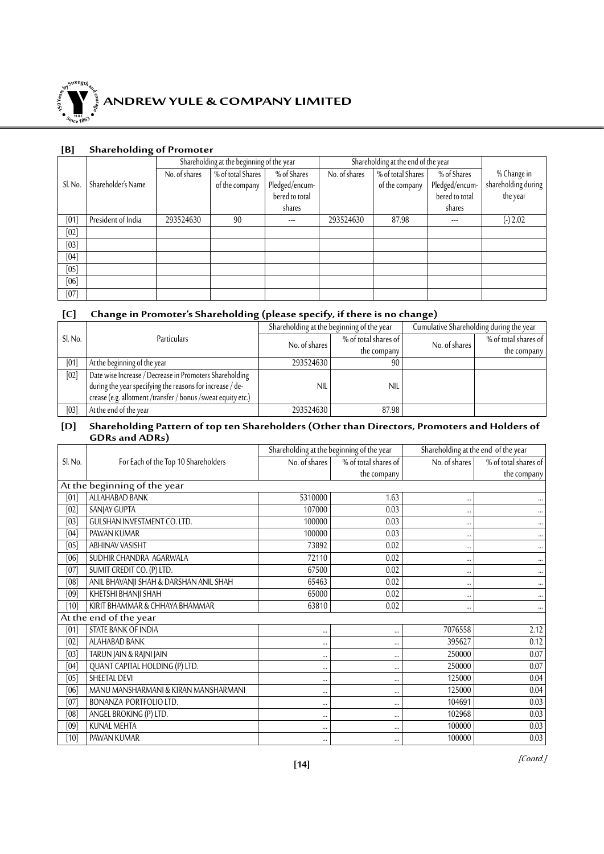

#### **[B] Shareholding of Promoter**

|         |                    | Shareholding at the beginning of the year |                                      |                |               | Shareholding at the end of the year |                |                     |
|---------|--------------------|-------------------------------------------|--------------------------------------|----------------|---------------|-------------------------------------|----------------|---------------------|
|         |                    | No. of shares                             | $\sqrt{\frac{1}{6}}$ of total Shares | % of Shares    | No. of shares | % of total Shares                   | % of Shares    | % Change in         |
| Sl. No. | Shareholder's Name |                                           | of the company                       | Pledged/encum- |               | of the company                      | Pledged/encum- | shareholding during |
|         |                    |                                           |                                      | bered to total |               |                                     | bered to total | the year            |
|         |                    |                                           |                                      | shares         |               |                                     | shares         |                     |
| [01]    | President of India | 293524630                                 | 90                                   | ---            | 293524630     | 87.98                               | ---            | $(-) 2.02$          |
| [02]    |                    |                                           |                                      |                |               |                                     |                |                     |
| [03]    |                    |                                           |                                      |                |               |                                     |                |                     |
| [04]    |                    |                                           |                                      |                |               |                                     |                |                     |
| [05]    |                    |                                           |                                      |                |               |                                     |                |                     |
| [06]    |                    |                                           |                                      |                |               |                                     |                |                     |
| [07]    |                    |                                           |                                      |                |               |                                     |                |                     |

### **[C] Change in Promoter's Shareholding (please specify, if there is no change)**

|         |                                                              |               | Shareholding at the beginning of the year | Cumulative Shareholding during the year |                      |  |
|---------|--------------------------------------------------------------|---------------|-------------------------------------------|-----------------------------------------|----------------------|--|
| Sl. No. | Particulars                                                  | No. of shares | % of total shares of                      | No. of shares                           | % of total shares of |  |
|         |                                                              |               | the company                               |                                         | the company          |  |
| [01]    | At the beginning of the year                                 | 293524630     | 90                                        |                                         |                      |  |
| [02]    | Date wise Increase / Decrease in Promoters Shareholding      |               |                                           |                                         |                      |  |
|         | during the year specifying the reasons for increase / de-    | <b>NIL</b>    | <b>NIL</b>                                |                                         |                      |  |
|         | crease (e.g. allotment /transfer / bonus /sweat equity etc.) |               |                                           |                                         |                      |  |
| [03]    | At the end of the year                                       | 293524630     | 87.98                                     |                                         |                      |  |

#### **[D] Shareholding Pattern of top ten Shareholders (Other than Directors, Promoters and Holders of GDRs and ADRs)**

|         |                                        | Shareholding at the beginning of the year |                      | Shareholding at the end of the year |                      |  |
|---------|----------------------------------------|-------------------------------------------|----------------------|-------------------------------------|----------------------|--|
| Sl. No. | For Each of the Top 10 Shareholders    | No. of shares                             | % of total shares of | No. of shares                       | % of total shares of |  |
|         |                                        |                                           | the company          |                                     | the company          |  |
|         | At the beginning of the year           |                                           |                      |                                     |                      |  |
| [01]    | ALLAHABAD BANK                         | 5310000                                   | 1.63                 |                                     |                      |  |
| [02]    | SANJAY GUPTA                           | 107000                                    | 0.03                 |                                     | $\cdots$             |  |
| [03]    | GULSHAN INVESTMENT CO. LTD.            | 100000                                    | 0.03                 |                                     | $\cdots$             |  |
| [04]    | PAWAN KUMAR                            | 100000                                    | 0.03                 |                                     |                      |  |
| [05]    | ABHINAV VASISHT                        | 73892                                     | 0.02                 | $\cdots$                            |                      |  |
| [06]    | SUDHIR CHANDRA AGARWALA                | 72110                                     | 0.02                 |                                     | $\cdots$             |  |
| [07]    | SUMIT CREDIT CO. (P) LTD.              | 67500                                     | 0.02                 |                                     | $\cdots$             |  |
| [08]    | ANIL BHAVANJI SHAH & DARSHAN ANIL SHAH | 65463                                     | 0.02                 |                                     | $\cdots$             |  |
| [09]    | KHETSHI BHANJI SHAH                    | 65000                                     | 0.02                 |                                     |                      |  |
| $[10]$  | KIRIT BHAMMAR & CHHAYA BHAMMAR         | 63810                                     | 0.02                 |                                     | $\cdots$             |  |
|         | At the end of the year                 |                                           |                      |                                     |                      |  |
| [01]    | STATE BANK OF INDIA                    | $\cdots$                                  |                      | 7076558                             | 2.12                 |  |
| [02]    | ALAHABAD BANK                          |                                           |                      | 395627                              | 0.12                 |  |
| [03]    | TARUN JAIN & RAJNI JAIN                |                                           |                      | 250000                              | 0.07                 |  |
| [04]    | QUANT CAPITAL HOLDING (P) LTD.         |                                           |                      | 250000                              | 0.07                 |  |
| [05]    | SHEETAL DEVI                           |                                           |                      | 125000                              | 0.04                 |  |
| [06]    | MANU MANSHARMANI & KIRAN MANSHARMANI   |                                           |                      | 125000                              | 0.04                 |  |
| [07]    | BONANZA PORTFOLIO LTD.                 |                                           |                      | 104691                              | 0.03                 |  |
| [08]    | ANGEL BROKING (P) LTD.                 |                                           |                      | 102968                              | 0.03                 |  |
| [09]    | <b>KUNAL MEHTA</b>                     |                                           |                      | 100000                              | 0.03                 |  |
| [10]    | PAWAN KUMAR                            | $\cdots$                                  |                      | 100000                              | 0.03                 |  |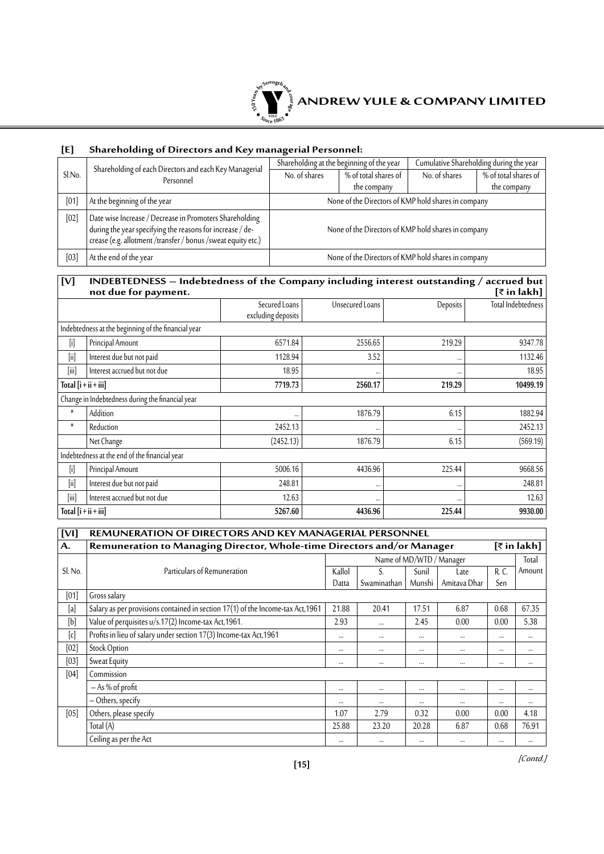

### **[E] Shareholding of Directors and Key managerial Personnel:**

|        | Shareholding of each Directors and each Key Managerial                                                                                                                               | Cumulative Shareholding during the year<br>Shareholding at the beginning of the year |                      |               |                      |  |
|--------|--------------------------------------------------------------------------------------------------------------------------------------------------------------------------------------|--------------------------------------------------------------------------------------|----------------------|---------------|----------------------|--|
| Sl.No. | Personnel                                                                                                                                                                            | No. of shares                                                                        | % of total shares of | No. of shares | % of total shares of |  |
|        |                                                                                                                                                                                      |                                                                                      | the company          |               | the company          |  |
| [01]   | At the beginning of the year                                                                                                                                                         | None of the Directors of KMP hold shares in company                                  |                      |               |                      |  |
| [02]   | Date wise Increase / Decrease in Promoters Shareholding<br>during the year specifying the reasons for increase / de-<br>crease (e.g. allotment /transfer / bonus /sweat equity etc.) | None of the Directors of KMP hold shares in company                                  |                      |               |                      |  |
| [03]   | At the end of the year                                                                                                                                                               | None of the Directors of KMP hold shares in company                                  |                      |               |                      |  |

### **[V] INDEBTEDNESS – Indebtedness of the Company including interest outstanding / accrued but not due for payment. [**` **in lakh]**

|                        | r - 7                                               |                    |                 |          |                    |
|------------------------|-----------------------------------------------------|--------------------|-----------------|----------|--------------------|
|                        |                                                     | Secured Loans      | Unsecured Loans | Deposits | Total Indebtedness |
|                        |                                                     | excluding deposits |                 |          |                    |
|                        | Indebtedness at the beginning of the financial year |                    |                 |          |                    |
| $[$                    | Principal Amount                                    | 6571.84            | 2556.65         | 219.29   | 9347.78            |
| $[{\sf iii}]$          | Interest due but not paid                           | 1128.94            | 3.52            |          | 1132.46            |
| [iii]                  | Interest accrued but not due                        | 18.95              |                 | $\cdots$ | 18.95              |
| Total $[i + ii + iii]$ |                                                     | 7719.73            | 2560.17         | 219.29   | 10499.19           |
|                        | Change in Indebtedness during the financial year    |                    |                 |          |                    |
| $\ast$<br>Addition     |                                                     |                    | 1876.79         | 6.15     | 1882.94            |
| $\ast$<br>Reduction    |                                                     | 2452.13            |                 | $\cdots$ | 2452.13            |
| Net Change             |                                                     | (2452.13)          | 1876.79         | 6.15     | (569.19)           |
|                        | Indebtedness at the end of the financial year       |                    |                 |          |                    |
| $[{\sf i}]$            | Principal Amount                                    | 5006.16            | 4436.96         | 225.44   | 9668.56            |
| $[{\sf ii}]$           | Interest due but not paid                           | 248.81             |                 | $\cdots$ | 248.81             |
| [iii]                  | Interest accrued but not due                        | 12.63              |                 | $\cdots$ | 12.63              |
| Total $[i + ii + iii]$ |                                                     | 5267.60            | 4436.96         | 225.44   | 9930.00            |

| [V <sub>1</sub> ] | <b>REMUNERATION OF DIRECTORS AND KEY MANAGERIAL PERSONNEL</b>                         |        |                          |          |              |          |          |  |  |
|-------------------|---------------------------------------------------------------------------------------|--------|--------------------------|----------|--------------|----------|----------|--|--|
| A.                | Remuneration to Managing Director, Whole-time Directors and/or Manager<br>[₹ in lakh] |        |                          |          |              |          |          |  |  |
|                   |                                                                                       |        | Name of MD/WTD / Manager |          |              |          | Total    |  |  |
| Sl. No.           | Particulars of Remuneration                                                           | Kallol |                          | Sunil    | Late         | R.C.     | Amount   |  |  |
|                   |                                                                                       | Datta  | Swaminathan              | Munshi   | Amitava Dhar | Sen      |          |  |  |
| [01]              | Gross salary                                                                          |        |                          |          |              |          |          |  |  |
| [a]               | Salary as per provisions contained in section 17(1) of the Income-tax Act, 1961       | 21.88  | 20.41                    | 17.51    | 6.87         | 0.68     | 67.35    |  |  |
| [b]               | Value of perquisites u/s.17(2) Income-tax Act,1961.                                   | 2.93   | $\cdots$                 | 2.45     | 0.00         | 0.00     | 5.38     |  |  |
| [c]               | Profits in lieu of salary under section 17(3) Income-tax Act, 1961                    |        |                          | $\cdots$ |              | $\cdots$ | $\cdots$ |  |  |
| [02]              | Stock Option                                                                          |        |                          | $\cdots$ |              | $\cdots$ | $\cdots$ |  |  |
| [03]              | Sweat Equity                                                                          |        | $\cdots$                 | $\cdots$ |              | $\cdots$ | $\cdots$ |  |  |
| [04]              | Commission                                                                            |        |                          |          |              |          |          |  |  |
|                   | $-$ As % of profit                                                                    |        |                          | $\cdots$ |              |          | $\cdots$ |  |  |
|                   | - Others, specify                                                                     |        | $\cdots$                 | $\cdots$ | $\cdots$     |          | $\cdots$ |  |  |
| [05]              | Others, please specify                                                                | 1.07   | 2.79                     | 0.32     | 0.00         | 0.00     | 4.18     |  |  |
|                   | Total (A)                                                                             | 25.88  | 23.20                    | 20.28    | 6.87         | 0.68     | 76.91    |  |  |
|                   | Ceiling as per the Act                                                                |        |                          | $\cdots$ | $\cdots$     |          | $\cdots$ |  |  |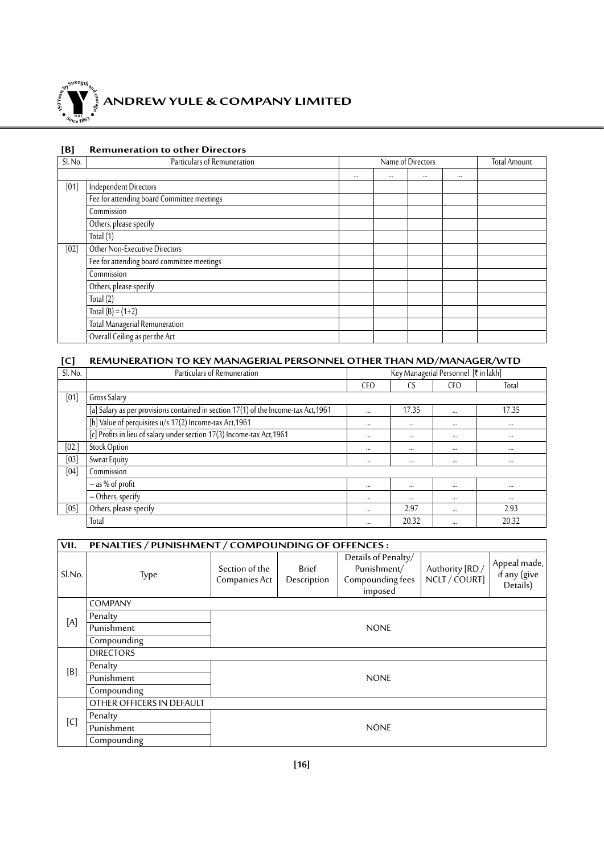

# **ANDREW YULE & COMPANY LIMITED**

#### **[B] Remuneration to other Directors**

| Sl. No. | Particulars of Remuneration                | Name of Directors |  |          |          | <b>Total Amount</b> |
|---------|--------------------------------------------|-------------------|--|----------|----------|---------------------|
|         |                                            |                   |  | $\cdots$ | $\cdots$ |                     |
| [01]    | <b>Independent Directors</b>               |                   |  |          |          |                     |
|         | Fee for attending board Committee meetings |                   |  |          |          |                     |
|         | Commission                                 |                   |  |          |          |                     |
|         | Others, please specify                     |                   |  |          |          |                     |
|         | Total $(1)$                                |                   |  |          |          |                     |
| [02]    | Other Non-Executive Directors              |                   |  |          |          |                     |
|         | Fee for attending board committee meetings |                   |  |          |          |                     |
|         | Commission                                 |                   |  |          |          |                     |
|         | Others, please specify                     |                   |  |          |          |                     |
|         | Total $(2)$                                |                   |  |          |          |                     |
|         | Total $(B) = (1+2)$                        |                   |  |          |          |                     |
|         | Total Managerial Remuneration              |                   |  |          |          |                     |
|         | Overall Ceiling as per the Act             |                   |  |          |          |                     |

### **[C] REMUNERATION TO KEY MANAGERIAL PERSONNEL OTHER THAN MD/MANAGER/WTD**

| Sl. No. | Particulars of Remuneration                                                         | Key Managerial Personnel [₹ in lakh] |          |                 |          |
|---------|-------------------------------------------------------------------------------------|--------------------------------------|----------|-----------------|----------|
|         |                                                                                     | <b>CEO</b>                           | CS       | CF <sub>O</sub> | Total    |
| [01]    | Gross Salary                                                                        |                                      |          |                 |          |
|         | [a] Salary as per provisions contained in section 17(1) of the Income-tax Act, 1961 | $\cdots$                             | 17.35    | $\cdots$        | 17.35    |
|         | [b] Value of perquisites u/s.17(2) Income-tax Act, 1961                             | $\cdots$                             | $\cdots$ | $\cdots$        | $\cdots$ |
|         | [c] Profits in lieu of salary under section 17(3) Income-tax Act, 1961              | $\cdots$                             | $\cdots$ | $\cdots$        | $\cdots$ |
| [02.]   | <b>Stock Option</b>                                                                 | $\cdots$                             | $\cdots$ | $\cdots$        | $\cdots$ |
| [03]    | Sweat Equity                                                                        | $\cdots$                             | $\cdots$ |                 | $\cdots$ |
| [04]    | Commission                                                                          |                                      |          |                 |          |
|         | $-$ as % of profit                                                                  | $\cdots$                             | $\cdots$ | $\cdots$        | $\cdots$ |
|         | - Others, specify                                                                   | $\cdots$                             | $\cdots$ | $\cdots$        | $\cdots$ |
| [05]    | Others, please specify                                                              | $\cdots$                             | 2.97     | $\cdots$        | 2.93     |
|         | Total                                                                               | $\cdots$                             | 20.32    | $\cdots$        | 20.32    |

| VII.            | PENALTIES / PUNISHMENT / COMPOUNDING OF OFFENCES: |                                 |                      |                                                                   |                                  |                                          |  |  |  |
|-----------------|---------------------------------------------------|---------------------------------|----------------------|-------------------------------------------------------------------|----------------------------------|------------------------------------------|--|--|--|
| Sl.No.          | Type                                              | Section of the<br>Companies Act | Brief<br>Description | Details of Penalty/<br>Punishment/<br>Compounding fees<br>imposed | Authority [RD /<br>NCLT / COURT] | Appeal made,<br>if any (give<br>Details) |  |  |  |
|                 | <b>COMPANY</b>                                    |                                 |                      |                                                                   |                                  |                                          |  |  |  |
| $[{\mathsf A}]$ | Penalty                                           |                                 |                      |                                                                   |                                  |                                          |  |  |  |
|                 | Punishment                                        | <b>NONE</b>                     |                      |                                                                   |                                  |                                          |  |  |  |
|                 | Compounding                                       |                                 |                      |                                                                   |                                  |                                          |  |  |  |
|                 | <b>DIRECTORS</b>                                  |                                 |                      |                                                                   |                                  |                                          |  |  |  |
| [B]             | Penalty                                           |                                 |                      |                                                                   |                                  |                                          |  |  |  |
|                 | Punishment                                        | <b>NONE</b>                     |                      |                                                                   |                                  |                                          |  |  |  |
|                 | Compounding                                       |                                 |                      |                                                                   |                                  |                                          |  |  |  |
|                 | OTHER OFFICERS IN DEFAULT                         |                                 |                      |                                                                   |                                  |                                          |  |  |  |
| [C]             | Penalty                                           |                                 |                      |                                                                   |                                  |                                          |  |  |  |
|                 | Punishment                                        | <b>NONE</b>                     |                      |                                                                   |                                  |                                          |  |  |  |
|                 | Compounding                                       |                                 |                      |                                                                   |                                  |                                          |  |  |  |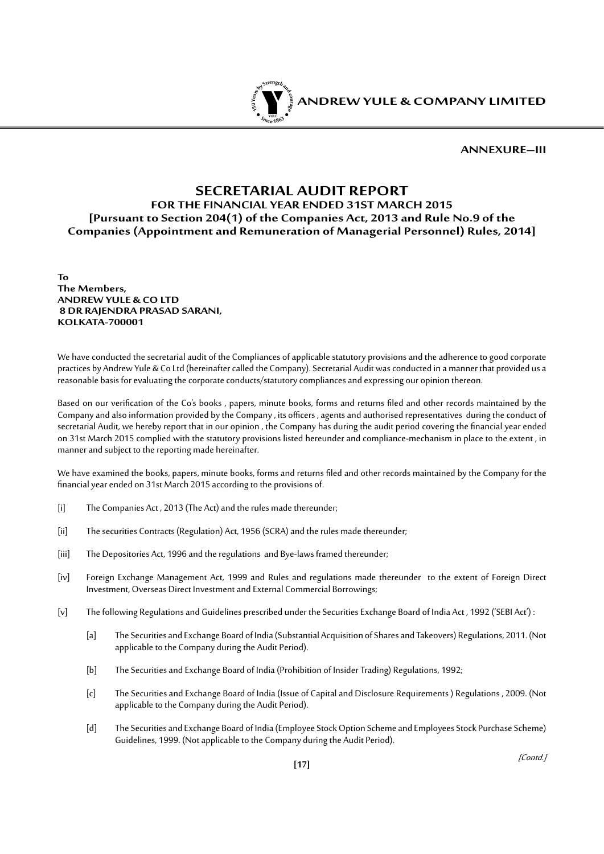

**Annexure–III**

### **SECRETARIAL AUDIT REPORT FOR THE FINANCIAL YEAR ENDED 31ST MARCH 2015 [Pursuant to Section 204(1) of the Companies Act, 2013 and Rule No.9 of the Companies (Appointment and Remuneration of Managerial Personnel) Rules, 2014]**

**To The Members, ANDREW YULE & CO LTD 8 DR RAJENDRA PRASAD SARANI, KOLKATA-700001**

We have conducted the secretarial audit of the Compliances of applicable statutory provisions and the adherence to good corporate practices by Andrew Yule & Co Ltd (hereinafter called the Company). Secretarial Audit was conducted in a manner that provided us a reasonable basis for evaluating the corporate conducts/statutory compliances and expressing our opinion thereon.

Based on our verification of the Co's books , papers, minute books, forms and returns filed and other records maintained by the Company and also information provided by the Company , its officers , agents and authorised representatives during the conduct of secretarial Audit, we hereby report that in our opinion , the Company has during the audit period covering the financial year ended on 31st March 2015 complied with the statutory provisions listed hereunder and compliance-mechanism in place to the extent , in manner and subject to the reporting made hereinafter.

We have examined the books, papers, minute books, forms and returns filed and other records maintained by the Company for the financial year ended on 31st March 2015 according to the provisions of.

- [i] The Companies Act, 2013 (The Act) and the rules made thereunder;
- [ii] The securities Contracts (Regulation) Act, 1956 (SCRA) and the rules made thereunder;
- [iii] The Depositories Act, 1996 and the regulations and Bye-laws framed thereunder;
- [iv] Foreign Exchange Management Act, 1999 and Rules and regulations made thereunder to the extent of Foreign Direct Investment, Overseas Direct Investment and External Commercial Borrowings;
- [v] The following Regulations and Guidelines prescribed under the Securities Exchange Board of India Act, 1992 ('SEBI Act') :
	- [a] The Securities and Exchange Board of India (Substantial Acquisition of Shares and Takeovers) Regulations, 2011. (Not applicable to the Company during the Audit Period).
	- [b] The Securities and Exchange Board of India (Prohibition of Insider Trading) Regulations, 1992;
	- [c] The Securities and Exchange Board of India (Issue of Capital and Disclosure Requirements ) Regulations , 2009. (Not applicable to the Company during the Audit Period).
	- [d] The Securities and Exchange Board of India (Employee Stock Option Scheme and Employees Stock Purchase Scheme) Guidelines, 1999. (Not applicable to the Company during the Audit Period).

**[17]**

[Contd.]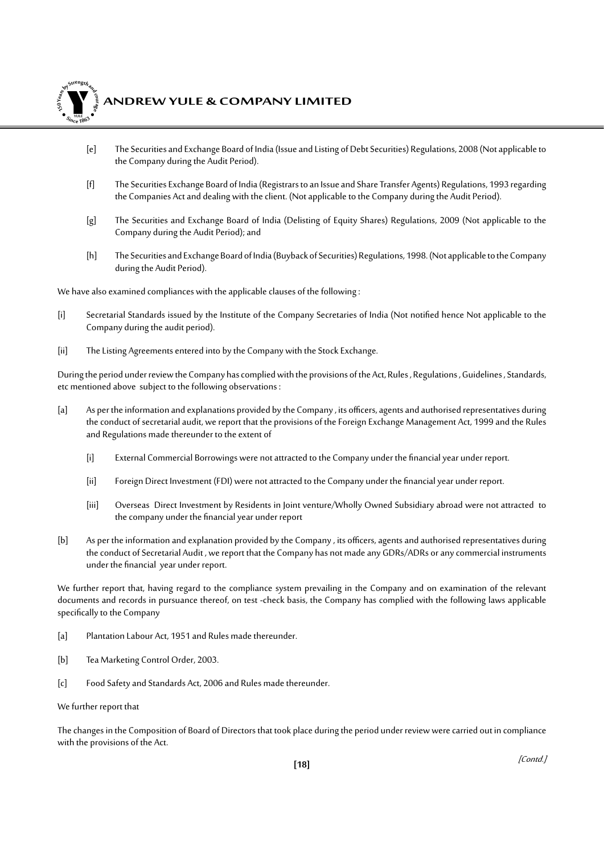

### **ANDREW YULE & COMPANY LIMITED**

- [e] The Securities and Exchange Board of India (Issue and Listing of Debt Securities) Regulations, 2008 (Not applicable to the Company during the Audit Period).
- [f] The Securities Exchange Board of India (Registrars to an Issue and Share Transfer Agents) Regulations, 1993 regarding the Companies Act and dealing with the client. (Not applicable to the Company during the Audit Period).
- [g] The Securities and Exchange Board of India (Delisting of Equity Shares) Regulations, 2009 (Not applicable to the Company during the Audit Period); and
- [h] The Securities and Exchange Board of India (Buyback of Securities) Regulations, 1998. (Not applicable to the Company during the Audit Period).

We have also examined compliances with the applicable clauses of the following :

- [i] Secretarial Standards issued by the Institute of the Company Secretaries of India (Not notified hence Not applicable to the Company during the audit period).
- [ii] The Listing Agreements entered into by the Company with the Stock Exchange.

During the period under review the Company has complied with the provisions of the Act, Rules , Regulations , Guidelines , Standards, etc mentioned above subject to the following observations :

- [a] As per the information and explanations provided by the Company, its officers, agents and authorised representatives during the conduct of secretarial audit, we report that the provisions of the Foreign Exchange Management Act, 1999 and the Rules and Regulations made thereunder to the extent of
	- [i] External Commercial Borrowings were not attracted to the Company under the financial year under report.
	- [ii] Foreign Direct Investment (FDI) were not attracted to the Company under the financial year under report.
	- [iii] Overseas Direct Investment by Residents in Joint venture/Wholly Owned Subsidiary abroad were not attracted to the company under the financial year under report
- [b] As per the information and explanation provided by the Company , its officers, agents and authorised representatives during the conduct of Secretarial Audit , we report that the Company has not made any GDRs/ADRs or any commercial instruments under the financial year under report.

We further report that, having regard to the compliance system prevailing in the Company and on examination of the relevant documents and records in pursuance thereof, on test -check basis, the Company has complied with the following laws applicable specifically to the Company

- [a] Plantation Labour Act, 1951 and Rules made thereunder.
- [b] Tea Marketing Control Order, 2003.
- [c] Food Safety and Standards Act, 2006 and Rules made thereunder.

We further report that

The changes in the Composition of Board of Directors that took place during the period under review were carried out in compliance with the provisions of the Act.

[Contd.]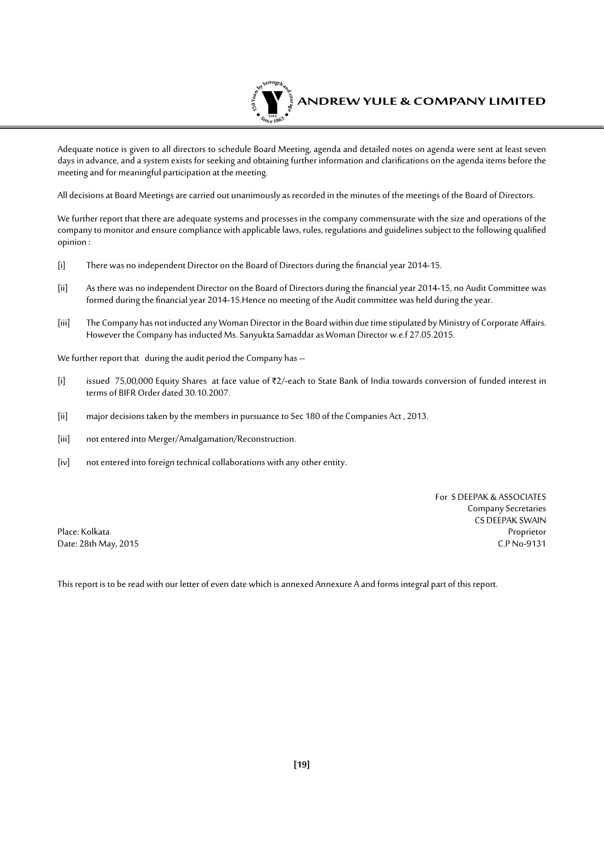

Adequate notice is given to all directors to schedule Board Meeting, agenda and detailed notes on agenda were sent at least seven days in advance, and a system exists for seeking and obtaining further information and clarifications on the agenda items before the meeting and for meaningful participation at the meeting.

All decisions at Board Meetings are carried out unanimously as recorded in the minutes of the meetings of the Board of Directors.

We further report that there are adequate systems and processes in the company commensurate with the size and operations of the company to monitor and ensure compliance with applicable laws, rules, regulations and guidelines subject to the following qualified opinion :

- [i] There was no independent Director on the Board of Directors during the financial year 2014-15.
- [ii] As there was no independent Director on the Board of Directors during the financial year 2014-15, no Audit Committee was formed during the financial year 2014-15.Hence no meeting of the Audit committee was held during the year.
- [iii] The Company has not inducted any Woman Director in the Board within due time stipulated by Ministry of Corporate Affairs. However the Company has inducted Ms. Sanyukta Samaddar as Woman Director w.e.f 27.05.2015.

We further report that during the audit period the Company has -

- [i] issued 75,00,000 Equity Shares at face value of  $Z/2$ -each to State Bank of India towards conversion of funded interest in terms of BIFR Order dated 30.10.2007.
- [ii] major decisions taken by the members in pursuance to Sec 180 of the Companies Act, 2013.
- [iii] not entered into Merger/Amalgamation/Reconstruction.
- [iv] not entered into foreign technical collaborations with any other entity.

For S DEEPAK & ASSOCIATES Company Secretaries CS DEEPAK SWAIN<br>Proprietor Place: Kolkata Proprietor Date: 28th May, 2015 C.P No-9131

This report is to be read with our letter of even date which is annexed Annexure A and forms integral part of this report.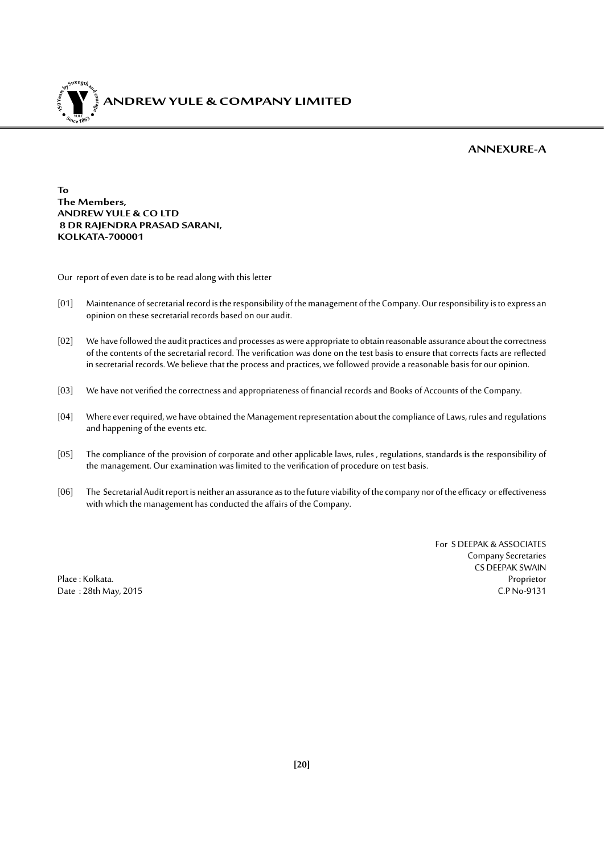

#### **Annexure-A**

**To The Members, ANDREW YULE & CO LTD 8 DR RAJENDRA PRASAD SARANI, KOLKATA-700001**

Our report of even date is to be read along with this letter

- [01] Maintenance of secretarial record is the responsibility of the management of the Company. Our responsibility is to express an opinion on these secretarial records based on our audit.
- [02] We have followed the audit practices and processes as were appropriate to obtain reasonable assurance about the correctness of the contents of the secretarial record. The verification was done on the test basis to ensure that corrects facts are reflected in secretarial records. We believe that the process and practices, we followed provide a reasonable basis for our opinion.
- [03] We have not verified the correctness and appropriateness of financial records and Books of Accounts of the Company.
- [04] Where ever required, we have obtained the Management representation about the compliance of Laws, rules and regulations and happening of the events etc.
- [05] The compliance of the provision of corporate and other applicable laws, rules , regulations, standards is the responsibility of the management. Our examination was limited to the verification of procedure on test basis.
- [06] The Secretarial Audit report is neither an assurance as to the future viability of the company nor of the efficacy or effectiveness with which the management has conducted the affairs of the Company.

For S DEEPAK & ASSOCIATES Company Secretaries CS DEEPAK SWAIN Place : Kolkata. Proprietor Date : 28th May, 2015 C.P No-9131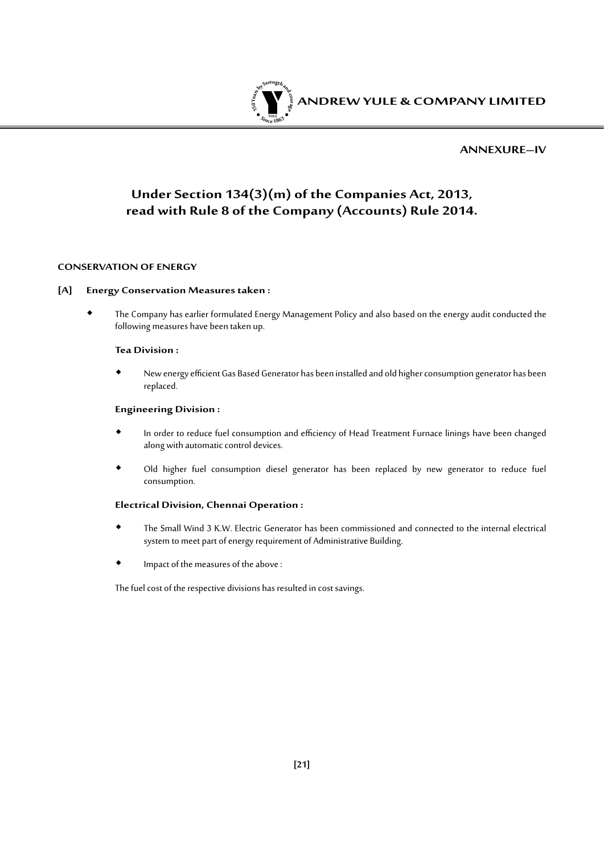

#### **Annexure–IV**

### **Under Section 134(3)(m) of the Companies Act, 2013, read with Rule 8 of the Company (Accounts) Rule 2014.**

#### **CONSERVATION OF ENERGY**

#### **[A] Energy Conservation Measures taken :**

The Company has earlier formulated Energy Management Policy and also based on the energy audit conducted the following measures have been taken up.

#### **Tea Division :**

 w New energy efficient Gas Based Generator has been installed and old higher consumption generator has been replaced.

#### **Engineering Division :**

- In order to reduce fuel consumption and efficiency of Head Treatment Furnace linings have been changed along with automatic control devices.
- Old higher fuel consumption diesel generator has been replaced by new generator to reduce fuel consumption.

#### **Electrical Division, Chennai Operation :**

- The Small Wind 3 K.W. Electric Generator has been commissioned and connected to the internal electrical system to meet part of energy requirement of Administrative Building.
- Impact of the measures of the above :

The fuel cost of the respective divisions has resulted in cost savings.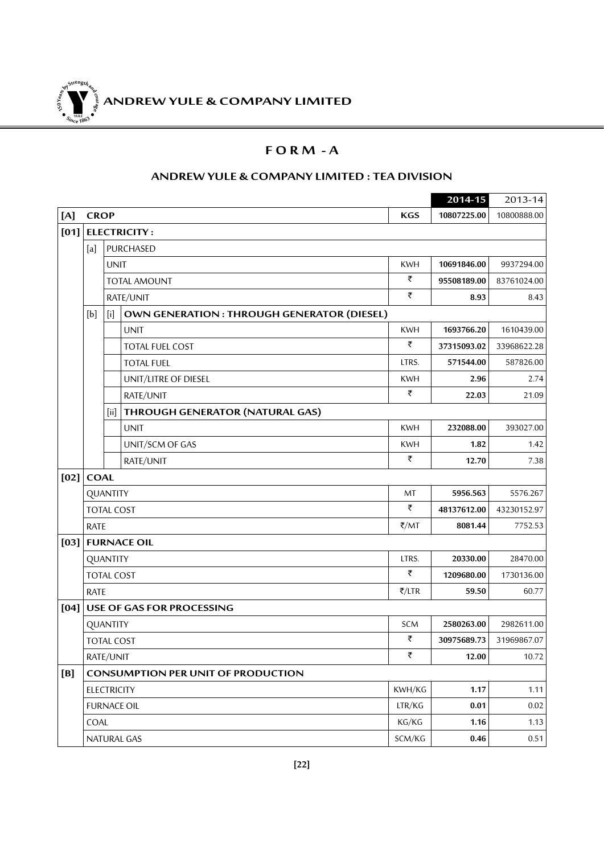**ANDREW YULE & COMPANY LIMITED 150Year<sup>s</sup>byStre<sup>n</sup>gthand<sup>c</sup>ou<sup>r</sup>age <sup>S</sup>inc<sup>e</sup> <sup>1</sup>86<sup>3</sup>**  $\bullet$ . When  $\bullet$ 

### **F O R M - A**

### **ANDREW YULE & COMPANY LIMITED : TEA DIVISION**

|        |             |                                  |                                            |            | 2014-15     | 2013-14     |
|--------|-------------|----------------------------------|--------------------------------------------|------------|-------------|-------------|
| [A]    | <b>CROP</b> |                                  |                                            | <b>KGS</b> | 10807225.00 | 10800888.00 |
| [01]   |             |                                  | <b>ELECTRICITY:</b>                        |            |             |             |
|        | [a]         |                                  | PURCHASED                                  |            |             |             |
|        |             | <b>UNIT</b>                      |                                            | <b>KWH</b> | 10691846.00 | 9937294.00  |
|        |             | <b>TOTAL AMOUNT</b><br>RATE/UNIT |                                            | ₹          | 95508189.00 | 83761024.00 |
|        |             |                                  |                                            | ₹          | 8.93        | 8.43        |
|        | [b]         | $[$                              | OWN GENERATION: THROUGH GENERATOR (DIESEL) |            |             |             |
|        |             |                                  | <b>UNIT</b>                                | <b>KWH</b> | 1693766.20  | 1610439.00  |
|        |             |                                  | TOTAL FUEL COST                            | ₹          | 37315093.02 | 33968622.28 |
|        |             |                                  | <b>TOTAL FUEL</b>                          | LTRS.      | 571544.00   | 587826.00   |
|        |             |                                  | UNIT/LITRE OF DIESEL                       | <b>KWH</b> | 2.96        | 2.74        |
|        |             |                                  | RATE/UNIT                                  | ₹          | 22.03       | 21.09       |
|        |             | [iii]                            | THROUGH GENERATOR (NATURAL GAS)            |            |             |             |
|        |             |                                  | <b>UNIT</b>                                | <b>KWH</b> | 232088.00   | 393027.00   |
|        |             |                                  | UNIT/SCM OF GAS                            | <b>KWH</b> | 1.82        | 1.42        |
|        |             |                                  | RATE/UNIT                                  | ₹          | 12.70       | 7.38        |
| [02]   | <b>COAL</b> |                                  |                                            |            |             |             |
|        |             | QUANTITY                         |                                            | MT         | 5956.563    | 5576.267    |
|        |             | <b>TOTAL COST</b>                |                                            | ₹          | 48137612.00 | 43230152.97 |
|        | <b>RATE</b> |                                  |                                            | ₹/MT       | 8081.44     | 7752.53     |
| $[03]$ |             |                                  | <b>FURNACE OIL</b>                         |            |             |             |
|        |             | QUANTITY                         |                                            | LTRS.      | 20330.00    | 28470.00    |
|        |             | <b>TOTAL COST</b>                |                                            | ₹          | 1209680.00  | 1730136.00  |
|        | <b>RATE</b> |                                  |                                            | ₹/LTR      | 59.50       | 60.77       |
| [04]   |             |                                  | USE OF GAS FOR PROCESSING                  |            |             |             |
|        |             | QUANTITY                         |                                            | SCM        | 2580263.00  | 2982611.00  |
|        |             | <b>TOTAL COST</b>                |                                            | ₹          | 30975689.73 | 31969867.07 |
|        |             | RATE/UNIT                        |                                            | ₹          | 12.00       | 10.72       |
| [B]    |             |                                  | <b>CONSUMPTION PER UNIT OF PRODUCTION</b>  |            |             |             |
|        |             | <b>ELECTRICITY</b>               |                                            | KWH/KG     | 1.17        | 1.11        |
|        |             |                                  | <b>FURNACE OIL</b>                         | LTR/KG     | 0.01        | $0.02\,$    |
|        | COAL        |                                  |                                            | KG/KG      | 1.16        | 1.13        |
|        |             |                                  | NATURAL GAS                                | SCM/KG     | 0.46        | 0.51        |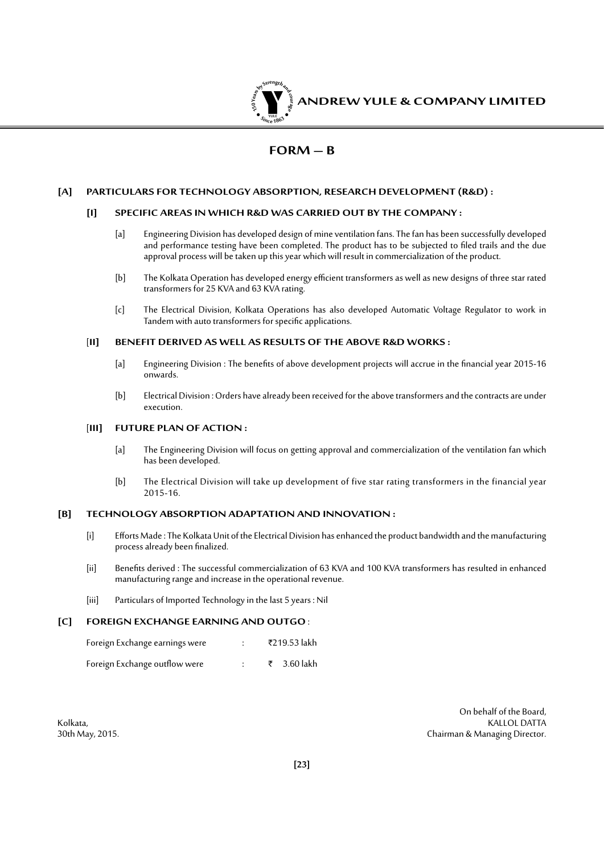

### **FORM – B**

### **[A] PARTICULARS FOR TECHNOLOGY ABSORPTION, RESEARCH DEVELOPMENT (R&D) :**

#### **[I] SPECIFIC AREAS IN WHICH R&D WAS CARRIED OUT BY THE COMPANY :**

- [a] Engineering Division has developed design of mine ventilation fans. The fan has been successfully developed and performance testing have been completed. The product has to be subjected to filed trails and the due approval process will be taken up this year which will result in commercialization of the product.
- [b] The Kolkata Operation has developed energy efficient transformers as well as new designs of three star rated transformers for 25 KVA and 63 KVA rating.
- [c] The Electrical Division, Kolkata Operations has also developed Automatic Voltage Regulator to work in Tandem with auto transformers for specific applications.

#### [**II] BENEFIT DERIVED AS WELL AS RESULTS OF THE ABOVE R&D WORKS :**

- [a] Engineering Division : The benefits of above development projects will accrue in the financial year 2015-16 onwards.
- [b] Electrical Division : Orders have already been received for the above transformers and the contracts are under execution.

#### [**III] FUTURE PLAN OF ACTION :**

- [a] The Engineering Division will focus on getting approval and commercialization of the ventilation fan which has been developed.
- [b] The Electrical Division will take up development of five star rating transformers in the financial year 2015-16.

#### **[B] TECHNOLOGY ABSORPTION ADAPTATION AND INNOVATION :**

- [i] Efforts Made : The Kolkata Unit of the Electrical Division has enhanced the product bandwidth and the manufacturing process already been finalized.
- [ii] Benefits derived : The successful commercialization of 63 KVA and 100 KVA transformers has resulted in enhanced manufacturing range and increase in the operational revenue.
- [iii] Particulars of Imported Technology in the last 5 years : Nil

#### **[C] FOREIGN EXCHANGE EARNING AND OUTGO** :

| Foreign Exchange earnings were |  | ₹219.53 lakh |
|--------------------------------|--|--------------|
| Foreign Exchange outflow were  |  | ₹ 3.60 lakh  |

On behalf of the Board, Kolkata, KALLOL DATTA NG KALLOL DATTA NG KALLOL DATTA NG KALLOL DATTA NG KALLOL DATTA NG KALLOL DATTA NG KALLOL DATTA 30th May, 2015. Chairman & Managing Director.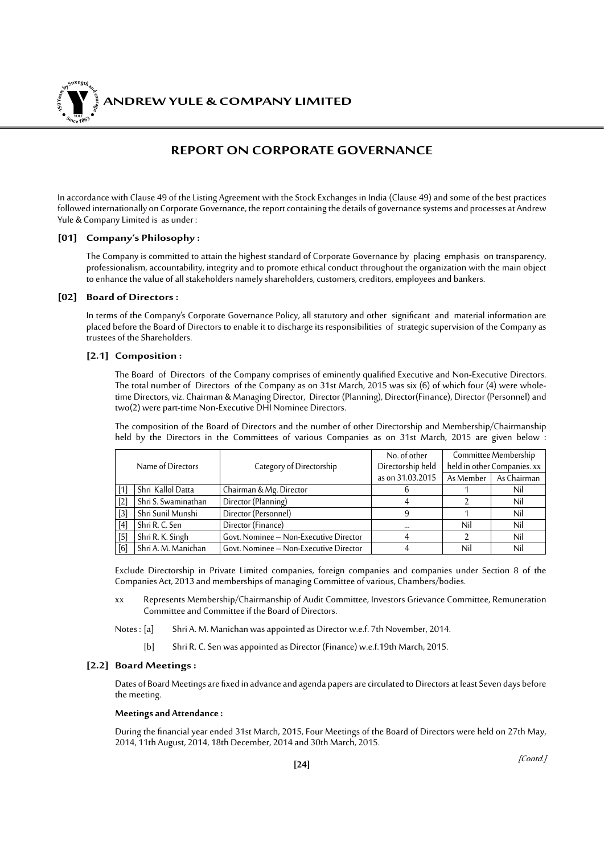*ANDREW YULE & COMPANY LIMITED* **150Year<sup>s</sup>byStre<sup>n</sup>gthand<sup>c</sup>ou<sup>r</sup>age <sup>S</sup>inc<sup>e</sup> <sup>1</sup>86<sup>3</sup>**  $\bullet$ . When  $\bullet$ 

### **REPORT ON CORPORATE GOVERNANCE**

In accordance with Clause 49 of the Listing Agreement with the Stock Exchanges in India (Clause 49) and some of the best practices followed internationally on Corporate Governance, the report containing the details of governance systems and processes at Andrew Yule & Company Limited is as under :

#### **[01] Company's Philosophy :**

The Company is committed to attain the highest standard of Corporate Governance by placing emphasis on transparency, professionalism, accountability, integrity and to promote ethical conduct throughout the organization with the main object to enhance the value of all stakeholders namely shareholders, customers, creditors, employees and bankers.

#### **[02] Board of Directors :**

In terms of the Company's Corporate Governance Policy, all statutory and other significant and material information are placed before the Board of Directors to enable it to discharge its responsibilities of strategic supervision of the Company as trustees of the Shareholders.

#### **[2.1] Composition :**

The Board of Directors of the Company comprises of eminently qualified Executive and Non-Executive Directors. The total number of Directors of the Company as on 31st March, 2015 was six (6) of which four (4) were wholetime Directors, viz. Chairman & Managing Director, Director (Planning), Director(Finance), Director (Personnel) and two(2) were part-time Non-Executive DHI Nominee Directors.

 The composition of the Board of Directors and the number of other Directorship and Membership/Chairmanship held by the Directors in the Committees of various Companies as on 31st March, 2015 are given below :

| Name of Directors |                     |                                        | No. of other      |           | Committee Membership        |
|-------------------|---------------------|----------------------------------------|-------------------|-----------|-----------------------------|
|                   |                     | Category of Directorship               | Directorship held |           | held in other Companies. xx |
|                   |                     |                                        | as on 31.03.2015  | As Member | As Chairman                 |
| 1                 | Shri Kallol Datta   | Chairman & Mg. Director                | h                 |           | Nil                         |
| [2]               | Shri S. Swaminathan | Director (Planning)                    | 4                 |           | Nil                         |
| [3]               | Shri Sunil Munshi   | Director (Personnel)                   | 9                 |           | Nil                         |
| [4]               | Shri R. C. Sen      | Director (Finance)                     | $\cdots$          | Nil       | Nil                         |
| $[5]$             | Shri R. K. Singh    | Govt. Nominee - Non-Executive Director | 4                 |           | Nil                         |
| [6]               | Shri A. M. Manichan | Govt. Nominee - Non-Executive Director | 4                 | Nil       | Nil                         |

 Exclude Directorship in Private Limited companies, foreign companies and companies under Section 8 of the Companies Act, 2013 and memberships of managing Committee of various, Chambers/bodies.

- xx Represents Membership/Chairmanship of Audit Committee, Investors Grievance Committee, Remuneration Committee and Committee if the Board of Directors.
- Notes : [a] Shri A. M. Manichan was appointed as Director w.e.f. 7th November, 2014.
	- [b] Shri R. C. Sen was appointed as Director (Finance) w.e.f.19th March, 2015.

#### **[2.2] Board Meetings :**

Dates of Board Meetings are fixed in advance and agenda papers are circulated to Directors at least Seven days before the meeting.

#### **Meetings and Attendance :**

During the financial year ended 31st March, 2015, Four Meetings of the Board of Directors were held on 27th May, 2014, 11th August, 2014, 18th December, 2014 and 30th March, 2015.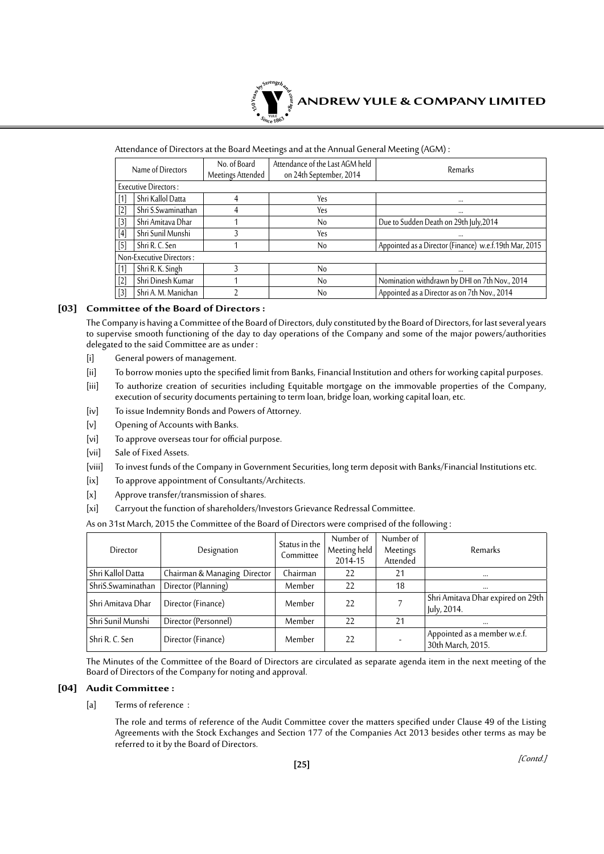

#### Attendance of Directors at the Board Meetings and at the Annual General Meeting (AGM) :

|                   | Name of Directors           | No. of Board<br>Meetings Attended | Attendance of the Last AGM held<br>on 24th September, 2014 | Remarks                                                |
|-------------------|-----------------------------|-----------------------------------|------------------------------------------------------------|--------------------------------------------------------|
|                   | <b>Executive Directors:</b> |                                   |                                                            |                                                        |
| $\lceil 1 \rceil$ | Shri Kallol Datta           | 4                                 | Yes                                                        |                                                        |
| $[2]$             | Shri S.Swaminathan          | 4                                 | Yes                                                        | $\cdots$                                               |
| $[3]$             | Shri Amitava Dhar           |                                   | No                                                         | Due to Sudden Death on 29th July, 2014                 |
| $[4]$             | Shri Sunil Munshi           |                                   | Yes                                                        |                                                        |
| $[5]$             | Shri R. C. Sen              |                                   | No                                                         | Appointed as a Director (Finance) w.e.f.19th Mar, 2015 |
|                   | Non-Executive Directors:    |                                   |                                                            |                                                        |
| $\lceil 1 \rceil$ | Shri R. K. Singh            |                                   | No                                                         |                                                        |
| $[2]$             | Shri Dinesh Kumar           |                                   | No                                                         | Nomination withdrawn by DHI on 7th Nov., 2014          |
| $[3]$             | Shri A. M. Manichan         |                                   | No                                                         | Appointed as a Director as on 7th Nov., 2014           |

#### **[03] Committee of the Board of Directors :**

The Company is having a Committee of the Board of Directors, duly constituted by the Board of Directors, for last several years to supervise smooth functioning of the day to day operations of the Company and some of the major powers/authorities delegated to the said Committee are as under :

- [i] General powers of management.
- [ii] To borrow monies upto the specified limit from Banks, Financial Institution and others for working capital purposes.
- [iii] To authorize creation of securities including Equitable mortgage on the immovable properties of the Company, execution of security documents pertaining to term loan, bridge loan, working capital loan, etc.
- [iv] To issue Indemnity Bonds and Powers of Attorney.
- [v] Opening of Accounts with Banks.
- [vi] To approve overseas tour for official purpose.
- [vii] Sale of Fixed Assets.
- [viii] To invest funds of the Company in Government Securities, long term deposit with Banks/Financial Institutions etc.
- [ix] To approve appointment of Consultants/Architects.
- [x] Approve transfer/transmission of shares.
- [xi] Carryout the function of shareholders/Investors Grievance Redressal Committee.

As on 31st March, 2015 the Committee of the Board of Directors were comprised of the following :

| Director          | Designation                  | Status in the<br>Committee | Number of<br>Meeting held<br>2014-15 | Number of<br>Meetings<br>Attended | <b>Remarks</b>                                    |
|-------------------|------------------------------|----------------------------|--------------------------------------|-----------------------------------|---------------------------------------------------|
| Shri Kallol Datta | Chairman & Managing Director | Chairman                   | 22                                   | 21                                | $\cdots$                                          |
| ShriS.Swaminathan | Director (Planning)          | Member                     | 22                                   | 18                                | $\cdots$                                          |
| Shri Amitava Dhar | Director (Finance)           | Member                     | 22                                   |                                   | Shri Amitava Dhar expired on 29th<br>July, 2014.  |
| Shri Sunil Munshi | Director (Personnel)         | Member                     | 22                                   | 21                                | $\cdots$                                          |
| Shri R. C. Sen    | Director (Finance)           | Member                     | 22                                   |                                   | Appointed as a member w.e.f.<br>30th March, 2015. |

The Minutes of the Committee of the Board of Directors are circulated as separate agenda item in the next meeting of the Board of Directors of the Company for noting and approval.

#### **[04] Audit Committee :**

[a] Terms of reference :

 The role and terms of reference of the Audit Committee cover the matters specified under Clause 49 of the Listing Agreements with the Stock Exchanges and Section 177 of the Companies Act 2013 besides other terms as may be referred to it by the Board of Directors.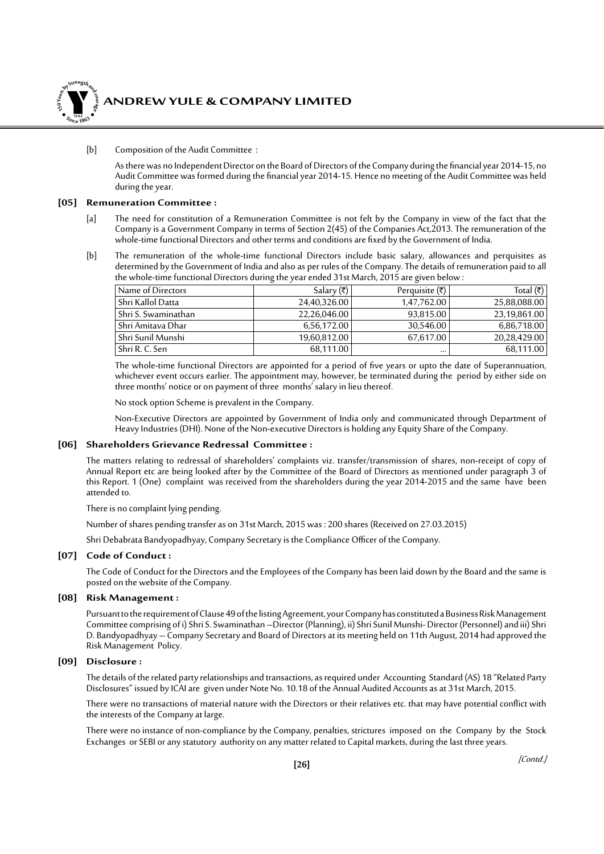

### *ANDREW YULE & COMPANY LIMITED*

#### [b] Composition of the Audit Committee :

As there was no Independent Director on the Board of Directors of the Company during the financial year 2014-15, no Audit Committee was formed during the financial year 2014-15. Hence no meeting of the Audit Committee was held during the year.

#### **[05] Remuneration Committee :**

- [a] The need for constitution of a Remuneration Committee is not felt by the Company in view of the fact that the Company is a Government Company in terms of Section 2(45) of the Companies Act, 2013. The remuneration of the whole-time functional Directors and other terms and conditions are fixed by the Government of India.
- [b] The remuneration of the whole-time functional Directors include basic salary, allowances and perquisites as determined by the Government of India and also as per rules of the Company. The details of remuneration paid to all the whole-time functional Directors during the year ended 31st March, 2015 are given below :

| Name of Directors   | Salary $(\overline{\tau})$ | Perquisite (₹) | Total (₹)    |
|---------------------|----------------------------|----------------|--------------|
| Shri Kallol Datta   | 24.40.326.00               | 1,47,762.00    | 25,88,088.00 |
| Shri S. Swaminathan | 22,26,046.00               | 93,815.00      | 23,19,861.00 |
| Shri Amitava Dhar   | 6,56,172.00                | 30,546.00      | 6,86,718.00  |
| Shri Sunil Munshi   | 19,60,812.00               | 67,617.00      | 20.28.429.00 |
| . Shri R. C. Sen    | 68,111.00                  | $\cdots$       | 68,111.00    |

 The whole-time functional Directors are appointed for a period of five years or upto the date of Superannuation, whichever event occurs earlier. The appointment may, however, be terminated during the period by either side on three months' notice or on payment of three months' salary in lieu thereof.

No stock option Scheme is prevalent in the Company.

 Non-Executive Directors are appointed by Government of India only and communicated through Department of Heavy Industries (DHI). None of the Non-executive Directors is holding any Equity Share of the Company.

#### **[06] Shareholders Grievance Redressal Committee :**

The matters relating to redressal of shareholders' complaints viz. transfer/transmission of shares, non-receipt of copy of Annual Report etc are being looked after by the Committee of the Board of Directors as mentioned under paragraph 3 of this Report. 1 (One) complaint was received from the shareholders during the year 2014-2015 and the same have been attended to.

There is no complaint lying pending.

Number of shares pending transfer as on 31st March, 2015 was : 200 shares (Received on 27.03.2015)

Shri Debabrata Bandyopadhyay, Company Secretary is the Compliance Officer of the Company.

#### **[07] Code of Conduct :**

The Code of Conduct for the Directors and the Employees of the Company has been laid down by the Board and the same is posted on the website of the Company.

#### **[08] Risk Management :**

Pursuant to the requirement of Clause 49 of the listing Agreement, your Company has constituted a Business Risk Management Committee comprising of i) Shri S. Swaminathan –Director (Planning), ii) Shri Sunil Munshi- Director (Personnel) and iii) Shri D. Bandyopadhyay – Company Secretary and Board of Directors at its meeting held on 11th August, 2014 had approved the Risk Management Policy.

#### **[09] Disclosure :**

The details of the related party relationships and transactions, as required under Accounting Standard (AS) 18 "Related Party Disclosures" issued by ICAI are given under Note No. 10.18 of the Annual Audited Accounts as at 31st March, 2015.

There were no transactions of material nature with the Directors or their relatives etc. that may have potential conflict with the interests of the Company at large.

There were no instance of non-compliance by the Company, penalties, strictures imposed on the Company by the Stock Exchanges or SEBI or any statutory authority on any matter related to Capital markets, during the last three years.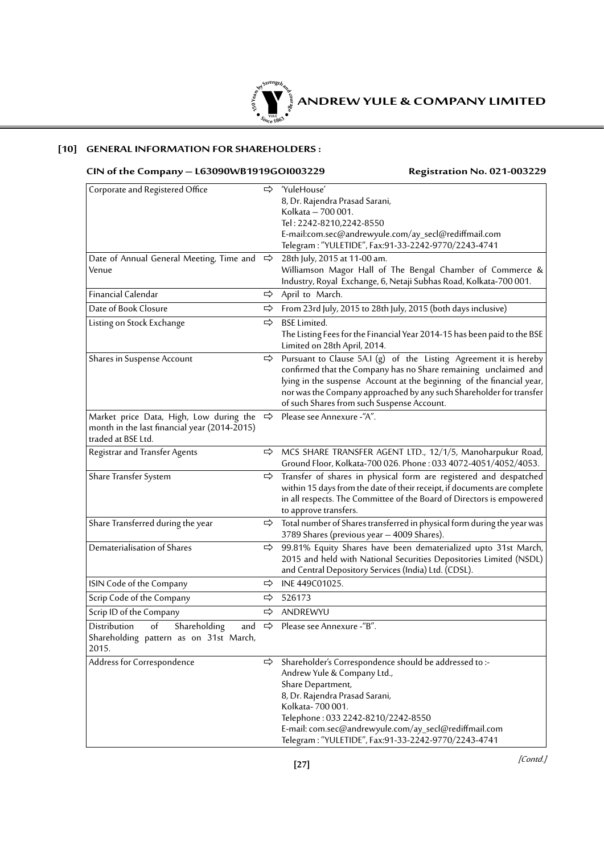

### **[10] GENERAL INFORMATION FOR SHAREHOLDERS :**

### **CIN of the Company – L63090WB1919GOI003229 Registration No. 021-003229**

| Corporate and Registered Office              | ⇨             | 'YuleHouse'                                                                           |
|----------------------------------------------|---------------|---------------------------------------------------------------------------------------|
|                                              |               | 8, Dr. Rajendra Prasad Sarani,                                                        |
|                                              |               | Kolkata - 700 001.                                                                    |
|                                              |               | Tel: 2242-8210,2242-8550                                                              |
|                                              |               | E-mail:com.sec@andrewyule.com/ay_secl@rediffmail.com                                  |
|                                              |               | Telegram: "YULETIDE", Fax:91-33-2242-9770/2243-4741                                   |
| Date of Annual General Meeting, Time and     | ⇨             | 28th July, 2015 at 11-00 am.                                                          |
| Venue                                        |               | Williamson Magor Hall of The Bengal Chamber of Commerce &                             |
|                                              |               | Industry, Royal Exchange, 6, Netaji Subhas Road, Kolkata-700 001.                     |
| Financial Calendar                           | ⇨             | April to March.                                                                       |
| Date of Book Closure                         | ⇨             | From 23rd July, 2015 to 28th July, 2015 (both days inclusive)                         |
| Listing on Stock Exchange                    | ⇨             | <b>BSE Limited.</b>                                                                   |
|                                              |               | The Listing Fees for the Financial Year 2014-15 has been paid to the BSE              |
|                                              |               | Limited on 28th April, 2014.                                                          |
| Shares in Suspense Account                   | ⇨             | Pursuant to Clause 5A.I (g) of the Listing Agreement it is hereby                     |
|                                              |               | confirmed that the Company has no Share remaining unclaimed and                       |
|                                              |               | lying in the suspense Account at the beginning of the financial year,                 |
|                                              |               | nor was the Company approached by any such Shareholder for transfer                   |
|                                              |               | of such Shares from such Suspense Account.                                            |
| Market price Data, High, Low during the      | $\Rightarrow$ | Please see Annexure -"A".                                                             |
| month in the last financial year (2014-2015) |               |                                                                                       |
| traded at BSE Ltd.                           |               |                                                                                       |
| Registrar and Transfer Agents                | ⇨             | MCS SHARE TRANSFER AGENT LTD., 12/1/5, Manoharpukur Road,                             |
|                                              |               | Ground Floor, Kolkata-700 026. Phone: 033 4072-4051/4052/4053.                        |
| Share Transfer System                        | ⇨             | Transfer of shares in physical form are registered and despatched                     |
|                                              |               | within 15 days from the date of their receipt, if documents are complete              |
|                                              |               | in all respects. The Committee of the Board of Directors is empowered                 |
|                                              |               | to approve transfers.                                                                 |
| Share Transferred during the year            |               | $\Rightarrow$ Total number of Shares transferred in physical form during the year was |
|                                              |               | 3789 Shares (previous year - 4009 Shares).                                            |
| Dematerialisation of Shares                  | ⇨             | 99.81% Equity Shares have been dematerialized upto 31st March,                        |
|                                              |               | 2015 and held with National Securities Depositories Limited (NSDL)                    |
|                                              |               | and Central Depository Services (India) Ltd. (CDSL).                                  |
| ISIN Code of the Company                     | ⇨             | INE 449C01025.                                                                        |
| Scrip Code of the Company                    | ⇨             | 526173                                                                                |
| Scrip ID of the Company                      | ⇨             | ANDREWYU                                                                              |
| Shareholding<br>of<br>Distribution<br>and    | $\Rightarrow$ | Please see Annexure -"B".                                                             |
| Shareholding pattern as on 31st March,       |               |                                                                                       |
| 2015.                                        |               |                                                                                       |
| Address for Correspondence                   | ⇨             | Shareholder's Correspondence should be addressed to :-                                |
|                                              |               | Andrew Yule & Company Ltd.,                                                           |
|                                              |               | Share Department,                                                                     |
|                                              |               | 8, Dr. Rajendra Prasad Sarani,                                                        |
|                                              |               | Kolkata-700001.                                                                       |
|                                              |               | Telephone: 033 2242-8210/2242-8550                                                    |
|                                              |               | E-mail: com.sec@andrewyule.com/ay_secl@rediffmail.com                                 |
|                                              |               | Telegram: "YULETIDE", Fax:91-33-2242-9770/2243-4741                                   |

[Contd.]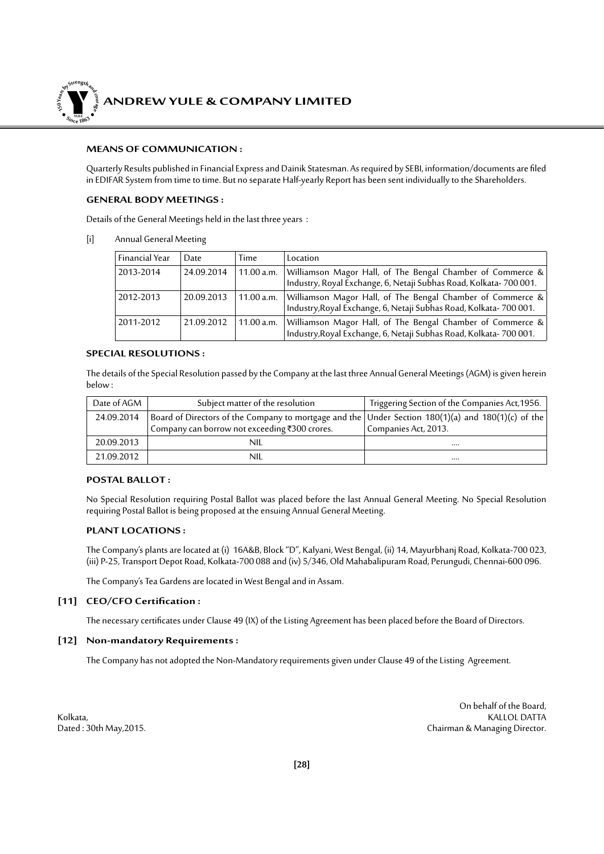

#### **MEANS OF COMMUNICATION :**

Quarterly Results published in Financial Express and Dainik Statesman. As required by SEBI, information/documents are filed in EDIFAR System from time to time. But no separate Half-yearly Report has been sent individually to the Shareholders.

#### **GENERAL BODY MEETINGS :**

Details of the General Meetings held in the last three years :

[i] Annual General Meeting

| Financial Year | Date       | Time       | Location                                                                                                                        |
|----------------|------------|------------|---------------------------------------------------------------------------------------------------------------------------------|
| 2013-2014      | 24.09.2014 | 11.00 a.m. | Williamson Magor Hall, of The Bengal Chamber of Commerce &<br>Industry, Royal Exchange, 6, Netaji Subhas Road, Kolkata-700 001. |
| 2012-2013      | 20.09.2013 | 11.00 a.m. | Williamson Magor Hall, of The Bengal Chamber of Commerce &<br>Industry, Royal Exchange, 6, Netaji Subhas Road, Kolkata-700 001. |
| 2011-2012      | 21.09.2012 | 11.00 a.m. | Williamson Magor Hall, of The Bengal Chamber of Commerce &<br>Industry, Royal Exchange, 6, Netaji Subhas Road, Kolkata-700 001. |

#### **SPECIAL RESOLUTIONS :**

The details of the Special Resolution passed by the Company at the last three Annual General Meetings (AGM) is given herein below :

| Date of AGM | Subject matter of the resolution                                                                   | Triggering Section of the Companies Act, 1956. |
|-------------|----------------------------------------------------------------------------------------------------|------------------------------------------------|
| 24.09.2014  | Board of Directors of the Company to mortgage and the Under Section 180(1)(a) and 180(1)(c) of the |                                                |
|             | Company can borrow not exceeding ₹300 crores.                                                      | Companies Act, 2013.                           |
| 20.09.2013  | nil                                                                                                |                                                |
| 21.09.2012  | nil                                                                                                |                                                |

#### **POSTAL BALLOT :**

No Special Resolution requiring Postal Ballot was placed before the last Annual General Meeting. No Special Resolution requiring Postal Ballot is being proposed at the ensuing Annual General Meeting.

#### **PLANT LOCATIONS :**

The Company's plants are located at (i) 16A&B, Block "D", Kalyani, West Bengal, (ii) 14, Mayurbhanj Road, Kolkata-700 023, (iii) P-25, Transport Depot Road, Kolkata-700 088 and (iv) 5/346, Old Mahabalipuram Road, Perungudi, Chennai-600 096.

The Company's Tea Gardens are located in West Bengal and in Assam.

#### **[11] CEO/CFO Certification :**

The necessary certificates under Clause 49 (IX) of the Listing Agreement has been placed before the Board of Directors.

#### **[12] Non-mandatory Requirements :**

The Company has not adopted the Non-Mandatory requirements given under Clause 49 of the Listing Agreement.

On behalf of the Board, Kolkata, KALLOL DATTA NG KALLOL DATTA NG KALLOL DATTA NG KALLOL DATTA NG KALLOL DATTA NG KALLOL DATTA NG KALLOL DATTA Dated : 30th May,2015. Chairman & Managing Director.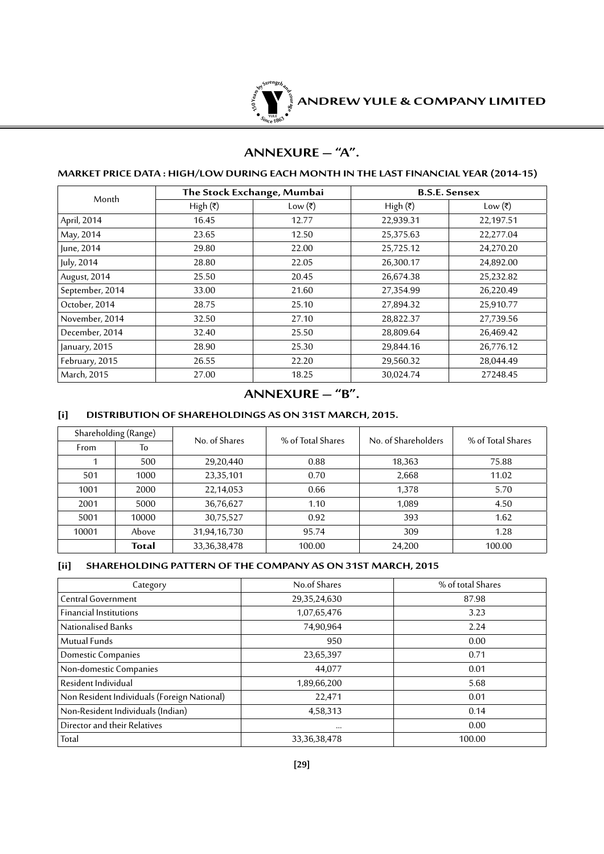

## **ANNEXURE – "A".**

### **Market Price Data : High/Low during each month in thelast Financial Year (2014-15)**

| Month           |                          | The Stock Exchange, Mumbai | <b>B.S.E. Sensex</b>     |           |  |
|-----------------|--------------------------|----------------------------|--------------------------|-----------|--|
|                 | High $(\overline{\tau})$ | Low (₹)                    | High $(\overline{\tau})$ | Low (₹)   |  |
| April, 2014     | 16.45                    | 12.77                      | 22,939.31                | 22,197.51 |  |
| May, 2014       | 23.65                    | 12.50                      | 25,375.63                | 22,277.04 |  |
| June, 2014      | 29.80                    | 22.00                      | 25,725.12                | 24,270.20 |  |
| July, 2014      | 28.80                    | 22.05                      | 26,300.17                | 24,892.00 |  |
| August, 2014    | 25.50                    | 20.45                      | 26,674.38                | 25,232.82 |  |
| September, 2014 | 33.00                    | 21.60                      | 27,354.99                | 26,220.49 |  |
| October, 2014   | 28.75                    | 25.10                      | 27,894.32                | 25,910.77 |  |
| November, 2014  | 32.50                    | 27.10                      | 28,822.37                | 27,739.56 |  |
| December, 2014  | 32.40                    | 25.50                      | 28,809.64                | 26,469.42 |  |
| January, 2015   | 28.90                    | 25.30                      | 29,844.16                | 26,776.12 |  |
| February, 2015  | 26.55                    | 22.20                      | 29,560.32                | 28,044.49 |  |
| March, 2015     | 27.00                    | 18.25                      | 30,024.74                | 27248.45  |  |

**ANNEXURE – "B".**

### **[i] Distribution of Shareholdings as on 31st March, 2015.**

| Shareholding (Range) |       | No. of Shares   | % of Total Shares | No. of Shareholders | % of Total Shares |  |
|----------------------|-------|-----------------|-------------------|---------------------|-------------------|--|
| From                 | To    |                 |                   |                     |                   |  |
|                      | 500   | 29,20,440       | 0.88              | 18,363              | 75.88             |  |
| 501                  | 1000  | 23,35,101       | 0.70              | 2,668               | 11.02             |  |
| 1001                 | 2000  | 22,14,053       | 0.66              | 1,378               | 5.70              |  |
| 2001                 | 5000  | 36,76,627       | 1.10              | 1,089               | 4.50              |  |
| 5001                 | 10000 | 30,75,527       | 0.92              | 393                 | 1.62              |  |
| 10001                | Above | 31,94,16,730    | 95.74             | 309                 | 1.28              |  |
|                      | Total | 33, 36, 38, 478 | 100.00            | 24,200              | 100.00            |  |

#### **[ii] SHAREHOLDING PATTERN OF THE COMPANY AS ON 31ST MARCH, 2015**

| Category                                    | No.of Shares    | % of total Shares |
|---------------------------------------------|-----------------|-------------------|
| Central Government                          | 29,35,24,630    | 87.98             |
| <b>Financial Institutions</b>               | 1,07,65,476     | 3.23              |
| Nationalised Banks                          | 74,90,964       | 2.24              |
| Mutual Funds                                | 950             | 0.00              |
| Domestic Companies                          | 23,65,397       | 0.71              |
| Non-domestic Companies                      | 44,077          | 0.01              |
| Resident Individual                         | 1,89,66,200     | 5.68              |
| Non Resident Individuals (Foreign National) | 22,471          | 0.01              |
| Non-Resident Individuals (Indian)           | 4,58,313        | 0.14              |
| Director and their Relatives                | $\cdots$        | 0.00              |
| Total                                       | 33, 36, 38, 478 | 100.00            |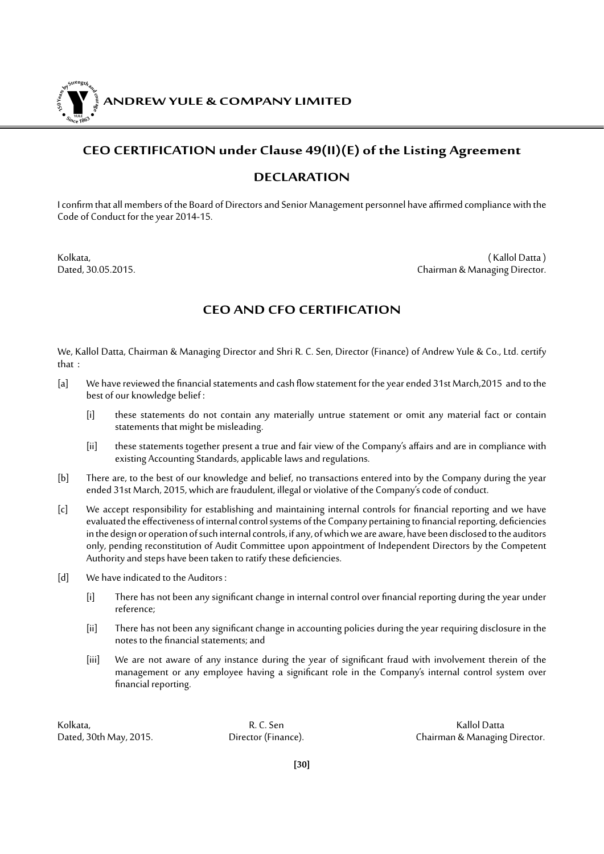**ANDREW YULE & COMPANY LIMITED 150Year<sup>s</sup>byStre<sup>n</sup>gthand<sup>c</sup>ou<sup>r</sup>age <sup>S</sup>inc<sup>e</sup> <sup>1</sup>86<sup>3</sup>**  $\bullet$ . Where  $\bullet$ 

### **CEO CERTIFICATION under Clause 49(II)(E) of the Listing Agreement**

### **DECLARATION**

I confirm that all members of the Board of Directors and Senior Management personnel have affirmed compliance with the Code of Conduct for the year 2014-15.

Kolkata, ( Kallol Datta ) Dated, 30.05.2015. Chairman & Managing Director.

### **CEO AND CFO CERTIFICATION**

We, Kallol Datta, Chairman & Managing Director and Shri R. C. Sen, Director (Finance) of Andrew Yule & Co., Ltd. certify that :

- [a] We have reviewed the financial statements and cash flow statement for the year ended 31st March,2015 and to the best of our knowledge belief :
	- [i] these statements do not contain any materially untrue statement or omit any material fact or contain statements that might be misleading.
	- [ii] these statements together present a true and fair view of the Company's affairs and are in compliance with existing Accounting Standards, applicable laws and regulations.
- [b] There are, to the best of our knowledge and belief, no transactions entered into by the Company during the year ended 31st March, 2015, which are fraudulent, illegal or violative of the Company's code of conduct.
- [c] We accept responsibility for establishing and maintaining internal controls for financial reporting and we have evaluated the effectiveness of internal control systems of the Company pertaining to financial reporting, deficiencies in the design or operation of such internal controls, if any, of which we are aware, have been disclosed to the auditors only, pending reconstitution of Audit Committee upon appointment of Independent Directors by the Competent Authority and steps have been taken to ratify these deficiencies.
- [d] We have indicated to the Auditors :
	- [i] There has not been any significant change in internal control over financial reporting during the year under reference;
	- [ii] There has not been any significant change in accounting policies during the year requiring disclosure in the notes to the financial statements; and
	- [iii] We are not aware of any instance during the year of significant fraud with involvement therein of the management or any employee having a significant role in the Company's internal control system over financial reporting.

Kolkata, R. C. Sen Kallol Datta

Dated, 30th May, 2015. Director (Finance). Chairman & Managing Director.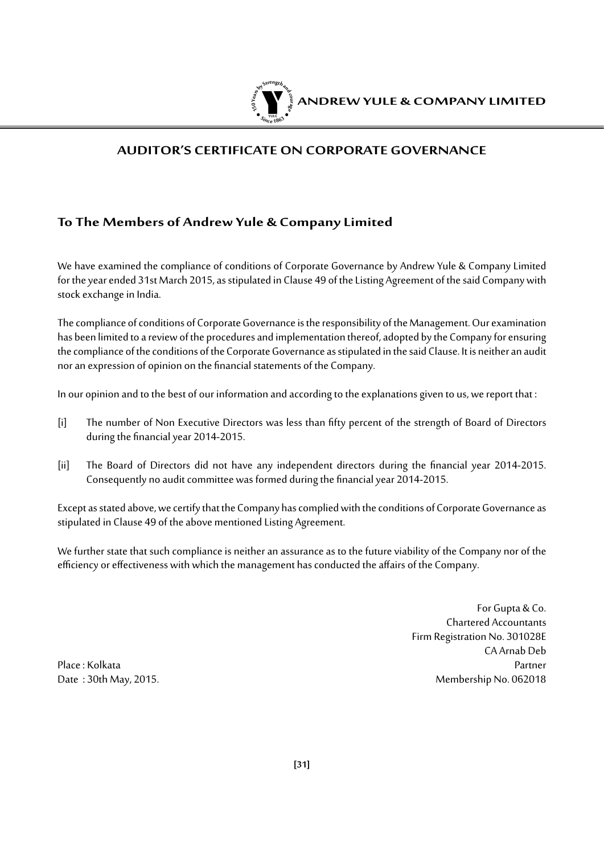

### **AUDITOR'S CERTIFICATE ON CORPORATE GOVERNANCE**

### **To The Members of Andrew Yule & Company Limited**

We have examined the compliance of conditions of Corporate Governance by Andrew Yule & Company Limited for the year ended 31st March 2015, as stipulated in Clause 49 of the Listing Agreement of the said Company with stock exchange in India.

The compliance of conditions of Corporate Governance is the responsibility of the Management. Our examination has been limited to a review of the procedures and implementation thereof, adopted by the Company for ensuring the compliance of the conditions of the Corporate Governance as stipulated in the said Clause. It is neither an audit nor an expression of opinion on the financial statements of the Company.

In our opinion and to the best of our information and according to the explanations given to us, we report that :

- [i] The number of Non Executive Directors was less than fifty percent of the strength of Board of Directors during the financial year 2014-2015.
- [ii] The Board of Directors did not have any independent directors during the financial year 2014-2015. Consequently no audit committee was formed during the financial year 2014-2015.

Except as stated above, we certify that the Company has complied with the conditions of Corporate Governance as stipulated in Clause 49 of the above mentioned Listing Agreement.

We further state that such compliance is neither an assurance as to the future viability of the Company nor of the efficiency or effectiveness with which the management has conducted the affairs of the Company.

For Gupta & Co. Chartered Accountants Firm Registration No. 301028E CA Arnab Deb Place : Kolkata Partner Date : 30th May, 2015. 2008 and 2018 and 2018 and 2018 and 2018 and 2018 and 2018 and 2018 and 2018 and 2018 and 2018 and 2018 and 2018 and 2018 and 2018 and 2018 and 2018 and 2018 and 2018 and 2018 and 2018 and 2018 and 2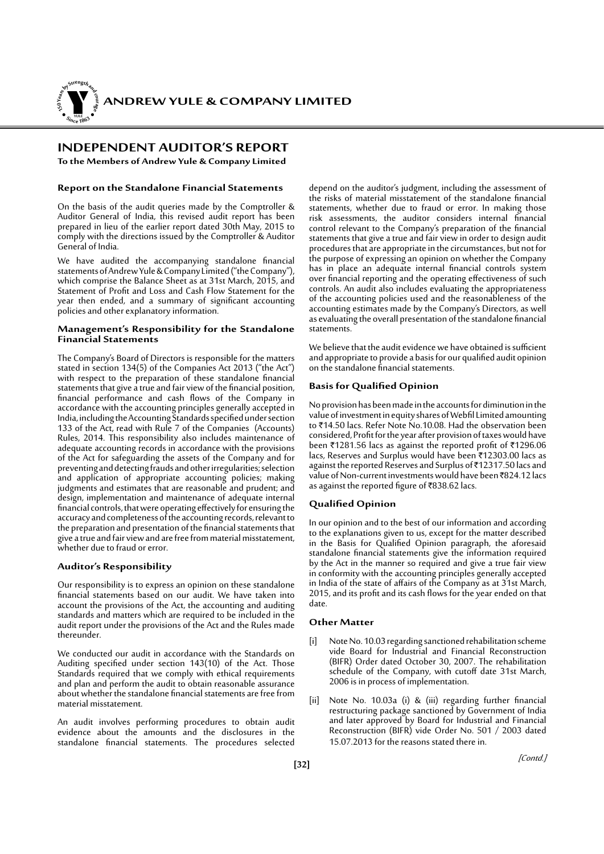**ANDREW YULE & COMPANY LIMITED** 

### **INDEPENDENT AUDITOR'S REPORT**

**150Year<sup>s</sup>byStre<sup>n</sup>gthand<sup>c</sup>ou<sup>r</sup>age**

**<sup>S</sup>inc<sup>e</sup> <sup>1</sup>86<sup>3</sup>**  $\bullet$ . When  $\bullet$ 

**To the Members of Andrew Yule & Company Limited** 

#### **Report on the Standalone Financial Statements**

On the basis of the audit queries made by the Comptroller & Auditor General of India, this revised audit report has been prepared in lieu of the earlier report dated 30th May, 2015 to comply with the directions issued by the Comptroller & Auditor General of India.

We have audited the accompanying standalone financial statements of Andrew Yule & Company Limited ("the Company"), which comprise the Balance Sheet as at 31st March, 2015, and Statement of Profit and Loss and Cash Flow Statement for the year then ended, and a summary of significant accounting policies and other explanatory information.

#### **Management's Responsibility for the Standalone Financial Statements**

The Company's Board of Directors is responsible for the matters stated in section 134(5) of the Companies Act 2013 ("the Act") with respect to the preparation of these standalone financial statements that give a true and fair view of the financial position, financial performance and cash flows of the Company in accordance with the accounting principles generally accepted in India, including the Accounting Standards specified under section 133 of the Act, read with Rule 7 of the Companies (Accounts) Rules, 2014. This responsibility also includes maintenance of adequate accounting records in accordance with the provisions of the Act for safeguarding the assets of the Company and for preventing and detecting frauds and other irregularities; selection and application of appropriate accounting policies; making judgments and estimates that are reasonable and prudent; and design, implementation and maintenance of adequate internal financial controls, that were operating effectively for ensuring the accuracy and completeness of the accounting records, relevant to the preparation and presentation of the financial statements that give a true and fair view and are free from material misstatement, whether due to fraud or error.

#### **Auditor's Responsibility**

Our responsibility is to express an opinion on these standalone financial statements based on our audit. We have taken into account the provisions of the Act, the accounting and auditing standards and matters which are required to be included in the audit report under the provisions of the Act and the Rules made thereunder.

We conducted our audit in accordance with the Standards on Auditing specified under section 143(10) of the Act. Those Standards required that we comply with ethical requirements and plan and perform the audit to obtain reasonable assurance about whether the standalone financial statements are free from material misstatement.

An audit involves performing procedures to obtain audit evidence about the amounts and the disclosures in the standalone financial statements. The procedures selected

depend on the auditor's judgment, including the assessment of the risks of material misstatement of the standalone financial statements, whether due to fraud or error. In making those risk assessments, the auditor considers internal financial control relevant to the Company's preparation of the financial statements that give a true and fair view in order to design audit procedures that are appropriate in the circumstances, but not for the purpose of expressing an opinion on whether the Company has in place an adequate internal financial controls system over financial reporting and the operating effectiveness of such controls. An audit also includes evaluating the appropriateness of the accounting policies used and the reasonableness of the accounting estimates made by the Company's Directors, as well as evaluating the overall presentation of the standalone financial statements.

We believe that the audit evidence we have obtained is sufficient and appropriate to provide a basis for our qualified audit opinion on the standalone financial statements.

#### **Basisfor Qualified Opinion**

No provision has been made in the accounts for diminution in the value of investment in equity shares of Webfil Limited amounting to ₹14.50 lacs. Refer Note No.10.08. Had the observation been considered, Profit for the year after provision of taxes would have been  $\bar{\tau}$ 1281.56 lacs as against the reported profit of  $\bar{\tau}$ 1296.06 lacs, Reserves and Surplus would have been ₹12303.00 lacs as against the reported Reserves and Surplus of `12317.50 lacs and value of Non-current investments would have been ₹824.12 lacs as against the reported figure of  $\overline{5838.62}$  lacs.

#### **Qualified Opinion**

In our opinion and to the best of our information and according to the explanations given to us, except for the matter described in the Basis for Qualified Opinion paragraph, the aforesaid standalone financial statements give the information required by the Act in the manner so required and give a true fair view in conformity with the accounting principles generally accepted in India of the state of affairs of the Company as at 31st March, 2015, and its profit and its cash flows for the year ended on that date.

#### **Other Matter**

- [i] Note No. 10.03 regarding sanctioned rehabilitation scheme vide Board for Industrial and Financial Reconstruction (BIFR) Order dated October 30, 2007. The rehabilitation schedule of the Company, with cutoff date 31st March, 2006 is in process of implementation.
- [ii] Note No. 10.03a (i) & (iii) regarding further financial restructuring package sanctioned by Government of India and later approved by Board for Industrial and Financial Reconstruction (BIFR) vide Order No. 501 / 2003 dated 15.07.2013 for the reasons stated there in.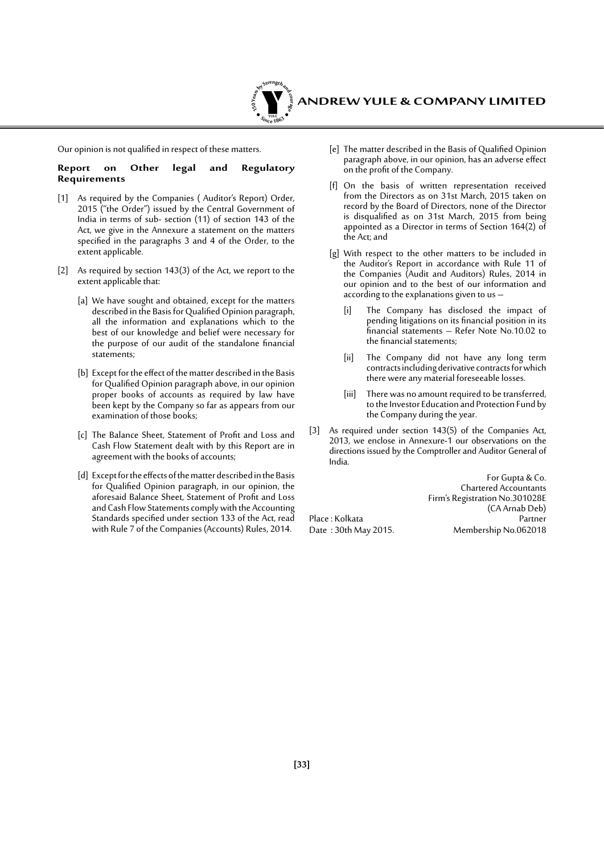

Our opinion is not qualified in respect of these matters.

#### **Report on Other legal and Regulatory Requirements**

- [1] As required by the Companies ( Auditor's Report) Order, 2015 ("the Order") issued by the Central Government of India in terms of sub- section (11) of section 143 of the Act, we give in the Annexure a statement on the matters specified in the paragraphs 3 and 4 of the Order, to the extent applicable.
- [2] As required by section 143(3) of the Act, we report to the extent applicable that:
	- [a] We have sought and obtained, except for the matters described in the Basis for Qualified Opinion paragraph, all the information and explanations which to the best of our knowledge and belief were necessary for the purpose of our audit of the standalone financial statements;
	- [b] Except for the effect of the matter described in the Basis for Qualified Opinion paragraph above, in our opinion proper books of accounts as required by law have been kept by the Company so far as appears from our examination of those books;
	- [c] The Balance Sheet, Statement of Profit and Loss and Cash Flow Statement dealt with by this Report are in agreement with the books of accounts;
	- [d] Except for the effects of the matter described in the Basis for Qualified Opinion paragraph, in our opinion, the aforesaid Balance Sheet, Statement of Profit and Loss and Cash Flow Statements comply with the Accounting Standards specified under section 133 of the Act, read with Rule 7 of the Companies (Accounts) Rules, 2014.
- [e] The matter described in the Basis of Qualified Opinion paragraph above, in our opinion, has an adverse effect on the profit of the Company.
- [f] On the basis of written representation received from the Directors as on 31st March, 2015 taken on record by the Board of Directors, none of the Director is disqualified as on 31st March, 2015 from being appointed as a Director in terms of Section 164(2) of the Act; and
- [g] With respect to the other matters to be included in the Auditor's Report in accordance with Rule 11 of the Companies (Audit and Auditors) Rules, 2014 in our opinion and to the best of our information and according to the explanations given to us –
	- [i] The Company has disclosed the impact of pending litigations on its financial position in its financial statements – Refer Note No.10.02 to the financial statements;
	- [ii] The Company did not have any long term contracts including derivative contracts for which there were any material foreseeable losses.
	- [iii] There was no amount required to be transferred, to the Investor Education and Protection Fund by the Company during the year.
- [3] As required under section 143(5) of the Companies Act, 2013, we enclose in Annexure-1 our observations on the directions issued by the Comptroller and Auditor General of India.

For Gupta & Co. Chartered Accountants Firm's Registration No.301028E (CA Arnab Deb) Place : Kolkata<br>Date : 30th May 2015. Membership No.062018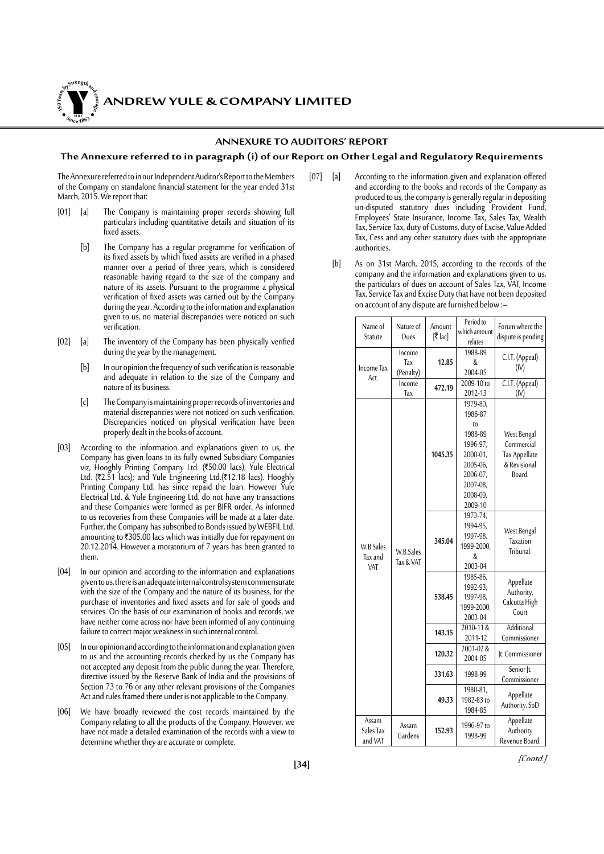*ANDREW YULE & COMPANY LIMITED* 

#### **ANNEXURE TO AUDITORS' REPORT**

#### **The Annexure referred to in paragraph (i) of our Report on Other Legal and Regulatory Requirements**

The Annexure referred to in our Independent Auditor's Report to the Members of the Company on standalone financial statement for the year ended 31st March, 2015. We report that:

**150Year<sup>s</sup>byStre<sup>n</sup>gthand<sup>c</sup>ou<sup>r</sup>age**

**<sup>S</sup>inc<sup>e</sup> <sup>1</sup>86<sup>3</sup>**  $\bullet$ . When  $\bullet$ 

- [01] [a] The Company is maintaining proper records showing full particulars including quantitative details and situation of its fixed assets.
	- [b] The Company has a regular programme for verification of its fixed assets by which fixed assets are verified in a phased manner over a period of three years, which is considered reasonable having regard to the size of the company and nature of its assets. Pursuant to the programme a physical verification of fixed assets was carried out by the Company during the year. According to the information and explanation given to us, no material discrepancies were noticed on such verification.
- [02] [a] The inventory of the Company has been physically verified during the year by the management.
	- [b] In our opinion the frequency of such verification is reasonable and adequate in relation to the size of the Company and nature of its business.
	- [c] The Company is maintaining proper records of inventories and material discrepancies were not noticed on such verification. Discrepancies noticed on physical verification have been properly dealt in the books of account.
- [03] According to the information and explanations given to us, the Company has given loans to its fully owned Subsidiary Companies viz, Hooghly Printing Company Ltd. (₹50.00 lacs); Yule Electrical Ltd. (₹2.51 lacs); and Yule Engineering Ltd.(₹12.18 lacs). Hooghly Printing Company Ltd. has since repaid the loan. However Yule Electrical Ltd. & Yule Engineering Ltd. do not have any transactions and these Companies were formed as per BIFR order. As informed to us recoveries from these Companies will be made at a later date. Further, the Company has subscribed to Bonds issued by WEBFIL Ltd. amounting to  $\overline{305.00}$  lacs which was initially due for repayment on 20.12.2014. However a moratorium of 7 years has been granted to them.
- [04] In our opinion and according to the information and explanations given to us, there is an adequate internal control system commensurate with the size of the Company and the nature of its business, for the purchase of inventories and fixed assets and for sale of goods and services. On the basis of our examination of books and records, we have neither come across nor have been informed of any continuing failure to correct major weakness in such internal control.
- [05] In our opinion and according to the information and explanation given to us and the accounting records checked by us the Company has not accepted any deposit from the public during the year. Therefore, directive issued by the Reserve Bank of India and the provisions of Section 73 to 76 or any other relevant provisions of the Companies Act and rules framed there under is not applicable to the Company.
- [06] We have broadly reviewed the cost records maintained by the Company relating to all the products of the Company. However, we have not made a detailed examination of the records with a view to determine whether they are accurate or complete.
- [07] [a] According to the information given and explanation offered and according to the books and records of the Company as produced to us, the company is generally regular in depositing un-disputed statutory dues including Provident Fund, Employees' State Insurance, Income Tax, Sales Tax, Wealth Tax, Service Tax, duty of Customs, duty of Excise, Value Added Tax, Cess and any other statutory dues with the appropriate authorities.
	- [b] As on 31st March, 2015, according to the records of the company and the information and explanations given to us, the particulars of dues on account of Sales Tax, VAT, Income Tax, Service Tax and Excise Duty that have not been deposited on account of any dispute are furnished below :–

| Name of<br>Statute            | Nature of<br>Dues          | Amount<br>$[7]$ lac] | Period to<br>which amount<br>relates                                                                                    | Forum where the<br>dispute is pending                                |
|-------------------------------|----------------------------|----------------------|-------------------------------------------------------------------------------------------------------------------------|----------------------------------------------------------------------|
| Income Tax<br>Act.            | Income<br>Tax<br>(Penalty) | 12.85                | 1988-89<br>&<br>2004-05                                                                                                 | C.I.T. (Appeal)<br>(IV)                                              |
|                               | Income<br>Tax              | 472.19               | 2009-10 to<br>2012-13                                                                                                   | C.I.T. (Appeal)<br>(IV)                                              |
| W.B.Sales<br>Tax and<br>VAT   | W.B.Sales<br>Tax & VAT     | 1045.35              | 1979-80,<br>1986-87<br>to<br>1988-89<br>1996-97,<br>2000-01,<br>2005-06.<br>2006-07,<br>2007-08,<br>2008-09,<br>2009-10 | West Bengal<br>Commercial<br>Tax Appellate<br>& Revisional<br>Board. |
|                               |                            | 345.04               | 1973-74.<br>1994-95,<br>1997-98,<br>1999-2000,<br>&<br>2003-04                                                          | West Bengal<br><b>Taxation</b><br>Tribunal.                          |
|                               |                            | 538.45               | 1985-86,<br>1992-93,<br>1997-98,<br>1999-2000.<br>2003-04                                                               | Appellate<br>Authority,<br>Calcutta High<br>Court                    |
|                               |                            | 143.15               | 2010-11&<br>2011-12                                                                                                     | <b>Additional</b><br>Commissioner                                    |
|                               |                            | 120.32               | 2001-02&<br>2004-05                                                                                                     | It. Commissioner                                                     |
|                               |                            | 331.63               | 1998-99                                                                                                                 | Senior Jt.<br>Commissioner                                           |
|                               |                            | 49.33                | 1980-81,<br>1982-83 to<br>1984-85                                                                                       | Appellate<br>Authority, SoD                                          |
| Assam<br>Sales Tax<br>and VAT | Assam<br>Gardens           | 152.93               | 1996-97 to<br>1998-99                                                                                                   | Appellate<br>Authority<br>Revenue Board.                             |

[Contd.]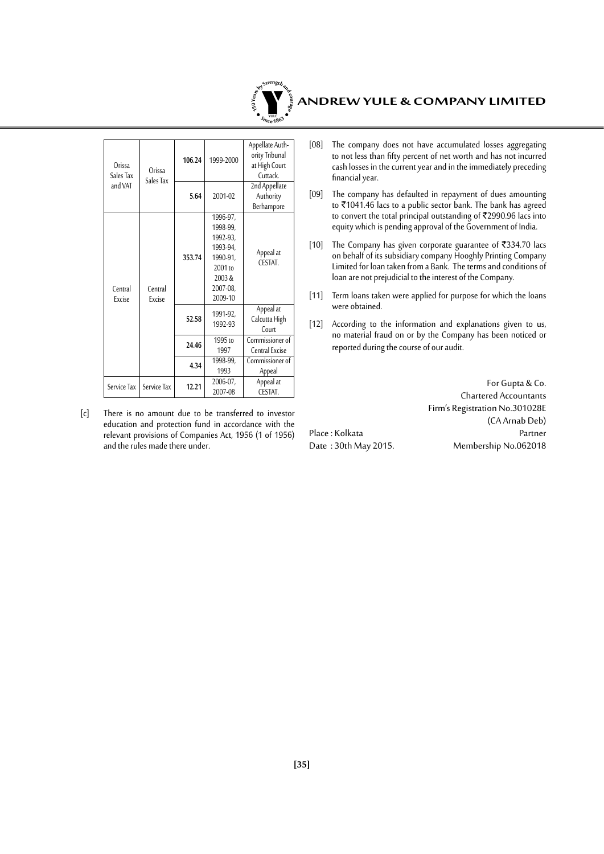

| Orissa<br>Sales Tax<br>and VAT | Orissa            | 106.24 | 1999-2000                                                                                             | Appellate Auth-<br>ority Tribunal<br>at High Court<br>Cuttack. |
|--------------------------------|-------------------|--------|-------------------------------------------------------------------------------------------------------|----------------------------------------------------------------|
|                                | Sales Tax         | 5.64   | 2001-02                                                                                               | 2nd Appellate<br>Authority<br>Berhampore                       |
| Central<br>Excise              | Central<br>Excise | 353.74 | 1996-97,<br>1998-99,<br>1992-93,<br>1993-94,<br>1990-91,<br>$2001$ to<br>2003&<br>2007-08,<br>2009-10 | Appeal at<br>CESTAT.                                           |
|                                |                   | 52.58  | 1991-92.<br>1992-93                                                                                   | Appeal at<br>Calcutta High<br>Court                            |
|                                |                   | 24.46  | 1995 to<br>1997                                                                                       | Commissioner of<br>Central Excise                              |
|                                |                   | 4.34   | 1998-99,<br>1993                                                                                      | Commissioner of<br>Appeal                                      |
| Service Tax                    | Service Tax       | 12.21  | 2006-07,<br>2007-08                                                                                   | Appeal at<br>CESTAT.                                           |

[c] There is no amount due to be transferred to investor education and protection fund in accordance with the relevant provisions of Companies Act, 1956 (1 of 1956) and the rules made there under.

- [08] The company does not have accumulated losses aggregating to not less than fifty percent of net worth and has not incurred cash losses in the current year and in the immediately preceding financial year.
- [09] The company has defaulted in repayment of dues amounting to  $\overline{5}$ 1041.46 lacs to a public sector bank. The bank has agreed to convert the total principal outstanding of  $\overline{\tau}$ 2990.96 lacs into equity which is pending approval of the Government of India.
- [10] The Company has given corporate guarantee of  $\overline{\text{334.70}}$  lacs on behalf of its subsidiary company Hooghly Printing Company Limited for loan taken from a Bank. The terms and conditions of loan are not prejudicial to the interest of the Company.
- [11] Term loans taken were applied for purpose for which the loans were obtained.
- [12] According to the information and explanations given to us, no material fraud on or by the Company has been noticed or reported during the course of our audit.

For Gupta & Co. Chartered Accountants Firm's Registration No.301028E (CA Arnab Deb) Place : Kolkata Partner<br>Date : 30th May 2015. Membership No.062018 Membership No.062018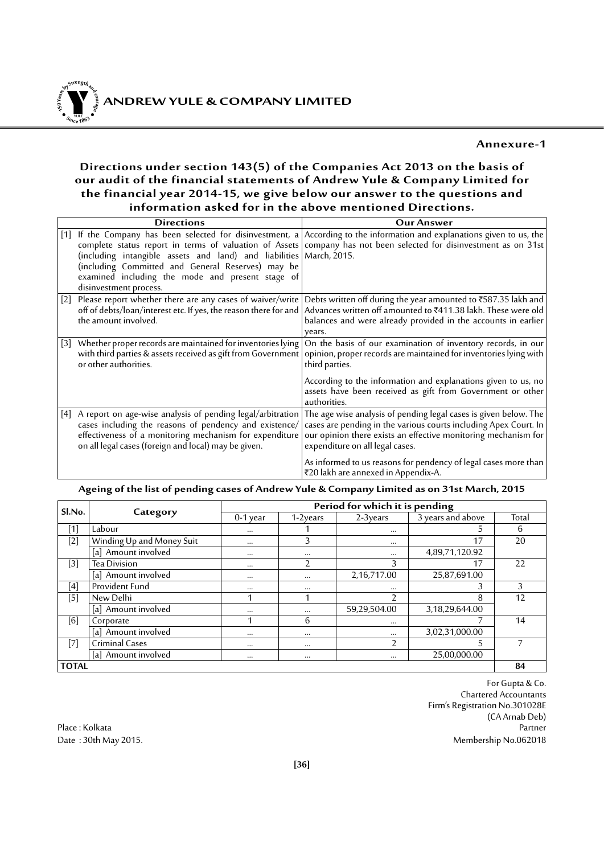### **Annexure-1**

### **Directions under section 143(5) of the Companies Act 2013 on the basis of our audit of the financial statements of Andrew Yule & Company Limited for the financial year 2014-15, we give below our answer to the questions and information asked for in the above mentioned Directions.**

| <b>Directions</b>                                                                                                                                                                                                                           | <b>Our Answer</b>                                                                                                                                                                                                                                                                                                                                   |
|---------------------------------------------------------------------------------------------------------------------------------------------------------------------------------------------------------------------------------------------|-----------------------------------------------------------------------------------------------------------------------------------------------------------------------------------------------------------------------------------------------------------------------------------------------------------------------------------------------------|
| (including intangible assets and land) and liabilities March, 2015.<br>(including Committed and General Reserves) may be<br>examined including the mode and present stage of<br>disinvestment process.                                      | [1] If the Company has been selected for disinvestment, a According to the information and explanations given to us, the<br>complete status report in terms of valuation of Assets company has not been selected for disinvestment as on 31st                                                                                                       |
| [2] Please report whether there are any cases of waiver/write<br>off of debts/loan/interest etc. If yes, the reason there for and<br>the amount involved.                                                                                   | Debts written off during the year amounted to ₹587.35 lakh and<br>Advances written off amounted to ₹411.38 lakh. These were old<br>balances and were already provided in the accounts in earlier<br>vears.                                                                                                                                          |
| [3] Whether proper records are maintained for inventories lying<br>with third parties & assets received as gift from Government<br>or other authorities.                                                                                    | On the basis of our examination of inventory records, in our<br>opinion, proper records are maintained for inventories lying with<br>third parties.<br>According to the information and explanations given to us, no<br>assets have been received as gift from Government or other<br>authorities.                                                  |
| [4] A report on age-wise analysis of pending legal/arbitration<br>cases including the reasons of pendency and existence/<br>effectiveness of a monitoring mechanism for expenditure<br>on all legal cases (foreign and local) may be given. | The age wise analysis of pending legal cases is given below. The<br>cases are pending in the various courts including Apex Court. In<br>our opinion there exists an effective monitoring mechanism for<br>expenditure on all legal cases.<br>As informed to us reasons for pendency of legal cases more than<br>₹20 lakh are annexed in Appendix-A. |

#### **Ageing of the list of pending cases of Andrew Yule & Company Limited as on 31st March, 2015**

| Sl.No.       | Category                  | Period for which it is pending |             |               |                   |       |  |
|--------------|---------------------------|--------------------------------|-------------|---------------|-------------------|-------|--|
|              |                           | $0-1$ year                     | $1-2$ vears | $2-3$ vears   | 3 years and above | Total |  |
| [1]          | Labour                    | $\cdots$                       |             | $\cdots$      | 5                 | -6    |  |
| $[2]$        | Winding Up and Money Suit | $\cdots$                       | 3           | $\cdots$      | 17                | 20    |  |
|              | [a] Amount involved       | $\cdots$                       | $\cdots$    | $\cdots$      | 4,89,71,120.92    |       |  |
| $[3]$        | Tea Division              | $\cdots$                       | 2           | 3             | 17                | 22    |  |
|              | [a] Amount involved       | $\cdots$                       | $\cdots$    | 2,16,717.00   | 25,87,691.00      |       |  |
| [4]          | Provident Fund            | $\cdots$                       | $\cdots$    | $\cdots$      | 3                 |       |  |
| $[5]$        | New Delhi                 |                                | ◢           | $\mathcal{P}$ | 8                 | 12    |  |
|              | [a] Amount involved       | $\cdots$                       | $\cdots$    | 59,29,504.00  | 3,18,29,644.00    |       |  |
| [6]          | Corporate                 |                                | 6           |               |                   | 14    |  |
|              | [a] Amount involved       | $\cdots$                       | $\cdots$    |               | 3,02,31,000.00    |       |  |
| $[7]$        | Criminal Cases            | $\cdots$                       | $\cdots$    | 2             | 5                 |       |  |
|              | [a] Amount involved       | $\cdots$                       | $\cdots$    |               | 25,00,000.00      |       |  |
| <b>TOTAL</b> |                           |                                |             |               |                   | 84    |  |

For Gupta & Co. Chartered Accountants Firm's Registration No.301028E (CA Arnab Deb) Place : Kolkata Partner Date : 30th May 2015. No both May 2015. The state of the state of the state of the state of the state of the state of the state of the state of the state of the state of the state of the state of the state of the state of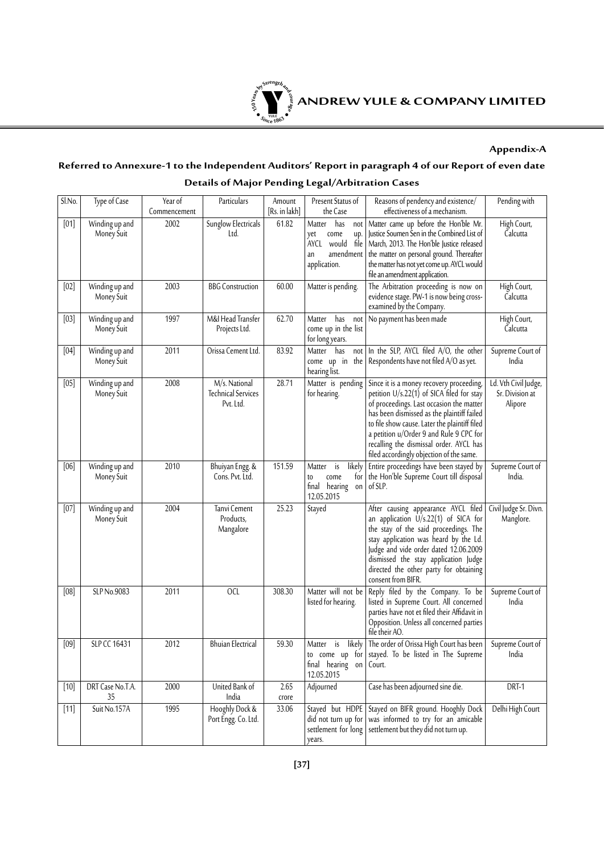

#### **Appendix-A**

# **Referred to Annexure-1 to the Independent Auditors' Report in paragraph 4 of our Report of even date Details of Major Pending Legal/Arbitration Cases**

| Sl.No. | Type of Case                      | Year of<br>Commencement | Particulars                                             | Amount<br>[Rs. in lakh] | Present Status of<br>the Case                                                                       | Reasons of pendency and existence/<br>effectiveness of a mechanism.                                                                                                                                                                                                                                                                                                  | Pending with                                       |
|--------|-----------------------------------|-------------------------|---------------------------------------------------------|-------------------------|-----------------------------------------------------------------------------------------------------|----------------------------------------------------------------------------------------------------------------------------------------------------------------------------------------------------------------------------------------------------------------------------------------------------------------------------------------------------------------------|----------------------------------------------------|
| [01]   | Winding up and<br>Money Suit      | 2002                    | Sunglow Electricals<br>Ltd.                             | 61.82                   | has<br>Matter<br>not<br>come<br>up.<br>yet<br>AYCL would<br>file<br>amendment<br>an<br>application. | Matter came up before the Hon'ble Mr.<br>Justice Soumen Sen in the Combined List of<br>March, 2013. The Hon'ble Justice released<br>the matter on personal ground. Thereafter<br>the matter has not yet come up. AYCL would<br>file an amendment application.                                                                                                        | High Court,<br>Calcutta                            |
| [02]   | Winding up and<br>Money Suit      | 2003                    | <b>BBG</b> Construction                                 | 60.00                   | Matter is pending.                                                                                  | The Arbitration proceeding is now on<br>evidence stage. PW-1 is now being cross-<br>examined by the Company.                                                                                                                                                                                                                                                         | High Court,<br>Calcutta                            |
| $[03]$ | Winding up and<br>Money Suit      | 1997                    | M&I Head Transfer<br>Projects Ltd.                      | 62.70                   | has<br>Matter<br>not<br>come up in the list<br>for long years.                                      | No payment has been made                                                                                                                                                                                                                                                                                                                                             | High Court,<br>Calcutta                            |
| [04]   | Winding up and<br>Money Suit      | 2011                    | Orissa Cement Ltd.                                      | 83.92                   | Matter has<br>not<br>come up in the<br>hearing list.                                                | In the SLP, AYCL filed A/O, the other<br>Respondents have not filed A/O as yet.                                                                                                                                                                                                                                                                                      | Supreme Court of<br>India                          |
| [05]   | Winding up and<br>Money Suit      | 2008                    | M/s. National<br><b>Technical Services</b><br>Pvt. Ltd. | 28.71                   | Matter is pending<br>for hearing.                                                                   | Since it is a money recovery proceeding,<br>petition $U/s.22(1)$ of SICA filed for stay<br>of proceedings. Last occasion the matter<br>has been dismissed as the plaintiff failed<br>to file show cause. Later the plaintiff filed<br>a petition u/Order 9 and Rule 9 CPC for<br>recalling the dismissal order. AYCL has<br>filed accordingly objection of the same. | Ld. Vth Civil Judge,<br>Sr. Division at<br>Alipore |
| [06]   | Winding up and<br>Money Suit      | 2010                    | Bhuiyan Engg. &<br>Cons. Pvt. Ltd.                      | 151.59                  | Matter<br>is<br>likely<br>for<br>come<br>to<br>final hearing<br>on<br>12.05.2015                    | Entire proceedings have been stayed by<br>the Hon'ble Supreme Court till disposal<br>of SLP.                                                                                                                                                                                                                                                                         | Supreme Court of<br>India.                         |
| [07]   | Winding up and<br>Money Suit      | 2004                    | Tanvi Cement<br>Products,<br>Mangalore                  | 25.23                   | Stayed                                                                                              | After causing appearance AYCL filed<br>an application U/s.22(1) of SICA for<br>the stay of the said proceedings. The<br>stay application was heard by the Ld.<br>Judge and vide order dated 12.06.2009<br>dismissed the stay application Judge<br>directed the other party for obtaining<br>consent from BIFR.                                                       | Civil Judge Sr. Divn.<br>Manglore.                 |
| [08]   | SLP No.9083                       | 2011                    | OCL                                                     | 308.30                  | Matter will not be<br>listed for hearing.                                                           | Reply filed by the Company. To be<br>listed in Supreme Court. All concerned<br>parties have not et filed their Affidavit in<br>Opposition. Unless all concerned parties<br>file their AO.                                                                                                                                                                            | Supreme Court of<br>India                          |
| [09]   | SLP CC 16431                      | 2012                    | <b>Bhuian Electrical</b>                                | $\overline{59.30}$      | Matter<br>is<br>final hearing on<br>12.05.2015                                                      | likely   The order of Orissa High Court has been<br>to come up for stayed. To be listed in The Supreme<br>Court.                                                                                                                                                                                                                                                     | Supreme Court of<br>India                          |
| $[10]$ | DRT Case No.T.A.<br>35            | 2000                    | United Bank of<br>India                                 | 2.65<br>crore           | Adjourned                                                                                           | Case has been adjourned sine die.                                                                                                                                                                                                                                                                                                                                    | DRT-1                                              |
| $[11]$ | $\overline{\text{Suit No}}$ .157A | 1995                    | Hooghly Dock &<br>Port Engg. Co. Ltd.                   | 33.06                   | did not turn up for<br>settlement for long<br>years.                                                | Stayed but HDPE Stayed on BIFR ground. Hooghly Dock<br>was informed to try for an amicable<br>settlement but they did not turn up.                                                                                                                                                                                                                                   | Delhi High Court                                   |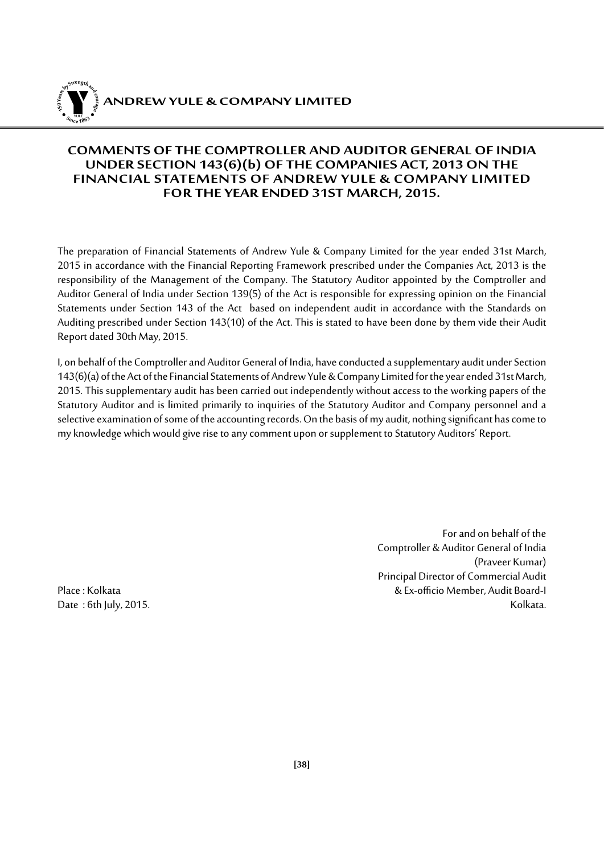

## **COMMENTS OF THE COMPTROLLER AND AUDITOR GENERAL OF INDIA UNDER SECTION 143(6)(b) OF THE COMPANIES ACT, 2013 ON THE FINANCIAL STATEMENTS OF ANDREW YULE & COMPANY LIMITED FOR THE YEAR ENDED 31ST MARCH, 2015.**

The preparation of Financial Statements of Andrew Yule & Company Limited for the year ended 31st March, 2015 in accordance with the Financial Reporting Framework prescribed under the Companies Act, 2013 is the responsibility of the Management of the Company. The Statutory Auditor appointed by the Comptroller and Auditor General of India under Section 139(5) of the Act is responsible for expressing opinion on the Financial Statements under Section 143 of the Act based on independent audit in accordance with the Standards on Auditing prescribed under Section 143(10) of the Act. This is stated to have been done by them vide their Audit Report dated 30th May, 2015.

I, on behalf of the Comptroller and Auditor General of India, have conducted a supplementary audit under Section 143(6)(a) of the Act of the Financial Statements of Andrew Yule & Company Limited for the year ended 31st March, 2015. This supplementary audit has been carried out independently without access to the working papers of the Statutory Auditor and is limited primarily to inquiries of the Statutory Auditor and Company personnel and a selective examination of some of the accounting records. On the basis of my audit, nothing significant has come to my knowledge which would give rise to any comment upon or supplement to Statutory Auditors' Report.

Date:  $6th$  July, 2015.

For and on behalf of the Comptroller & Auditor General of India (Praveer Kumar) Principal Director of Commercial Audit Place : Kolkata & Ex-officio Member, Audit Board-I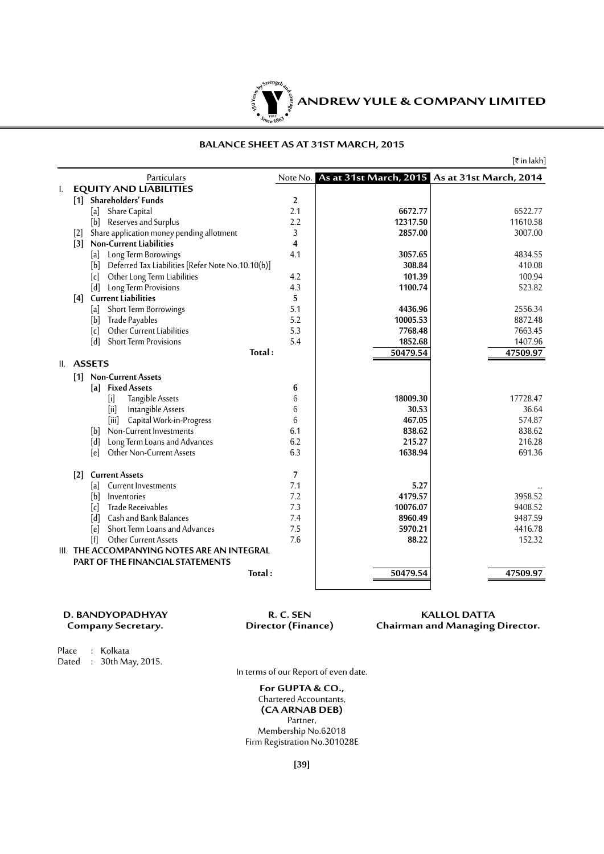

#### **BALANCE SHEET AS AT 31ST MARCH, 2015**

|    |                                                          |                |                                                        | $[\bar{x}$ in lakh] |
|----|----------------------------------------------------------|----------------|--------------------------------------------------------|---------------------|
|    | Particulars                                              |                | Note No. As at 31st March, 2015 As at 31st March, 2014 |                     |
| I. | <b>EQUITY AND LIABILITIES</b>                            |                |                                                        |                     |
|    | [1] Shareholders' Funds                                  | $\overline{2}$ |                                                        |                     |
|    | Share Capital<br> a                                      | 2.1            | 6672.77                                                | 6522.77             |
|    | [b]<br>Reserves and Surplus                              | 2.2            | 12317.50                                               | 11610.58            |
|    | Share application money pending allotment<br>$[2]$       | 3              | 2857.00                                                | 3007.00             |
|    | $\lceil 3 \rceil$<br><b>Non-Current Liabilities</b>      | 4              |                                                        |                     |
|    | Long Term Borowings<br>[a]                               | 4.1            | 3057.65                                                | 4834.55             |
|    | Deferred Tax Liabilities [Refer Note No.10.10(b)]<br>[b] |                | 308.84                                                 | 410.08              |
|    | [c]<br>Other Long Term Liabilities                       | 4.2            | 101.39                                                 | 100.94              |
|    | [d]<br>Long Term Provisions                              | 4.3            | 1100.74                                                | 523.82              |
|    | [4] Current Liabilities                                  | 5              |                                                        |                     |
|    | Short Term Borrowings<br>[a]                             | 5.1            | 4436.96                                                | 2556.34             |
|    | [b]<br>Trade Payables                                    | 5.2            | 10005.53                                               | 8872.48             |
|    | Other Current Liabilities<br>[c]                         | 5.3            | 7768.48                                                | 7663.45             |
|    | [d]<br><b>Short Term Provisions</b>                      | 5.4            | 1852.68                                                | 1407.96             |
|    | Total:                                                   |                | 50479.54                                               | 47509.97            |
|    | II. ASSETS                                               |                |                                                        |                     |
|    | <b>Non-Current Assets</b><br>$\lceil 1 \rceil$           |                |                                                        |                     |
|    | <b>Fixed Assets</b><br>[a]                               | 6              |                                                        |                     |
|    | Tangible Assets<br>$[$                                   | 6              | 18009.30                                               | 17728.47            |
|    | Intangible Assets<br>[ii]                                | 6              | 30.53                                                  | 36.64               |
|    | Capital Work-in-Progress<br>[iii]                        | 6              | 467.05                                                 | 574.87              |
|    | Non-Current Investments<br>[b]                           | 6.1            | 838.62                                                 | 838.62              |
|    | Long Term Loans and Advances<br>[d]                      | 6.2            | 215.27                                                 | 216.28              |
|    | Other Non-Current Assets<br>[e]                          | 6.3            | 1638.94                                                | 691.36              |
|    | <b>Current Assets</b><br>$\lceil 2 \rceil$               | 7              |                                                        |                     |
|    | Current Investments<br>[a]                               | 7.1            | 5.27                                                   |                     |
|    | ſЫ<br>Inventories                                        | 7.2            | 4179.57                                                | 3958.52             |
|    | Trade Receivables<br>[c]                                 | 7.3            | 10076.07                                               | 9408.52             |
|    | Cash and Bank Balances<br>[d]                            | 7.4            | 8960.49                                                | 9487.59             |
|    | Short Term Loans and Advances<br>[e]                     | 7.5            | 5970.21                                                | 4416.78             |
|    | ſfl<br>Other Current Assets                              | 7.6            | 88.22                                                  | 152.32              |
|    | III. THE ACCOMPANYING NOTES ARE AN INTEGRAL              |                |                                                        |                     |
|    | <b>PART OF THE FINANCIAL STATEMENTS</b>                  |                |                                                        |                     |
|    | Total:                                                   |                | 50479.54                                               | 47509.97            |
|    |                                                          |                |                                                        |                     |

| D. BANDYOPADHYAY   | R. C. SEN          | <b>KALLOL DATTA</b>                    |
|--------------------|--------------------|----------------------------------------|
| Company Secretary. | Director (Finance) | <b>Chairman and Managing Director.</b> |
| Place : Kolkata    |                    |                                        |

Dated : 30th May, 2015.

In terms of our Report of even date.

**For GUPTA & CO.,** Chartered Accountants, **(CA ARNAB DEB)** Partner, Membership No.62018 Firm Registration No.301028E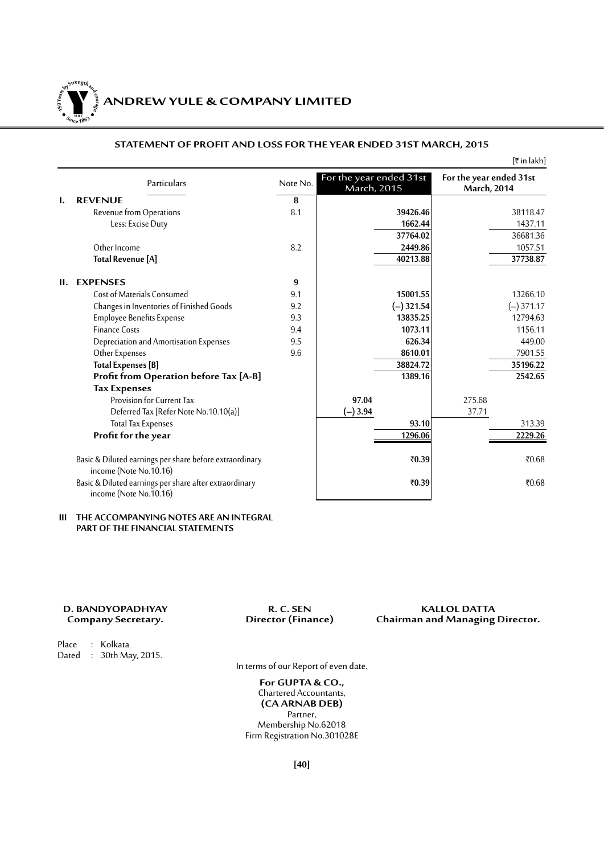**150Year<sup>s</sup>byStre<sup>n</sup>gthand<sup>c</sup>ou<sup>r</sup>age <sup>S</sup>inc<sup>e</sup> <sup>1</sup>86<sup>3</sup>**  $\bullet$ . When  $\bullet$ 

# **ANDREW YULE & COMPANY LIMITED**

#### **STATEMENT OF PROFIT AND LOSS FOR THE YEAR ENDED 31ST MARCH, 2015**

 $[\bar{\tau}$  in lakh]

|    | Particulars                                                                       | Note No. | For the year ended 31st<br>March, 2015 | For the year ended 31st<br>March, 2014 |
|----|-----------------------------------------------------------------------------------|----------|----------------------------------------|----------------------------------------|
| I. | <b>REVENUE</b>                                                                    | 8        |                                        |                                        |
|    | Revenue from Operations                                                           | 8.1      | 39426.46                               | 38118.47                               |
|    | Less: Excise Duty                                                                 |          | 1662.44                                | 1437.11                                |
|    |                                                                                   |          | 37764.02                               | 36681.36                               |
|    | Other Income                                                                      | 8.2      | 2449.86                                | 1057.51                                |
|    | <b>Total Revenue [A]</b>                                                          |          | 40213.88                               | 37738.87                               |
| П. | <b>EXPENSES</b>                                                                   | 9        |                                        |                                        |
|    | <b>Cost of Materials Consumed</b>                                                 | 9.1      | 15001.55                               | 13266.10                               |
|    | Changes in Inventories of Finished Goods                                          | 9.2      | $(-)$ 321.54                           | $(-)371.17$                            |
|    | <b>Employee Benefits Expense</b>                                                  | 9.3      | 13835.25                               | 12794.63                               |
|    | <b>Finance Costs</b>                                                              | 9.4      | 1073.11                                | 1156.11                                |
|    | Depreciation and Amortisation Expenses                                            | 9.5      | 626.34                                 | 449.00                                 |
|    | Other Expenses                                                                    | 9.6      | 8610.01                                | 7901.55                                |
|    | <b>Total Expenses</b> [B]                                                         |          | 38824.72                               | 35196.22                               |
|    | Profit from Operation before Tax [A-B]                                            |          | 1389.16                                | 2542.65                                |
|    | <b>Tax Expenses</b>                                                               |          |                                        |                                        |
|    | Provision for Current Tax                                                         |          | 97.04                                  | 275.68                                 |
|    | Deferred Tax [Refer Note No.10.10(a)]                                             |          | $(-)3.94$                              | 37.71                                  |
|    | <b>Total Tax Expenses</b>                                                         |          | 93.10                                  | 313.39                                 |
|    | Profit for the year                                                               |          | 1296.06                                | 2229.26                                |
|    | Basic & Diluted earnings per share before extraordinary<br>income (Note No.10.16) |          | ₹0.39                                  | ₹0.68                                  |
|    | Basic & Diluted earnings per share after extraordinary<br>income (Note No.10.16)  |          | ₹0.39                                  | ₹0.68                                  |

#### **III THE ACCOMPANYING NOTES ARE AN INTEGRAL PART OF THE FINANCIAL STATEMENTS**

**D. BANDYOPADHYAY R. C. SEN KALLOL DATTA Chairman and Managing Director.** 

Place : Kolkata Dated : 30th May, 2015.

In terms of our Report of even date.

**For GUPTA & CO.,** Chartered Accountants, **(CA ARNAB DEB)** Partner, Membership No.62018 Firm Registration No.301028E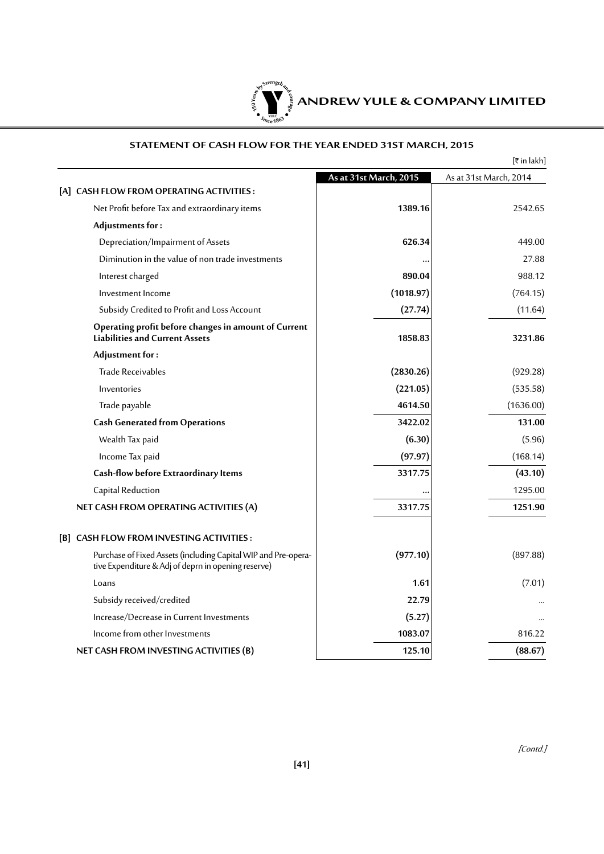

#### **STATEMENT OF CASH FLOW FOR THE YEAR ENDED 31ST MARCH, 2015**

|                                                                                                                       |                        | [₹ in lakh]            |
|-----------------------------------------------------------------------------------------------------------------------|------------------------|------------------------|
|                                                                                                                       | As at 31st March, 2015 | As at 31st March, 2014 |
| [A] CASH FLOW FROM OPERATING ACTIVITIES:                                                                              |                        |                        |
| Net Profit before Tax and extraordinary items                                                                         | 1389.16                | 2542.65                |
| Adjustments for:                                                                                                      |                        |                        |
| Depreciation/Impairment of Assets                                                                                     | 626.34                 | 449.00                 |
| Diminution in the value of non trade investments                                                                      |                        | 27.88                  |
| Interest charged                                                                                                      | 890.04                 | 988.12                 |
| Investment Income                                                                                                     | (1018.97)              | (764.15)               |
| Subsidy Credited to Profit and Loss Account                                                                           | (27.74)                | (11.64)                |
| Operating profit before changes in amount of Current<br><b>Liabilities and Current Assets</b>                         | 1858.83                | 3231.86                |
| Adjustment for:                                                                                                       |                        |                        |
| Trade Receivables                                                                                                     | (2830.26)              | (929.28)               |
| Inventories                                                                                                           | (221.05)               | (535.58)               |
| Trade payable                                                                                                         | 4614.50                | (1636.00)              |
| <b>Cash Generated from Operations</b>                                                                                 | 3422.02                | 131.00                 |
| Wealth Tax paid                                                                                                       | (6.30)                 | (5.96)                 |
| Income Tax paid                                                                                                       | (97.97)                | (168.14)               |
| Cash-flow before Extraordinary Items                                                                                  | 3317.75                | (43.10)                |
| Capital Reduction                                                                                                     |                        | 1295.00                |
| NET CASH FROM OPERATING ACTIVITIES (A)                                                                                | 3317.75                | 1251.90                |
| [B] CASH FLOW FROM INVESTING ACTIVITIES :                                                                             |                        |                        |
| Purchase of Fixed Assets (including Capital WIP and Pre-opera-<br>tive Expenditure & Adj of deprn in opening reserve) | (977.10)               | (897.88)               |
| Loans                                                                                                                 | 1.61                   | (7.01)                 |
| Subsidy received/credited                                                                                             | 22.79                  |                        |
| Increase/Decrease in Current Investments                                                                              | (5.27)                 |                        |
| Income from other Investments                                                                                         | 1083.07                | 816.22                 |
| NET CASH FROM INVESTING ACTIVITIES (B)                                                                                | 125.10                 | (88.67)                |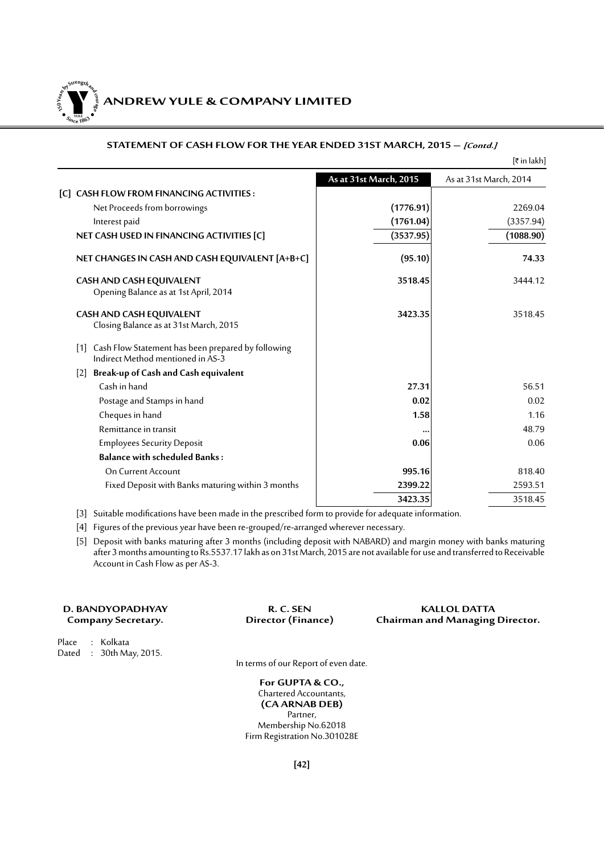Y **ANDREW YULE & COMPANY LIMITED YULE 150Year<sup>s</sup>byStre<sup>n</sup>gthand<sup>c</sup>ou<sup>r</sup>age**  $\bullet$ . When  $\bullet$ 

**<sup>S</sup>inc<sup>e</sup> <sup>1</sup>86<sup>3</sup>**

#### **STATEMENT OF CASH FLOW FOR THE YEAR ENDED 31ST MARCH, 2015 – [Contd.]**

|                                                                                             |                        | $[\bar{x}$ in lakh]    |
|---------------------------------------------------------------------------------------------|------------------------|------------------------|
|                                                                                             | As at 31st March, 2015 | As at 31st March, 2014 |
| [C] CASH FLOW FROM FINANCING ACTIVITIES:                                                    |                        |                        |
| Net Proceeds from borrowings                                                                | (1776.91)              | 2269.04                |
| Interest paid                                                                               | (1761.04)              | (3357.94)              |
| NET CASH USED IN FINANCING ACTIVITIES [C]                                                   | (3537.95)              | (1088.90)              |
| NET CHANGES IN CASH AND CASH EQUIVALENT [A+B+C]                                             | (95.10)                | 74.33                  |
| CASH AND CASH EQUIVALENT<br>Opening Balance as at 1st April, 2014                           | 3518.45                | 3444.12                |
| <b>CASH AND CASH EQUIVALENT</b><br>Closing Balance as at 31st March, 2015                   | 3423.35                | 3518.45                |
| [1] Cash Flow Statement has been prepared by following<br>Indirect Method mentioned in AS-3 |                        |                        |
| [2] Break-up of Cash and Cash equivalent                                                    |                        |                        |
| Cash in hand                                                                                | 27.31                  | 56.51                  |
| Postage and Stamps in hand                                                                  | 0.02                   | 0.02                   |
| Cheques in hand                                                                             | 1.58                   | 1.16                   |
| Remittance in transit                                                                       |                        | 48.79                  |
| <b>Employees Security Deposit</b>                                                           | 0.06                   | 0.06                   |
| <b>Balance with scheduled Banks:</b>                                                        |                        |                        |
| On Current Account                                                                          | 995.16                 | 818.40                 |
| Fixed Deposit with Banks maturing within 3 months                                           | 2399.22                | 2593.51                |
|                                                                                             | 3423.35                | 3518.45                |

[3] Suitable modifications have been made in the prescribed form to provide for adequate information.

[4] Figures of the previous year have been re-grouped/re-arranged wherever necessary.

[5] Deposit with banks maturing after 3 months (including deposit with NABARD) and margin money with banks maturing after 3 months amounting to Rs.5537.17 lakh as on 31st March, 2015 are not available for use and transferred to Receivable Account in Cash Flow as per AS-3.

| D. BANDYOPADHYAY |                    |  |  |  |  |
|------------------|--------------------|--|--|--|--|
|                  | Company Secretary. |  |  |  |  |

**R. C. SEN R. C. SEN R. C. SEN Chairman and Managing Chairman and Managing Director.** 

Place : Kolkata Dated : 30th May, 2015.

In terms of our Report of even date.

**For GUPTA & CO.,** Chartered Accountants, **(CA ARNAB DEB)** Partner, Membership No.62018 Firm Registration No.301028E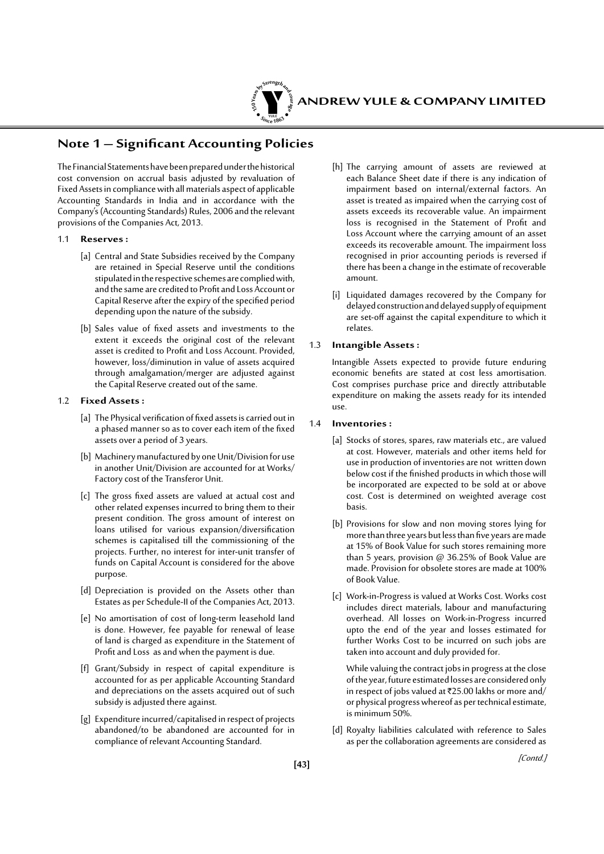

# **Note 1 – Significant Accounting Policies**

The Financial Statements have been prepared under the historical cost convension on accrual basis adjusted by revaluation of Fixed Assets in compliance with all materials aspect of applicable Accounting Standards in India and in accordance with the Company's (Accounting Standards) Rules, 2006 and the relevant provisions of the Companies Act, 2013.

#### 1.1 **Reserves :**

- [a] Central and State Subsidies received by the Company are retained in Special Reserve until the conditions stipulated in the respective schemes are complied with, and the same are credited to Profit and Loss Account or Capital Reserve after the expiry of the specified period depending upon the nature of the subsidy.
- [b] Sales value of fixed assets and investments to the extent it exceeds the original cost of the relevant asset is credited to Profit and Loss Account. Provided, however, loss/diminution in value of assets acquired through amalgamation/merger are adjusted against the Capital Reserve created out of the same.

#### 1.2 **Fixed Assets :**

- [a] The Physical verification of fixed assets is carried out in a phased manner so as to cover each item of the fixed assets over a period of 3 years.
- [b] Machinery manufactured by one Unit/Division for use in another Unit/Division are accounted for at Works/ Factory cost of the Transferor Unit.
- [c] The gross fixed assets are valued at actual cost and other related expenses incurred to bring them to their present condition. The gross amount of interest on loans utilised for various expansion/diversification schemes is capitalised till the commissioning of the projects. Further, no interest for inter-unit transfer of funds on Capital Account is considered for the above purpose.
- [d] Depreciation is provided on the Assets other than Estates as per Schedule-II of the Companies Act, 2013.
- [e] No amortisation of cost of long-term leasehold land is done. However, fee payable for renewal of lease of land is charged as expenditure in the Statement of Profit and Loss as and when the payment is due.
- [f] Grant/Subsidy in respect of capital expenditure is accounted for as per applicable Accounting Standard and depreciations on the assets acquired out of such subsidy is adjusted there against.
- [g] Expenditure incurred/capitalised in respect of projects abandoned/to be abandoned are accounted for in compliance of relevant Accounting Standard.
- [h] The carrying amount of assets are reviewed at each Balance Sheet date if there is any indication of impairment based on internal/external factors. An asset is treated as impaired when the carrying cost of assets exceeds its recoverable value. An impairment loss is recognised in the Statement of Profit and Loss Account where the carrying amount of an asset exceeds its recoverable amount. The impairment loss recognised in prior accounting periods is reversed if there has been a change in the estimate of recoverable amount.
- [i] Liquidated damages recovered by the Company for delayed construction and delayed supply of equipment are set-off against the capital expenditure to which it relates.

#### 1.3 **Intangible Assets :**

Intangible Assets expected to provide future enduring economic benefits are stated at cost less amortisation. Cost comprises purchase price and directly attributable expenditure on making the assets ready for its intended use.

#### 1.4 **Inventories :**

- [a] Stocks of stores, spares, raw materials etc., are valued at cost. However, materials and other items held for use in production of inventories are not written down below cost if the finished products in which those will be incorporated are expected to be sold at or above cost. Cost is determined on weighted average cost basis.
- [b] Provisions for slow and non moving stores lying for more than three years but less than five years are made at 15% of Book Value for such stores remaining more than 5 years, provision @ 36.25% of Book Value are made. Provision for obsolete stores are made at 100% of Book Value.
- [c] Work-in-Progress is valued at Works Cost. Works cost includes direct materials, labour and manufacturing overhead. All losses on Work-in-Progress incurred upto the end of the year and losses estimated for further Works Cost to be incurred on such jobs are taken into account and duly provided for.

 While valuing the contract jobs in progress at the close of the year, future estimated losses are considered only in respect of jobs valued at  $\overline{2}25.00$  lakhs or more and/ or physical progress whereof as per technical estimate, is minimum 50%.

[d] Royalty liabilities calculated with reference to Sales as per the collaboration agreements are considered as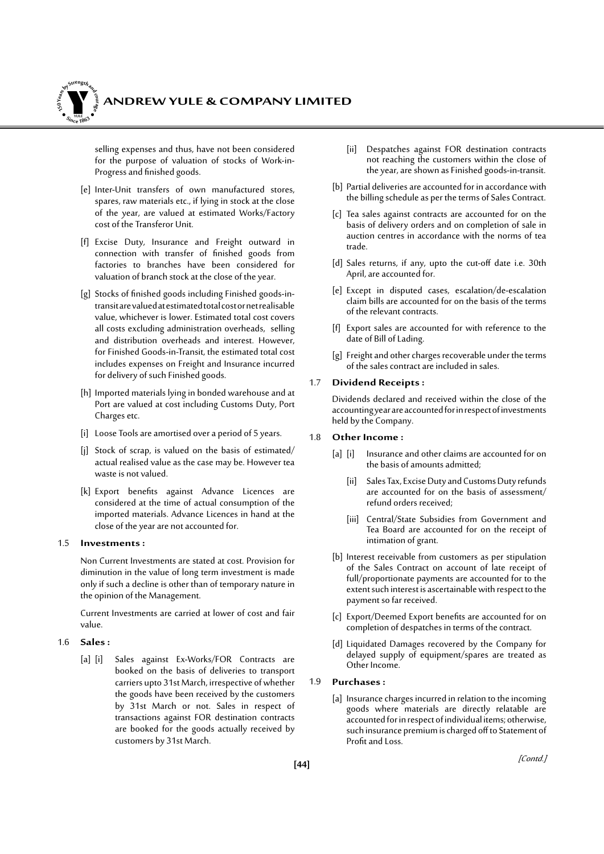

selling expenses and thus, have not been considered for the purpose of valuation of stocks of Work-in-Progress and finished goods.

- [e] Inter-Unit transfers of own manufactured stores, spares, raw materials etc., if lying in stock at the close of the year, are valued at estimated Works/Factory cost of the Transferor Unit.
- [f] Excise Duty, Insurance and Freight outward in connection with transfer of finished goods from factories to branches have been considered for valuation of branch stock at the close of the year.
- [g] Stocks of finished goods including Finished goods-intransit are valued at estimated total cost or net realisable value, whichever is lower. Estimated total cost covers all costs excluding administration overheads, selling and distribution overheads and interest. However, for Finished Goods-in-Transit, the estimated total cost includes expenses on Freight and Insurance incurred for delivery of such Finished goods.
- [h] Imported materials lying in bonded warehouse and at Port are valued at cost including Customs Duty, Port Charges etc.
- [i] Loose Tools are amortised over a period of 5 years.
- [j] Stock of scrap, is valued on the basis of estimated/ actual realised value as the case may be. However tea waste is not valued.
- [k] Export benefits against Advance Licences are considered at the time of actual consumption of the imported materials. Advance Licences in hand at the close of the year are not accounted for.

#### 1.5 **Investments :**

Non Current Investments are stated at cost. Provision for diminution in the value of long term investment is made only if such a decline is other than of temporary nature in the opinion of the Management.

Current Investments are carried at lower of cost and fair value.

#### 1.6 **Sales :**

[a] [i] Sales against Ex-Works/FOR Contracts are booked on the basis of deliveries to transport carriers upto 31st March, irrespective of whether the goods have been received by the customers by 31st March or not. Sales in respect of transactions against FOR destination contracts are booked for the goods actually received by customers by 31st March.

- [ii] Despatches against FOR destination contracts not reaching the customers within the close of the year, are shown as Finished goods-in-transit.
- [b] Partial deliveries are accounted for in accordance with the billing schedule as per the terms of Sales Contract.
- [c] Tea sales against contracts are accounted for on the basis of delivery orders and on completion of sale in auction centres in accordance with the norms of tea trade.
- [d] Sales returns, if any, upto the cut-off date i.e. 30th April, are accounted for.
- [e] Except in disputed cases, escalation/de-escalation claim bills are accounted for on the basis of the terms of the relevant contracts.
- [f] Export sales are accounted for with reference to the date of Bill of Lading.
- [g] Freight and other charges recoverable under the terms of the sales contract are included in sales.

#### 1.7 **Dividend Receipts :**

Dividends declared and received within the close of the accounting year are accounted for in respect of investments held by the Company.

#### 1.8 **Other Income :**

- [a] [i] Insurance and other claims are accounted for on the basis of amounts admitted;
	- [ii] Sales Tax, Excise Duty and Customs Duty refunds are accounted for on the basis of assessment/ refund orders received;
	- [iii] Central/State Subsidies from Government and Tea Board are accounted for on the receipt of intimation of grant.
- [b] Interest receivable from customers as per stipulation of the Sales Contract on account of late receipt of full/proportionate payments are accounted for to the extent such interest is ascertainable with respect to the payment so far received.
- [c] Export/Deemed Export benefits are accounted for on completion of despatches in terms of the contract.
- [d] Liquidated Damages recovered by the Company for delayed supply of equipment/spares are treated as Other Income.

#### 1.9 **Purchases :**

[a] Insurance charges incurred in relation to the incoming goods where materials are directly relatable are accounted for in respect of individual items; otherwise, such insurance premium is charged off to Statement of Profit and Loss.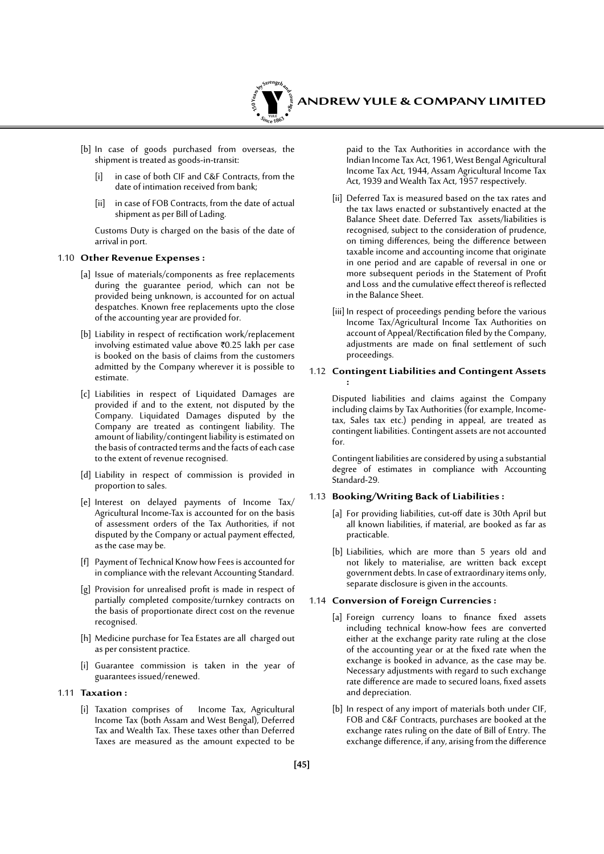

- [b] In case of goods purchased from overseas, the shipment is treated as goods-in-transit:
	- [i] in case of both CIF and C&F Contracts, from the date of intimation received from bank;
	- [ii] in case of FOB Contracts, from the date of actual shipment as per Bill of Lading.

 Customs Duty is charged on the basis of the date of arrival in port.

#### 1.10 **Other Revenue Expenses :**

- [a] Issue of materials/components as free replacements during the guarantee period, which can not be provided being unknown, is accounted for on actual despatches. Known free replacements upto the close of the accounting year are provided for.
- [b] Liability in respect of rectification work/replacement involving estimated value above `0.25 lakh per case is booked on the basis of claims from the customers admitted by the Company wherever it is possible to estimate.
- [c] Liabilities in respect of Liquidated Damages are provided if and to the extent, not disputed by the Company. Liquidated Damages disputed by the Company are treated as contingent liability. The amount of liability/contingent liability is estimated on the basis of contracted terms and the facts of each case to the extent of revenue recognised.
- [d] Liability in respect of commission is provided in proportion to sales.
- [e] Interest on delayed payments of Income Tax/ Agricultural Income-Tax is accounted for on the basis of assessment orders of the Tax Authorities, if not disputed by the Company or actual payment effected, as the case may be.
- [f] Payment of Technical Know how Fees is accounted for in compliance with the relevant Accounting Standard.
- [g] Provision for unrealised profit is made in respect of partially completed composite/turnkey contracts on the basis of proportionate direct cost on the revenue recognised.
- [h] Medicine purchase for Tea Estates are all charged out as per consistent practice.
- [i] Guarantee commission is taken in the year of guarantees issued/renewed.
- 1.11 **Taxation :**
	- [i] Taxation comprises of Income Tax, Agricultural Income Tax (both Assam and West Bengal), Deferred Tax and Wealth Tax. These taxes other than Deferred Taxes are measured as the amount expected to be

paid to the Tax Authorities in accordance with the Indian Income Tax Act, 1961, West Bengal Agricultural Income Tax Act, 1944, Assam Agricultural Income Tax Act, 1939 and Wealth Tax Act, 1957 respectively.

- [ii] Deferred Tax is measured based on the tax rates and the tax laws enacted or substantively enacted at the Balance Sheet date. Deferred Tax assets/liabilities is recognised, subject to the consideration of prudence, on timing differences, being the difference between taxable income and accounting income that originate in one period and are capable of reversal in one or more subsequent periods in the Statement of Profit and Loss and the cumulative effect thereof is reflected in the Balance Sheet.
- [iii] In respect of proceedings pending before the various Income Tax/Agricultural Income Tax Authorities on account of Appeal/Rectification filed by the Company, adjustments are made on final settlement of such proceedings.

#### 1.12 **Contingent Liabilities and Contingent Assets :**

Disputed liabilities and claims against the Company including claims by Tax Authorities (for example, Incometax, Sales tax etc.) pending in appeal, are treated as contingent liabilities. Contingent assets are not accounted for.

Contingent liabilities are considered by using a substantial degree of estimates in compliance with Accounting Standard-29.

#### 1.13 **Booking/Writing Back of Liabilities :**

- [a] For providing liabilities, cut-off date is 30th April but all known liabilities, if material, are booked as far as practicable.
- [b] Liabilities, which are more than 5 years old and not likely to materialise, are written back except government debts. In case of extraordinary items only, separate disclosure is given in the accounts.

#### 1.14 **Conversion of Foreign Currencies :**

- [a] Foreign currency loans to finance fixed assets including technical know-how fees are converted either at the exchange parity rate ruling at the close of the accounting year or at the fixed rate when the exchange is booked in advance, as the case may be. Necessary adjustments with regard to such exchange rate difference are made to secured loans, fixed assets and depreciation.
- [b] In respect of any import of materials both under CIF, FOB and C&F Contracts, purchases are booked at the exchange rates ruling on the date of Bill of Entry. The exchange difference, if any, arising from the difference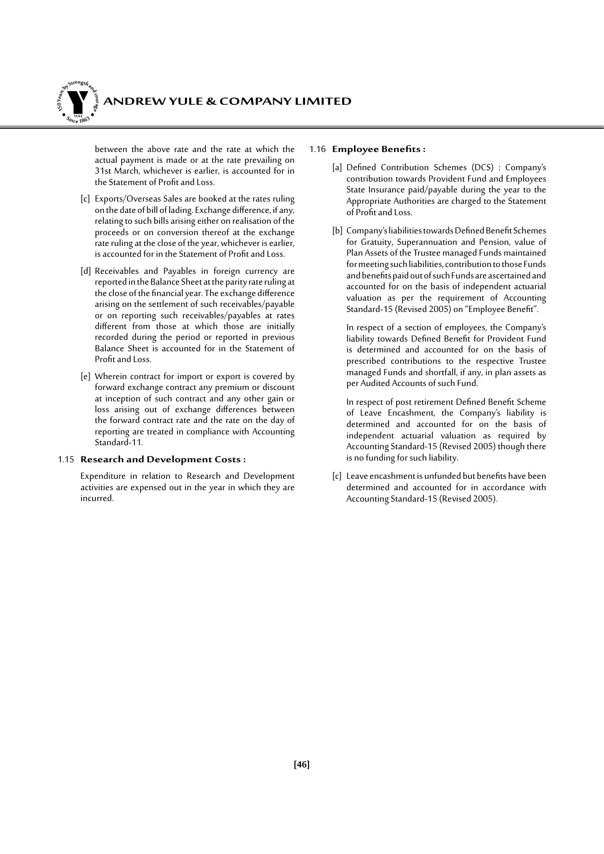

between the above rate and the rate at which the actual payment is made or at the rate prevailing on 31st March, whichever is earlier, is accounted for in the Statement of Profit and Loss.

- [c] Exports/Overseas Sales are booked at the rates ruling on the date of bill of lading. Exchange difference, if any, relating to such bills arising either on realisation of the proceeds or on conversion thereof at the exchange rate ruling at the close of the year, whichever is earlier, is accounted for in the Statement of Profit and Loss.
- [d] Receivables and Payables in foreign currency are reported in the Balance Sheet at the parity rate ruling at the close of the financial year. The exchange difference arising on the settlement of such receivables/payable or on reporting such receivables/payables at rates different from those at which those are initially recorded during the period or reported in previous Balance Sheet is accounted for in the Statement of Profit and Loss.
- [e] Wherein contract for import or export is covered by forward exchange contract any premium or discount at inception of such contract and any other gain or loss arising out of exchange differences between the forward contract rate and the rate on the day of reporting are treated in compliance with Accounting Standard-11.

#### 1.15 **Research and Development Costs :**

Expenditure in relation to Research and Development activities are expensed out in the year in which they are incurred.

#### 1.16 **Employee Benefits:**

- [a] Defined Contribution Schemes (DCS) : Company's contribution towards Provident Fund and Employees State Insurance paid/payable during the year to the Appropriate Authorities are charged to the Statement of Profit and Loss.
- [b] Company's liabilities towards Defined Benefit Schemes for Gratuity, Superannuation and Pension, value of Plan Assets of the Trustee managed Funds maintained for meeting such liabilities, contribution to those Funds and benefits paid out of such Funds are ascertained and accounted for on the basis of independent actuarial valuation as per the requirement of Accounting Standard-15 (Revised 2005) on "Employee Benefit".

 In respect of a section of employees, the Company's liability towards Defined Benefit for Provident Fund is determined and accounted for on the basis of prescribed contributions to the respective Trustee managed Funds and shortfall, if any, in plan assets as per Audited Accounts of such Fund.

In respect of post retirement Defined Benefit Scheme of Leave Encashment, the Company's liability is determined and accounted for on the basis of independent actuarial valuation as required by Accounting Standard-15 (Revised 2005) though there is no funding for such liability.

[c] Leave encashment is unfunded but benefits have been determined and accounted for in accordance with Accounting Standard-15 (Revised 2005).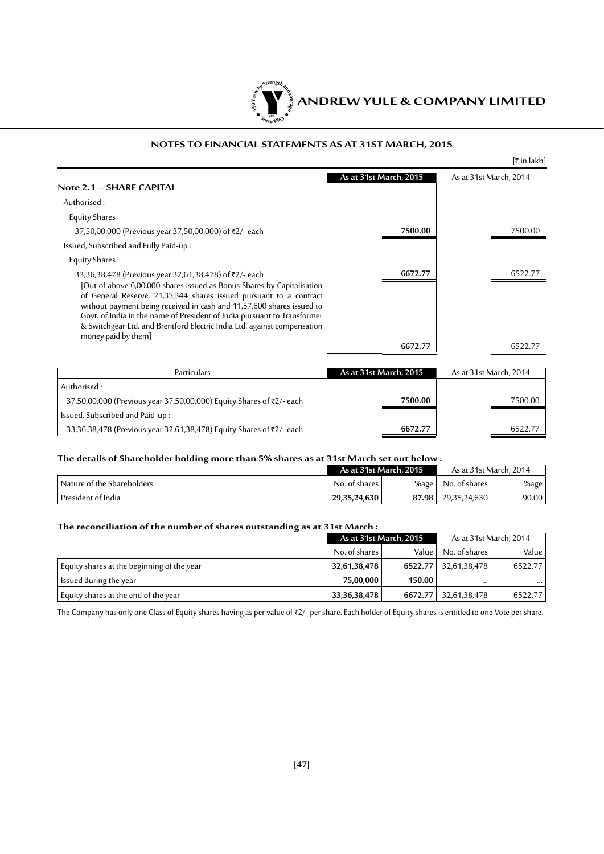

#### **NOTES TO FINANCIAL STATEMENTS AS AT 31ST MARCH, 2015**

|                                                                                                                                                                                                                                                                                                                                                                                                                                                                |                        | [₹ in lakh]            |
|----------------------------------------------------------------------------------------------------------------------------------------------------------------------------------------------------------------------------------------------------------------------------------------------------------------------------------------------------------------------------------------------------------------------------------------------------------------|------------------------|------------------------|
| Note 2.1 - SHARE CAPITAL                                                                                                                                                                                                                                                                                                                                                                                                                                       | As at 31st March, 2015 | As at 31st March, 2014 |
| Authorised:                                                                                                                                                                                                                                                                                                                                                                                                                                                    |                        |                        |
| <b>Equity Shares</b>                                                                                                                                                                                                                                                                                                                                                                                                                                           |                        |                        |
| 37,50,00,000 (Previous year 37,50,00,000) of ₹2/- each                                                                                                                                                                                                                                                                                                                                                                                                         | 7500.00                | 7500.00                |
| Issued, Subscribed and Fully Paid-up:                                                                                                                                                                                                                                                                                                                                                                                                                          |                        |                        |
| <b>Equity Shares</b>                                                                                                                                                                                                                                                                                                                                                                                                                                           |                        |                        |
| 33,36,38,478 (Previous year 32,61,38,478) of ₹2/- each<br>[Out of above 6,00,000 shares issued as Bonus Shares by Capitalisation<br>of General Reserve, 21,35,344 shares issued pursuant to a contract<br>without payment being received in cash and 11,57,600 shares issued to<br>Govt. of India in the name of President of India pursuant to Transformer<br>& Switchgear Ltd. and Brentford Electric India Ltd. against compensation<br>money paid by them] | 6672.77                | 6522.77                |
|                                                                                                                                                                                                                                                                                                                                                                                                                                                                | 6672.77                | 6522.77                |
| Particulars                                                                                                                                                                                                                                                                                                                                                                                                                                                    | As at 31st March, 2015 | As at 31st March, 2014 |

| Particulars                                                          | As at 31st March, 2015 | As at 31st March, 2014 |
|----------------------------------------------------------------------|------------------------|------------------------|
| Authorised :                                                         |                        |                        |
| 37,50,00,000 (Previous year 37,50,00,000) Equity Shares of ₹2/- each | 7500.00                | 7500.00                |
| Issued, Subscribed and Paid-up :                                     |                        |                        |
| 33,36,38,478 (Previous year 32,61,38,478) Equity Shares of ₹2/- each | 6672.77                | 6522.77                |

#### **The details of Shareholder holding more than 5% shares as at 31st March set out below :**

|                                 | As at 31st March, 2015 |          | As at 31st March, 2014 |       |
|---------------------------------|------------------------|----------|------------------------|-------|
| ' Nature of the Shareholders .  | No. of shares <b>J</b> | $\%$ age | No. of shares l        | %age  |
| <sup>1</sup> President of India | 29,35,24,630           | 87.98    | $\mid$ 29,35,24,630    | 90.00 |

#### **The reconciliation of the number of shares outstanding as at 31st March :**

|                                            | As at 31st March, 2015 |         | As at 31st March, 2014 |          |
|--------------------------------------------|------------------------|---------|------------------------|----------|
|                                            | No. of shares I        | Value   | No. of shares          | Value    |
| Equity shares at the beginning of the year | 32,61,38,478           | 6522.77 | 32,61,38,478           | 6522.77  |
| Issued during the year                     | 75.00.000              | 150.00  | $\cdots$               | $\cdots$ |
| Equity shares at the end of the year       | 33, 36, 38, 478        | 6672.77 | 32,61,38,478           | 6522.77  |

The Company has only one Class of Equity shares having as per value of ₹2/- per share. Each holder of Equity shares is entitled to one Vote per share.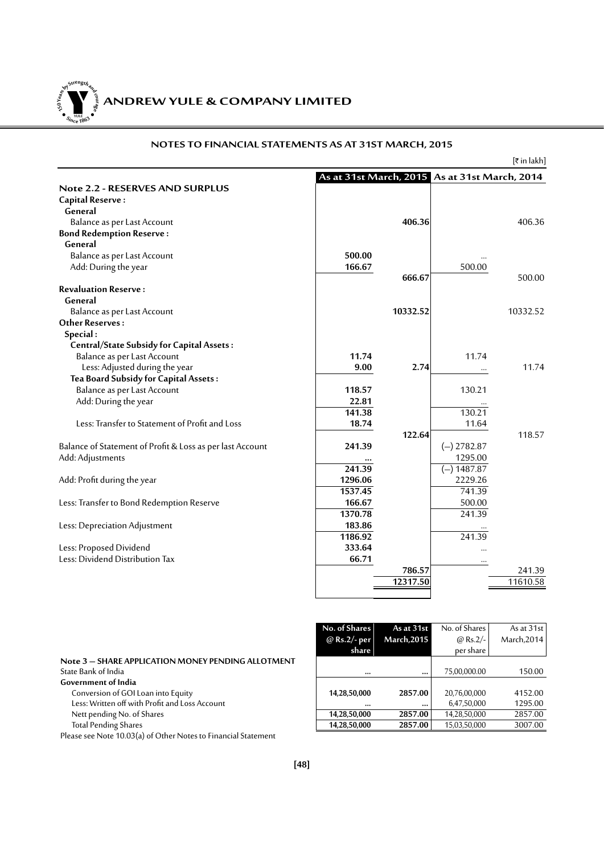**ANDREW YULE & COMPANY LIMITED 150Year<sup>s</sup>byStre<sup>n</sup>gthand<sup>c</sup>ou<sup>r</sup>age**  $\bullet$   $\frac{1}{\text{NICE}}$   $\bullet$   $\bullet$ 

#### **NOTES TO FINANCIAL STATEMENTS AS AT 31ST MARCH, 2015**

 $[\bar{\bar{\tau}}$  in lakh]

|                                                           | As at 31st March, 2015 As at 31st March, 2014 |          |               |          |
|-----------------------------------------------------------|-----------------------------------------------|----------|---------------|----------|
| <b>Note 2.2 - RESERVES AND SURPLUS</b>                    |                                               |          |               |          |
| <b>Capital Reserve:</b>                                   |                                               |          |               |          |
| General                                                   |                                               |          |               |          |
| Balance as per Last Account                               |                                               | 406.36   |               | 406.36   |
| <b>Bond Redemption Reserve:</b>                           |                                               |          |               |          |
| General                                                   |                                               |          |               |          |
| Balance as per Last Account                               | 500.00                                        |          |               |          |
| Add: During the year                                      | 166.67                                        |          | 500.00        |          |
|                                                           |                                               | 666.67   |               | 500.00   |
| <b>Revaluation Reserve:</b>                               |                                               |          |               |          |
| General                                                   |                                               |          |               |          |
| Balance as per Last Account                               |                                               | 10332.52 |               | 10332.52 |
| <b>Other Reserves:</b>                                    |                                               |          |               |          |
| Special:                                                  |                                               |          |               |          |
| <b>Central/State Subsidy for Capital Assets:</b>          |                                               |          |               |          |
| Balance as per Last Account                               | 11.74                                         |          | 11.74         |          |
| Less: Adjusted during the year                            | 9.00                                          | 2.74     | $\cdots$      | 11.74    |
| Tea Board Subsidy for Capital Assets:                     |                                               |          |               |          |
| Balance as per Last Account                               | 118.57                                        |          | 130.21        |          |
| Add: During the year                                      | 22.81                                         |          |               |          |
|                                                           | 141.38                                        |          | 130.21        |          |
| Less: Transfer to Statement of Profit and Loss            | 18.74                                         |          | 11.64         |          |
|                                                           |                                               | 122.64   |               | 118.57   |
| Balance of Statement of Profit & Loss as per last Account | 241.39                                        |          | $(-)$ 2782.87 |          |
| Add: Adjustments                                          |                                               |          | 1295.00       |          |
|                                                           | 241.39                                        |          | $(-) 1487.87$ |          |
| Add: Profit during the year                               | 1296.06                                       |          | 2229.26       |          |
|                                                           | 1537.45                                       |          | 741.39        |          |
| Less: Transfer to Bond Redemption Reserve                 | 166.67                                        |          | 500.00        |          |
|                                                           | 1370.78                                       |          | 241.39        |          |
| Less: Depreciation Adjustment                             | 183.86                                        |          |               |          |
|                                                           | 1186.92                                       |          | 241.39        |          |
| Less: Proposed Dividend                                   | 333.64                                        |          |               |          |
| Less: Dividend Distribution Tax                           | 66.71                                         |          | $\cdots$      |          |
|                                                           |                                               | 786.57   |               | 241.39   |
|                                                           |                                               | 12317.50 |               | 11610.58 |
|                                                           |                                               |          |               |          |

|                                                    | No. of Shares | As at 31st         | No. of Shares   | As at 31st  |
|----------------------------------------------------|---------------|--------------------|-----------------|-------------|
|                                                    | @ Rs.2/- per  | <b>March, 2015</b> | $\omega$ Rs.2/- | March, 2014 |
|                                                    | share         |                    | per share       |             |
| Note 3 - SHARE APPLICATION MONEY PENDING ALLOTMENT |               |                    |                 |             |
| State Bank of India                                | $\cdots$      |                    | 75,00,000.00    | 150.00      |
| Government of India                                |               |                    |                 |             |
| Conversion of GOI Loan into Equity                 | 14,28,50,000  | 2857.00            | 20,76,00,000    | 4152.00     |
| Less: Written off with Profit and Loss Account     | $$            |                    | 6,47,50,000     | 1295.00     |
| Nett pending No. of Shares                         | 14,28,50,000  | 2857.00            | 14,28,50,000    | 2857.00     |
| <b>Total Pending Shares</b>                        | 14,28,50,000  | 2857.00            | 15,03,50,000    | 3007.00     |
| $\cdot$ $\cdot$                                    |               |                    |                 |             |

| Note 3 - SHARE APPLICATION MONEY PENDING ALLOTMENT |
|----------------------------------------------------|
| State Bank of India                                |
| <b>Government of India</b>                         |
| Conversion of GOI Loan into Equity                 |
| Less: Written off with Profit and Loss Account     |
| Nett pending No. of Shares                         |

Please see Note 10.03(a) of Other Notes to Financial Statement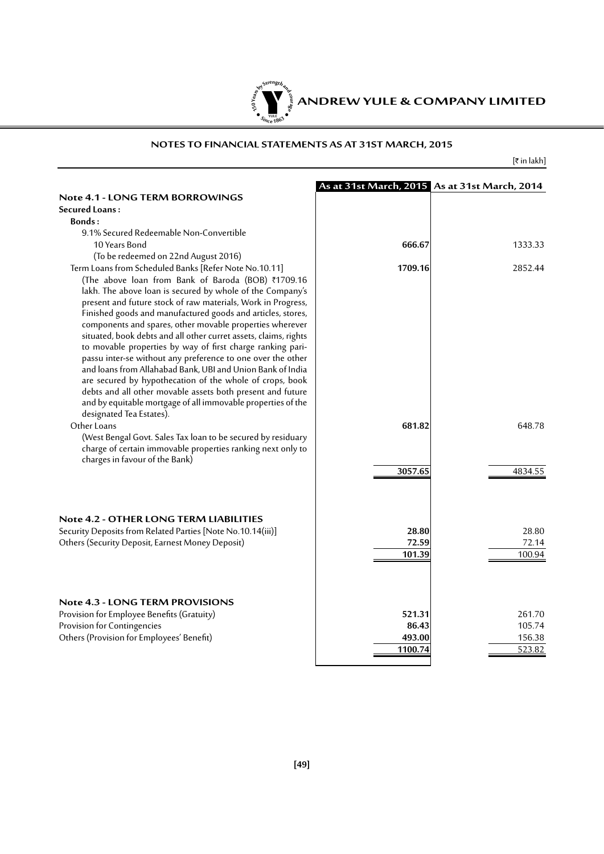

#### **NOTES TO FINANCIAL STATEMENTS AS AT 31ST MARCH, 2015**

 $[\bar{\mathfrak{k}}$  in lakh]

|                                                                                                                           |         | As at 31st March, 2015 As at 31st March, 2014 |
|---------------------------------------------------------------------------------------------------------------------------|---------|-----------------------------------------------|
| <b>Note 4.1 - LONG TERM BORROWINGS</b>                                                                                    |         |                                               |
| <b>Secured Loans:</b>                                                                                                     |         |                                               |
| Bonds:                                                                                                                    |         |                                               |
| 9.1% Secured Redeemable Non-Convertible                                                                                   |         |                                               |
| 10 Years Bond                                                                                                             | 666.67  | 1333.33                                       |
| (To be redeemed on 22nd August 2016)                                                                                      |         |                                               |
| Term Loans from Scheduled Banks [Refer Note No.10.11]                                                                     | 1709.16 | 2852.44                                       |
| (The above loan from Bank of Baroda (BOB) ₹1709.16                                                                        |         |                                               |
| lakh. The above loan is secured by whole of the Company's                                                                 |         |                                               |
| present and future stock of raw materials, Work in Progress,                                                              |         |                                               |
| Finished goods and manufactured goods and articles, stores,                                                               |         |                                               |
| components and spares, other movable properties wherever                                                                  |         |                                               |
| situated, book debts and all other curret assets, claims, rights                                                          |         |                                               |
| to movable properties by way of first charge ranking pari-                                                                |         |                                               |
| passu inter-se without any preference to one over the other<br>and loans from Allahabad Bank, UBI and Union Bank of India |         |                                               |
| are secured by hypothecation of the whole of crops, book                                                                  |         |                                               |
| debts and all other movable assets both present and future                                                                |         |                                               |
| and by equitable mortgage of all immovable properties of the                                                              |         |                                               |
| designated Tea Estates).                                                                                                  |         |                                               |
| Other Loans                                                                                                               | 681.82  | 648.78                                        |
| (West Bengal Govt. Sales Tax loan to be secured by residuary                                                              |         |                                               |
| charge of certain immovable properties ranking next only to                                                               |         |                                               |
| charges in favour of the Bank)                                                                                            |         |                                               |
|                                                                                                                           | 3057.65 | 4834.55                                       |
|                                                                                                                           |         |                                               |
|                                                                                                                           |         |                                               |
|                                                                                                                           |         |                                               |
| Note 4.2 - OTHER LONG TERM LIABILITIES                                                                                    |         |                                               |
| Security Deposits from Related Parties [Note No.10.14(iii)]                                                               | 28.80   | 28.80                                         |
| Others (Security Deposit, Earnest Money Deposit)                                                                          | 72.59   | 72.14                                         |
|                                                                                                                           | 101.39  | 100.94                                        |
|                                                                                                                           |         |                                               |
|                                                                                                                           |         |                                               |
|                                                                                                                           |         |                                               |
| <b>Note 4.3 - LONG TERM PROVISIONS</b>                                                                                    |         |                                               |
| Provision for Employee Benefits (Gratuity)                                                                                | 521.31  | 261.70                                        |
| Provision for Contingencies                                                                                               | 86.43   | 105.74                                        |
| Others (Provision for Employees' Benefit)                                                                                 | 493.00  | 156.38                                        |
|                                                                                                                           | 1100.74 | 523.82                                        |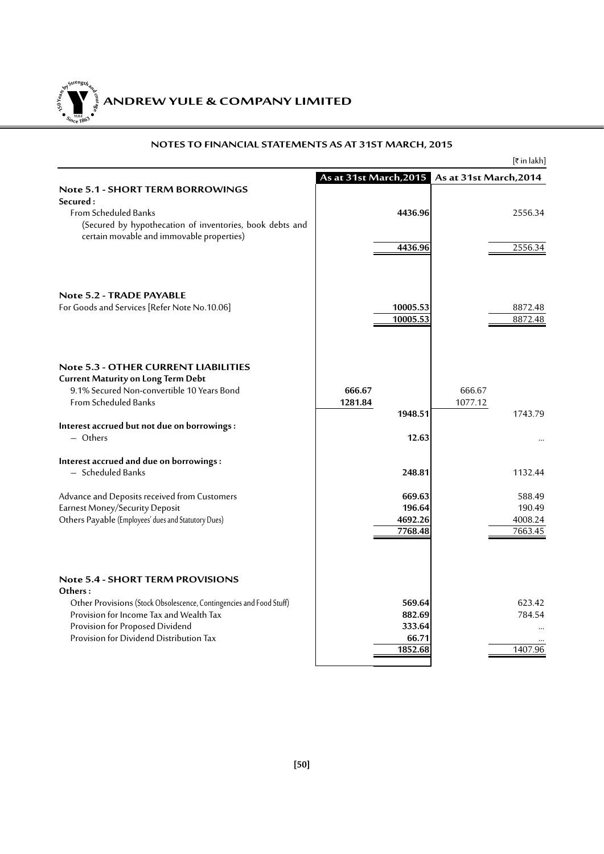**ANDREW YULE & COMPANY LIMITED 150Year<sup>s</sup>byStre<sup>n</sup>gthand<sup>c</sup>ou<sup>r</sup>age**  $\bullet$   $\frac{1}{\text{NICE}}$   $\bullet$   $\bullet$ 

|                                                                                                     |                    | हिं in lakh]                                  |
|-----------------------------------------------------------------------------------------------------|--------------------|-----------------------------------------------|
|                                                                                                     |                    | As at 31st March, 2015 As at 31st March, 2014 |
| <b>Note 5.1 - SHORT TERM BORROWINGS</b>                                                             |                    |                                               |
| Secured:<br><b>From Scheduled Banks</b><br>(Secured by hypothecation of inventories, book debts and | 4436.96            | 2556.34                                       |
| certain movable and immovable properties)                                                           | 4436.96            | 2556.34                                       |
|                                                                                                     |                    |                                               |
| Note 5.2 - TRADE PAYABLE<br>For Goods and Services [Refer Note No.10.06]                            | 10005.53           | 8872.48                                       |
|                                                                                                     | 10005.53           | 8872.48                                       |
|                                                                                                     |                    |                                               |
| <b>Note 5.3 - OTHER CURRENT LIABILITIES</b><br><b>Current Maturity on Long Term Debt</b>            |                    |                                               |
| 9.1% Secured Non-convertible 10 Years Bond                                                          | 666.67             | 666.67                                        |
| <b>From Scheduled Banks</b>                                                                         | 1281.84            | 1077.12                                       |
|                                                                                                     | 1948.51            | 1743.79                                       |
| Interest accrued but not due on borrowings :                                                        |                    |                                               |
| $-$ Others                                                                                          | 12.63              |                                               |
| Interest accrued and due on borrowings:                                                             |                    |                                               |
| - Scheduled Banks                                                                                   | 248.81             | 1132.44                                       |
| Advance and Deposits received from Customers                                                        | 669.63             | 588.49                                        |
| <b>Earnest Money/Security Deposit</b>                                                               | 196.64             | 190.49                                        |
| Others Payable (Employees' dues and Statutory Dues)                                                 | 4692.26<br>7768.48 | 4008.24<br>7663.45                            |
|                                                                                                     |                    |                                               |
| <b>Note 5.4 - SHORT TERM PROVISIONS</b><br>Others:                                                  |                    |                                               |
| Other Provisions (Stock Obsolescence, Contingencies and Food Stuff)                                 | 569.64             | 623.42                                        |
| Provision for Income Tax and Wealth Tax                                                             | 882.69             | 784.54                                        |
| Provision for Proposed Dividend                                                                     | 333.64             |                                               |
| Provision for Dividend Distribution Tax                                                             | 66.71<br>1852.68   |                                               |
|                                                                                                     |                    | 1407.96                                       |

#### **NOTES TO FINANCIAL STATEMENTS AS AT 31ST MARCH, 2015**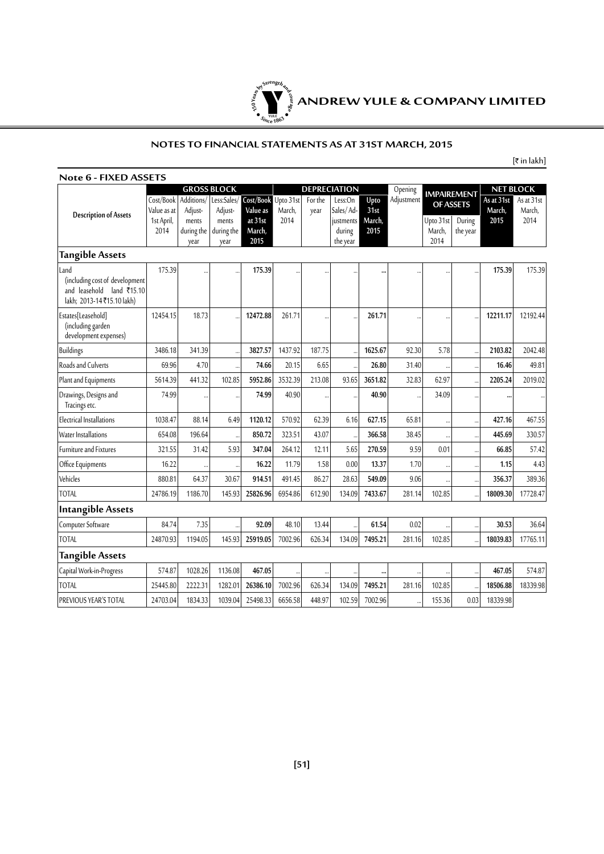

#### **NOTES TO FINANCIAL STATEMENTS AS AT 31ST MARCH, 2015**

 $[\bar{\mathfrak{k}}$  in lakh]

|                                                                                                  |                          |                             | <b>GROSS BLOCK</b>          |                           |                     |                 | <b>DEPRECIATION</b>             |                | Opening    | <b>NET BLOCK</b><br><b>IMPAIREMENT</b> |                    |                      |                      |
|--------------------------------------------------------------------------------------------------|--------------------------|-----------------------------|-----------------------------|---------------------------|---------------------|-----------------|---------------------------------|----------------|------------|----------------------------------------|--------------------|----------------------|----------------------|
|                                                                                                  | Cost/Book<br>Value as at | Additions/<br>Adjust-       | Less:Sales/<br>Adjust-      | Cost/Book<br>Value as     | Upto 31st<br>March, | For the<br>year | Less:On<br>Sales/Ad-            | Upto<br>31st   | Adjustment |                                        | OF ASSETS          | As at 31st<br>March, | As at 31st<br>March. |
| <b>Description of Assets</b>                                                                     | 1st April,<br>2014       | ments<br>during the<br>vear | ments<br>during the<br>year | at 31st<br>March,<br>2015 | 2014                |                 | justments<br>during<br>the year | March,<br>2015 |            | Upto 31st<br>March,<br>2014            | During<br>the year | 2015                 | 2014                 |
| <b>Tangible Assets</b>                                                                           |                          |                             |                             |                           |                     |                 |                                 |                |            |                                        |                    |                      |                      |
| Land<br>(including cost of development<br>and leasehold land ₹15.10<br>lakh; 2013-14₹15.10 lakh) | 175.39                   |                             |                             | 175.39                    |                     |                 |                                 |                |            |                                        |                    | 175.39               | 175.39               |
| Estates[Leasehold]<br>(including garden<br>development expenses)                                 | 12454.15                 | 18.73                       |                             | 12472.88                  | 261.71              |                 |                                 | 261.71         |            | $\ddot{\phantom{a}}$                   |                    | 12211.17             | 12192.44             |
| Buildings                                                                                        | 3486.18                  | 341.39                      |                             | 3827.57                   | 1437.92             | 187.75          |                                 | 1625.67        | 92.30      | 5.78                                   |                    | 2103.82              | 2042.48              |
| Roads and Culverts                                                                               | 69.96                    | 4.70                        |                             | 74.66                     | 20.15               | 6.65            |                                 | 26.80          | 31.40      |                                        |                    | 16.46                | 49.81                |
| Plant and Equipments                                                                             | 5614.39                  | 441.32                      | 102.85                      | 5952.86                   | 3532.39             | 213.08          | 93.65                           | 3651.82        | 32.83      | 62.97                                  |                    | 2205.24              | 2019.02              |
| Drawings, Designs and<br>Tracings etc.                                                           | 74.99                    |                             |                             | 74.99                     | 40.90               |                 |                                 | 40.90          |            | 34.09                                  |                    |                      |                      |
| <b>Electrical Installations</b>                                                                  | 1038.47                  | 88.14                       | 6.49                        | 1120.12                   | 570.92              | 62.39           | 6.16                            | 627.15         | 65.81      |                                        |                    | 427.16               | 467.55               |
| Water Installations                                                                              | 654.08                   | 196.64                      | $\ddot{\phantom{a}}$        | 850.72                    | 323.51              | 43.07           | $\ddot{\phantom{a}}$            | 366.58         | 38.45      |                                        |                    | 445.69               | 330.57               |
| <b>Furniture and Fixtures</b>                                                                    | 321.55                   | 31.42                       | 5.93                        | 347.04                    | 264.12              | 12.11           | 5.65                            | 270.59         | 9.59       | 0.01                                   |                    | 66.85                | 57.42                |
| Office Equipments                                                                                | 16.22                    |                             |                             | 16.22                     | 11.79               | 1.58            | 0.00                            | 13.37          | 1.70       |                                        |                    | 1.15                 | 4.43                 |
| Vehicles                                                                                         | 880.81                   | 64.37                       | 30.67                       | 914.51                    | 491.45              | 86.27           | 28.63                           | 549.09         | 9.06       |                                        |                    | 356.37               | 389.36               |
| <b>TOTAL</b>                                                                                     | 24786.19                 | 1186.70                     | 145.93                      | 25826.96                  | 6954.86             | 612.90          | 134.09                          | 7433.67        | 281.14     | 102.85                                 |                    | 18009.30             | 17728.47             |
| Intangible Assets                                                                                |                          |                             |                             |                           |                     |                 |                                 |                |            |                                        |                    |                      |                      |
| Computer Software                                                                                | 84.74                    | 7.35                        |                             | 92.09                     | 48.10               | 13.44           |                                 | 61.54          | 0.02       |                                        |                    | 30.53                | 36.64                |
| <b>TOTAL</b>                                                                                     | 24870.93                 | 1194.05                     | 145.93                      | 25919.05                  | 7002.96             | 626.34          | 134.09                          | 7495.21        | 281.16     | 102.85                                 |                    | 18039.83             | 17765.11             |
| <b>Tangible Assets</b>                                                                           |                          |                             |                             |                           |                     |                 |                                 |                |            |                                        |                    |                      |                      |
| Capital Work-in-Progress                                                                         | 574.87                   | 1028.26                     | 1136.08                     | 467.05                    |                     |                 |                                 |                |            |                                        |                    | 467.05               | 574.87               |
| <b>TOTAL</b>                                                                                     | 25445.80                 | 2222.31                     | 1282.01                     | 26386.10                  | 7002.96             | 626.34          | 134.09                          | 7495.21        | 281.16     | 102.85                                 |                    | 18506.88             | 18339.98             |
| PREVIOUS YEAR'S TOTAL                                                                            | 24703.04                 | 1834.33                     | 1039.04                     | 25498.33                  | 6656.58             | 448.97          | 102.59                          | 7002.96        |            | 155.36                                 | 0.03               | 18339.98             |                      |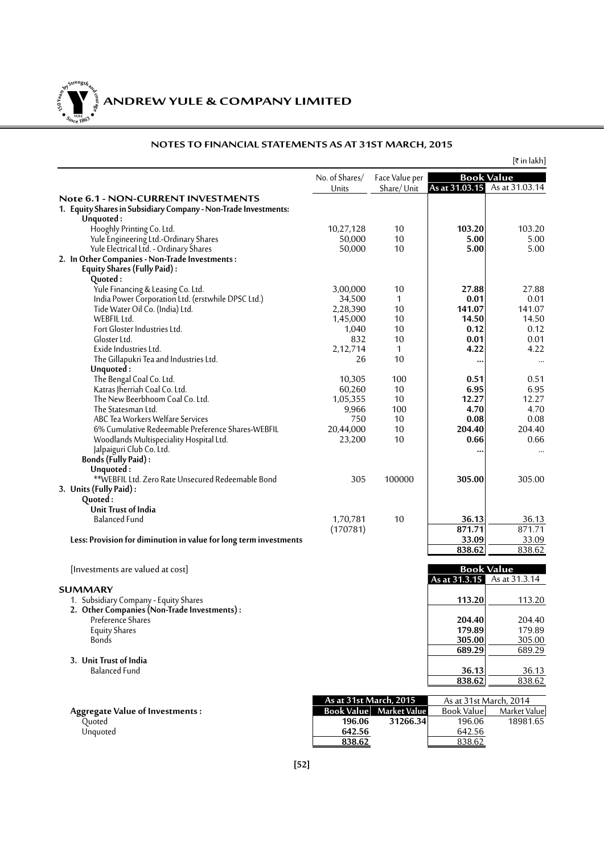**150Year<sup>s</sup>byStre<sup>n</sup>gthand<sup>c</sup>ou<sup>r</sup>age**  $\bullet$   $\frac{1}{\text{NICE}}$   $\bullet$   $\bullet$ 

|                                                                                              |                         |                              |                   | [₹ in lakh]                                        |
|----------------------------------------------------------------------------------------------|-------------------------|------------------------------|-------------------|----------------------------------------------------|
|                                                                                              | No. of Shares/<br>Units | Face Value per<br>Share/Unit |                   | <b>Book Value</b><br>As at 31.03.15 As at 31.03.14 |
| Note 6.1 - NON-CURRENT INVESTMENTS                                                           |                         |                              |                   |                                                    |
| 1. Equity Shares in Subsidiary Company - Non-Trade Investments:                              |                         |                              |                   |                                                    |
| Unquoted:                                                                                    | 10,27,128               | 10                           | 103.20            | 103.20                                             |
| Hooghly Printing Co. Ltd.<br>Yule Engineering Ltd.-Ordinary Shares                           | 50,000                  | 10                           | 5.00              | 5.00                                               |
| Yule Electrical Ltd. - Ordinary Shares                                                       | 50,000                  | 10                           | 5.00              | 5.00                                               |
| 2. In Other Companies - Non-Trade Investments:                                               |                         |                              |                   |                                                    |
| Equity Shares (Fully Paid):                                                                  |                         |                              |                   |                                                    |
| Quoted:                                                                                      |                         |                              |                   |                                                    |
| Yule Financing & Leasing Co. Ltd.                                                            | 3,00,000                | 10                           | 27.88             | 27.88                                              |
| India Power Corporation Ltd. (erstwhile DPSC Ltd.)                                           | 34,500                  | $\mathbf{1}$                 | 0.01              | 0.01                                               |
| Tide Water Oil Co. (India) Ltd.<br>WEBFIL Ltd.                                               | 2,28,390                | 10<br>10                     | 141.07            | 141.07<br>14.50                                    |
| Fort Gloster Industries Ltd.                                                                 | 1,45,000<br>1,040       | 10                           | 14.50<br>0.12     | 0.12                                               |
| Gloster Ltd.                                                                                 | 832                     | 10                           | 0.01              | 0.01                                               |
| Exide Industries Ltd.                                                                        | 2,12,714                | 1                            | 4.22              | 4.22                                               |
| The Gillapukri Tea and Industries Ltd.                                                       | 26                      | 10                           |                   | $\cdots$                                           |
| Unquoted:                                                                                    |                         |                              |                   |                                                    |
| The Bengal Coal Co. Ltd.                                                                     | 10,305                  | 100                          | 0.51              | 0.51                                               |
| Katras Jherriah Coal Co. Ltd.                                                                | 60,260                  | 10                           | 6.95              | 6.95                                               |
| The New Beerbhoom Coal Co. Ltd.                                                              | 1,05,355                | 10                           | 12.27             | 12.27                                              |
| The Statesman Ltd.                                                                           | 9,966                   | 100                          | 4.70              | 4.70                                               |
| ABC Tea Workers Welfare Services                                                             | 750                     | 10                           | 0.08              | 0.08                                               |
| 6% Cumulative Redeemable Preference Shares-WEBFIL<br>Woodlands Multispeciality Hospital Ltd. | 20,44,000<br>23,200     | 10<br>10                     | 204.40<br>0.66    | 204.40<br>0.66                                     |
| Jalpaiguri Club Co. Ltd.                                                                     |                         |                              |                   |                                                    |
| Bonds (Fully Paid):                                                                          |                         |                              |                   | $\cdots$                                           |
| Unquoted:                                                                                    |                         |                              |                   |                                                    |
| **WEBFIL Ltd. Zero Rate Unsecured Redeemable Bond                                            | 305                     | 100000                       | 305.00            | 305.00                                             |
| 3. Units (Fully Paid):                                                                       |                         |                              |                   |                                                    |
| Quoted:                                                                                      |                         |                              |                   |                                                    |
| Unit Trust of India                                                                          |                         |                              |                   |                                                    |
| <b>Balanced Fund</b>                                                                         | 1,70,781                | 10                           | 36.13<br>871.71   | 36.13<br>871.71                                    |
| Less: Provision for diminution in value for long term investments                            | (170781)                |                              | 33.09             | 33.09                                              |
|                                                                                              |                         |                              | 838.62            | 838.62                                             |
|                                                                                              |                         |                              |                   |                                                    |
| [Investments are valued at cost]                                                             |                         |                              |                   | <b>Book Value</b>                                  |
|                                                                                              |                         |                              |                   | As at 31.3.15 As at 31.3.14                        |
| <b>SUMMARY</b>                                                                               |                         |                              |                   |                                                    |
| 1. Subsidiary Company - Equity Shares                                                        |                         |                              | 113.20            | 113.20                                             |
| 2. Other Companies (Non-Trade Investments):<br>Preference Shares                             |                         |                              | 204.40            | 204.40                                             |
| <b>Equity Shares</b>                                                                         |                         |                              | 179.89            | 179.89                                             |
| Bonds                                                                                        |                         |                              | 305.00            | 305.00                                             |
|                                                                                              |                         |                              | 689.29            | 689.29                                             |
| 3. Unit Trust of India                                                                       |                         |                              |                   |                                                    |
| <b>Balanced Fund</b>                                                                         |                         |                              | 36.13             | 36.13                                              |
|                                                                                              |                         |                              | 838.62            | 838.62                                             |
|                                                                                              |                         | As at 31st March, 2015       |                   | As at 31st March, 2014                             |
| <b>Aggregate Value of Investments:</b>                                                       | <b>Book Value</b>       | <b>Market Value</b>          | <b>Book Value</b> | Market Value                                       |
| Quoted                                                                                       | 196.06                  | 31266.34                     | 196.06            | 18981.65                                           |
| Unquoted                                                                                     | 642.56                  |                              | 642.56            |                                                    |
|                                                                                              | 838.62                  |                              | 838.62            |                                                    |

#### **NOTES TO FINANCIAL STATEMENTS AS AT 31ST MARCH, 2015**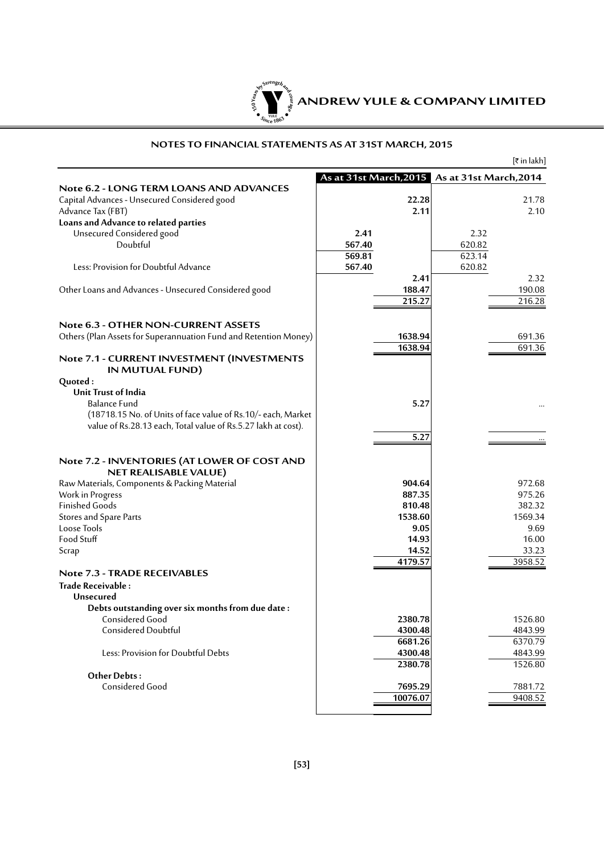

#### **NOTES TO FINANCIAL STATEMENTS AS AT 31ST MARCH, 2015**

|                                                                  |                                               |          |        | [₹ in lakh] |
|------------------------------------------------------------------|-----------------------------------------------|----------|--------|-------------|
|                                                                  | As at 31st March, 2015 As at 31st March, 2014 |          |        |             |
| <b>Note 6.2 - LONG TERM LOANS AND ADVANCES</b>                   |                                               |          |        |             |
| Capital Advances - Unsecured Considered good                     |                                               | 22.28    |        | 21.78       |
| Advance Tax (FBT)                                                |                                               | 2.11     |        | 2.10        |
| Loans and Advance to related parties                             |                                               |          |        |             |
| Unsecured Considered good                                        | 2.41                                          |          | 2.32   |             |
| Doubtful                                                         | 567.40                                        |          | 620.82 |             |
|                                                                  | 569.81                                        |          | 623.14 |             |
| Less: Provision for Doubtful Advance                             | 567.40                                        |          | 620.82 |             |
|                                                                  |                                               | 2.41     |        | 2.32        |
| Other Loans and Advances - Unsecured Considered good             |                                               | 188.47   |        | 190.08      |
|                                                                  |                                               | 215.27   |        | 216.28      |
|                                                                  |                                               |          |        |             |
| <b>Note 6.3 - OTHER NON-CURRENT ASSETS</b>                       |                                               |          |        |             |
| Others (Plan Assets for Superannuation Fund and Retention Money) |                                               | 1638.94  |        | 691.36      |
|                                                                  |                                               | 1638.94  |        | 691.36      |
| Note 7.1 - CURRENT INVESTMENT (INVESTMENTS<br>IN MUTUAL FUND)    |                                               |          |        |             |
| Quoted:                                                          |                                               |          |        |             |
| Unit Trust of India                                              |                                               |          |        |             |
| <b>Balance Fund</b>                                              |                                               | 5.27     |        |             |
| (18718.15 No. of Units of face value of Rs.10/- each, Market     |                                               |          |        |             |
| value of Rs.28.13 each, Total value of Rs.5.27 lakh at cost).    |                                               |          |        |             |
|                                                                  |                                               | 5.27     |        |             |
|                                                                  |                                               |          |        |             |
| Note 7.2 - INVENTORIES (AT LOWER OF COST AND                     |                                               |          |        |             |
| <b>NET REALISABLE VALUE)</b>                                     |                                               |          |        |             |
| Raw Materials, Components & Packing Material                     |                                               | 904.64   |        | 972.68      |
| Work in Progress                                                 |                                               | 887.35   |        | 975.26      |
| <b>Finished Goods</b>                                            |                                               | 810.48   |        | 382.32      |
| Stores and Spare Parts                                           |                                               | 1538.60  |        | 1569.34     |
| Loose Tools                                                      |                                               | 9.05     |        | 9.69        |
| Food Stuff                                                       |                                               | 14.93    |        | 16.00       |
| Scrap                                                            |                                               | 14.52    |        | 33.23       |
|                                                                  |                                               | 4179.57  |        | 3958.52     |
| Note 7.3 - TRADE RECEIVABLES                                     |                                               |          |        |             |
| Trade Receivable:                                                |                                               |          |        |             |
| Unsecured                                                        |                                               |          |        |             |
| Debts outstanding over six months from due date:                 |                                               |          |        |             |
| Considered Good                                                  |                                               | 2380.78  |        | 1526.80     |
| Considered Doubtful                                              |                                               | 4300.48  |        | 4843.99     |
|                                                                  |                                               | 6681.26  |        | 6370.79     |
| Less: Provision for Doubtful Debts                               |                                               | 4300.48  |        | 4843.99     |
|                                                                  |                                               | 2380.78  |        | 1526.80     |
| Other Debts:                                                     |                                               |          |        |             |
| Considered Good                                                  |                                               | 7695.29  |        | 7881.72     |
|                                                                  |                                               | 10076.07 |        | 9408.52     |
|                                                                  |                                               |          |        |             |
|                                                                  |                                               |          |        |             |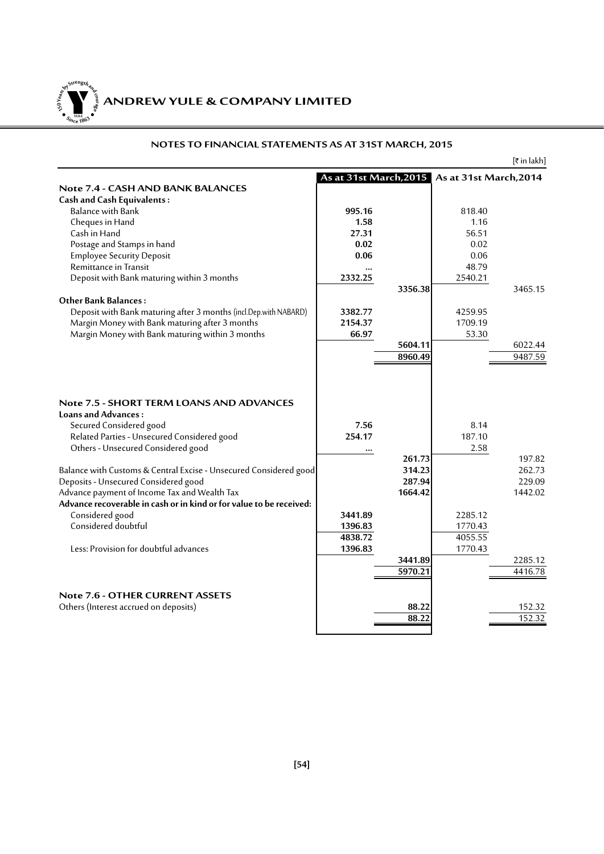**ANDREW YULE & COMPANY LIMITED 150Year<sup>s</sup>byStre<sup>n</sup>gthand<sup>c</sup>ou<sup>r</sup>age**  $\bullet$   $\frac{1}{\text{NICE}}$   $\bullet$   $\bullet$ 

#### **NOTES TO FINANCIAL STATEMENTS AS AT 31ST MARCH, 2015**

 $[\bar{\bar{\tau}}$  in lakh]

|                                                                                                                                                                                                                                                                                                                                                     | As at 31st March, 2015 As at 31st March, 2014 |                                       |                        |                                       |
|-----------------------------------------------------------------------------------------------------------------------------------------------------------------------------------------------------------------------------------------------------------------------------------------------------------------------------------------------------|-----------------------------------------------|---------------------------------------|------------------------|---------------------------------------|
| Note 7.4 - CASH AND BANK BALANCES                                                                                                                                                                                                                                                                                                                   |                                               |                                       |                        |                                       |
| <b>Cash and Cash Equivalents:</b>                                                                                                                                                                                                                                                                                                                   |                                               |                                       |                        |                                       |
| <b>Balance with Bank</b>                                                                                                                                                                                                                                                                                                                            | 995.16                                        |                                       | 818.40                 |                                       |
| Cheques in Hand                                                                                                                                                                                                                                                                                                                                     | 1.58                                          |                                       | 1.16                   |                                       |
| Cash in Hand                                                                                                                                                                                                                                                                                                                                        | 27.31                                         |                                       | 56.51                  |                                       |
| Postage and Stamps in hand                                                                                                                                                                                                                                                                                                                          | 0.02                                          |                                       | 0.02                   |                                       |
| <b>Employee Security Deposit</b>                                                                                                                                                                                                                                                                                                                    | 0.06                                          |                                       | 0.06                   |                                       |
| Remittance in Transit                                                                                                                                                                                                                                                                                                                               |                                               |                                       | 48.79                  |                                       |
| Deposit with Bank maturing within 3 months                                                                                                                                                                                                                                                                                                          | 2332.25                                       |                                       | 2540.21                |                                       |
|                                                                                                                                                                                                                                                                                                                                                     |                                               | 3356.38                               |                        | 3465.15                               |
| <b>Other Bank Balances:</b>                                                                                                                                                                                                                                                                                                                         |                                               |                                       |                        |                                       |
| Deposit with Bank maturing after 3 months (incl.Dep.with NABARD)                                                                                                                                                                                                                                                                                    | 3382.77                                       |                                       | 4259.95                |                                       |
| Margin Money with Bank maturing after 3 months                                                                                                                                                                                                                                                                                                      | 2154.37                                       |                                       | 1709.19                |                                       |
| Margin Money with Bank maturing within 3 months                                                                                                                                                                                                                                                                                                     | 66.97                                         |                                       | 53.30                  |                                       |
|                                                                                                                                                                                                                                                                                                                                                     |                                               | 5604.11                               |                        | 6022.44                               |
|                                                                                                                                                                                                                                                                                                                                                     |                                               | 8960.49                               |                        | 9487.59                               |
|                                                                                                                                                                                                                                                                                                                                                     |                                               |                                       |                        |                                       |
| <b>Note 7.5 - SHORT TERM LOANS AND ADVANCES</b><br>Loans and Advances:<br>Secured Considered good<br>Related Parties - Unsecured Considered good<br>Others - Unsecured Considered good<br>Balance with Customs & Central Excise - Unsecured Considered good<br>Deposits - Unsecured Considered good<br>Advance payment of Income Tax and Wealth Tax | 7.56<br>254.17<br>                            | 261.73<br>314.23<br>287.94<br>1664.42 | 8.14<br>187.10<br>2.58 | 197.82<br>262.73<br>229.09<br>1442.02 |
| Advance recoverable in cash or in kind or for value to be received:                                                                                                                                                                                                                                                                                 |                                               |                                       |                        |                                       |
| Considered good                                                                                                                                                                                                                                                                                                                                     | 3441.89                                       |                                       | 2285.12                |                                       |
| Considered doubtful                                                                                                                                                                                                                                                                                                                                 | 1396.83                                       |                                       | 1770.43                |                                       |
|                                                                                                                                                                                                                                                                                                                                                     | 4838.72                                       |                                       | 4055.55                |                                       |
| Less: Provision for doubtful advances                                                                                                                                                                                                                                                                                                               | 1396.83                                       |                                       | 1770.43                |                                       |
|                                                                                                                                                                                                                                                                                                                                                     |                                               | 3441.89                               |                        | 2285.12                               |
|                                                                                                                                                                                                                                                                                                                                                     |                                               | 5970.21                               |                        | 4416.78                               |
|                                                                                                                                                                                                                                                                                                                                                     |                                               |                                       |                        |                                       |
| <b>Note 7.6 - OTHER CURRENT ASSETS</b>                                                                                                                                                                                                                                                                                                              |                                               |                                       |                        |                                       |
| Others (Interest accrued on deposits)                                                                                                                                                                                                                                                                                                               |                                               | 88.22                                 |                        | 152.32                                |
|                                                                                                                                                                                                                                                                                                                                                     |                                               | 88.22                                 |                        | 152.32                                |
|                                                                                                                                                                                                                                                                                                                                                     |                                               |                                       |                        |                                       |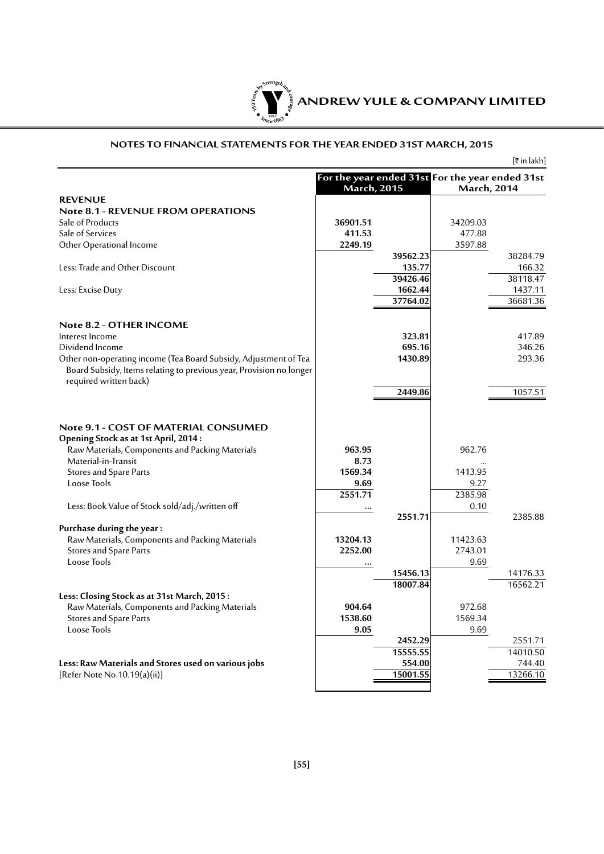

#### **NOTES TO FINANCIAL STATEMENTS FOR THE YEAR ENDED 31ST MARCH, 2015**

|                                                                              |                                                                       |          |                    | [₹ in lakh] |
|------------------------------------------------------------------------------|-----------------------------------------------------------------------|----------|--------------------|-------------|
|                                                                              | For the year ended 31st For the year ended 31st<br><b>March, 2015</b> |          | <b>March, 2014</b> |             |
| <b>REVENUE</b>                                                               |                                                                       |          |                    |             |
| <b>Note 8.1 - REVENUE FROM OPERATIONS</b>                                    |                                                                       |          |                    |             |
| Sale of Products                                                             | 36901.51                                                              |          | 34209.03           |             |
| Sale of Services                                                             | 411.53                                                                |          | 477.88             |             |
| Other Operational Income                                                     | 2249.19                                                               |          | 3597.88            |             |
|                                                                              |                                                                       | 39562.23 |                    | 38284.79    |
| Less: Trade and Other Discount                                               |                                                                       | 135.77   |                    | 166.32      |
|                                                                              |                                                                       | 39426.46 |                    | 38118.47    |
| Less: Excise Duty                                                            |                                                                       | 1662.44  |                    | 1437.11     |
|                                                                              |                                                                       | 37764.02 |                    | 36681.36    |
| Note 8.2 - OTHER INCOME                                                      |                                                                       |          |                    |             |
| Interest Income                                                              |                                                                       | 323.81   |                    | 417.89      |
| Dividend Income                                                              |                                                                       | 695.16   |                    | 346.26      |
| Other non-operating income (Tea Board Subsidy, Adjustment of Tea             |                                                                       | 1430.89  |                    | 293.36      |
| Board Subsidy, Items relating to previous year, Provision no longer          |                                                                       |          |                    |             |
| required written back)                                                       |                                                                       |          |                    |             |
|                                                                              |                                                                       | 2449.86  |                    | 1057.51     |
| Note 9.1 - COST OF MATERIAL CONSUMED<br>Opening Stock as at 1st April, 2014: |                                                                       |          |                    |             |
| Raw Materials, Components and Packing Materials                              | 963.95                                                                |          | 962.76             |             |
| Material-in-Transit                                                          | 8.73                                                                  |          |                    |             |
| Stores and Spare Parts                                                       | 1569.34                                                               |          | 1413.95            |             |
| Loose Tools                                                                  | 9.69                                                                  |          | 9.27               |             |
|                                                                              | 2551.71                                                               |          | 2385.98            |             |
| Less: Book Value of Stock sold/adj./written off                              |                                                                       |          | 0.10               |             |
|                                                                              |                                                                       | 2551.71  |                    | 2385.88     |
| Purchase during the year:                                                    |                                                                       |          |                    |             |
| Raw Materials, Components and Packing Materials                              | 13204.13                                                              |          | 11423.63           |             |
| Stores and Spare Parts<br>Loose Tools                                        | 2252.00                                                               |          | 2743.01<br>9.69    |             |
|                                                                              |                                                                       | 15456.13 |                    | 14176.33    |
|                                                                              |                                                                       | 18007.84 |                    | 16562.21    |
| Less: Closing Stock as at 31st March, 2015:                                  |                                                                       |          |                    |             |
| Raw Materials, Components and Packing Materials                              | 904.64                                                                |          | 972.68             |             |
| Stores and Spare Parts                                                       | 1538.60                                                               |          | 1569.34            |             |
| Loose Tools                                                                  | 9.05                                                                  |          | 9.69               |             |
|                                                                              |                                                                       | 2452.29  |                    | 2551.71     |
|                                                                              |                                                                       | 15555.55 |                    | 14010.50    |
| Less: Raw Materials and Stores used on various jobs                          |                                                                       | 554.00   |                    | 744.40      |
| [Refer Note No.10.19(a)(ii)]                                                 |                                                                       | 15001.55 |                    | 13266.10    |
|                                                                              |                                                                       |          |                    |             |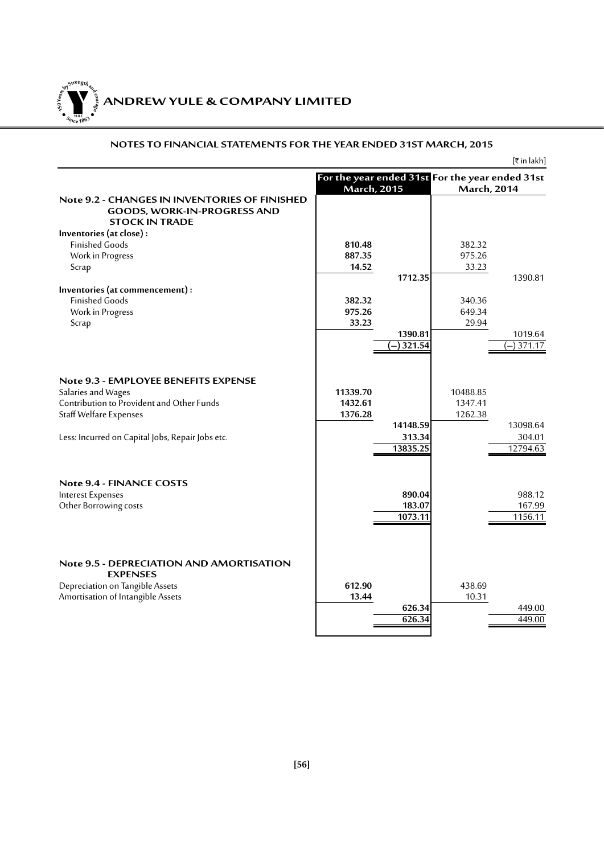**ANDREW YULE & COMPANY LIMITED 150Year<sup>s</sup>byStre<sup>n</sup>gthand<sup>c</sup>ou<sup>r</sup>age**  $\bullet$   $\frac{1}{\text{NICE}}$   $\bullet$   $\bullet$ 

#### **NOTES TO FINANCIAL STATEMENTS FOR THE YEAR ENDED 31ST MARCH, 2015**

 $[\bar{\tau}$  in lakh] **For the year ended 31st For the year ended 31st March, 2015 March, 2014 Note 9.2 - Changesin Inventories of Finished Goods, Work-in-Progress and Stock in Trade Inventories (at close) :** Finished Goods **810.48** 382.32 Work in Progress **887.35** 975.26<br>
Scrap 33.23 975.26 Scrap **14.52** 33.23 **1712.35** 1390.81 **Inventories (at commencement) :** Finished Goods **382.32** 340.36 Work in Progress **975.26** 649.34 **33.23** 29.94 **1390.81**<br>**1321.54**<br>**1019.64**<br>**1019.64**<br>**1017.17 (-)** 321.54 **Note 9.3 - Employee Benefits Expense** Salaries and Wages **11339.70** 11339.70 10488.85<br>Contribution to Provident and Other Funds **1432.61** 1432.61 1347.41 Contribution to Provident and Other Funds<br>
Staff Welfare Expenses **1262.38** 1376.28 1262.38 **Staff Welfare Expenses 14148.59** 13098.64<br>**13098.64 1303.34 1304.01** Less: Incurred on Capital Jobs, Repair Jobs etc. **313.34** 304.01<br>12794.63 **13835.25** 12794.63 **Note 9.4 - FINANCE COSTS**<br>Interest Expenses **Interest Expenses 890.04** 988.12 Other Borrowing costs **183.07** 167.99 **1073.11 Note 9.5 - Depreciation and Amortisation EX** Depreciation on Tangible Assets **612.90** 438.69 Amortisation of Intangible Assets **13.44** 10.31 **626.34** 449.00<br>**626.34** 449.00  $626.34$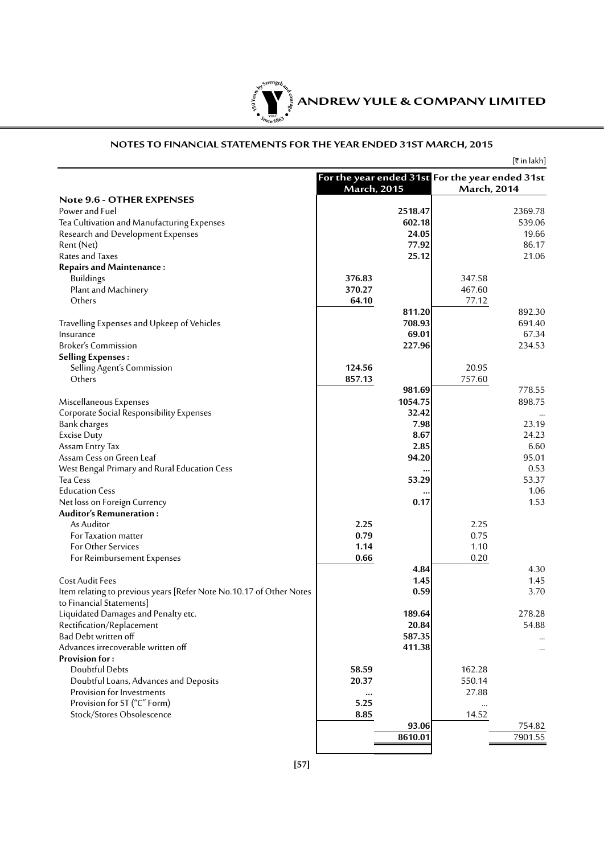

#### **NOTES TO FINANCIAL STATEMENTS FOR THE YEAR ENDED 31ST MARCH, 2015**

|                                                                     |                                                                       |         |                    | [₹ in lakh] |
|---------------------------------------------------------------------|-----------------------------------------------------------------------|---------|--------------------|-------------|
|                                                                     | For the year ended 31st For the year ended 31st<br><b>March, 2015</b> |         | <b>March, 2014</b> |             |
| Note 9.6 - OTHER EXPENSES                                           |                                                                       |         |                    |             |
| Power and Fuel                                                      |                                                                       | 2518.47 |                    | 2369.78     |
| Tea Cultivation and Manufacturing Expenses                          |                                                                       | 602.18  |                    | 539.06      |
| Research and Development Expenses                                   |                                                                       | 24.05   |                    | 19.66       |
| Rent (Net)                                                          |                                                                       | 77.92   |                    | 86.17       |
| Rates and Taxes                                                     |                                                                       | 25.12   |                    | 21.06       |
| <b>Repairs and Maintenance:</b>                                     |                                                                       |         |                    |             |
| <b>Buildings</b>                                                    | 376.83                                                                |         | 347.58             |             |
| Plant and Machinery                                                 | 370.27                                                                |         | 467.60             |             |
| Others                                                              | 64.10                                                                 |         | 77.12              |             |
|                                                                     |                                                                       | 811.20  |                    | 892.30      |
| Travelling Expenses and Upkeep of Vehicles                          |                                                                       | 708.93  |                    | 691.40      |
| Insurance                                                           |                                                                       | 69.01   |                    | 67.34       |
| <b>Broker's Commission</b>                                          |                                                                       | 227.96  |                    | 234.53      |
| <b>Selling Expenses:</b>                                            |                                                                       |         |                    |             |
| Selling Agent's Commission                                          | 124.56                                                                |         | 20.95              |             |
| Others                                                              | 857.13                                                                |         | 757.60             |             |
|                                                                     |                                                                       | 981.69  |                    | 778.55      |
| Miscellaneous Expenses                                              |                                                                       | 1054.75 |                    | 898.75      |
| Corporate Social Responsibility Expenses                            |                                                                       | 32.42   |                    |             |
| <b>Bank</b> charges                                                 |                                                                       | 7.98    |                    | 23.19       |
| <b>Excise Duty</b>                                                  |                                                                       | 8.67    |                    | 24.23       |
| Assam Entry Tax                                                     |                                                                       | 2.85    |                    | 6.60        |
| Assam Cess on Green Leaf                                            |                                                                       | 94.20   |                    | 95.01       |
| West Bengal Primary and Rural Education Cess                        |                                                                       |         |                    | 0.53        |
| Tea Cess                                                            |                                                                       | 53.29   |                    | 53.37       |
| <b>Education Cess</b>                                               |                                                                       |         |                    | 1.06        |
| Net loss on Foreign Currency                                        |                                                                       | 0.17    |                    | 1.53        |
| <b>Auditor's Remuneration:</b>                                      |                                                                       |         |                    |             |
| As Auditor                                                          | 2.25                                                                  |         | 2.25               |             |
| For Taxation matter                                                 | 0.79                                                                  |         | 0.75               |             |
| <b>For Other Services</b>                                           | 1.14                                                                  |         | 1.10               |             |
| For Reimbursement Expenses                                          | 0.66                                                                  |         | 0.20               |             |
|                                                                     |                                                                       | 4.84    |                    | 4.30        |
| <b>Cost Audit Fees</b>                                              |                                                                       | 1.45    |                    | 1.45        |
| Item relating to previous years [Refer Note No.10.17 of Other Notes |                                                                       | 0.59    |                    | 3.70        |
| to Financial Statements]                                            |                                                                       |         |                    |             |
| Liquidated Damages and Penalty etc.                                 |                                                                       | 189.64  |                    | 278.28      |
| Rectification/Replacement                                           |                                                                       | 20.84   |                    | 54.88       |
| Bad Debt written off                                                |                                                                       | 587.35  |                    |             |
| Advances irrecoverable written off                                  |                                                                       | 411.38  |                    |             |
| <b>Provision for:</b>                                               |                                                                       |         |                    | $\cdots$    |
| Doubtful Debts                                                      | 58.59                                                                 |         |                    |             |
|                                                                     | 20.37                                                                 |         | 162.28             |             |
| Doubtful Loans, Advances and Deposits                               |                                                                       |         | 550.14             |             |
| Provision for Investments<br>Provision for ST ("C" Form)            | $\cdots$                                                              |         | 27.88              |             |
|                                                                     | 5.25                                                                  |         |                    |             |
| Stock/Stores Obsolescence                                           | 8.85                                                                  |         | 14.52              |             |
|                                                                     |                                                                       | 93.06   |                    | 754.82      |
|                                                                     |                                                                       | 8610.01 |                    | 7901.55     |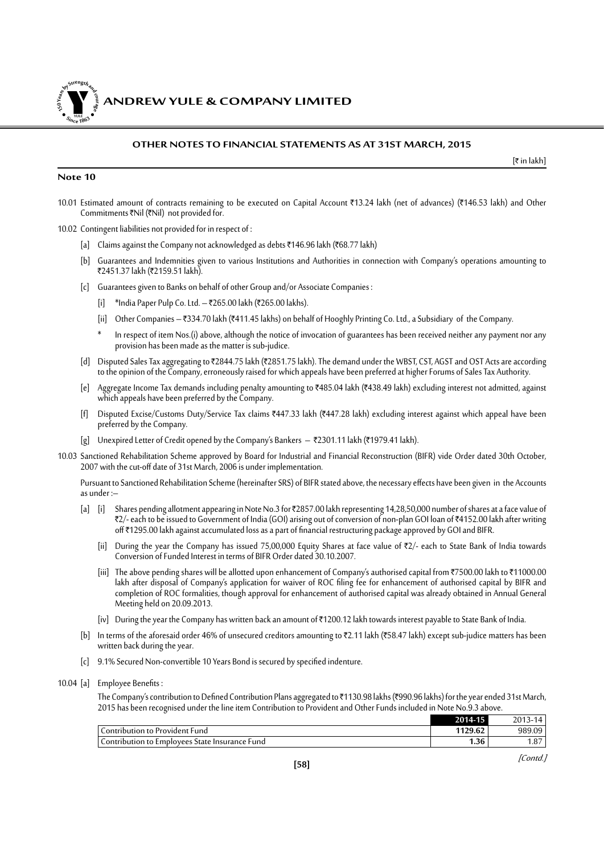*ANDREW YULE & COMPANY LIMITED* 

#### **OTHER NOTES TO FINANCIAL STATEMENTS AS AT 31ST MARCH, 2015**

#### **Note 10**

**150Year<sup>s</sup>byStre<sup>n</sup>gthand<sup>c</sup>ou<sup>r</sup>age**

**<sup>S</sup>inc<sup>e</sup> <sup>1</sup>86<sup>3</sup>**  $\bullet$ . When  $\bullet$ 

- 10.01 Estimated amount of contracts remaining to be executed on Capital Account ₹13.24 lakh (net of advances) (₹146.53 lakh) and Other Commitments  $\bar{\tau}$ Nil ( $\bar{\tau}$ Nil) not provided for.
- 10.02 Contingent liabilities not provided for in respect of :
	- [a] Claims against the Company not acknowledged as debts ₹146.96 lakh (₹68.77 lakh)
	- [b] Guarantees and Indemnities given to various Institutions and Authorities in connection with Company's operations amounting to ₹2451.37 lakh (₹2159.51 lakh).
	- [c] Guarantees given to Banks on behalf of other Group and/or Associate Companies :
		- [i] \*India Paper Pulp Co. Ltd. ₹265.00 lakh (₹265.00 lakhs).
		- [ii] Other Companies ₹334.70 lakh (₹411.45 lakhs) on behalf of Hooghly Printing Co. Ltd., a Subsidiary of the Company.
		- In respect of item Nos.(i) above, although the notice of invocation of guarantees has been received neither any payment nor any provision has been made as the matter is sub-judice.
	- [d] Disputed Sales Tax aggregating to ₹2844.75 lakh (₹2851.75 lakh). The demand under the WBST, CST, AGST and OST Acts are according to the opinion of the Company, erroneously raised for which appeals have been preferred at higher Forums of Sales Tax Authority.
	- [e] Aggregate Income Tax demands including penalty amounting to `485.04 lakh (`438.49 lakh) excluding interest not admitted, against which appeals have been preferred by the Company.
	- [f] Disputed Excise/Customs Duty/Service Tax claims ₹447.33 lakh (₹447.28 lakh) excluding interest against which appeal have been preferred by the Company.
	- $[g]$  Unexpired Letter of Credit opened by the Company's Bankers  $-$  ₹2301.11 lakh (₹1979.41 lakh).
- 10.03 Sanctioned Rehabilitation Scheme approved by Board for Industrial and Financial Reconstruction (BIFR) vide Order dated 30th October, 2007 with the cut-off date of 31st March, 2006 is under implementation.

Pursuant to Sanctioned Rehabilitation Scheme (hereinafter SRS) of BIFR stated above, the necessary effects have been given in the Accounts as under :–

- [a] [i] Shares pending allotment appearing in Note No.3 for ₹2857.00 lakh representing 14,28,50,000 number of shares at a face value of ₹2/- each to be issued to Government of India (GOI) arising out of conversion of non-plan GOI loan of ₹4152.00 lakh after writing off `1295.00 lakh against accumulated loss as a part of financial restructuring package approved by GOI and BIFR.
	- [ii] During the year the Company has issued 75,00,000 Equity Shares at face value of  $\overline{\tau}2/-$  each to State Bank of India towards Conversion of Funded Interest in terms of BIFR Order dated 30.10.2007.
	- [iii] The above pending shares will be allotted upon enhancement of Company's authorised capital from ₹7500.00 lakh to ₹11000.00 lakh after disposal of Company's application for waiver of ROC filing fee for enhancement of authorised capital by BIFR and completion of ROC formalities, though approval for enhancement of authorised capital was already obtained in Annual General Meeting held on 20.09.2013.
	- [iv] During the year the Company has written back an amount of `1200.12 lakh towards interest payable to State Bank of India.
- [b] In terms of the aforesaid order 46% of unsecured creditors amounting to ₹2.11 lakh (₹58.47 lakh) except sub-judice matters has been written back during the year.
- [c] 9.1% Secured Non-convertible 10 Years Bond is secured by specified indenture.

#### 10.04 [a] Employee Benefits :

The Company's contribution to Defined Contribution Plans aggregated to ₹1130.98 lakhs (₹990.96 lakhs) for the year ended 31st March, 2015 has been recognised under the line item Contribution to Provident and Other Funds included in Note No.9.3 above.

|                                                | 2014-15 | 2013-<br>3-14 |
|------------------------------------------------|---------|---------------|
| Contribution to Provident Fund                 | 1129.62 | 989.09        |
| Contribution to Employees State Insurance Fund | 1.36    | .87           |

 $[\bar{\tau}$  in lakh]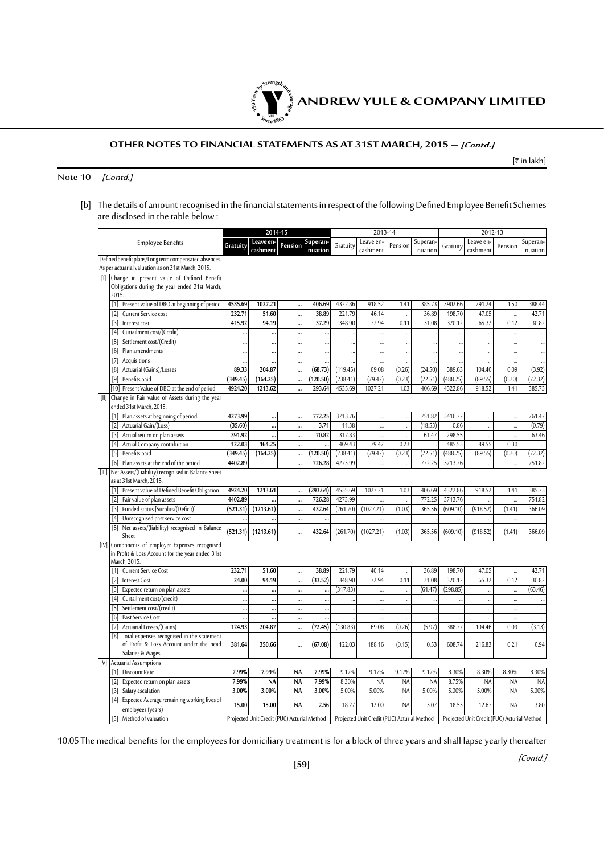

#### **OTHER NOTES TO FINANCIAL STATEMENTS AS AT 31ST MARCH, 2015 – [Contd.]**

 $[\bar{\tau}$  in lakh]

Note  $10 -$  [Contd.]

[b] The details of amount recognised in the financial statements in respect of the following Defined Employee Benefit Schemes are disclosed in the table below :

|                   |                                                                     |           | 2014-15                                     |                      |                                  | 2013-14              |                                             |                                |                      |                      | 2012-13                                      |                        |                     |  |
|-------------------|---------------------------------------------------------------------|-----------|---------------------------------------------|----------------------|----------------------------------|----------------------|---------------------------------------------|--------------------------------|----------------------|----------------------|----------------------------------------------|------------------------|---------------------|--|
|                   | <b>Employee Benefits</b>                                            | Gratuity  | Leave en-<br>cashment                       | Pension              | Superan-<br>nuation              | Gratuity             | Leave en-<br>cashment                       | Pension                        | Superan-<br>nuation  | Gratuity             | Leave en-<br>cashment                        | Pension                | Superan-<br>nuation |  |
|                   | Defined benefit plans/Long term compensated absences.               |           |                                             |                      |                                  |                      |                                             |                                |                      |                      |                                              |                        |                     |  |
|                   | As per actuarial valuation as on 31st March, 2015.                  |           |                                             |                      |                                  |                      |                                             |                                |                      |                      |                                              |                        |                     |  |
|                   | Change in present value of Defined Benefit                          |           |                                             |                      |                                  |                      |                                             |                                |                      |                      |                                              |                        |                     |  |
|                   | Obligations during the year ended 31st March,                       |           |                                             |                      |                                  |                      |                                             |                                |                      |                      |                                              |                        |                     |  |
| 2015.             |                                                                     |           |                                             |                      |                                  |                      |                                             |                                |                      |                      |                                              |                        |                     |  |
| $\lceil 1 \rceil$ | Present value of DBO at beginning of period                         | 4535.69   | 1027.21                                     |                      | 406.69                           | 4322.86              | 918.52                                      | 1.41                           | 385.73               | 3902.66              | 791.24                                       | 1.50                   | 388.44              |  |
| $\lceil 2 \rceil$ | Current Service cost                                                | 232.71    | 51.60                                       |                      | 38.89                            | 221.79               | 46.14                                       |                                | 36.89                | 198.70               | 47.05                                        |                        | 42.71               |  |
| $[3]$             | Interest cost                                                       | 415.92    | 94.19                                       | $\ddot{\cdot}$       | 37.29                            | 348.90               | 72.94                                       | 0.11                           | 31.08                | 320.12               | 65.32                                        | 0.12                   | 30.82               |  |
| $[4]$             | Curtailment cost/(Credit)                                           |           | $\ddot{\phantom{a}}$                        |                      | $\ddot{\phantom{a}}$             |                      |                                             |                                |                      |                      |                                              |                        |                     |  |
| $[5]$             | Settlement cost/(Credit)                                            |           | $\ddotsc$                                   | $\ddotsc$            | $\ddot{\phantom{0}}$             | ă.                   | $\ddot{\phantom{0}}$                        | $\ddot{\phantom{0}}$           | ă,                   | $\ddotsc$            |                                              |                        |                     |  |
| [6]               | Plan amendments                                                     |           |                                             |                      |                                  |                      | $\ddot{\phantom{a}}$                        | $\ddot{\phantom{a}}$           | $\ddot{\phantom{a}}$ |                      |                                              |                        |                     |  |
| $[7]$             | Acquisitions                                                        | <br>89.33 |                                             |                      | $\ddot{\phantom{a}}$             |                      | 69.08                                       | $\ddot{\phantom{a}}$<br>(0.26) |                      |                      | $\ddot{\phantom{a}}$                         | 0.09                   | (3.92)              |  |
| [8]               | Actuarial (Gains)/Losses                                            | (349.45)  | 204.87<br>(164.25)                          | $\ddot{\phantom{0}}$ | (68.73)<br>(120.50)              | (119.45)<br>(238.41) | (79.47)                                     | (0.23)                         | (24.50)<br>(22.51)   | 389.63<br>(488.25)   | 104.46<br>(89.55)                            | (0.30)                 | (72.32)             |  |
|                   | [9] Benefits paid<br>[10] Present Value of DBO at the end of period | 4924.20   | 1213.62                                     |                      | 293.64                           | 4535.69              | 1027.21                                     | 1.03                           | 406.69               | 4322.86              | 918.52                                       | 1.41                   | 385.73              |  |
| $[11]$            | Change in Fair value of Assets during the year                      |           |                                             |                      |                                  |                      |                                             |                                |                      |                      |                                              |                        |                     |  |
|                   | ended 31st March, 2015.                                             |           |                                             |                      |                                  |                      |                                             |                                |                      |                      |                                              |                        |                     |  |
| $\lceil 1 \rceil$ | Plan assets at beginning of period                                  | 4273.99   |                                             |                      | 772.25                           | 3713.76              |                                             |                                | 751.82               | 3416.77              |                                              |                        | 761.47              |  |
| $[2]$             | Actuarial Gain/(Loss)                                               | (35.60)   | $\ddotsc$                                   | $\ddot{\phantom{0}}$ | 3.71                             | 11.38                |                                             |                                | (18.53)              | 0.86                 |                                              |                        | (0.79)              |  |
| $[3]$             | Actual return on plan assets                                        | 391.92    | <br>                                        | $\ddot{\phantom{a}}$ | 70.82                            | 317.83               | $\ddot{\phantom{a}}$                        |                                | 61.47                | 298.55               | $\ddot{\phantom{a}}$<br>$\ddot{\phantom{a}}$ |                        | 63.46               |  |
| $[4]$             | Actual Company contribution                                         | 122.03    | 164.25                                      |                      |                                  | 469.43               | $\ddot{\phantom{a}}$<br>79.47               | $\ddot{\phantom{a}}$<br>0.23   |                      | 485.53               | 89.55                                        | 0.30                   |                     |  |
| $[5]$             | Benefits paid                                                       | (349.45)  | (164.25)                                    |                      | $\ddot{\phantom{a}}$<br>(120.50) | (238.41)             | (79.47)                                     | (0.23)                         | (22.51)              | (488.25)             | (89.55)                                      | (0.30)                 | (72.32)             |  |
| [6]               | Plan assets at the end of the period                                | 4402.89   |                                             |                      | 726.28                           | 4273.99              |                                             |                                | 772.25               | 3713.76              |                                              |                        | 751.82              |  |
|                   | [III] Net Assets/(Liability) recognised in Balance Sheet            |           |                                             |                      |                                  |                      |                                             |                                |                      |                      |                                              |                        |                     |  |
|                   | as at 31st March, 2015.                                             |           |                                             |                      |                                  |                      |                                             |                                |                      |                      |                                              |                        |                     |  |
| $\lceil 1 \rceil$ | Present value of Defined Benefit Obligation                         | 4924.20   | 1213.61                                     |                      | (293.64)                         | 4535.69              | 1027.21                                     | 1.03                           | 406.69               | 4322.86              | 918.52                                       | 1.41                   | 385.73              |  |
| $\lceil 2 \rceil$ | Fair value of plan assets                                           | 4402.89   |                                             |                      | 726.28                           | 4273.99              |                                             |                                | 772.25               | 3713.76              |                                              |                        | 751.82              |  |
| $[3]$             | Funded status [Surplus/(Deficit)]                                   | (521.31)  | (1213.61)                                   | $\ddot{\phantom{a}}$ | 432.64                           | (261.70)             | (1027.21)                                   | (1.03)                         | 365.56               | (609.10)             | (918.52)                                     | (1.41)                 | 366.09              |  |
| $[4]$             | Unrecognised past service cost                                      |           |                                             |                      | $\ddot{\phantom{a}}$             |                      | $\ddot{\phantom{a}}$                        | $\ddot{\phantom{a}}$           |                      | à.                   |                                              |                        |                     |  |
| $[5]$             | Net assets/(liability) recognised in Balance                        |           |                                             |                      |                                  |                      |                                             |                                |                      |                      |                                              |                        |                     |  |
|                   | Sheet                                                               | (521.31)  | (1213.61)                                   |                      | 432.64                           | (261.70)             | (1027.21)                                   | (1.03)                         | 365.56               | (609.10)             | (918.52)                                     | (1.41)                 | 366.09              |  |
|                   | [IV] Components of employer Expenses recognised                     |           |                                             |                      |                                  |                      |                                             |                                |                      |                      |                                              |                        |                     |  |
|                   | in Profit & Loss Account for the year ended 31st                    |           |                                             |                      |                                  |                      |                                             |                                |                      |                      |                                              |                        |                     |  |
|                   | March, 2015.                                                        |           |                                             |                      |                                  |                      |                                             |                                |                      |                      |                                              |                        |                     |  |
| [1]               | <b>Current Service Cost</b>                                         | 232.71    | 51.60                                       |                      | 38.89                            | 221.79               | 46.14                                       |                                | 36.89                | 198.70               | 47.05                                        |                        | 42.71               |  |
| $[2]$             | <b>Interest Cost</b>                                                | 24.00     | 94.19                                       |                      | (33.52)                          | 348.90               | 72.94                                       | 0.11                           | 31.08                | 320.12               | 65.32                                        | 0.12                   | 30.82               |  |
| $[3]$             | Expected return on plan assets                                      |           |                                             |                      | $\ddot{\phantom{a}}$             | (317.83)             |                                             |                                | (61.47)              | (298.85)             |                                              |                        | (63.46)             |  |
| $[4]$             | Curtailment cost/(credit)                                           |           |                                             |                      | $\ddot{\phantom{a}}$             |                      | $\ddot{\phantom{a}}$                        |                                |                      |                      |                                              |                        |                     |  |
| $[5]$             | Settlement cost/(credit)                                            |           | $\ddot{\phantom{a}}$                        |                      | $\ddotsc$                        |                      | $\ddot{\phantom{a}}$                        | $\ddot{\phantom{a}}$           | $\ddot{\phantom{a}}$ | $\ddot{\phantom{a}}$ | $\cdot$                                      |                        |                     |  |
| [6]               | Past Service Cost                                                   |           | $\ddot{\phantom{a}}$                        |                      |                                  |                      | $\ddot{\phantom{a}}$                        | $\ddot{\phantom{a}}$           |                      | $\ddot{\phantom{a}}$ | $\ddot{\phantom{a}}$                         |                        |                     |  |
| $[7]$             | Actuarial Losses/(Gains)                                            | 124.93    | 204.87                                      |                      | (72.45)                          | (130.83)             | 69.08                                       | (0.26)                         | (5.97)               | 388.77               | 104.46                                       | 0.09                   | (3.13)              |  |
| [8]               | Total expenses recognised in the statement                          |           |                                             |                      |                                  |                      |                                             |                                |                      |                      |                                              |                        |                     |  |
|                   | of Profit & Loss Account under the head                             | 381.64    | 350.66                                      |                      | (67.08)                          | 122.03               | 188.16                                      | (0.15)                         | 0.53                 | 608.74               | 216.83                                       | 0.21                   | 6.94                |  |
|                   | Salaries & Wages                                                    |           |                                             |                      |                                  |                      |                                             |                                |                      |                      |                                              |                        |                     |  |
| $\lceil 1 \rceil$ | [V] Actuarial Assumptions<br>Discount Rate                          | 7.99%     | 7.99%                                       | <b>NA</b>            | 7.99%                            | 9.17%                | 9.17%                                       | 9.17%                          | 9.17%                | 8.30%                | 8.30%                                        | 8.30%                  | 8.30%               |  |
|                   |                                                                     | 7.99%     |                                             | <b>NA</b>            | 7.99%                            | 8.30%                |                                             | N <sub>A</sub>                 | <b>NA</b>            | 8.75%                |                                              |                        |                     |  |
| $[2]$<br>$[3]$    | Expected return on plan assets<br>Salary escalation                 | 3.00%     | <b>NA</b><br>3.00%                          | <b>NA</b>            | 3.00%                            | 5.00%                | <b>NA</b><br>5.00%                          | <b>NA</b>                      | 5.00%                | 5.00%                | <b>NA</b><br>5.00%                           | <b>NA</b><br><b>NA</b> | <b>NA</b><br>5.00%  |  |
|                   | Expected Average remaining working lives of                         |           |                                             |                      |                                  |                      |                                             |                                |                      |                      |                                              |                        |                     |  |
| $[4]$             | employees (years)                                                   | 15.00     | 15.00                                       | <b>NA</b>            | 2.56                             | 18.27                | 12.00                                       | <b>NA</b>                      | 3.07                 | 18.53                | 12.67                                        | <b>NA</b>              | 3.80                |  |
|                   | [5] Method of valuation                                             |           | Projected Unit Credit (PUC) Acturial Method |                      |                                  |                      | Projected Unit Credit (PUC) Acturial Method |                                |                      |                      | Projected Unit Credit (PUC) Acturial Method  |                        |                     |  |
|                   |                                                                     |           |                                             |                      |                                  |                      |                                             |                                |                      |                      |                                              |                        |                     |  |

10.05 The medical benefits for the employees for domiciliary treatment is for a block of three years and shall lapse yearly thereafter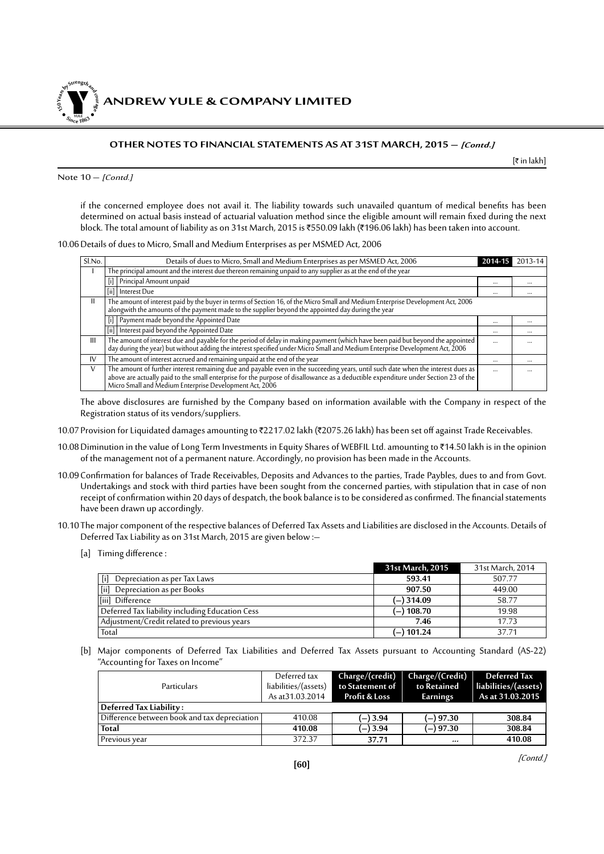**NDREW YULE & COMPANY LIMITED** 

#### **OTHER NOTES TO FINANCIAL STATEMENTS AS AT 31ST MARCH, 2015 – [Contd.]**

 $[\bar{\tau}$  in lakh]

Note  $10 -$  [Contd.]

**150Year<sup>s</sup>byStre<sup>n</sup>gthand<sup>c</sup>ou<sup>r</sup>age**

**<sup>S</sup>inc<sup>e</sup> <sup>1</sup>86<sup>3</sup>**  $\bullet$ . When  $\bullet$ 

> if the concerned employee does not avail it. The liability towards such unavailed quantum of medical benefits has been determined on actual basis instead of actuarial valuation method since the eligible amount will remain fixed during the next block. The total amount of liability as on 31st March, 2015 is ₹550.09 lakh (₹196.06 lakh) has been taken into account.

#### 10.06Details of dues to Micro, Small and Medium Enterprises as per MSMED Act, 2006

| Sl.No. | Details of dues to Micro, Small and Medium Enterprises as per MSMED Act, 2006                                                                                                                                                     | 2014-1   | 2013-14  |
|--------|-----------------------------------------------------------------------------------------------------------------------------------------------------------------------------------------------------------------------------------|----------|----------|
|        | The principal amount and the interest due thereon remaining unpaid to any supplier as at the end of the year                                                                                                                      |          |          |
|        | Principal Amount unpaid                                                                                                                                                                                                           | $\cdots$ | $\cdots$ |
|        | [ii] Interest Due                                                                                                                                                                                                                 | $\cdots$ |          |
| Ш      | The amount of interest paid by the buyer in terms of Section 16, of the Micro Small and Medium Enterprise Development Act, 2006<br>alongwith the amounts of the payment made to the supplier beyond the appointed day during the  |          |          |
|        | [i] Payment made beyond the Appointed Date                                                                                                                                                                                        |          |          |
|        | [ii] Interest paid beyond the Appointed Date                                                                                                                                                                                      | $\cdots$ |          |
| Ш      | The amount of interest due and payable for the period of delay in making payment (which have been paid but beyond the appointed<br>day during the year) but without adding the interest specified under Micro Small and Medium En | $\cdots$ | $\cdots$ |
| IV     | The amount of interest accrued and remaining unpaid at the end of the year                                                                                                                                                        |          |          |
| V      | The amount of further interest remaining due and payable even in the succeeding years, until such date when the interest dues as<br>above are actually paid to the small enterprise for the purpose of disallowance as a deductib | $\cdots$ |          |

The above disclosures are furnished by the Company based on information available with the Company in respect of the Registration status of its vendors/suppliers.

- 10.07 Provision for Liquidated damages amounting to ₹2217.02 lakh (₹2075.26 lakh) has been set off against Trade Receivables.
- 10.08 Diminution in the value of Long Term Investments in Equity Shares of WEBFIL Ltd. amounting to ₹14.50 lakh is in the opinion of the management not of a permanent nature. Accordingly, no provision has been made in the Accounts.
- 10.09Confirmation for balances of Trade Receivables, Deposits and Advances to the parties, Trade Paybles, dues to and from Govt. Undertakings and stock with third parties have been sought from the concerned parties, with stipulation that in case of non receipt of confirmation within 20 days of despatch, the book balance is to be considered as confirmed. The financial statements have been drawn up accordingly.
- 10.10 The major component of the respective balances of Deferred Tax Assets and Liabilities are disclosed in the Accounts. Details of Deferred Tax Liability as on 31st March, 2015 are given below :–
	- [a] Timing difference :

|                                                 | 31st March, 2015 | 31st March, 2014 |
|-------------------------------------------------|------------------|------------------|
| Depreciation as per Tax Laws                    | 593.41           | 507.77           |
| <b>fiil</b><br>Depreciation as per Books        | 907.50           | 449.00           |
| [iii] Difference                                | (–) 314.09       | 58.77            |
| Deferred Tax liability including Education Cess | (–) 108.70       | 19.98            |
| Adjustment/Credit related to previous years     | 7.46             | 17.73            |
| Total                                           | (–) 101.24       | 37.71            |

[b] Major components of Deferred Tax Liabilities and Deferred Tax Assets pursuant to Accounting Standard (AS-22) "Accounting for Taxes on Income"

| <b>Particulars</b>                           | Deferred tax<br>liabilities/(assets)<br>As at 31.03.2014 | Charge/(credit)<br>to Statement of<br>Profit & Loss | Charge/(Credit)<br>to Retained<br>Earnings | Deferred Tax<br>liabilities/(assets)<br>As at 31.03.2015 |
|----------------------------------------------|----------------------------------------------------------|-----------------------------------------------------|--------------------------------------------|----------------------------------------------------------|
| Deferred Tax Liability:                      |                                                          |                                                     |                                            |                                                          |
| Difference between book and tax depreciation | 410.08                                                   | (—) 3.94                                            | (—) 97.30                                  | 308.84                                                   |
| Total                                        | 410.08                                                   | $-$ ) 3.94                                          | (—) 97.30                                  | 308.84                                                   |
| Previous vear                                | 372.37                                                   | 37.71                                               |                                            | 410.08                                                   |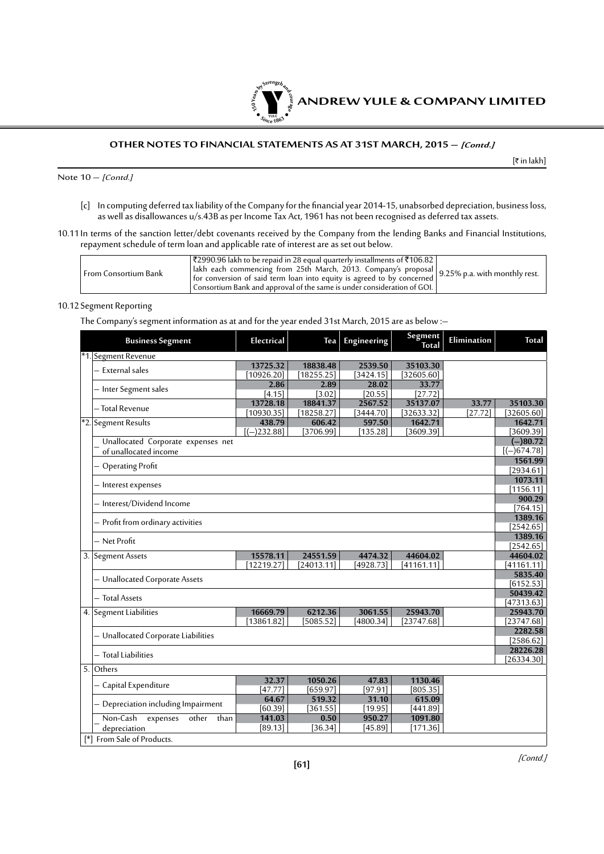

#### **OTHER NOTES TO FINANCIAL STATEMENTS AS AT 31ST MARCH, 2015 – [Contd.]**

 $[\bar{\bar{\mathbf{z}}}$  in lakh]

Note  $10 - [Cont.]$ 

- [c] In computing deferred tax liability of the Company for the financial year 2014-15, unabsorbed depreciation, business loss, as well as disallowances u/s.43B as per Income Tax Act, 1961 has not been recognised as deferred tax assets.
- 10.11 In terms of the sanction letter/debt covenants received by the Company from the lending Banks and Financial Institutions, repayment schedule of term loan and applicable rate of interest are as set out below.

| From Consortium Bank | ₹2990.96 lakh to be repaid in 28 equal quarterly installments of ₹106.82  <br>lakh each commencing from 25th March, 2013. Company's proposal 9.25% p.a. with monthly rest.<br>for conversion of said term loan into equity is agreed to by concerned 9.25% p.a. with monthly rest.<br>  Consortium Bank and approval of the same is under consideration of GOI. $\mid$ |
|----------------------|------------------------------------------------------------------------------------------------------------------------------------------------------------------------------------------------------------------------------------------------------------------------------------------------------------------------------------------------------------------------|
|----------------------|------------------------------------------------------------------------------------------------------------------------------------------------------------------------------------------------------------------------------------------------------------------------------------------------------------------------------------------------------------------------|

#### 10.12 Segment Reporting

The Company's segment information as at and for the year ended 31st March, 2015 are as below :–

|                  | <b>Business Segment</b>               | Electrical    | <b>Tea</b> | Engineering | Segment<br><b>Total</b> | Elimination | <b>Total</b>       |
|------------------|---------------------------------------|---------------|------------|-------------|-------------------------|-------------|--------------------|
|                  | *1. Segment Revenue                   |               |            |             |                         |             |                    |
|                  | - External sales                      | 13725.32      | 18838.48   | 2539.50     | 35103.30                |             |                    |
|                  |                                       | [10926.20]    | [18255.25] | [3424.15]   | [32605.60]              |             |                    |
|                  | - Inter Segment sales                 | 2.86          | 2.89       | 28.02       | 33.77                   |             |                    |
|                  |                                       | [4.15]        | [3.02]     | [20.55]     | [27.72]                 |             |                    |
|                  | – Total Revenue                       | 13728.18      | 18841.37   | 2567.52     | 35137.07                | 33.77       | 35103.30           |
|                  |                                       | [10930.35]    | 18258.27   | [3444.70]   | [32633.32]              | [27.72]     | [32605.60]         |
|                  | *2. Segment Results                   | 438.79        | 606.42     | 597.50      | 1642.71                 |             | 1642.71            |
|                  |                                       | $[(-)232.88]$ | [3706.99]  | [135.28]    | [3609.39]               |             | [3609.39]          |
|                  | Unallocated Corporate expenses net    |               |            |             |                         |             | $(-)80.72$         |
|                  | of unallocated income                 |               |            |             |                         |             | $[(-)674.78]$      |
|                  | - Operating Profit                    |               |            |             |                         |             | 1561.99            |
|                  |                                       |               |            |             |                         |             | [2934.61]          |
|                  | - Interest expenses                   |               |            |             |                         |             | 1073.11            |
|                  |                                       |               |            |             |                         |             | [1156.11]          |
|                  | - Interest/Dividend Income            |               |            |             |                         |             | 900.29<br>[764.15] |
|                  |                                       |               |            |             |                         |             | 1389.16            |
|                  | – Profit from ordinary activities     |               |            |             |                         |             | [2542.65]          |
|                  |                                       |               |            |             |                         |             | 1389.16            |
|                  | - Net Profit                          |               |            |             |                         |             | [2542.65]          |
|                  | 3. Segment Assets                     | 15578.11      | 24551.59   | 4474.32     | 44604.02                |             | 44604.02           |
|                  |                                       | 12219.27      | [24013.11] | [4928.73]   | [41161.11]              |             | [41161.11]         |
|                  |                                       |               |            |             |                         |             | 5835.40            |
|                  | - Unallocated Corporate Assets        |               |            |             |                         |             | [6152.53]          |
|                  |                                       |               |            |             |                         |             | 50439.42           |
|                  | - Total Assets                        |               |            |             |                         |             | [47313.63]         |
|                  | 4. Segment Liabilities                | 16669.79      | 6212.36    | 3061.55     | 25943.70                |             | 25943.70           |
|                  |                                       | [13861.82]    | [5085.52]  | [4800.34]   | [23747.68]              |             | [23747.68]         |
|                  | - Unallocated Corporate Liabilities   |               |            |             |                         |             | 2282.58            |
|                  |                                       |               |            |             |                         |             | [2586.62]          |
|                  | - Total Liabilities                   |               |            |             |                         |             | 28226.28           |
|                  |                                       |               |            |             |                         |             | [26334.30]         |
| $\overline{5}$ . | Others                                |               |            |             |                         |             |                    |
|                  |                                       | 32.37         | 1050.26    | 47.83       | 1130.46                 |             |                    |
|                  | - Capital Expenditure                 | [47.77]       | [659.97]   | [97.91]     | [805.35]                |             |                    |
|                  | - Depreciation including Impairment   | 64.67         | 519.32     | 31.10       | 615.09                  |             |                    |
|                  |                                       | [60.39]       | [361.55]   | [19.95]     | [441.89]                |             |                    |
|                  | Non-Cash<br>expenses<br>other<br>than | 141.03        | 0.50       | 950.27      | 1091.80                 |             |                    |
|                  | depreciation                          | [89.13]       | [36.34]    | [45.89]     | [171.36]                |             |                    |
|                  | [*] From Sale of Products.            |               |            |             |                         |             |                    |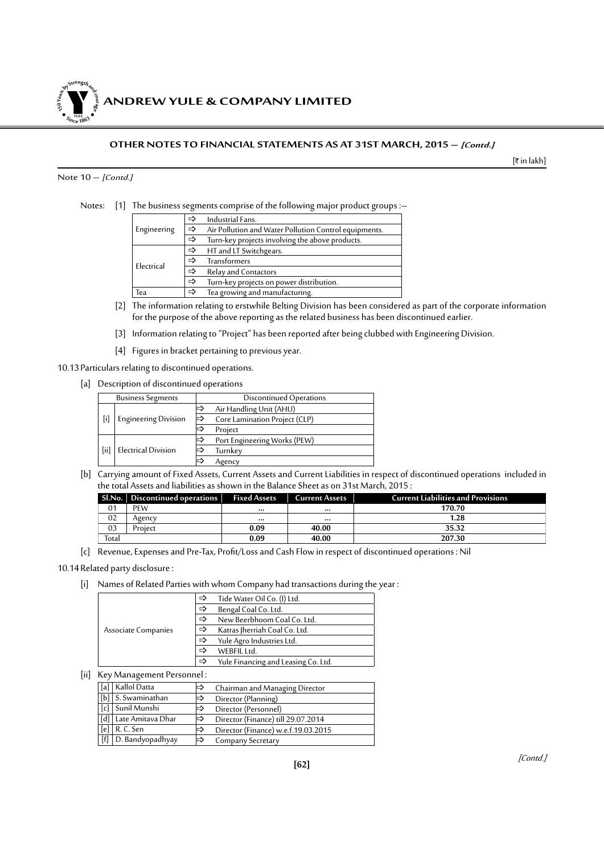*ANDREW YULE & COMPANY LIMITED* **150Year<sup>s</sup>byStre<sup>n</sup>gthand<sup>c</sup>ou<sup>r</sup>age <sup>S</sup>inc<sup>e</sup> <sup>1</sup>86<sup>3</sup>**  $\bullet$ . When  $\bullet$ 

#### **OTHER NOTES TO FINANCIAL STATEMENTS AS AT 31ST MARCH, 2015 – [Contd.]**

 $[\bar{\tau}$  in lakh]

#### Note  $10 -$  [Contd.]

Notes: [1] The business segments comprise of the following major product groups :-

|                                            | ⇨ | Industrial Fans.                                      |
|--------------------------------------------|---|-------------------------------------------------------|
|                                            |   |                                                       |
| Engineering                                | ⇨ | Air Pollution and Water Pollution Control equipments. |
|                                            | ⇨ | Turn-key projects involving the above products.       |
|                                            | ⇨ | HT and LT Switchgears.                                |
| Electrical                                 | ⇨ | <b>Transformers</b>                                   |
|                                            | ⇨ | Relay and Contactors                                  |
|                                            | ⇨ | Turn-key projects on power distribution.              |
| Tea growing and manufacturing.<br>Tea<br>⇨ |   |                                                       |

- [2] The information relating to erstwhile Belting Division has been considered as part of the corporate information for the purpose of the above reporting as the related business has been discontinued earlier.
- [3] Information relating to "Project" has been reported after being clubbed with Engineering Division.
- [4] Figures in bracket pertaining to previous year.

10.13 Particulars relating to discontinued operations.

[a] Description of discontinued operations

| <b>Business Segments</b> |                             |   | Discontinued Operations       |  |  |
|--------------------------|-----------------------------|---|-------------------------------|--|--|
| $[\mathsf{i}]$           |                             |   | Air Handling Unit (AHU)       |  |  |
|                          | <b>Engineering Division</b> | ⇨ | Core Lamination Project (CLP) |  |  |
|                          |                             |   | Project                       |  |  |
| [iii]                    | <b>Electrical Division</b>  |   | Port Engineering Works (PEW)  |  |  |
|                          |                             |   | Turnkey                       |  |  |
|                          |                             |   | Agency                        |  |  |

[b] Carrying amount of Fixed Assets, Current Assets and Current Liabilities in respect of discontinued operations included in the total Assets and liabilities as shown in the Balance Sheet as on 31st March, 2015 :

|                | Sl.No.   Discontinued operations | <b>Fixed Assets</b> | <b>Current Assets</b> | <b>Current Liabilities and Provisions</b> |
|----------------|----------------------------------|---------------------|-----------------------|-------------------------------------------|
| 0 <sub>1</sub> | PEW                              | $\cdots$            |                       | 170.70                                    |
| 02             | Agencv                           | $$                  |                       | 1.28                                      |
| 03             | Project                          | 0.09                | 40.00                 | 35.32                                     |
| Total          |                                  | 0.09                | 40.00                 | 207.30                                    |

[c] Revenue, Expenses and Pre-Tax, Profit/Loss and Cash Flow in respect of discontinued operations : Nil

#### 10.14Related party disclosure :

[i] Names of Related Parties with whom Company had transactions during the year:

|                     | ⇨ | Tide Water Oil Co. (I) Ltd.         |
|---------------------|---|-------------------------------------|
|                     |   | Bengal Coal Co. Ltd.                |
|                     | ⇨ | New Beerbhoom Coal Co. Ltd.         |
| Associate Companies | ⇨ | Katras Jherriah Coal Co. Ltd.       |
|                     | ⇨ | Yule Agro Industries Ltd.           |
|                     |   | WEBFIL Ltd.                         |
|                     |   | Yule Financing and Leasing Co. Ltd. |

[ii] Key Management Personnel :

| [a] | Kallol Datta          | ⊫  | Chairman and Managing Director      |
|-----|-----------------------|----|-------------------------------------|
|     | $[b]$ S. Swaminathan  | ⇔  | Director (Planning)                 |
|     | [c] Sunil Munshi      | I⇒ | Director (Personnel)                |
|     | [d] Late Amitava Dhar | ∣⇔ | Director (Finance) till 29.07.2014  |
| [e] | R. C. Sen             | ⇔  | Director (Finance) w.e.f.19.03.2015 |
|     | [f] D. Bandyopadhyay  | ∣⇔ | Company Secretary                   |
|     |                       |    |                                     |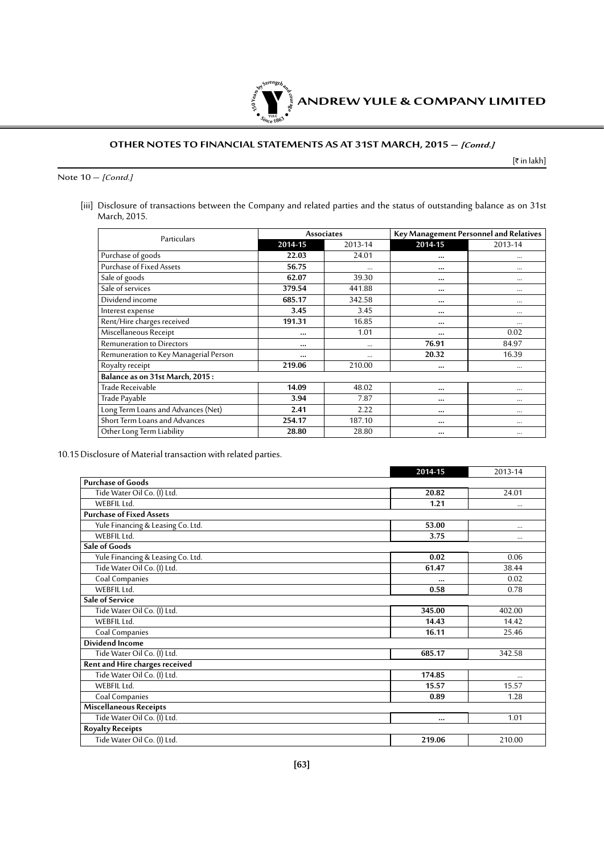

#### **OTHER NOTES TO FINANCIAL STATEMENTS AS AT 31ST MARCH, 2015 – [Contd.]**

 $[\bar{\tau}$  in lakh]

Note  $10 -$  [Contd.]

[iii] Disclosure of transactions between the Company and related parties and the status of outstanding balance as on 31st March, 2015.

| Particulars                           |          | <b>Associates</b> | Key Management Personnel and Relatives |          |  |
|---------------------------------------|----------|-------------------|----------------------------------------|----------|--|
|                                       | 2014-15  | 2013-14           | $2014 - 15$                            | 2013-14  |  |
| Purchase of goods                     | 22.03    | 24.01             | $\cdots$                               | $\cdots$ |  |
| Purchase of Fixed Assets              | 56.75    |                   | $\cdots$                               | $\cdots$ |  |
| Sale of goods                         | 62.07    | 39.30             | $\cdots$                               | $\cdots$ |  |
| Sale of services                      | 379.54   | 441.88            | $\cdots$                               | $\cdots$ |  |
| Dividend income                       | 685.17   | 342.58            | $\cdots$                               | $\cdots$ |  |
| Interest expense                      | 3.45     | 3.45              | $\cdots$                               |          |  |
| Rent/Hire charges received            | 191.31   | 16.85             | $\cdots$                               | $\cdots$ |  |
| Miscellaneous Receipt                 | $\cdots$ | 1.01              | $\cdots$                               | 0.02     |  |
| <b>Remuneration to Directors</b>      | $\cdots$ | $\cdots$          | 76.91                                  | 84.97    |  |
| Remuneration to Key Managerial Person |          | $\cdots$          | 20.32                                  | 16.39    |  |
| Royalty receipt                       | 219.06   | 210.00            | $\cdots$                               |          |  |
| Balance as on 31st March, 2015:       |          |                   |                                        |          |  |
| Trade Receivable                      | 14.09    | 48.02             | $\cdots$                               | $\cdots$ |  |
| Trade Payable                         | 3.94     | 7.87              |                                        |          |  |
| Long Term Loans and Advances (Net)    | 2.41     | 2.22              | $\cdots$                               |          |  |
| Short Term Loans and Advances         | 254.17   | 187.10            |                                        | $\cdots$ |  |
| Other Long Term Liability             | 28.80    | 28.80             | $\cdots$                               |          |  |

10.15Disclosure of Material transaction with related parties.

|                                   | 2014-15  | 2013-14  |
|-----------------------------------|----------|----------|
| <b>Purchase of Goods</b>          |          |          |
| Tide Water Oil Co. (I) Ltd.       | 20.82    | 24.01    |
| WEBFIL Ltd.                       | 1.21     |          |
| <b>Purchase of Fixed Assets</b>   |          |          |
| Yule Financing & Leasing Co. Ltd. | 53.00    | $\cdots$ |
| WEBFIL Ltd.                       | 3.75     |          |
| Sale of Goods                     |          |          |
| Yule Financing & Leasing Co. Ltd. | 0.02     | 0.06     |
| Tide Water Oil Co. (I) Ltd.       | 61.47    | 38.44    |
| Coal Companies                    |          | 0.02     |
| WEBFIL Ltd.                       | 0.58     | 0.78     |
| <b>Sale of Service</b>            |          |          |
| Tide Water Oil Co. (I) Ltd.       | 345.00   | 402.00   |
| WEBFIL Ltd.                       | 14.43    | 14.42    |
| Coal Companies                    | 16.11    | 25.46    |
| <b>Dividend Income</b>            |          |          |
| Tide Water Oil Co. (I) Ltd.       | 685.17   | 342.58   |
| Rent and Hire charges received    |          |          |
| Tide Water Oil Co. (I) Ltd.       | 174.85   |          |
| WEBFIL Ltd.                       | 15.57    | 15.57    |
| Coal Companies                    | 0.89     | 1.28     |
| <b>Miscellaneous Receipts</b>     |          |          |
| Tide Water Oil Co. (I) Ltd.       | $\cdots$ | 1.01     |
| <b>Royalty Receipts</b>           |          |          |
| Tide Water Oil Co. (I) Ltd.       | 219.06   | 210.00   |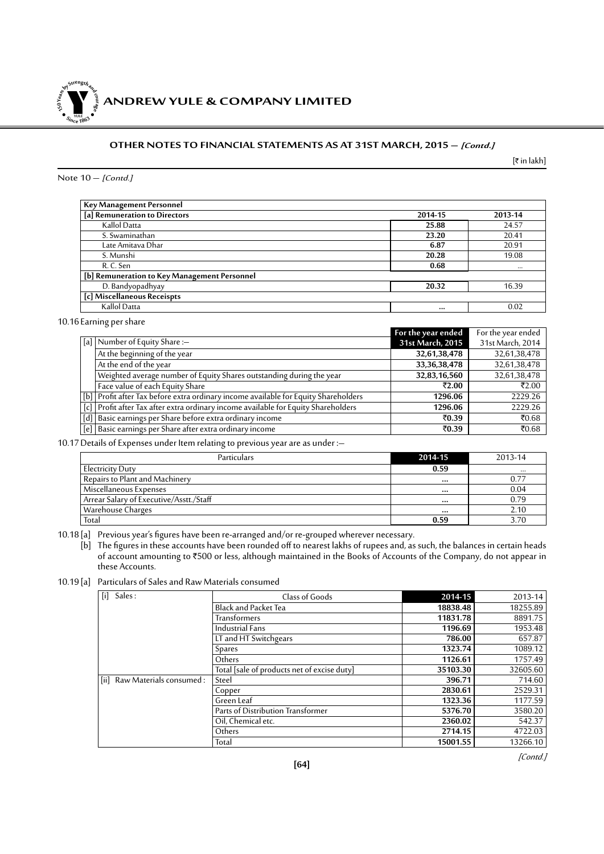**ANDREW YULE & COMPANY LIMITED 150Year<sup>s</sup>byStre<sup>n</sup>gthand<sup>c</sup>ou<sup>r</sup>age <sup>S</sup>inc<sup>e</sup> <sup>1</sup>86<sup>3</sup>**  $\bullet$ . When  $\bullet$ 

#### **OTHER NOTES TO FINANCIAL STATEMENTS AS AT 31ST MARCH, 2015 – [Contd.]**

 $[\bar{\tau}$  in lakh]

#### Note  $10 -$  [Contd.]

| Key Management Personnel                     |         |         |  |  |  |  |
|----------------------------------------------|---------|---------|--|--|--|--|
| [a] Remuneration to Directors                | 2014-15 | 2013-14 |  |  |  |  |
| Kallol Datta                                 | 25.88   | 24.57   |  |  |  |  |
| S. Swaminathan                               | 23.20   | 20.41   |  |  |  |  |
| Late Amitava Dhar                            | 6.87    | 20.91   |  |  |  |  |
| S. Munshi                                    | 20.28   | 19.08   |  |  |  |  |
| R. C. Sen                                    | 0.68    |         |  |  |  |  |
| [b] Remuneration to Key Management Personnel |         |         |  |  |  |  |
| D. Bandyopadhyay                             | 20.32   | 16.39   |  |  |  |  |
| [c] Miscellaneous Receispts                  |         |         |  |  |  |  |
| Kallol Datta                                 |         | 0.02    |  |  |  |  |

10.16 Earning per share

|                                                                                     | For the year ended | For the year ended |
|-------------------------------------------------------------------------------------|--------------------|--------------------|
| [a]   Number of Equity Share :-                                                     | 31st March, 2015   | 31st March, 2014   |
| At the beginning of the year                                                        | 32,61,38,478       | 32,61,38,478       |
| At the end of the year                                                              | 33, 36, 38, 478    | 32,61,38,478       |
| Weighted average number of Equity Shares outstanding during the year                | 32,83,16,560       | 32,61,38,478       |
| Face value of each Equity Share                                                     | ₹2.00              | ₹2.00              |
| [b] Profit after Tax before extra ordinary income available for Equity Shareholders | 1296.06            | 2229.26            |
| [c] Profit after Tax after extra ordinary income available for Equity Shareholders  | 1296.06            | 2229.26            |
| [d]   Basic earnings per Share before extra ordinary income                         | ₹0.39              | ₹0.68              |
| [e]   Basic earnings per Share after extra ordinary income                          | ₹0.39              | ₹0.68              |

10.17Details of Expenses under Item relating to previous year are as under :–

| <b>Particulars</b>                      | 2014-15 | 2013-14  |
|-----------------------------------------|---------|----------|
| Electricity Duty                        | 0.59    | $\cdots$ |
| Repairs to Plant and Machinery          |         | 0.77     |
| Miscellaneous Expenses                  |         | 0.04     |
| Arrear Salary of Executive/Asstt./Staff |         | 0.79     |
| Warehouse Charges                       |         | 2.10     |
| Total                                   | 0.59    | 3.70     |

10.18 [a] Previous year's figures have been re-arranged and/or re-grouped wherever necessary.

[b] The figures in these accounts have been rounded off to nearest lakhs of rupees and, as such, the balances in certain heads of account amounting to `500 or less, although maintained in the Books of Accounts of the Company, do not appear in these Accounts.

10.19 [a] Particulars of Sales and Raw Materials consumed

| Sales:                       | Class of Goods                              | 2014-15  | 2013-14  |
|------------------------------|---------------------------------------------|----------|----------|
|                              | <b>Black and Packet Tea</b>                 | 18838.48 | 18255.89 |
|                              | <b>Transformers</b>                         | 11831.78 | 8891.75  |
|                              | <b>Industrial Fans</b>                      | 1196.69  | 1953.48  |
|                              | LT and HT Switchgears                       | 786.00   | 657.87   |
|                              | <b>Spares</b>                               | 1323.74  | 1089.12  |
|                              | Others                                      | 1126.61  | 1757.49  |
|                              | Total [sale of products net of excise duty] | 35103.30 | 32605.60 |
| [ii] Raw Materials consumed: | Steel                                       | 396.71   | 714.60   |
|                              | Copper                                      | 2830.61  | 2529.31  |
|                              | Green Leaf                                  | 1323.36  | 1177.59  |
|                              | Parts of Distribution Transformer           | 5376.70  | 3580.20  |
|                              | Oil, Chemical etc.                          | 2360.02  | 542.37   |
|                              | Others                                      | 2714.15  | 4722.03  |
|                              | Total                                       | 15001.55 | 13266.10 |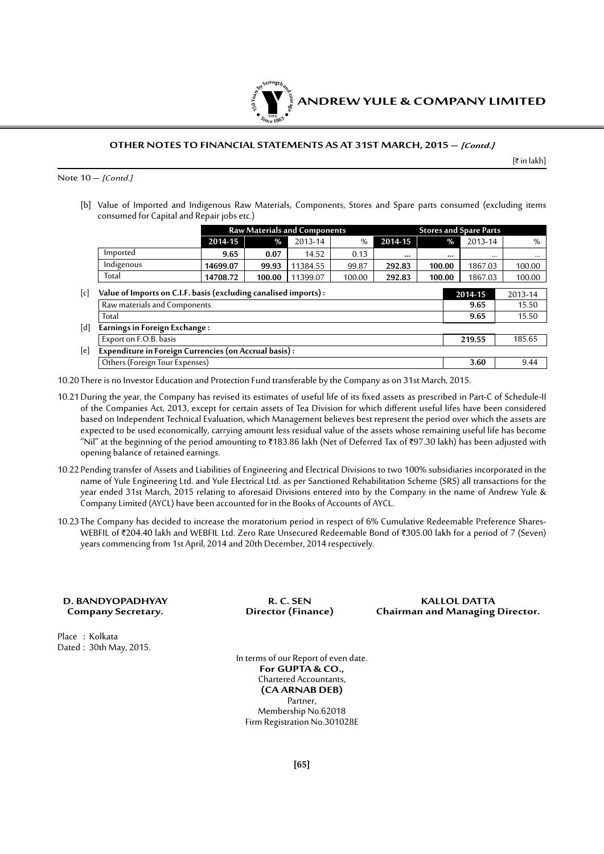

#### **OTHER NOTES TO FINANCIAL STATEMENTS AS AT 31ST MARCH, 2015 – [Contd.]**

[` in lakh]

Note  $10 -$  [Contd.]

[b] Value of Imported and Indigenous Raw Materials, Components, Stores and Spare parts consumed (excluding items consumed for Capital and Repair jobs etc.)

|                   |                                                                 | <b>Raw Materials and Components</b> |        |          |        | <b>Stores and Spare Parts</b> |         |              |              |  |
|-------------------|-----------------------------------------------------------------|-------------------------------------|--------|----------|--------|-------------------------------|---------|--------------|--------------|--|
|                   |                                                                 | 2014-15                             | %      | 2013-14  | %      | 2014-15                       |         | %<br>2013-14 | %            |  |
|                   | Imported                                                        | 9.65                                | 0.07   | 14.52    | 0.13   |                               |         | $\cdots$     | <br>$\cdots$ |  |
|                   | Indigenous                                                      | 14699.07                            | 99.93  | 11384.55 | 99.87  | 292.83                        | 100.00  | 1867.03      | 100.00       |  |
|                   | Total                                                           | 14708.72                            | 100.00 | 11399.07 | 100.00 | 292.83                        | 100.00  | 1867.03      | 100.00       |  |
| $\lceil c \rceil$ | Value of Imports on C.I.F. basis (excluding canalised imports): |                                     |        |          |        |                               | 2014-15 | 2013-14      |              |  |
|                   | Raw materials and Components                                    |                                     |        |          |        |                               |         | 9.65         | 15.50        |  |
|                   | Total                                                           |                                     |        |          |        |                               |         | 9.65         | 15.50        |  |
| [d]               | Earnings in Foreign Exchange:                                   |                                     |        |          |        |                               |         |              |              |  |
|                   | Export on F.O.B. basis                                          |                                     |        |          |        |                               |         |              | 185.65       |  |
| [e]               | Expenditure in Foreign Currencies (on Accrual basis) :          |                                     |        |          |        |                               |         |              |              |  |
|                   | Others (Foreign Tour Expenses)                                  |                                     |        |          |        |                               |         | 3.60         | 9.44         |  |

10.20 There is no Investor Education and Protection Fund transferable by the Company as on 31st March, 2015.

- 10.21During the year, the Company has revised its estimates of useful life of its fixed assets as prescribed in Part-C of Schedule-II of the Companies Act, 2013, except for certain assets of Tea Division for which different useful lifes have been considered based on Independent Technical Evaluation, which Management believes best represent the period over which the assets are expected to be used economically, carrying amount less residual value of the assets whose remaining useful life has become "Nil" at the beginning of the period amounting to ₹183.86 lakh (Net of Deferred Tax of ₹97.30 lakh) has been adjusted with opening balance of retained earnings.
- 10.22 Pending transfer of Assets and Liabilities of Engineering and Electrical Divisions to two 100% subsidiaries incorporated in the name of Yule Engineering Ltd. and Yule Electrical Ltd. as per Sanctioned Rehabilitation Scheme (SRS) all transactions for the year ended 31st March, 2015 relating to aforesaid Divisions entered into by the Company in the name of Andrew Yule & Company Limited (AYCL) have been accounted for in the Books of Accounts of AYCL.
- 10.23 The Company has decided to increase the moratorium period in respect of 6% Cumulative Redeemable Preference Shares-WEBFIL of ₹204.40 lakh and WEBFIL Ltd. Zero Rate Unsecured Redeemable Bond of ₹305.00 lakh for a period of 7 (Seven) years commencing from 1st April, 2014 and 20th December, 2014 respectively.

| D. BANDYOPADHYAY   |
|--------------------|
| Company Secretary. |

Place : Kolkata Dated : 30th May, 2015.

**D. BANDYOPADHYAY R. C. SEN KALLOL DATTA Company Secretary. Director (Finance) Chairman and Managing Director.**

> In terms of our Report of even date. **For GUPTA & CO.,** Chartered Accountants, **(CA ARNAB DEB)** Partner, Membership No.62018 Firm Registration No.301028E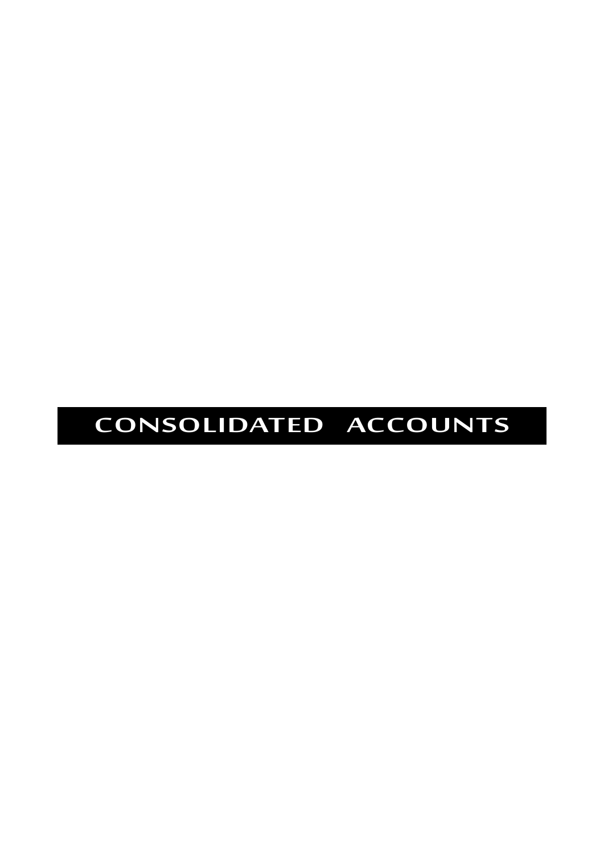# **CONSOLIDATED ACCOUNTS**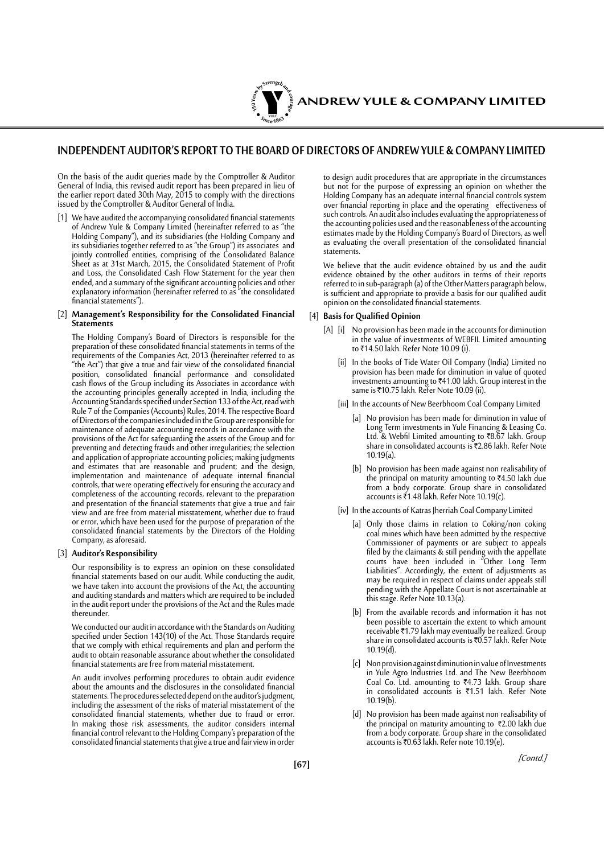

#### **INDEPENDENT AUDITOR'S REPORT TO THE BOARD OF DIRECTORS OF ANDREW YULE & COMPANY LIMITED**

On the basis of the audit queries made by the Comptroller & Auditor General of India, this revised audit report has been prepared in lieu of the earlier report dated 30th May, 2015 to comply with the directions issued by the Comptroller & Auditor General of India.

[1] We have audited the accompanying consolidated financial statements of Andrew Yule & Company Limited (hereinafter referred to as "the Holding Company"), and its subsidiaries (the Holding Company and its subsidiaries together referred to as "the Group") its associates and jointly controlled entities, comprising of the Consolidated Balance Sheet as at 31st March, 2015, the Consolidated Statement of Profit and Loss, the Consolidated Cash Flow Statement for the year then ended, and a summary of the significant accounting policies and other explanatory information (hereinafter referred to as "the consolidated financial statements").

#### [2] **Management's Responsibility for the Consolidated Financial Statements**

The Holding Company's Board of Directors is responsible for the preparation of these consolidated financial statements in terms of the requirements of the Companies Act, 2013 (hereinafter referred to as "the Act") that give a true and fair view of the consolidated financial position, consolidated financial performance and consolidated cash flows of the Group including its Associates in accordance with the accounting principles generally accepted in India, including the Accounting Standards specified under Section 133 of the Act, read with Rule 7 of the Companies (Accounts) Rules, 2014. The respective Board of Directors of the companies included in the Group are responsible for maintenance of adequate accounting records in accordance with the provisions of the Act for safeguarding the assets of the Group and for preventing and detecting frauds and other irregularities; the selection and application of appropriate accounting policies; making judgments and estimates that are reasonable and prudent; and the design, implementation and maintenance of adequate internal financial controls, that were operating effectively for ensuring the accuracy and completeness of the accounting records, relevant to the preparation and presentation of the financial statements that give a true and fair view and are free from material misstatement, whether due to fraud or error, which have been used for the purpose of preparation of the consolidated financial statements by the Directors of the Holding Company, as aforesaid.

#### [3] **Auditor's Responsibility**

Our responsibility is to express an opinion on these consolidated financial statements based on our audit. While conducting the audit, we have taken into account the provisions of the Act, the accounting and auditing standards and matters which are required to be included in the audit report under the provisions of the Act and the Rules made thereunder.

We conducted our audit in accordance with the Standards on Auditing specified under Section 143(10) of the Act. Those Standards require that we comply with ethical requirements and plan and perform the audit to obtain reasonable assurance about whether the consolidated financial statements are free from material misstatement.

An audit involves performing procedures to obtain audit evidence about the amounts and the disclosures in the consolidated financial statements. The procedures selected depend on the auditor's judgment, including the assessment of the risks of material misstatement of the consolidated financial statements, whether due to fraud or error. In making those risk assessments, the auditor considers internal financial control relevant to the Holding Company's preparation of the consolidated financial statements that give a true and fair view in order

to design audit procedures that are appropriate in the circumstances but not for the purpose of expressing an opinion on whether the Holding Company has an adequate internal financial controls system over financial reporting in place and the operating effectiveness of such controls. An audit also includes evaluating the appropriateness of the accounting policies used and the reasonableness of the accounting estimates made by the Holding Company's Board of Directors, as well as evaluating the overall presentation of the consolidated financial statements.

We believe that the audit evidence obtained by us and the audit evidence obtained by the other auditors in terms of their reports referred to in sub-paragraph (a) of the Other Matters paragraph below, is sufficient and appropriate to provide a basis for our qualified audit opinion on the consolidated financial statements.

#### [4] **Basisfor Qualified Opinion**

- [A] [i] No provision has been made in the accounts for diminution in the value of investments of WEBFIL Limited amounting to ₹14.50 lakh. Refer Note 10.09 (i).
	- [ii] In the books of Tide Water Oil Company (India) Limited no provision has been made for diminution in value of quoted investments amounting to ₹41.00 lakh. Group interest in the same is ₹10.75 lakh. Refer Note 10.09 (ii).
	- [iii] In the accounts of New Beerbhoom Coal Company Limited
		- [a] No provision has been made for diminution in value of Long Term investments in Yule Financing & Leasing Co. Ltd. & Webfil Limited amounting to  $\overline{88.67}$  lakh. Group share in consolidated accounts is ₹2.86 lakh. Refer Note  $10.19(a)$
		- [b] No provision has been made against non realisability of the principal on maturity amounting to  $\bar{\tau}$ 4.50 lakh due from a body corporate. Group share in consolidated accounts is  $\bar{\xi}$ 1.48 lakh. Refer Note 10.19(c).
	- [iv] In the accounts of Katras Jherriah Coal Company Limited
		- [a] Only those claims in relation to Coking/non coking coal mines which have been admitted by the respective Commissioner of payments or are subject to appeals filed by the claimants & still pending with the appellate courts have been included in "Other Long Term Liabilities". Accordingly, the extent of adjustments as may be required in respect of claims under appeals still pending with the Appellate Court is not ascertainable at this stage. Refer Note 10.13(a).
		- [b] From the available records and information it has not been possible to ascertain the extent to which amount receivable ₹1.79 lakh may eventually be realized. Group share in consolidated accounts is  $\overline{0.57}$  lakh. Refer Note 10.19(d).
		- [c] Non provision against diminution in value of Investments in Yule Agro Industries Ltd. and The New Beerbhoom Coal Co. Ltd. amounting to ₹4.73 lakh. Group share in consolidated accounts is  $\overline{51.51}$  lakh. Refer Note 10.19(b).
		- [d] No provision has been made against non realisability of the principal on maturity amounting to ₹2.00 lakh due from a body corporate. Group share in the consolidated accounts is ₹0.63 lakh. Refer note 10.19(e).

[Contd.]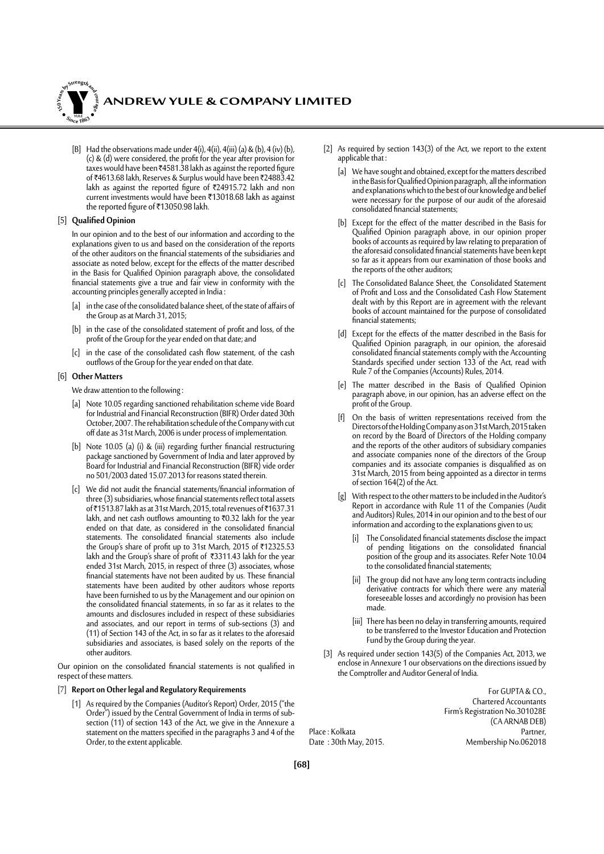

[B] Had the observations made under  $4(i)$ ,  $4(ii)$ ,  $4(iii)$  (a) & (b),  $4(iv)$  (b), (c) & (d) were considered, the profit for the year after provision for taxes would have been  $\overline{4}4581.38$  lakh as against the reported figure of ₹4613.68 lakh, Reserves & Surplus would have been ₹24883.42 lakh as against the reported figure of ₹24915.72 lakh and non current investments would have been ₹13018.68 lakh as against the reported figure of ₹13050.98 lakh.

#### [5] **QualifiedOpinion**

In our opinion and to the best of our information and according to the explanations given to us and based on the consideration of the reports of the other auditors on the financial statements of the subsidiaries and associate as noted below, except for the effects of the matter described in the Basis for Qualified Opinion paragraph above, the consolidated financial statements give a true and fair view in conformity with the accounting principles generally accepted in India :

- [a] in the case of the consolidated balance sheet, of the state of affairs of the Group as at March 31, 2015;
- [b] in the case of the consolidated statement of profit and loss, of the profit of the Group for the year ended on that date; and
- [c] in the case of the consolidated cash flow statement, of the cash outflows of the Group for the year ended on that date.

#### [6] **Other Matters**

We draw attention to the following :

- [a] Note 10.05 regarding sanctioned rehabilitation scheme vide Board for Industrial and Financial Reconstruction (BIFR) Order dated 30th October, 2007. The rehabilitation schedule of the Company with cut off date as 31st March, 2006 is under process of implementation.
- [b] Note 10.05 (a) (i) & (iii) regarding further financial restructuring package sanctioned by Government of India and later approved by Board for Industrial and Financial Reconstruction (BIFR) vide order no 501/2003 dated 15.07.2013 for reasons stated therein.
- [c] We did not audit the financial statements/financial information of three (3) subsidiaries, whose financial statements reflect total assets of ₹1513.87 lakh as at 31st March, 2015, total revenues of ₹1637.31 lakh, and net cash outflows amounting to  $\bar{\tau}0.32$  lakh for the year ended on that date, as considered in the consolidated financial statements. The consolidated financial statements also include the Group's share of profit up to 31st March, 2015 of ₹12325.53 lakh and the Group's share of profit of ₹3311.43 lakh for the year ended 31st March, 2015, in respect of three (3) associates, whose financial statements have not been audited by us. These financial statements have been audited by other auditors whose reports have been furnished to us by the Management and our opinion on the consolidated financial statements, in so far as it relates to the amounts and disclosures included in respect of these subsidiaries and associates, and our report in terms of sub-sections (3) and (11) of Section 143 of the Act, in so far as it relates to the aforesaid subsidiaries and associates, is based solely on the reports of the other auditors.

Our opinion on the consolidated financial statements is not qualified in respect of these matters.

#### [7] **Report on Other legal and Regulatory Requirements**

[1] As required by the Companies (Auditor's Report) Order, 2015 ("the Order") issued by the Central Government of India in terms of subsection (11) of section 143 of the Act, we give in the Annexure a statement on the matters specified in the paragraphs 3 and 4 of the Order, to the extent applicable.

- [2] As required by section 143(3) of the Act, we report to the extent applicable that :
	- [a] We have sought and obtained, except for the matters described in the Basis for Qualified Opinion paragraph, all the information and explanations which to the best of our knowledge and belief were necessary for the purpose of our audit of the aforesaid consolidated financial statements;
	- [b] Except for the effect of the matter described in the Basis for Qualified Opinion paragraph above, in our opinion proper books of accounts as required by law relating to preparation of the aforesaid consolidated financial statements have been kept so far as it appears from our examination of those books and the reports of the other auditors;
	- [c] The Consolidated Balance Sheet, the Consolidated Statement of Profit and Loss and the Consolidated Cash Flow Statement dealt with by this Report are in agreement with the relevant books of account maintained for the purpose of consolidated financial statements;
	- [d] Except for the effects of the matter described in the Basis for Qualified Opinion paragraph, in our opinion, the aforesaid consolidated financial statements comply with the Accounting Standards specified under section 133 of the Act, read with Rule 7 of the Companies (Accounts) Rules, 2014.
	- [e] The matter described in the Basis of Qualified Opinion paragraph above, in our opinion, has an adverse effect on the profit of the Group.
	- On the basis of written representations received from the Directors of the Holding Company as on 31st March, 2015 taken on record by the Board of Directors of the Holding company and the reports of the other auditors of subsidiary companies and associate companies none of the directors of the Group companies and its associate companies is disqualified as on 31st March, 2015 from being appointed as a director in terms of section 164(2) of the Act.
	- [g] With respect to the other matters to be included in the Auditor's Report in accordance with Rule 11 of the Companies (Audit and Auditors) Rules, 2014 in our opinion and to the best of our information and according to the explanations given to us;
		- [i] The Consolidated financial statements disclose the impact of pending litigations on the consolidated financial position of the group and its associates. Refer Note 10.04 to the consolidated financial statements;
		- [ii] The group did not have any long term contracts including derivative contracts for which there were any material foreseeable losses and accordingly no provision has been made.
		- [iii] There has been no delay in transferring amounts, required to be transferred to the Investor Education and Protection Fund by the Group during the year.
- [3] As required under section 143(5) of the Companies Act, 2013, we enclose in Annexure 1 our observations on the directions issued by the Comptroller and Auditor General of India.

Chartered Accountants Firm's Registration No.301028E (CA ARNAB DEB) Membership No.062018

For GUPTA & CO.,

Place : Kolkata<br>Date : 30th May, 2015.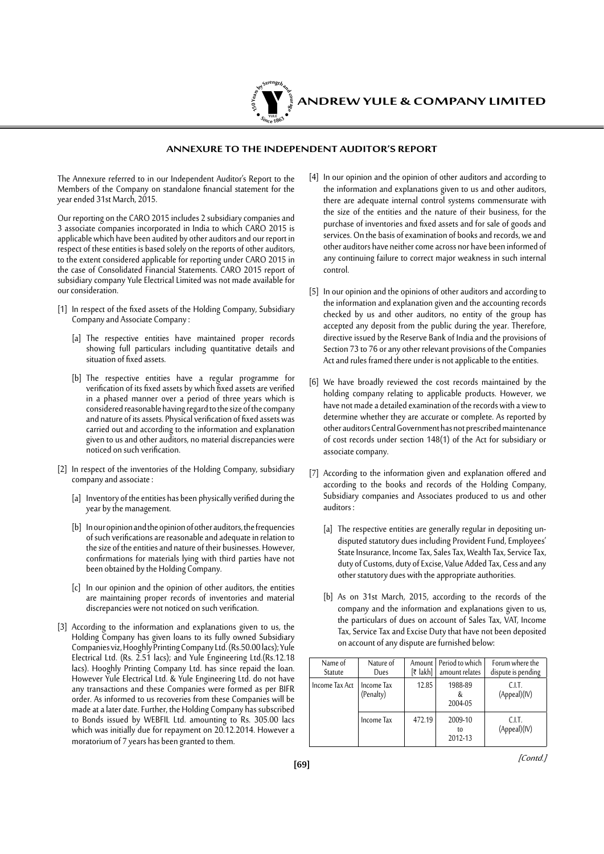

#### **Annexure to the Independent Auditor's Report**

The Annexure referred to in our Independent Auditor's Report to the Members of the Company on standalone financial statement for the year ended 31st March, 2015.

Our reporting on the CARO 2015 includes 2 subsidiary companies and 3 associate companies incorporated in India to which CARO 2015 is applicable which have been audited by other auditors and our report in respect of these entities is based solely on the reports of other auditors, to the extent considered applicable for reporting under CARO 2015 in the case of Consolidated Financial Statements. CARO 2015 report of subsidiary company Yule Electrical Limited was not made available for our consideration.

- [1] In respect of the fixed assets of the Holding Company, Subsidiary Company and Associate Company :
	- [a] The respective entities have maintained proper records showing full particulars including quantitative details and situation of fixed assets.
	- [b] The respective entities have a regular programme for verification of its fixed assets by which fixed assets are verified in a phased manner over a period of three years which is considered reasonable having regard to the size of the company and nature of its assets. Physical verification of fixed assets was carried out and according to the information and explanation given to us and other auditors, no material discrepancies were noticed on such verification.
- [2] In respect of the inventories of the Holding Company, subsidiary company and associate :
	- [a] Inventory of the entities has been physically verified during the year by the management.
	- [b] In our opinion and the opinion of other auditors, the frequencies of such verifications are reasonable and adequate in relation to the size of the entities and nature of their businesses. However, confirmations for materials lying with third parties have not been obtained by the Holding Company.
	- [c] In our opinion and the opinion of other auditors, the entities are maintaining proper records of inventories and material discrepancies were not noticed on such verification.
- [3] According to the information and explanations given to us, the Holding Company has given loans to its fully owned Subsidiary Companies viz, Hooghly Printing Company Ltd. (Rs.50.00 lacs); Yule Electrical Ltd. (Rs. 2.51 lacs); and Yule Engineering Ltd.(Rs.12.18 lacs). Hooghly Printing Company Ltd. has since repaid the loan. However Yule Electrical Ltd. & Yule Engineering Ltd. do not have any transactions and these Companies were formed as per BIFR order. As informed to us recoveries from these Companies will be made at a later date. Further, the Holding Company has subscribed to Bonds issued by WEBFIL Ltd. amounting to Rs. 305.00 lacs which was initially due for repayment on 20.12.2014. However a moratorium of 7 years has been granted to them.
- [4] In our opinion and the opinion of other auditors and according to the information and explanations given to us and other auditors, there are adequate internal control systems commensurate with the size of the entities and the nature of their business, for the purchase of inventories and fixed assets and for sale of goods and services. On the basis of examination of books and records, we and other auditors have neither come across nor have been informed of any continuing failure to correct major weakness in such internal control.
- [5] In our opinion and the opinions of other auditors and according to the information and explanation given and the accounting records checked by us and other auditors, no entity of the group has accepted any deposit from the public during the year. Therefore, directive issued by the Reserve Bank of India and the provisions of Section 73 to 76 or any other relevant provisions of the Companies Act and rules framed there under is not applicable to the entities.
- [6] We have broadly reviewed the cost records maintained by the holding company relating to applicable products. However, we have not made a detailed examination of the records with a view to determine whether they are accurate or complete. As reported by other auditors Central Government has not prescribed maintenance of cost records under section 148(1) of the Act for subsidiary or associate company.
- [7] According to the information given and explanation offered and according to the books and records of the Holding Company, Subsidiary companies and Associates produced to us and other auditors :
	- [a] The respective entities are generally regular in depositing undisputed statutory dues including Provident Fund, Employees' State Insurance, Income Tax, Sales Tax, Wealth Tax, Service Tax, duty of Customs, duty of Excise, Value Added Tax, Cess and any other statutory dues with the appropriate authorities.
	- [b] As on 31st March, 2015, according to the records of the company and the information and explanations given to us, the particulars of dues on account of Sales Tax, VAT, Income Tax, Service Tax and Excise Duty that have not been deposited on account of any dispute are furnished below:

| Name of<br>Statute | Nature of<br>Dues       | Amount I<br>$[\bar{x}$ lakh] | Period to which<br>amount relates | Forum where the<br>dispute is pending |
|--------------------|-------------------------|------------------------------|-----------------------------------|---------------------------------------|
| Income Tax Act     | Income Tax<br>(Penalty) | 12.85                        | 1988-89<br>2004-05                | C.LT.<br>(Appeal)(IV)                 |
|                    | Income Tax              | 472.19                       | 2009-10<br>to<br>2012-13          | CLT.<br>(Appeal)(IV)                  |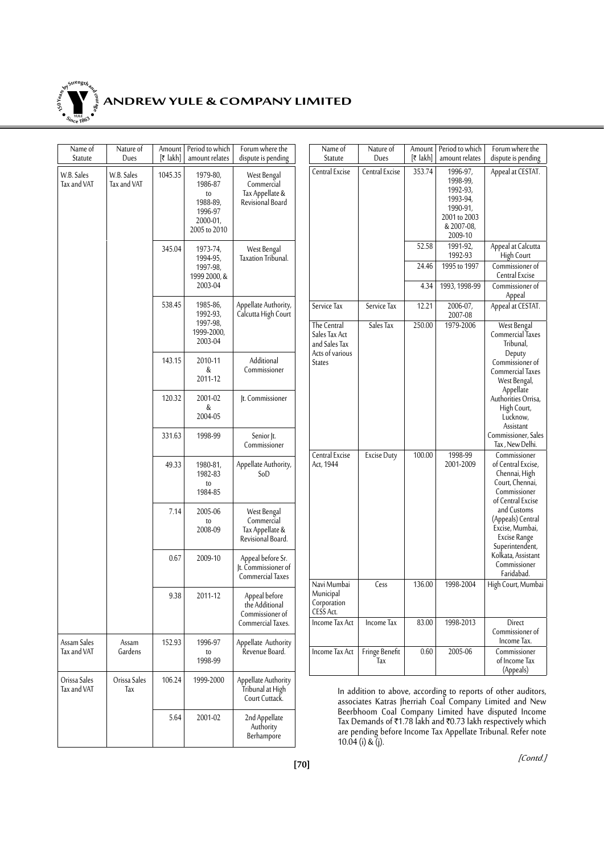

# **ANDREW YULE & COMPANY LIMITED**

| Name of<br>Statute          | Nature of<br>Dues         | Amount<br>$[\bar{x}$ lakh] | Period to which<br>amount relates                                                 | Forum where the<br>dispute is pending                             | Name of<br>Statute                                   | Nature of<br>Dues     | Amount<br>$[\bar{x}$ lakh] | Period to which<br>amount relates                                                                 | Forum where the<br>dispute is pending                                                                                                                                           |
|-----------------------------|---------------------------|----------------------------|-----------------------------------------------------------------------------------|-------------------------------------------------------------------|------------------------------------------------------|-----------------------|----------------------------|---------------------------------------------------------------------------------------------------|---------------------------------------------------------------------------------------------------------------------------------------------------------------------------------|
| W.B. Sales<br>Tax and VAT   | W.B. Sales<br>Tax and VAT | 1045.35                    | 1979-80,<br>1986-87<br>to<br>1988-89,<br>1996-97<br>$2000 - 01$ ,<br>2005 to 2010 | West Bengal<br>Commercial<br>Tax Appellate &<br>Revisional Board  | Central Excise                                       | Central Excise        | 353.74                     | 1996-97,<br>1998-99,<br>1992-93,<br>1993-94,<br>1990-91,<br>2001 to 2003<br>& 2007-08,<br>2009-10 | Appeal at CESTAT.                                                                                                                                                               |
|                             |                           | 345.04                     | 1973-74,<br>1994-95,<br>1997-98,                                                  | West Bengal<br>Taxation Tribunal.                                 |                                                      |                       | 52.58<br>24.46             | 1991-92,<br>1992-93<br>1995 to 1997                                                               | Appeal at Calcutta<br>High Court<br>Commissioner of                                                                                                                             |
|                             |                           |                            | 1999 2000, &<br>2003-04                                                           |                                                                   |                                                      |                       | 4.34                       | 1993, 1998-99                                                                                     | Central Excise<br>Commissioner of                                                                                                                                               |
|                             |                           | 538.45                     | 1985-86,                                                                          | Appellate Authority,                                              | Service Tax                                          | Service Tax           | 12.21                      | 2006-07,                                                                                          | Appeal<br>Appeal at CESTAT.                                                                                                                                                     |
|                             |                           |                            | 1992-93,<br>1997-98,<br>1999-2000,<br>2003-04                                     | Calcutta High Court                                               | The Central<br>Sales Tax Act<br>and Sales Tax        | Sales Tax             | 250.00                     | 2007-08<br>1979-2006                                                                              | West Bengal<br>Commercial Taxes<br>Tribunal,                                                                                                                                    |
|                             |                           | 143.15                     | 2010-11<br>&<br>2011-12                                                           | Additional<br>Commissioner<br>Jt. Commissioner                    | Acts of various<br><b>States</b>                     |                       |                            |                                                                                                   | Deputy<br>Commissioner of<br>Commercial Taxes<br>West Bengal,<br>Appellate                                                                                                      |
|                             |                           | 120.32                     | 2001-02<br>&<br>2004-05                                                           |                                                                   |                                                      |                       |                            |                                                                                                   |                                                                                                                                                                                 |
|                             |                           | 331.63                     | 1998-99                                                                           | Senior  t.<br>Commissioner                                        |                                                      |                       |                            |                                                                                                   | Commissioner, Sales<br>Tax, New Delhi.                                                                                                                                          |
|                             |                           | 49.33                      | 1980-81,<br>1982-83<br>to<br>1984-85                                              | Appellate Authority,<br>SoD                                       | Central Excise<br>Act, 1944                          | <b>Excise Duty</b>    | 100.00                     | 1998-99<br>2001-2009                                                                              | Commissioner<br>of Central Excise,<br>Chennai, High<br>Court, Chennai,<br>Commissioner<br>of Central Excise                                                                     |
|                             |                           | 7.14                       | 2005-06<br>t0<br>2008-09                                                          | West Bengal<br>Commercial<br>Tax Appellate &<br>Revisional Board. |                                                      |                       |                            |                                                                                                   | and Customs<br>(Appeals) Central<br>Excise, Mumbai,<br>Excise Range<br>Superintendent,                                                                                          |
|                             |                           | 0.67                       | 2009-10                                                                           | Appeal before Sr.<br>It. Commissioner of<br>Commercial Taxes      |                                                      |                       |                            |                                                                                                   | Kolkata, Assistant<br>Commissioner<br>Faridabad.                                                                                                                                |
|                             |                           | 9.38                       | 2011-12                                                                           | Appeal before<br>the Additional<br>Commissioner of                | Navi Mumbai<br>Municipal<br>Corporation<br>CESS Act. | Cess                  | 136.00                     | 1998-2004                                                                                         | High Court, Mumbai                                                                                                                                                              |
|                             |                           |                            |                                                                                   | Commercial Taxes.                                                 | Income Tax Act                                       | Income Tax            | 83.00                      | 1998-2013                                                                                         | Direct<br>Commissioner of<br>Income Tax.                                                                                                                                        |
| Assam Sales<br>Tax and VAT  | Assam<br>Gardens          | 152.93                     | 1996-97<br>t0<br>1998-99                                                          | Appellate Authority<br>Revenue Board.                             | Income Tax Act                                       | Fringe Benefit<br>Tax | 0.60                       | 2005-06                                                                                           | Commissioner<br>of Income Tax<br>(Appeals)                                                                                                                                      |
| Orissa Sales<br>Tax and VAT | Orissa Sales<br>Tax       | 106.24                     | 1999-2000                                                                         | Appellate Authority<br>Tribunal at High<br>Court Cuttack.         |                                                      |                       |                            |                                                                                                   | In addition to above, according to reports of other auditors,<br>associates Katras Jherriah Coal Company Limited and New<br>Beerbhoom Coal Company Limited have disputed Income |
|                             |                           | 5.64                       | 2001-02                                                                           | 2nd Appellate<br>Authority<br>Berhampore                          |                                                      | $10.04$ (i) & (j).    |                            |                                                                                                   | Tax Demands of ₹1.78 lakh and ₹0.73 lakh respectively which<br>are pending before Income Tax Appellate Tribunal. Refer note                                                     |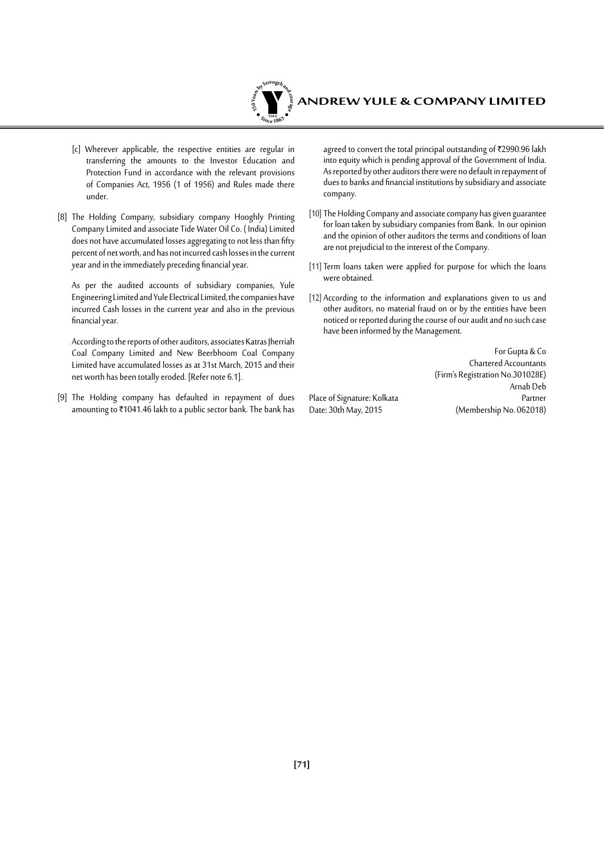

- [c] Wherever applicable, the respective entities are regular in transferring the amounts to the Investor Education and Protection Fund in accordance with the relevant provisions of Companies Act, 1956 (1 of 1956) and Rules made there under.
- [8] The Holding Company, subsidiary company Hooghly Printing Company Limited and associate Tide Water Oil Co. ( India) Limited does not have accumulated losses aggregating to not less than fifty percent of net worth, and has not incurred cash losses in the current year and in the immediately preceding financial year.

As per the audited accounts of subsidiary companies, Yule Engineering Limited and Yule Electrical Limited, the companies have incurred Cash losses in the current year and also in the previous financial year.

According to the reports of other auditors, associates Katras Jherriah Coal Company Limited and New Beerbhoom Coal Company Limited have accumulated losses as at 31st March, 2015 and their net worth has been totally eroded. [Refer note 6.1].

[9] The Holding company has defaulted in repayment of dues amounting to ₹1041.46 lakh to a public sector bank. The bank has

agreed to convert the total principal outstanding of ₹2990.96 lakh into equity which is pending approval of the Government of India. As reported by other auditors there were no default in repayment of dues to banks and financial institutions by subsidiary and associate company.

- [10] The Holding Company and associate company has given guarantee for loan taken by subsidiary companies from Bank. In our opinion and the opinion of other auditors the terms and conditions of loan are not prejudicial to the interest of the Company.
- [11] Term loans taken were applied for purpose for which the loans were obtained.
- [12] According to the information and explanations given to us and other auditors, no material fraud on or by the entities have been noticed or reported during the course of our audit and no such case have been informed by the Management.

Place of Signature: Kolkata<br>Date: 30th May, 2015

For Gupta & Co Chartered Accountants (Firm's Registration No.301028E) Arnab Deb (Membership No. 062018)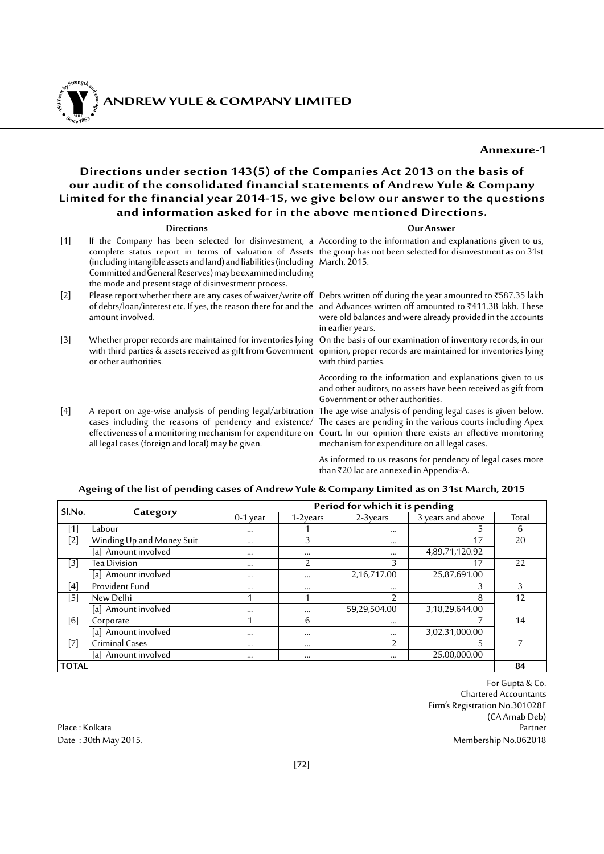Y **ANDREW YULE & COMPANY LIMITED YULE 150Year<sup>s</sup>byStre<sup>n</sup>gthand<sup>c</sup>ou<sup>r</sup>age <sup>S</sup>inc<sup>e</sup> <sup>1</sup>86<sup>3</sup>**  $\bullet$ . When  $\bullet$ 

**Annexure-1**

### **Directions under section 143(5) of the Companies Act 2013 on the basis of our audit of the consolidated financial statements of Andrew Yule & Company Limited for the financial year 2014-15, we give below our answer to the questions and information asked for in the above mentioned Directions.**

|       | <b>Directions</b>                                                                                                                                                                                   | <b>Our Answer</b>                                                                                                                                                                                                                                                                                                                         |
|-------|-----------------------------------------------------------------------------------------------------------------------------------------------------------------------------------------------------|-------------------------------------------------------------------------------------------------------------------------------------------------------------------------------------------------------------------------------------------------------------------------------------------------------------------------------------------|
| $[1]$ | (including intangible assets and land) and liabilities (including March, 2015.<br>Committed and General Reserves) may be examined including<br>the mode and present stage of disinvestment process. | If the Company has been selected for disinvestment, a According to the information and explanations given to us,<br>complete status report in terms of valuation of Assets the group has not been selected for disinvestment as on 31st                                                                                                   |
| $[2]$ | amount involved.                                                                                                                                                                                    | Please report whether there are any cases of waiver/write off Debts written off during the year amounted to ₹587.35 lakh<br>of debts/loan/interest etc. If yes, the reason there for and the and Advances written off amounted to ₹411.38 lakh. These<br>were old balances and were already provided in the accounts<br>in earlier years. |
| $[3]$ | with third parties & assets received as gift from Government opinion, proper records are maintained for inventories lying<br>or other authorities.                                                  | Whether proper records are maintained for inventories lying On the basis of our examination of inventory records, in our<br>with third parties.                                                                                                                                                                                           |
|       |                                                                                                                                                                                                     | According to the information and explanations given to us<br>and other auditors, no assets have been received as gift from<br>Government or other authorities.                                                                                                                                                                            |
| [4]   | A report on age-wise analysis of pending legal/arbitration The age wise analysis of pending legal cases is given below.<br>all legal cases (foreign and local) may be given.                        | cases including the reasons of pendency and existence/ The cases are pending in the various courts including Apex<br>effectiveness of a monitoring mechanism for expenditure on Court. In our opinion there exists an effective monitoring<br>mechanism for expenditure on all legal cases.                                               |

mechanism for expenditure on all legal cases. As informed to us reasons for pendency of legal cases more than ₹20 lac are annexed in Appendix-A.

| Sl.No.       |                           | Period for which it is pending |                |              |                   |       |  |
|--------------|---------------------------|--------------------------------|----------------|--------------|-------------------|-------|--|
|              | Category                  | $0-1$ year                     | $1-2$ vears    | $2-3$ vears  | 3 years and above | Total |  |
| [1]          | Labour                    | $\cdots$                       |                | $\cdots$     | 5                 | 6     |  |
| $[2]$        | Winding Up and Money Suit | $\cdots$                       | 3              | $\cdots$     | 17                | 20    |  |
|              | [a] Amount involved       | $\cdots$                       | $\cdots$       | $\cdots$     | 4,89,71,120.92    |       |  |
| $[3]$        | Tea Division              | $\cdots$                       | $\overline{2}$ | 3            | 17                | 22    |  |
|              | [a] Amount involved       | $\cdots$                       | $\cdots$       | 2,16,717.00  | 25,87,691.00      |       |  |
| [4]          | Provident Fund            | $\cdots$                       | $\cdots$       | $\cdots$     | 3                 | 3     |  |
| $[5]$        | New Delhi                 |                                | 1              | 2            | 8                 | 12    |  |
|              | [a] Amount involved       | $\cdots$                       | $\cdots$       | 59,29,504.00 | 3,18,29,644.00    |       |  |
| [6]          | Corporate                 |                                | 6              | $\cdots$     |                   | 14    |  |
|              | [a] Amount involved       | $\cdots$                       | $\cdots$       | $\cdots$     | 3,02,31,000.00    |       |  |
| $[7]$        | Criminal Cases            | $\cdots$                       | $\cdots$       | 2            | 5                 |       |  |
|              | [a] Amount involved       | $\cdots$                       | $\cdots$       | $\cdots$     | 25,00,000.00      |       |  |
| <b>TOTAL</b> |                           |                                |                |              |                   | 84    |  |

#### **Ageing of the list of pending cases of Andrew Yule & Company Limited as on 31st March, 2015**

For Gupta & Co. Chartered Accountants Firm's Registration No.301028E (CA Arnab Deb) Place : Kolkata Partner Date : 30th May 2015. Membership No.062018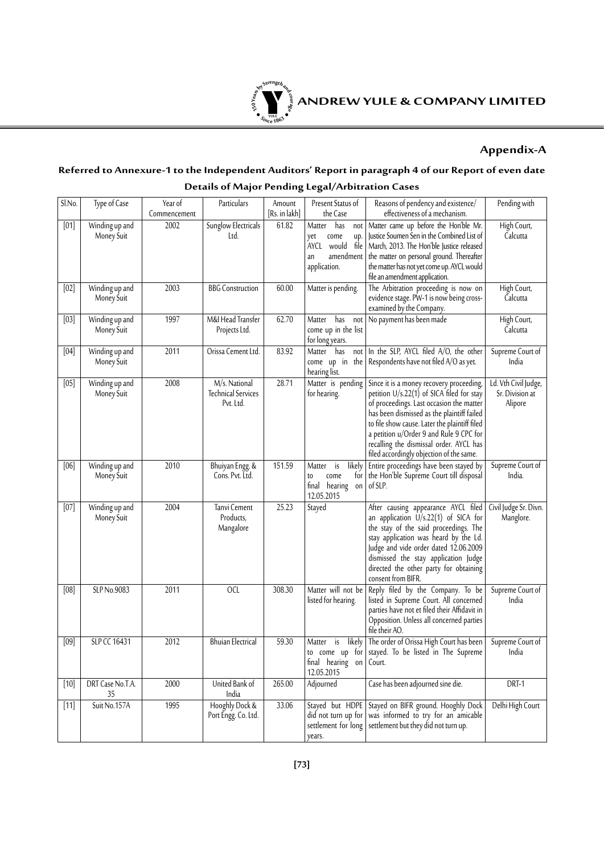

# **Appendix-A**

# **Referred to Annexure-1 to the Independent Auditors' Report in paragraph 4 of our Report of even date**

| SINo.  |                              |                         |                                                         |                         |                                                                                                     |                                                                                                                                                                                                                                                                                                                                                                      |                                                    |
|--------|------------------------------|-------------------------|---------------------------------------------------------|-------------------------|-----------------------------------------------------------------------------------------------------|----------------------------------------------------------------------------------------------------------------------------------------------------------------------------------------------------------------------------------------------------------------------------------------------------------------------------------------------------------------------|----------------------------------------------------|
|        | Type of Case                 | Year of<br>Commencement | Particulars                                             | Amount<br>[Rs. in lakh] | Present Status of<br>the Case                                                                       | Reasons of pendency and existence/<br>effectiveness of a mechanism.                                                                                                                                                                                                                                                                                                  | Pending with                                       |
| [01]   | Winding up and<br>Money Suit | 2002                    | Sunglow Electricals<br>Ltd.                             | 61.82                   | Matter<br>has<br>not<br>come<br>up.<br>yet<br>file<br>AYCL would<br>amendment<br>an<br>application. | Matter came up before the Hon'ble Mr.<br>Justice Soumen Sen in the Combined List of<br>March, 2013. The Hon'ble Justice released<br>the matter on personal ground. Thereafter<br>the matter has not yet come up. AYCL would<br>file an amendment application.                                                                                                        | High Court,<br>Calcutta                            |
| [02]   | Winding up and<br>Money Suit | 2003                    | <b>BBG</b> Construction                                 | 60.00                   | Matter is pending.                                                                                  | The Arbitration proceeding is now on<br>evidence stage. PW-1 is now being cross-<br>examined by the Company.                                                                                                                                                                                                                                                         | High Court,<br>Calcutta                            |
| [03]   | Winding up and<br>Money Suit | 1997                    | M&I Head Transfer<br>Projects Ltd.                      | 62.70                   | has<br>Matter<br>not<br>come up in the list<br>for long years.                                      | No payment has been made                                                                                                                                                                                                                                                                                                                                             | High Court,<br>Calcutta                            |
| [04]   | Winding up and<br>Money Suit | 2011                    | Orissa Cement Ltd.                                      | 83.92                   | Matter has<br>not<br>come up in the<br>hearing list.                                                | In the SLP, AYCL filed A/O, the other<br>Respondents have not filed A/O as yet.                                                                                                                                                                                                                                                                                      | Supreme Court of<br>India                          |
| [05]   | Winding up and<br>Money Suit | 2008                    | M/s. National<br><b>Technical Services</b><br>Pvt. Ltd. | 28.71                   | Matter is pending<br>for hearing.                                                                   | Since it is a money recovery proceeding,<br>petition $U/s.22(1)$ of SICA filed for stay<br>of proceedings. Last occasion the matter<br>has been dismissed as the plaintiff failed<br>to file show cause. Later the plaintiff filed<br>a petition u/Order 9 and Rule 9 CPC for<br>recalling the dismissal order. AYCL has<br>filed accordingly objection of the same. | Ld. Vth Civil Judge,<br>Sr. Division at<br>Alipore |
| [06]   | Winding up and<br>Money Suit | 2010                    | Bhuiyan Engg. &<br>Cons. Pvt. Ltd.                      | 151.59                  | likely<br>is<br>Matter<br>for<br>come<br>t0<br>final hearing<br>on<br>12.05.2015                    | Entire proceedings have been stayed by<br>the Hon'ble Supreme Court till disposal<br>of SLP.                                                                                                                                                                                                                                                                         | Supreme Court of<br>India.                         |
| [07]   | Winding up and<br>Money Suit | 2004                    | Tanvi Cement<br>Products,<br>Mangalore                  | 25.23                   | Stayed                                                                                              | After causing appearance AYCL filed<br>an application U/s.22(1) of SICA for<br>the stay of the said proceedings. The<br>stay application was heard by the Ld.<br>Judge and vide order dated 12.06.2009<br>dismissed the stay application Judge<br>directed the other party for obtaining<br>consent from BIFR.                                                       | Civil Judge Sr. Divn.<br>Manglore.                 |
| [08]   | SLP No.9083                  | 2011                    | <b>OCL</b>                                              | 308.30                  | Matter will not be<br>listed for hearing.                                                           | Reply filed by the Company. To be<br>listed in Supreme Court. All concerned<br>parties have not et filed their Affidavit in<br>Opposition. Unless all concerned parties<br>file their AO.                                                                                                                                                                            | Supreme Court of<br>India                          |
| [09]   | SLP CC 16431                 | 2012                    | <b>Bhuian Electrical</b>                                | 59.30                   | likely<br>Matter is<br>final hearing on<br>12.05.2015                                               | The order of Orissa High Court has been<br>to come up for stayed. To be listed in The Supreme<br>Court.                                                                                                                                                                                                                                                              | Supreme Court of<br>India                          |
| $[10]$ | DRT Case No.T.A.<br>35       | 2000                    | United Bank of<br>India                                 | 265.00                  | Adjourned                                                                                           | Case has been adjourned sine die.                                                                                                                                                                                                                                                                                                                                    | DRT-1                                              |
| $[11]$ | Suit No.157A                 | 1995                    | Hooghly Dock &<br>Port Engg. Co. Ltd.                   | 33.06                   | Stayed but HDPE<br>did not turn up for<br>settlement for long<br>years.                             | Stayed on BIFR ground. Hooghly Dock<br>was informed to try for an amicable<br>settlement but they did not turn up.                                                                                                                                                                                                                                                   | Delhi High Court                                   |

# **Details of Major Pending Legal/Arbitration Cases**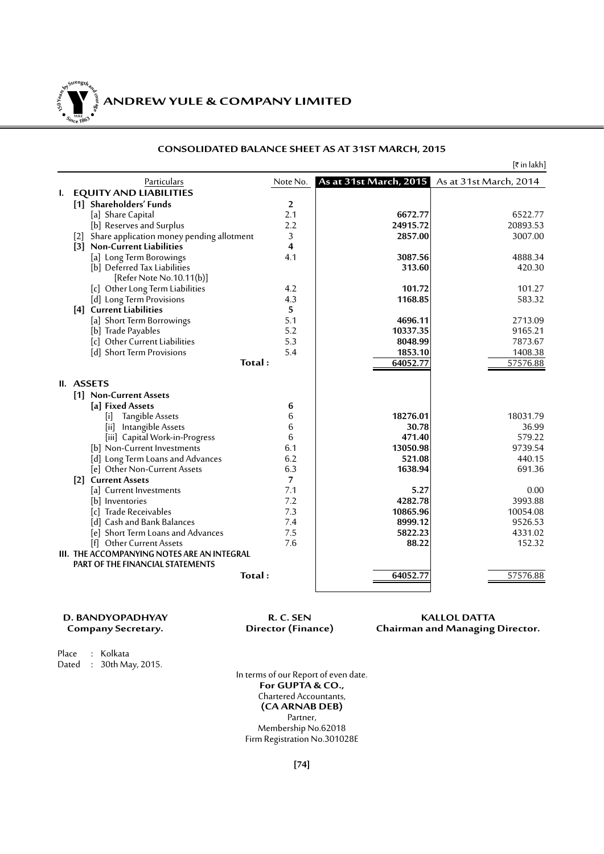

# **ANDREW YULE & COMPANY LIMITED**

# **CONSOLIDATED BALANCE SHEET AS AT 31ST MARCH, 2015**

|    |                                                    |                |                        | [₹ in lakh]            |
|----|----------------------------------------------------|----------------|------------------------|------------------------|
|    | Particulars                                        | Note No.       | As at 31st March, 2015 | As at 31st March, 2014 |
| L. | <b>EQUITY AND LIABILITIES</b>                      |                |                        |                        |
|    | [1] Shareholders' Funds                            | 2              |                        |                        |
|    | [a] Share Capital                                  | 2.1            | 6672.77                | 6522.77                |
|    | [b] Reserves and Surplus                           | 2.2            | 24915.72               | 20893.53               |
|    | [2] Share application money pending allotment      | 3              | 2857.00                | 3007.00                |
|    | [3] Non-Current Liabilities                        | 4              |                        |                        |
|    | [a] Long Term Borowings                            | 4.1            | 3087.56                | 4888.34                |
|    | [b] Deferred Tax Liabilities                       |                | 313.60                 | 420.30                 |
|    | [Refer Note No.10.11(b)]                           |                |                        |                        |
|    | [c] Other Long Term Liabilities                    | 4.2            | 101.72                 | 101.27                 |
|    | [d] Long Term Provisions                           | 4.3            | 1168.85                | 583.32                 |
|    | [4] Current Liabilities                            | 5              |                        |                        |
|    | [a] Short Term Borrowings                          | 5.1            | 4696.11                | 2713.09                |
|    | [b] Trade Payables                                 | 5.2            | 10337.35               | 9165.21                |
|    | [c] Other Current Liabilities                      | 5.3            | 8048.99                | 7873.67                |
|    | [d] Short Term Provisions                          | 5.4            | 1853.10                | 1408.38                |
|    | Total:                                             |                | 64052.77               | 57576.88               |
|    |                                                    |                |                        |                        |
|    | II. ASSETS                                         |                |                        |                        |
|    | [1] Non-Current Assets                             |                |                        |                        |
|    | [a] Fixed Assets                                   | 6              |                        |                        |
|    | Tangible Assets<br>$\vert \mathbf{i} \vert$        | 6              | 18276.01               | 18031.79               |
|    | Intangible Assets<br>[iii]                         | 6              | 30.78                  | 36.99                  |
|    | [iii] Capital Work-in-Progress                     | 6              | 471.40                 | 579.22                 |
|    | [b] Non-Current Investments                        | 6.1            | 13050.98               | 9739.54                |
|    | [d] Long Term Loans and Advances                   | 6.2            | 521.08                 | 440.15                 |
|    | [e] Other Non-Current Assets                       | 6.3            | 1638.94                | 691.36                 |
|    | [2] Current Assets                                 | $\overline{7}$ |                        |                        |
|    | [a] Current Investments                            | 7.1            | 5.27                   | 0.00                   |
|    | b  Inventories                                     | 7.2            | 4282.78                | 3993.88                |
|    | [c] Trade Receivables                              | 7.3            | 10865.96               | 10054.08               |
|    | [d] Cash and Bank Balances                         | 7.4            | 8999.12                | 9526.53                |
|    | [e] Short Term Loans and Advances                  | 7.5            | 5822.23                | 4331.02                |
|    | [f] Other Current Assets                           | 7.6            | 88.22                  | 152.32                 |
|    | <b>III. THE ACCOMPANYING NOTES ARE AN INTEGRAL</b> |                |                        |                        |
|    | <b>PART OF THE FINANCIAL STATEMENTS</b>            |                |                        |                        |
|    | Total:                                             |                | 64052.77               | 57576.88               |
|    |                                                    |                |                        |                        |
|    |                                                    |                |                        |                        |

**D. BANDYOPADHYAY R. C. SEN R. C. SEN KALLOL DATTA**<br>Company Secretary. **R. C. SEN Chairman and Managing Chairman and Managing Director.** 

Place : Kolkata Dated : 30th May, 2015.

In terms of our Report of even date. **For GUPTA & CO.,** Chartered Accountants, **(CA ARNAB DEB)** Partner, Membership No.62018 Firm Registration No.301028E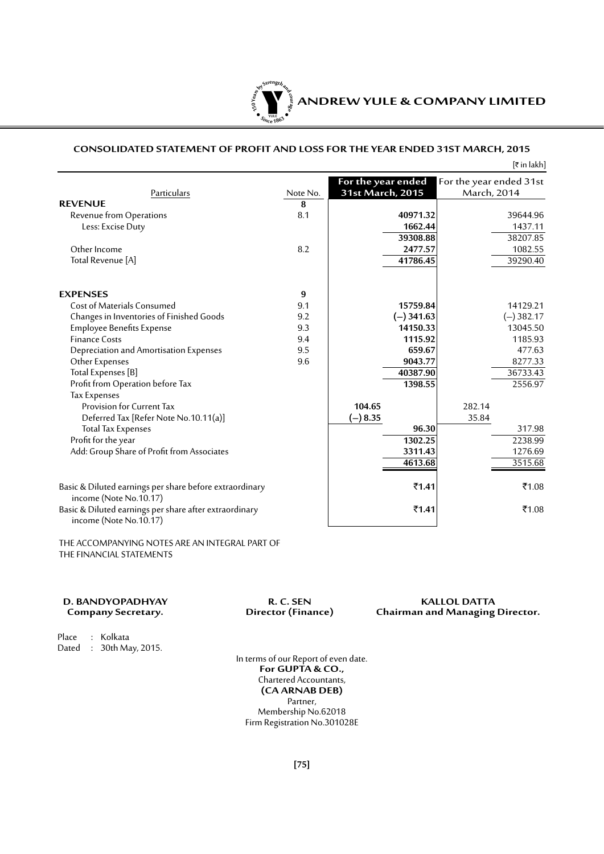

## **CONSOLIDATED STATEMENT OF PROFIT AND LOSS FOR THE YEAR ENDED 31ST MARCH, 2015**

|                                                                                   |          |                    |                         | [₹ in lakh] |
|-----------------------------------------------------------------------------------|----------|--------------------|-------------------------|-------------|
|                                                                                   |          | For the year ended | For the year ended 31st |             |
| Particulars                                                                       | Note No. | 31st March, 2015   | March, 2014             |             |
| <b>REVENUE</b>                                                                    | 8        |                    |                         |             |
| Revenue from Operations                                                           | 8.1      | 40971.32           |                         | 39644.96    |
| Less: Excise Duty                                                                 |          | 1662.44            |                         | 1437.11     |
|                                                                                   |          | 39308.88           |                         | 38207.85    |
| Other Income                                                                      | 8.2      | 2477.57            |                         | 1082.55     |
| Total Revenue [A]                                                                 |          | 41786.45           |                         | 39290.40    |
| <b>EXPENSES</b>                                                                   | 9        |                    |                         |             |
| <b>Cost of Materials Consumed</b>                                                 | 9.1      | 15759.84           |                         | 14129.21    |
| Changes in Inventories of Finished Goods                                          | 9.2      | $(-)$ 341.63       |                         | $(-)382.17$ |
| <b>Employee Benefits Expense</b>                                                  | 9.3      | 14150.33           |                         | 13045.50    |
| <b>Finance Costs</b>                                                              | 9.4      | 1115.92            |                         | 1185.93     |
| Depreciation and Amortisation Expenses                                            | 9.5      | 659.67             |                         | 477.63      |
| Other Expenses                                                                    | 9.6      | 9043.77            |                         | 8277.33     |
| Total Expenses [B]                                                                |          | 40387.90           |                         | 36733.43    |
| Profit from Operation before Tax                                                  |          | 1398.55            |                         | 2556.97     |
| <b>Tax Expenses</b>                                                               |          |                    |                         |             |
| Provision for Current Tax                                                         |          | 104.65             | 282.14                  |             |
| Deferred Tax [Refer Note No.10.11(a)]                                             |          | $(-) 8.35$         | 35.84                   |             |
| <b>Total Tax Expenses</b>                                                         |          | 96.30              |                         | 317.98      |
| Profit for the year                                                               |          | 1302.25            |                         | 2238.99     |
| Add: Group Share of Profit from Associates                                        |          | 3311.43            |                         | 1276.69     |
|                                                                                   |          | 4613.68            |                         | 3515.68     |
| Basic & Diluted earnings per share before extraordinary<br>income (Note No.10.17) |          | $\bar{5}1.41$      |                         | ₹1.08       |
| Basic & Diluted earnings per share after extraordinary<br>income (Note No.10.17)  |          | ₹1.41              |                         | ₹1.08       |

THE ACCOMPANYING NOTES ARE AN INTEGRAL PART OF THE FINANCIAL STATEMENTS

**D. BANDYOPADHYAY R. C. SEN R. C. SEN KALLOL DATTA**<br>Company Secretary. **R. C. SEN Chairman and Managing Chairman and Managing Director.** 

Place : Kolkata Dated : 30th May, 2015.

> In terms of our Report of even date. **For GUPTA & CO.,** Chartered Accountants, **(CA ARNAB DEB)** Partner, Membership No.62018 Firm Registration No.301028E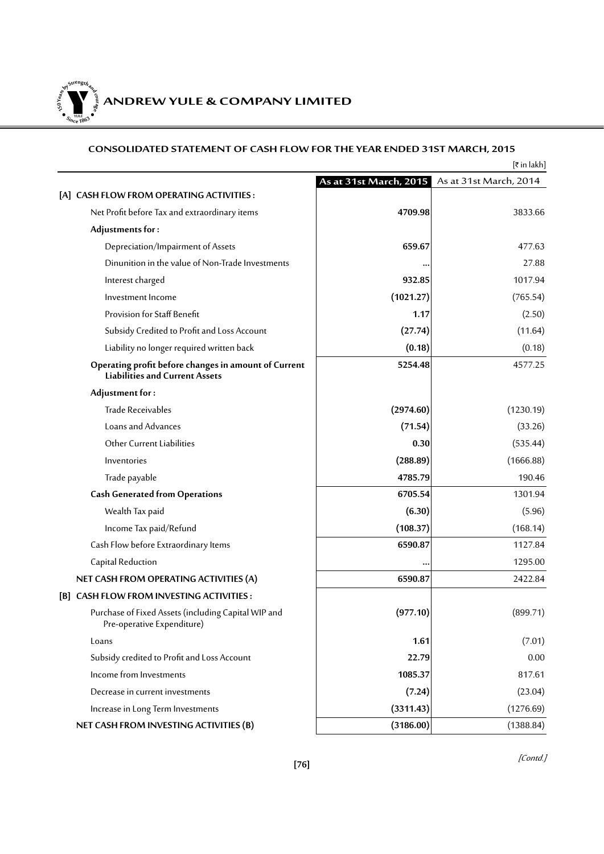**150Year<sup>s</sup>byStre<sup>n</sup>gthand<sup>c</sup>ou<sup>r</sup>age**  $\lim_{x \to 0} 18$  $\bullet$ . When  $\bullet$ 

# **ANDREW YULE & COMPANY LIMITED**

# **CONSOLIDATED STATEMENT OF CASH FLOW FOR THE YEAR ENDED 31ST MARCH, 2015**

|                                                                                               |                        | [₹ in lakh]            |
|-----------------------------------------------------------------------------------------------|------------------------|------------------------|
|                                                                                               | As at 31st March, 2015 | As at 31st March, 2014 |
| [A] CASH FLOW FROM OPERATING ACTIVITIES:                                                      |                        |                        |
| Net Profit before Tax and extraordinary items                                                 | 4709.98                | 3833.66                |
| Adjustments for:                                                                              |                        |                        |
| Depreciation/Impairment of Assets                                                             | 659.67                 | 477.63                 |
| Dinunition in the value of Non-Trade Investments                                              |                        | 27.88                  |
| Interest charged                                                                              | 932.85                 | 1017.94                |
| Investment Income                                                                             | (1021.27)              | (765.54)               |
| Provision for Staff Benefit                                                                   | 1.17                   | (2.50)                 |
| Subsidy Credited to Profit and Loss Account                                                   | (27.74)                | (11.64)                |
| Liability no longer required written back                                                     | (0.18)                 | (0.18)                 |
| Operating profit before changes in amount of Current<br><b>Liabilities and Current Assets</b> | 5254.48                | 4577.25                |
| Adjustment for:                                                                               |                        |                        |
| <b>Trade Receivables</b>                                                                      | (2974.60)              | (1230.19)              |
| Loans and Advances                                                                            | (71.54)                | (33.26)                |
| Other Current Liabilities                                                                     | 0.30                   | (535.44)               |
| Inventories                                                                                   | (288.89)               | (1666.88)              |
| Trade payable                                                                                 | 4785.79                | 190.46                 |
| <b>Cash Generated from Operations</b>                                                         | 6705.54                | 1301.94                |
| Wealth Tax paid                                                                               | (6.30)                 | (5.96)                 |
| Income Tax paid/Refund                                                                        | (108.37)               | (168.14)               |
| Cash Flow before Extraordinary Items                                                          | 6590.87                | 1127.84                |
| Capital Reduction                                                                             | ٠.                     | 1295.00                |
| NET CASH FROM OPERATING ACTIVITIES (A)                                                        | 6590.87                | 2422.84                |
| [B] CASH FLOW FROM INVESTING ACTIVITIES:                                                      |                        |                        |
| Purchase of Fixed Assets (including Capital WIP and<br>Pre-operative Expenditure)             | (977.10)               | (899.71)               |
| Loans                                                                                         | 1.61                   | (7.01)                 |
| Subsidy credited to Profit and Loss Account                                                   | 22.79                  | 0.00                   |
| Income from Investments                                                                       | 1085.37                | 817.61                 |
| Decrease in current investments                                                               | (7.24)                 | (23.04)                |
| Increase in Long Term Investments                                                             | (3311.43)              | (1276.69)              |
| NET CASH FROM INVESTING ACTIVITIES (B)                                                        | (3186.00)              | (1388.84)              |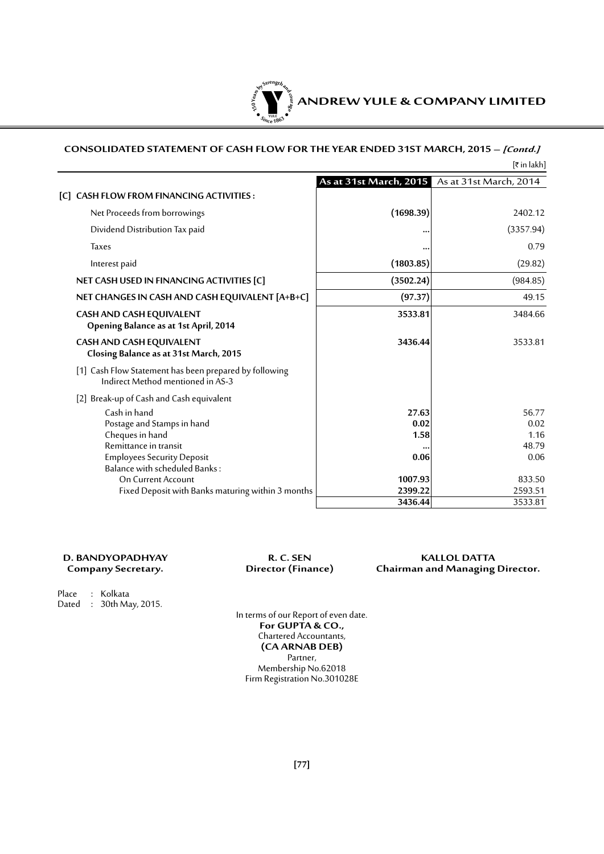

# **CONSOLIDATED STATEMENT OF CASH FLOW FOR THE YEAR ENDED 31ST MARCH, 2015 – [Contd.]**  $[\bar{\tau}$  in lakh]

|                                                                                             | As at 31st March, 2015 | As at 31st March, 2014 |
|---------------------------------------------------------------------------------------------|------------------------|------------------------|
| [C] CASH FLOW FROM FINANCING ACTIVITIES:                                                    |                        |                        |
| Net Proceeds from borrowings                                                                | (1698.39)              | 2402.12                |
| Dividend Distribution Tax paid                                                              |                        | (3357.94)              |
| <b>Taxes</b>                                                                                |                        | 0.79                   |
| Interest paid                                                                               | (1803.85)              | (29.82)                |
| NET CASH USED IN FINANCING ACTIVITIES [C]                                                   | (3502.24)              | (984.85)               |
| NET CHANGES IN CASH AND CASH EQUIVALENT [A+B+C]                                             | (97.37)                | 49.15                  |
| <b>CASH AND CASH EQUIVALENT</b><br>Opening Balance as at 1st April, 2014                    | 3533.81                | 3484.66                |
| CASH AND CASH EQUIVALENT<br>Closing Balance as at 31st March, 2015                          | 3436.44                | 3533.81                |
| [1] Cash Flow Statement has been prepared by following<br>Indirect Method mentioned in AS-3 |                        |                        |
| [2] Break-up of Cash and Cash equivalent                                                    |                        |                        |
| Cash in hand                                                                                | 27.63                  | 56.77                  |
| Postage and Stamps in hand                                                                  | 0.02                   | 0.02                   |
| Cheques in hand                                                                             | 1.58                   | 1.16                   |
| Remittance in transit                                                                       |                        | 48.79                  |
| <b>Employees Security Deposit</b><br>Balance with scheduled Banks:                          | 0.06                   | 0.06                   |
| <b>On Current Account</b>                                                                   | 1007.93                | 833.50                 |
| Fixed Deposit with Banks maturing within 3 months                                           | 2399.22                | 2593.51                |
|                                                                                             | 3436.44                | 3533.81                |

# **D. BANDYOPADHYAY R. C. SEN KALLOL DATTA Chairman and Managing Director.**

Place : Kolkata Dated : 30th May, 2015.

In terms of our Report of even date. **For GUPTA & CO.,** Chartered Accountants, **(CA ARNAB DEB)** Partner, Membership No.62018 Firm Registration No.301028E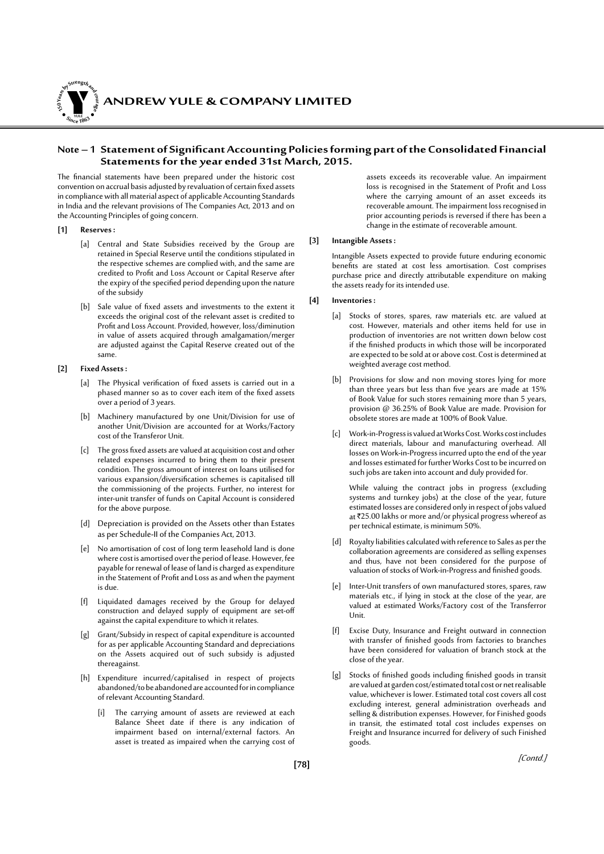**ANDREW YULE & COMPANY LIMITED 150Year<sup>s</sup>byStre<sup>n</sup>gthand<sup>c</sup>ou<sup>r</sup>age**

# **Note – 1 Statement ofSignificantAccounting Policiesformingpart oftheConsolidated Financial Statements for the year ended 31st March, 2015.**

The financial statements have been prepared under the historic cost convention on accrual basis adjusted by revaluation of certain fixed assets in compliance with all material aspect of applicable Accounting Standards in India and the relevant provisions of The Companies Act, 2013 and on the Accounting Principles of going concern.

**[1] Reserves :**

**<sup>S</sup>inc<sup>e</sup> <sup>1</sup>86<sup>3</sup>**  $\bullet$ . Where  $\bullet$ 

- [a] Central and State Subsidies received by the Group are retained in Special Reserve until the conditions stipulated in the respective schemes are complied with, and the same are credited to Profit and Loss Account or Capital Reserve after the expiry of the specified period depending upon the nature of the subsidy
- [b] Sale value of fixed assets and investments to the extent it exceeds the original cost of the relevant asset is credited to Profit and Loss Account. Provided, however, loss/diminution in value of assets acquired through amalgamation/merger are adjusted against the Capital Reserve created out of the same.

#### **[2] Fixed Assets :**

- [a] The Physical verification of fixed assets is carried out in a phased manner so as to cover each item of the fixed assets over a period of 3 years.
- Machinery manufactured by one Unit/Division for use of another Unit/Division are accounted for at Works/Factory cost of the Transferor Unit.
- [c] The gross fixed assets are valued at acquisition cost and other related expenses incurred to bring them to their present condition. The gross amount of interest on loans utilised for various expansion/diversification schemes is capitalised till the commissioning of the projects. Further, no interest for inter-unit transfer of funds on Capital Account is considered for the above purpose.
- [d] Depreciation is provided on the Assets other than Estates as per Schedule-II of the Companies Act, 2013.
- [e] No amortisation of cost of long term leasehold land is done where cost is amortised over the period of lease. However, fee payable for renewal of lease of land is charged as expenditure in the Statement of Profit and Loss as and when the payment is due.
- [f] Liquidated damages received by the Group for delayed construction and delayed supply of equipment are set-off against the capital expenditure to which it relates.
- [g] Grant/Subsidy in respect of capital expenditure is accounted for as per applicable Accounting Standard and depreciations on the Assets acquired out of such subsidy is adjusted thereagainst.
- [h] Expenditure incurred/capitalised in respect of projects abandoned/to be abandoned are accounted for in compliance of relevant Accounting Standard.
	- [i] The carrying amount of assets are reviewed at each Balance Sheet date if there is any indication of impairment based on internal/external factors. An asset is treated as impaired when the carrying cost of

assets exceeds its recoverable value. An impairment loss is recognised in the Statement of Profit and Loss where the carrying amount of an asset exceeds its recoverable amount. The impairment loss recognised in prior accounting periods is reversed if there has been a change in the estimate of recoverable amount.

#### **[3] Intangible Assets :**

Intangible Assets expected to provide future enduring economic benefits are stated at cost less amortisation. Cost comprises purchase price and directly attributable expenditure on making the assets ready for its intended use.

#### **[4] Inventories :**

- [a] Stocks of stores, spares, raw materials etc. are valued at cost. However, materials and other items held for use in production of inventories are not written down below cost if the finished products in which those will be incorporated are expected to be sold at or above cost. Cost is determined at weighted average cost method.
- [b] Provisions for slow and non moving stores lying for more than three years but less than five years are made at 15% of Book Value for such stores remaining more than 5 years, provision @ 36.25% of Book Value are made. Provision for obsolete stores are made at 100% of Book Value.
- [c] Work-in-Progress is valued at Works Cost. Works cost includes direct materials, labour and manufacturing overhead. All losses on Work-in-Progress incurred upto the end of the year and losses estimated for further Works Cost to be incurred on such jobs are taken into account and duly provided for.

While valuing the contract jobs in progress (excluding systems and turnkey jobs) at the close of the year, future estimated losses are considered only in respect of jobs valued at  $725.00$  lakhs or more and/or physical progress whereof as per technical estimate, is minimum 50%.

- [d] Royalty liabilities calculated with reference to Sales as per the collaboration agreements are considered as selling expenses and thus, have not been considered for the purpose of valuation of stocks of Work-in-Progress and finished goods.
- [e] Inter-Unit transfers of own manufactured stores, spares, raw materials etc., if lying in stock at the close of the year, are valued at estimated Works/Factory cost of the Transferror Unit.
- [f] Excise Duty, Insurance and Freight outward in connection with transfer of finished goods from factories to branches have been considered for valuation of branch stock at the close of the year.
- [g] Stocks of finished goods including finished goods in transit are valued at garden cost/estimated total cost or net realisable value, whichever is lower. Estimated total cost covers all cost excluding interest, general administration overheads and selling & distribution expenses. However, for Finished goods in transit, the estimated total cost includes expenses on Freight and Insurance incurred for delivery of such Finished goods.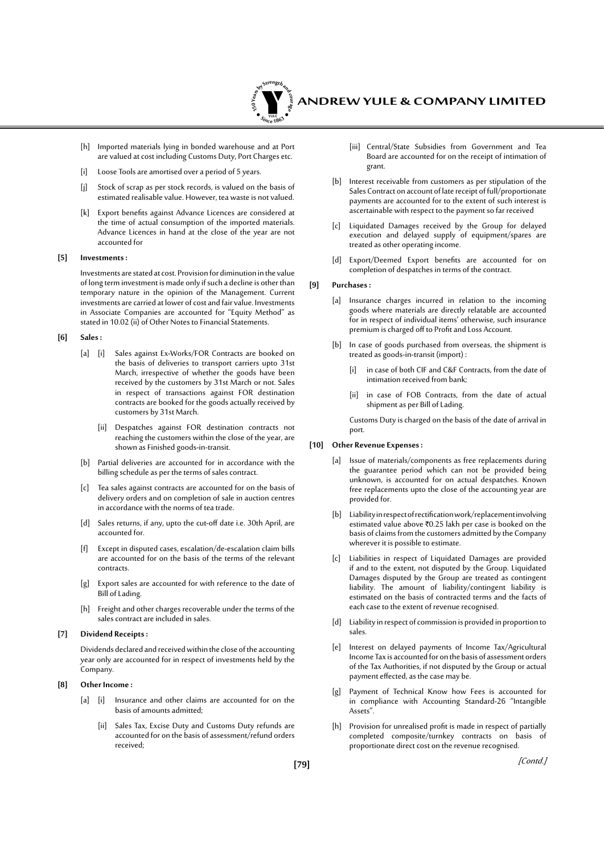

- [h] Imported materials lying in bonded warehouse and at Port are valued at cost including Customs Duty, Port Charges etc.
- [i] Loose Tools are amortised over a period of 5 years.
- Stock of scrap as per stock records, is valued on the basis of estimated realisable value. However, tea waste is not valued.
- [k] Export benefits against Advance Licences are considered at the time of actual consumption of the imported materials. Advance Licences in hand at the close of the year are not accounted for

#### **[5] Investments :**

Investments are stated at cost. Provision for diminution in the value of long term investment is made only if such a decline is other than temporary nature in the opinion of the Management. Current investments are carried at lower of cost and fair value. Investments in Associate Companies are accounted for "Equity Method" as stated in 10.02 (ii) of Other Notes to Financial Statements.

#### **[6] Sales :**

- [a] [i] Sales against Ex-Works/FOR Contracts are booked on the basis of deliveries to transport carriers upto 31st March, irrespective of whether the goods have been received by the customers by 31st March or not. Sales in respect of transactions against FOR destination contracts are booked for the goods actually received by customers by 31st March.
	- [ii] Despatches against FOR destination contracts not reaching the customers within the close of the year, are shown as Finished goods-in-transit.
- [b] Partial deliveries are accounted for in accordance with the billing schedule as per the terms of sales contract.
- [c] Tea sales against contracts are accounted for on the basis of delivery orders and on completion of sale in auction centres in accordance with the norms of tea trade.
- [d] Sales returns, if any, upto the cut-off date i.e. 30th April, are accounted for.
- Except in disputed cases, escalation/de-escalation claim bills are accounted for on the basis of the terms of the relevant contracts.
- [g] Export sales are accounted for with reference to the date of Bill of Lading.
- [h] Freight and other charges recoverable under the terms of the sales contract are included in sales.

#### **[7] Dividend Receipts :**

Dividends declared and received within the close of the accounting year only are accounted for in respect of investments held by the Company.

#### **[8] Other Income :**

- [a] [i] Insurance and other claims are accounted for on the basis of amounts admitted;
	- [ii] Sales Tax, Excise Duty and Customs Duty refunds are accounted for on the basis of assessment/refund orders received;
- [iii] Central/State Subsidies from Government and Tea Board are accounted for on the receipt of intimation of grant.
- [b] Interest receivable from customers as per stipulation of the Sales Contract on account of late receipt of full/proportionate payments are accounted for to the extent of such interest is ascertainable with respect to the payment so far received
- [c] Liquidated Damages received by the Group for delayed execution and delayed supply of equipment/spares are treated as other operating income.
- [d] Export/Deemed Export benefits are accounted for on completion of despatches in terms of the contract.

#### **[9] Purchases :**

- [a] Insurance charges incurred in relation to the incoming goods where materials are directly relatable are accounted for in respect of individual items' otherwise, such insurance premium is charged off to Profit and Loss Account.
- [b] In case of goods purchased from overseas, the shipment is treated as goods-in-transit (import) :
	- [i] in case of both CIF and C&F Contracts, from the date of intimation received from bank;
	- [ii] in case of FOB Contracts, from the date of actual shipment as per Bill of Lading.

 Customs Duty is charged on the basis of the date of arrival in port.

#### **[10] Other Revenue Expenses :**

- Issue of materials/components as free replacements during the guarantee period which can not be provided being unknown, is accounted for on actual despatches. Known free replacements upto the close of the accounting year are provided for.
- [b] Liability in respect of rectification work/replacement involving estimated value above  $\bar{\tau}$ 0.25 lakh per case is booked on the basis of claims from the customers admitted by the Company wherever it is possible to estimate.
- [c] Liabilities in respect of Liquidated Damages are provided if and to the extent, not disputed by the Group. Liquidated Damages disputed by the Group are treated as contingent liability. The amount of liability/contingent liability is estimated on the basis of contracted terms and the facts of each case to the extent of revenue recognised.
- [d] Liability in respect of commission is provided in proportion to sales.
- [e] Interest on delayed payments of Income Tax/Agricultural Income Tax is accounted for on the basis of assessment orders of the Tax Authorities, if not disputed by the Group or actual payment effected, as the case may be.
- [g] Payment of Technical Know how Fees is accounted for in compliance with Accounting Standard-26 "Intangible Assets".
- [h] Provision for unrealised profit is made in respect of partially completed composite/turnkey contracts on basis of proportionate direct cost on the revenue recognised.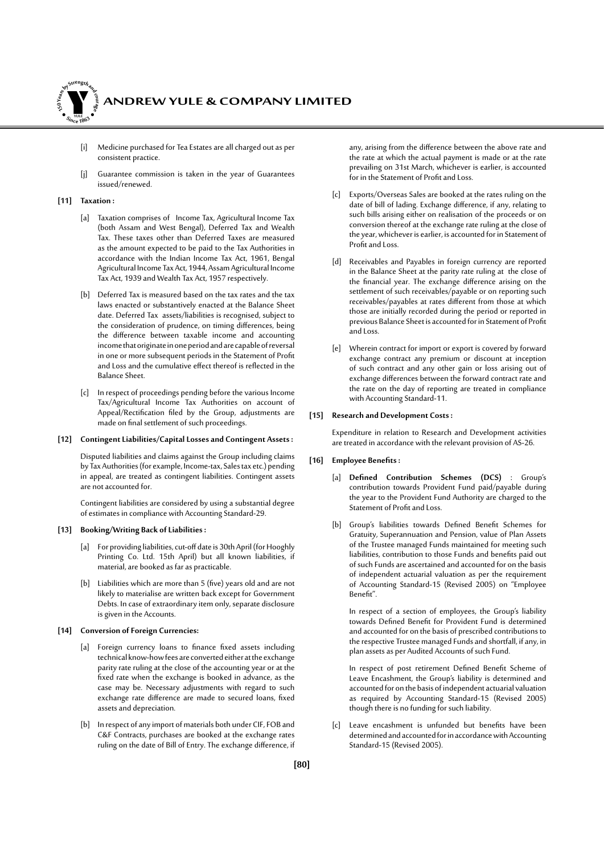

- [i] Medicine purchased for Tea Estates are all charged out as per consistent practice.
- [j] Guarantee commission is taken in the year of Guarantees issued/renewed.

#### **[11] Taxation :**

- [a] Taxation comprises of Income Tax, Agricultural Income Tax (both Assam and West Bengal), Deferred Tax and Wealth Tax. These taxes other than Deferred Taxes are measured as the amount expected to be paid to the Tax Authorities in accordance with the Indian Income Tax Act, 1961, Bengal Agricultural Income Tax Act, 1944, Assam Agricultural Income Tax Act, 1939 and Wealth Tax Act, 1957 respectively.
- [b] Deferred Tax is measured based on the tax rates and the tax laws enacted or substantively enacted at the Balance Sheet date. Deferred Tax assets/liabilities is recognised, subject to the consideration of prudence, on timing differences, being the difference between taxable income and accounting income that originate in one period and are capable of reversal in one or more subsequent periods in the Statement of Profit and Loss and the cumulative effect thereof is reflected in the Balance Sheet.
- [c] In respect of proceedings pending before the various Income Tax/Agricultural Income Tax Authorities on account of Appeal/Rectification filed by the Group, adjustments are made on final settlement of such proceedings.

#### **[12] Contingent Liabilities/Capital Losses and Contingent Assets :**

Disputed liabilities and claims against the Group including claims by Tax Authorities (for example, Income-tax, Sales tax etc.) pending in appeal, are treated as contingent liabilities. Contingent assets are not accounted for.

Contingent liabilities are considered by using a substantial degree of estimates in compliance with Accounting Standard-29.

#### **[13] Booking/Writing Back of Liabilities :**

- [a] For providing liabilities, cut-off date is 30th April (for Hooghly Printing Co. Ltd. 15th April) but all known liabilities, if material, are booked as far as practicable.
- [b] Liabilities which are more than 5 (five) years old and are not likely to materialise are written back except for Government Debts. In case of extraordinary item only, separate disclosure is given in the Accounts.

#### **[14] Conversion of Foreign Currencies:**

- [a] Foreign currency loans to finance fixed assets including technical know-how fees are converted either at the exchange parity rate ruling at the close of the accounting year or at the fixed rate when the exchange is booked in advance, as the case may be. Necessary adjustments with regard to such exchange rate difference are made to secured loans, fixed assets and depreciation.
- [b] In respect of any import of materials both under CIF, FOB and C&F Contracts, purchases are booked at the exchange rates ruling on the date of Bill of Entry. The exchange difference, if

any, arising from the difference between the above rate and the rate at which the actual payment is made or at the rate prevailing on 31st March, whichever is earlier, is accounted for in the Statement of Profit and Loss.

- [c] Exports/Overseas Sales are booked at the rates ruling on the date of bill of lading. Exchange difference, if any, relating to such bills arising either on realisation of the proceeds or on conversion thereof at the exchange rate ruling at the close of the year, whichever is earlier, is accounted for in Statement of Profit and Loss.
- [d] Receivables and Payables in foreign currency are reported in the Balance Sheet at the parity rate ruling at the close of the financial year. The exchange difference arising on the settlement of such receivables/payable or on reporting such receivables/payables at rates different from those at which those are initially recorded during the period or reported in previous Balance Sheet is accounted for in Statement of Profit and Loss.
- [e] Wherein contract for import or export is covered by forward exchange contract any premium or discount at inception of such contract and any other gain or loss arising out of exchange differences between the forward contract rate and the rate on the day of reporting are treated in compliance with Accounting Standard-11.

#### **[15] Research and Development Costs :**

Expenditure in relation to Research and Development activities are treated in accordance with the relevant provision of AS-26.

#### **[16] Employee Benefits:**

- [a] **Defined Contribution Schemes (DCS)** : Group's contribution towards Provident Fund paid/payable during the year to the Provident Fund Authority are charged to the Statement of Profit and Loss.
- [b] Group's liabilities towards Defined Benefit Schemes for Gratuity, Superannuation and Pension, value of Plan Assets of the Trustee managed Funds maintained for meeting such liabilities, contribution to those Funds and benefits paid out of such Funds are ascertained and accounted for on the basis of independent actuarial valuation as per the requirement of Accounting Standard-15 (Revised 2005) on "Employee Benefit".

 In respect of a section of employees, the Group's liability towards Defined Benefit for Provident Fund is determined and accounted for on the basis of prescribed contributions to the respective Trustee managed Funds and shortfall, if any, in plan assets as per Audited Accounts of such Fund.

In respect of post retirement Defined Benefit Scheme of Leave Encashment, the Group's liability is determined and accounted for on the basis of independent actuarial valuation as required by Accounting Standard-15 (Revised 2005) though there is no funding for such liability.

[c] Leave encashment is unfunded but benefits have been determined and accounted for in accordance with Accounting Standard-15 (Revised 2005).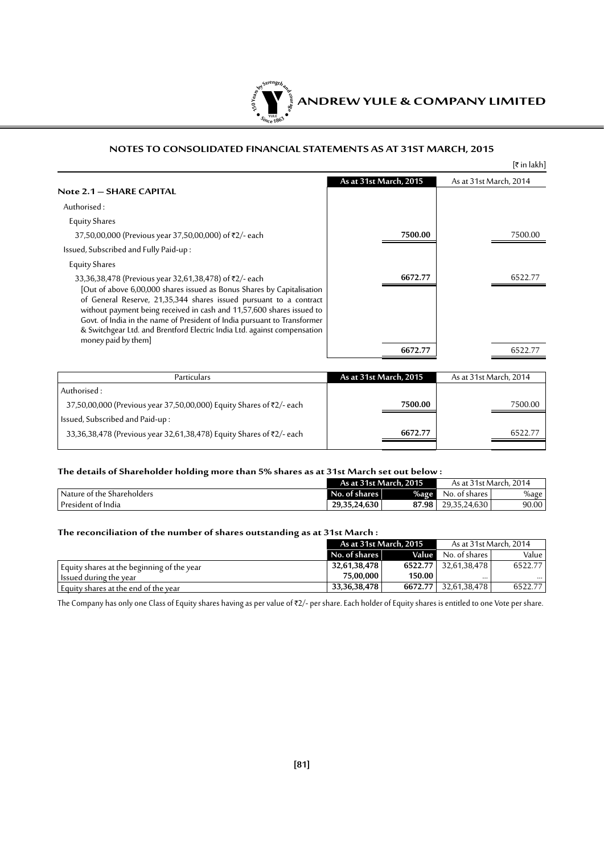

# **NOTES TO CONSOLIDATED FINANCIAL STATEMENTS AS AT 31ST MARCH, 2015**

|                                                                                                                                                                                                                                                                                                                                                                                                                                                                |                        | [₹ in lakh]            |
|----------------------------------------------------------------------------------------------------------------------------------------------------------------------------------------------------------------------------------------------------------------------------------------------------------------------------------------------------------------------------------------------------------------------------------------------------------------|------------------------|------------------------|
| Note 2.1 – SHARE CAPITAL                                                                                                                                                                                                                                                                                                                                                                                                                                       | As at 31st March, 2015 | As at 31st March, 2014 |
| Authorised:                                                                                                                                                                                                                                                                                                                                                                                                                                                    |                        |                        |
| <b>Equity Shares</b>                                                                                                                                                                                                                                                                                                                                                                                                                                           |                        |                        |
| 37,50,00,000 (Previous year 37,50,00,000) of ₹2/- each                                                                                                                                                                                                                                                                                                                                                                                                         | 7500.00                | 7500.00                |
| Issued, Subscribed and Fully Paid-up:                                                                                                                                                                                                                                                                                                                                                                                                                          |                        |                        |
| <b>Equity Shares</b>                                                                                                                                                                                                                                                                                                                                                                                                                                           |                        |                        |
| 33,36,38,478 (Previous year 32,61,38,478) of ₹2/- each<br>[Out of above 6,00,000 shares issued as Bonus Shares by Capitalisation<br>of General Reserve, 21,35,344 shares issued pursuant to a contract<br>without payment being received in cash and 11,57,600 shares issued to<br>Govt. of India in the name of President of India pursuant to Transformer<br>& Switchgear Ltd. and Brentford Electric India Ltd. against compensation<br>money paid by them] | 6672.77                | 6522.77                |
|                                                                                                                                                                                                                                                                                                                                                                                                                                                                | 6672.77                |                        |
|                                                                                                                                                                                                                                                                                                                                                                                                                                                                |                        |                        |

| <b>Particulars</b>                                                   | As at 31st March, 2015 | As at 31st March, 2014 |
|----------------------------------------------------------------------|------------------------|------------------------|
| Authorised:                                                          |                        |                        |
| 37,50,00,000 (Previous year 37,50,00,000) Equity Shares of ₹2/- each | 7500.00                | 7500.00                |
| Issued, Subscribed and Paid-up:                                      |                        |                        |
| 33,36,38,478 (Previous year 32,61,38,478) Equity Shares of ₹2/- each | 6672.77                | 6522.77                |
|                                                                      |                        |                        |

# **The details of Shareholder holding more than 5% shares as at 31st March set out below :**

|                              | As at 31st March, 2015 |         | As at 31st March, 2014 |       |
|------------------------------|------------------------|---------|------------------------|-------|
| ' Nature of the Shareholders | No. of shares I        | $%$ age | No. of shares          | %age  |
| President of India           | 29,35,24,630           | 87.98   | 29,35,24,630           | 90.00 |

#### **The reconciliation of the number of shares outstanding as at 31st March :**

| ັ                                          | As at 31st March, 2015 |         | As at 31st March, 2014 |          |
|--------------------------------------------|------------------------|---------|------------------------|----------|
|                                            | No. of shares          | Value   | No. of shares          | Value l  |
| Equity shares at the beginning of the year | 32,61,38,478           | 6522.77 | 32,61,38,478           | 6522.77  |
| <sup>1</sup> Issued during the year        | 75,00,000              | 150.00  | $\cdots$               | $\cdots$ |
| ' Equity shares at the end of the vear .   | 33,36,38,478           | 6672.77 | 32,61,38,478           | 6522.77  |

The Company has only one Class of Equity shares having as per value of ₹2/- per share. Each holder of Equity shares is entitled to one Vote per share.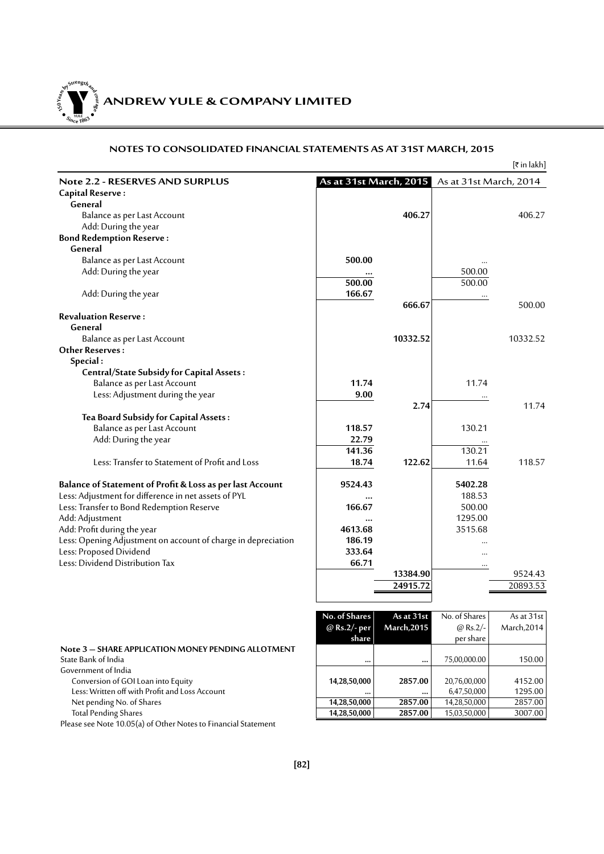Y **ANDREW YULE & COMPANY LIMITED YULE 150Year<sup>s</sup>byStre<sup>n</sup>gthand<sup>c</sup>ou<sup>r</sup>age**  $\bullet$   $\frac{1}{\text{NICE}}$   $\bullet$   $\bullet$ 

# **NOTES TO CONSOLIDATED FINANCIAL STATEMENTS AS AT 31ST MARCH, 2015**

|                                                               |               |                    |                                               | [₹ in lakh] |
|---------------------------------------------------------------|---------------|--------------------|-----------------------------------------------|-------------|
| <b>Note 2.2 - RESERVES AND SURPLUS</b>                        |               |                    | As at 31st March, 2015 As at 31st March, 2014 |             |
| Capital Reserve:                                              |               |                    |                                               |             |
| General                                                       |               |                    |                                               |             |
| Balance as per Last Account                                   |               | 406.27             |                                               | 406.27      |
| Add: During the year                                          |               |                    |                                               |             |
| <b>Bond Redemption Reserve:</b>                               |               |                    |                                               |             |
| General                                                       |               |                    |                                               |             |
| Balance as per Last Account                                   | 500.00        |                    |                                               |             |
| Add: During the year                                          |               |                    | 500.00                                        |             |
|                                                               | 500.00        |                    | 500.00                                        |             |
| Add: During the year                                          | 166.67        |                    |                                               |             |
|                                                               |               | 666.67             |                                               | 500.00      |
| <b>Revaluation Reserve:</b>                                   |               |                    |                                               |             |
| General                                                       |               |                    |                                               |             |
| Balance as per Last Account                                   |               | 10332.52           |                                               | 10332.52    |
| <b>Other Reserves:</b>                                        |               |                    |                                               |             |
| Special:                                                      |               |                    |                                               |             |
| <b>Central/State Subsidy for Capital Assets:</b>              |               |                    |                                               |             |
| Balance as per Last Account                                   | 11.74         |                    | 11.74                                         |             |
| Less: Adjustment during the year                              | 9.00          |                    |                                               |             |
|                                                               |               | 2.74               |                                               | 11.74       |
| Tea Board Subsidy for Capital Assets:                         |               |                    |                                               |             |
| Balance as per Last Account                                   | 118.57        |                    | 130.21                                        |             |
| Add: During the year                                          | 22.79         |                    |                                               |             |
|                                                               | 141.36        |                    | 130.21                                        |             |
| Less: Transfer to Statement of Profit and Loss                | 18.74         | 122.62             | 11.64                                         | 118.57      |
|                                                               |               |                    |                                               |             |
| Balance of Statement of Profit & Loss as per last Account     | 9524.43       |                    | 5402.28                                       |             |
| Less: Adjustment for difference in net assets of PYL          | $\ddotsc$     |                    | 188.53                                        |             |
| Less: Transfer to Bond Redemption Reserve                     | 166.67        |                    | 500.00                                        |             |
| Add: Adjustment                                               | $\ddotsc$     |                    | 1295.00                                       |             |
| Add: Profit during the year                                   | 4613.68       |                    | 3515.68                                       |             |
| Less: Opening Adjustment on account of charge in depreciation | 186.19        |                    |                                               |             |
| Less: Proposed Dividend                                       | 333.64        |                    |                                               |             |
| Less: Dividend Distribution Tax                               | 66.71         |                    |                                               |             |
|                                                               |               | 13384.90           | $\ldots$                                      | 9524.43     |
|                                                               |               | 24915.72           |                                               | 20893.53    |
|                                                               |               |                    |                                               |             |
|                                                               |               |                    |                                               |             |
|                                                               | No. of Shares | As at 31st         | No. of Shares                                 | As at 31st  |
|                                                               | @ Rs.2/- per  | <b>March, 2015</b> | @ $Rs.2/-$                                    | March, 2014 |
|                                                               | share         |                    | per share                                     |             |
| Note 3 - SHARE APPLICATION MONEY PENDING ALLOTMENT            |               |                    |                                               |             |
| State Bank of India                                           | $\cdots$      | $\ddotsc$          | 75,00,000.00                                  | 150.00      |
| Government of India                                           |               |                    |                                               |             |

Conversion of GOI Loan into Equity **14,28,50,000 14,28,50,000 2857.00 2857.00 20,76,00,000** 4152.00 **1295.00 1295.00 1295.00 1295.00 1295.00 1295.00 1295.00 1295.00 1295.00 1295.00 1295.00 129** 

- Less: Written off with Profit and Loss Account **.... ... ... ... ... ... ... ... ... ... ... ... ... ... ... ... ... ... ... ... ... ... ... ... ... ... ... ... ...**
- Net pending No. of Shares **14,28,50,000 2857.00 2857.00 2857.00 2857.00 2857.00 2857.00 2857.00 2857.00 2857.00 2857.00 2857.00 2857.00 2857.00 2857.00 2857.00 2857.00 2857.00 2857.00**

**Total Pending Shares** 

Please see Note 10.05(a) of Other Notes to Financial Statement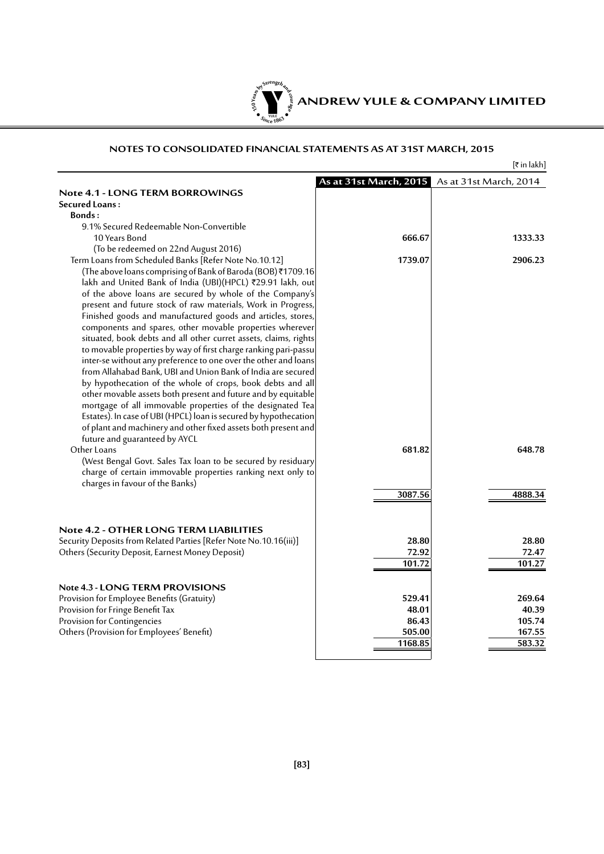

|                                                                   |                        | [₹ in lakh]            |
|-------------------------------------------------------------------|------------------------|------------------------|
|                                                                   | As at 31st March, 2015 | As at 31st March, 2014 |
| <b>Note 4.1 - LONG TERM BORROWINGS</b>                            |                        |                        |
| Secured Loans:                                                    |                        |                        |
| Bonds:                                                            |                        |                        |
| 9.1% Secured Redeemable Non-Convertible                           |                        |                        |
| 10 Years Bond                                                     | 666.67                 | 1333.33                |
| (To be redeemed on 22nd August 2016)                              |                        |                        |
| Term Loans from Scheduled Banks [Refer Note No.10.12]             | 1739.07                | 2906.23                |
| (The above loans comprising of Bank of Baroda (BOB)₹1709.16       |                        |                        |
|                                                                   |                        |                        |
| lakh and United Bank of India (UBI)(HPCL) ₹29.91 lakh, out        |                        |                        |
| of the above loans are secured by whole of the Company's          |                        |                        |
| present and future stock of raw materials, Work in Progress,      |                        |                        |
| Finished goods and manufactured goods and articles, stores,       |                        |                        |
| components and spares, other movable properties wherever          |                        |                        |
| situated, book debts and all other curret assets, claims, rights  |                        |                        |
| to movable properties by way of first charge ranking pari-passu   |                        |                        |
| inter-se without any preference to one over the other and loans   |                        |                        |
| from Allahabad Bank, UBI and Union Bank of India are secured      |                        |                        |
| by hypothecation of the whole of crops, book debts and all        |                        |                        |
| other movable assets both present and future and by equitable     |                        |                        |
| mortgage of all immovable properties of the designated Tea        |                        |                        |
| Estates). In case of UBI (HPCL) loan is secured by hypothecation  |                        |                        |
| of plant and machinery and other fixed assets both present and    |                        |                        |
| future and guaranteed by AYCL                                     |                        |                        |
| Other Loans                                                       | 681.82                 | 648.78                 |
| (West Bengal Govt. Sales Tax loan to be secured by residuary      |                        |                        |
| charge of certain immovable properties ranking next only to       |                        |                        |
| charges in favour of the Banks)                                   |                        |                        |
|                                                                   | 3087.56                | 4888.34                |
|                                                                   |                        |                        |
|                                                                   |                        |                        |
|                                                                   |                        |                        |
| Note 4.2 - OTHER LONG TERM LIABILITIES                            |                        |                        |
| Security Deposits from Related Parties [Refer Note No.10.16(iii)] | 28.80                  | 28.80                  |
| Others (Security Deposit, Earnest Money Deposit)                  | 72.92                  | 72.47                  |
|                                                                   | 101.72                 | 101.27                 |
|                                                                   |                        |                        |
| Note 4.3 - LONG TERM PROVISIONS                                   |                        |                        |
| Provision for Employee Benefits (Gratuity)                        | 529.41                 | 269.64                 |
| Provision for Fringe Benefit Tax                                  | 48.01                  | 40.39                  |
| Provision for Contingencies                                       | 86.43                  | 105.74                 |
| Others (Provision for Employees' Benefit)                         | 505.00                 | 167.55                 |
|                                                                   | 1168.85                | 583.32                 |
|                                                                   |                        |                        |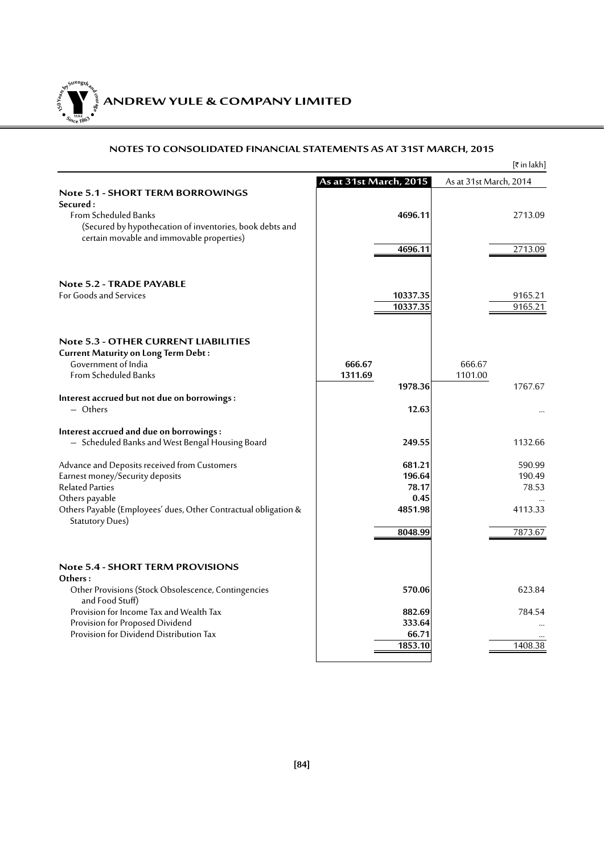**ANDREW YULE & COMPANY LIMITED 150Year<sup>s</sup>byStre<sup>n</sup>gthand<sup>c</sup>ou<sup>r</sup>age**  $\sum_{i}$  $\bullet$ . When  $\bullet$ 

|                                                                 |                        | $[\bar{x}$ in lakh]    |
|-----------------------------------------------------------------|------------------------|------------------------|
|                                                                 | As at 31st March, 2015 | As at 31st March, 2014 |
| <b>Note 5.1 - SHORT TERM BORROWINGS</b>                         |                        |                        |
| Secured:                                                        |                        |                        |
| <b>From Scheduled Banks</b>                                     | 4696.11                | 2713.09                |
| (Secured by hypothecation of inventories, book debts and        |                        |                        |
| certain movable and immovable properties)                       |                        |                        |
|                                                                 | 4696.11                | 2713.09                |
| Note 5.2 - TRADE PAYABLE                                        |                        |                        |
| For Goods and Services                                          | 10337.35               | 9165.21                |
|                                                                 | 10337.35               | 9165.21                |
|                                                                 |                        |                        |
| <b>Note 5.3 - OTHER CURRENT LIABILITIES</b>                     |                        |                        |
| <b>Current Maturity on Long Term Debt:</b>                      |                        |                        |
| Government of India                                             | 666.67                 | 666.67                 |
| <b>From Scheduled Banks</b>                                     | 1311.69                | 1101.00                |
|                                                                 | 1978.36                | 1767.67                |
| Interest accrued but not due on borrowings:                     |                        |                        |
| $-$ Others                                                      | 12.63                  |                        |
| Interest accrued and due on borrowings:                         |                        |                        |
| - Scheduled Banks and West Bengal Housing Board                 | 249.55                 | 1132.66                |
| Advance and Deposits received from Customers                    | 681.21                 | 590.99                 |
| Earnest money/Security deposits                                 | 196.64                 | 190.49                 |
| <b>Related Parties</b>                                          | 78.17                  | 78.53                  |
| Others payable                                                  | 0.45                   |                        |
| Others Payable (Employees' dues, Other Contractual obligation & | 4851.98                | 4113.33                |
| <b>Statutory Dues)</b>                                          | 8048.99                | 7873.67                |
|                                                                 |                        |                        |
| <b>Note 5.4 - SHORT TERM PROVISIONS</b>                         |                        |                        |
| Others:                                                         |                        |                        |
| Other Provisions (Stock Obsolescence, Contingencies             | 570.06                 | 623.84                 |
| and Food Stuff)                                                 |                        |                        |
| Provision for Income Tax and Wealth Tax                         | 882.69                 | 784.54                 |
| Provision for Proposed Dividend                                 | 333.64                 |                        |
| Provision for Dividend Distribution Tax                         | 66.71                  |                        |
|                                                                 | 1853.10                | 1408.38                |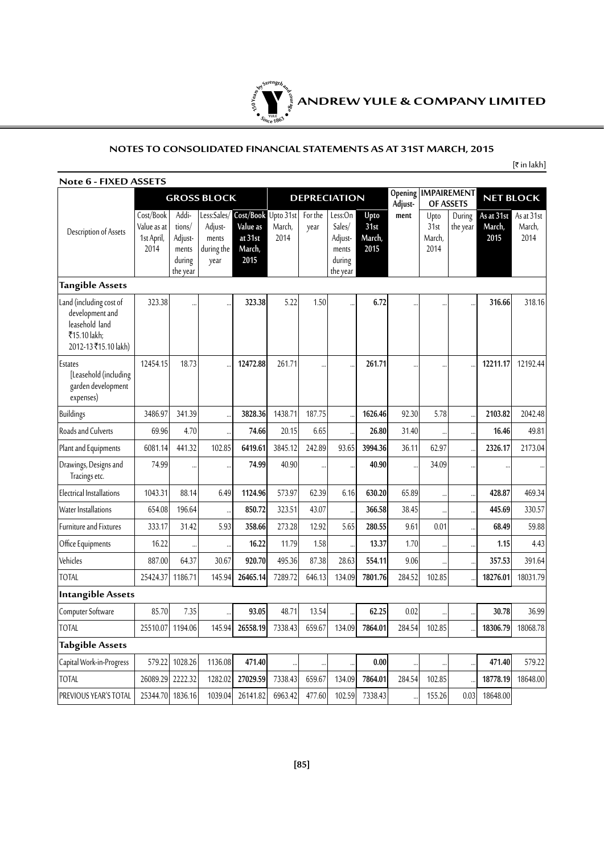

# **NOTES TO CONSOLIDATED FINANCIAL STATEMENTS AS AT 31ST MARCH, 2015**

 $[\bar{\tau}$  in lakh]

| Note 6 - FIXED ASSETS                                                                               |                                                |                                                           |                                        |                                                                          |                |                     |                                                             |                                |                    |                                |                    |                              |                              |  |                  |
|-----------------------------------------------------------------------------------------------------|------------------------------------------------|-----------------------------------------------------------|----------------------------------------|--------------------------------------------------------------------------|----------------|---------------------|-------------------------------------------------------------|--------------------------------|--------------------|--------------------------------|--------------------|------------------------------|------------------------------|--|------------------|
|                                                                                                     |                                                |                                                           | <b>GROSS BLOCK</b>                     |                                                                          |                | <b>DEPRECIATION</b> |                                                             |                                | Opening<br>Adjust- | <b>IMPAIREMENT</b>             |                    | OF ASSETS                    |                              |  | <b>NET BLOCK</b> |
| Description of Assets                                                                               | Cost/Book<br>Value as at<br>1st April,<br>2014 | Addi-<br>tions/<br>Adjust-<br>ments<br>during<br>the year | Adjust-<br>ments<br>during the<br>year | Less:Sales/ Cost/Book Upto 31st<br>Value as<br>at 31st<br>March,<br>2015 | March,<br>2014 | For the<br>year     | Less:On<br>Sales/<br>Adjust-<br>ments<br>during<br>the year | Upto<br>31st<br>March,<br>2015 | ment               | Upto<br>31st<br>March,<br>2014 | During<br>the year | As at 31st<br>March,<br>2015 | As at 31st<br>March,<br>2014 |  |                  |
| <b>Tangible Assets</b>                                                                              |                                                |                                                           |                                        |                                                                          |                |                     |                                                             |                                |                    |                                |                    |                              |                              |  |                  |
| Land (including cost of<br>development and<br>leasehold land<br>₹15.10 lakh;<br>2012-13₹15.10 lakh) | 323.38                                         |                                                           |                                        | 323.38                                                                   | 5.22           | 1.50                |                                                             | 6.72                           |                    |                                |                    | 316.66                       | 318.16                       |  |                  |
| Estates<br>[Leasehold (including<br>garden development<br>expenses)                                 | 12454.15                                       | 18.73                                                     |                                        | 12472.88                                                                 | 261.71         |                     |                                                             | 261.71                         |                    | $\ddot{\phantom{a}}$           |                    | 12211.17                     | 12192.44                     |  |                  |
| Buildings                                                                                           | 3486.97                                        | 341.39                                                    |                                        | 3828.36                                                                  | 1438.71        | 187.75              |                                                             | 1626.46                        | 92.30              | 5.78                           |                    | 2103.82                      | 2042.48                      |  |                  |
| Roads and Culverts                                                                                  | 69.96                                          | 4.70                                                      |                                        | 74.66                                                                    | 20.15          | 6.65                |                                                             | 26.80                          | 31.40              |                                |                    | 16.46                        | 49.81                        |  |                  |
| Plant and Equipments                                                                                | 6081.14                                        | 441.32                                                    | 102.85                                 | 6419.61                                                                  | 3845.12        | 242.89              | 93.65                                                       | 3994.36                        | 36.11              | 62.97                          |                    | 2326.17                      | 2173.04                      |  |                  |
| Drawings, Designs and<br>Tracings etc.                                                              | 74.99                                          |                                                           |                                        | 74.99                                                                    | 40.90          |                     |                                                             | 40.90                          |                    | 34.09                          |                    |                              |                              |  |                  |
| Electrical Installations                                                                            | 1043.31                                        | 88.14                                                     | 6.49                                   | 1124.96                                                                  | 573.97         | 62.39               | 6.16                                                        | 630.20                         | 65.89              |                                |                    | 428.87                       | 469.34                       |  |                  |
| Water Installations                                                                                 | 654.08                                         | 196.64                                                    |                                        | 850.72                                                                   | 323.51         | 43.07               |                                                             | 366.58                         | 38.45              |                                |                    | 445.69                       | 330.57                       |  |                  |
| <b>Furniture and Fixtures</b>                                                                       | 333.17                                         | 31.42                                                     | 5.93                                   | 358.66                                                                   | 273.28         | 12.92               | 5.65                                                        | 280.55                         | 9.61               | 0.01                           |                    | 68.49                        | 59.88                        |  |                  |
| Office Equipments                                                                                   | 16.22                                          |                                                           |                                        | 16.22                                                                    | 11.79          | 1.58                |                                                             | 13.37                          | 1.70               |                                |                    | 1.15                         | 4.43                         |  |                  |
| Vehicles                                                                                            | 887.00                                         | 64.37                                                     | 30.67                                  | 920.70                                                                   | 495.36         | 87.38               | 28.63                                                       | 554.11                         | 9.06               |                                |                    | 357.53                       | 391.64                       |  |                  |
| <b>TOTAL</b>                                                                                        | 25424.37                                       | 1186.71                                                   | 145.94                                 | 26465.14                                                                 | 7289.72        | 646.13              | 134.09                                                      | 7801.76                        | 284.52             | 102.85                         |                    | 18276.01                     | 18031.79                     |  |                  |
| <b>Intangible Assets</b>                                                                            |                                                |                                                           |                                        |                                                                          |                |                     |                                                             |                                |                    |                                |                    |                              |                              |  |                  |
| Computer Software                                                                                   | 85.70                                          | 7.35                                                      |                                        | 93.05                                                                    | 48.71          | 13.54               |                                                             | 62.25                          | 0.02               |                                |                    | 30.78                        | 36.99                        |  |                  |
| <b>TOTAL</b>                                                                                        | 25510.07                                       | 1194.06                                                   | 145.94                                 | 26558.19                                                                 | 7338.43        | 659.67              | 134.09                                                      | 7864.01                        | 284.54             | 102.85                         |                    | 18306.79                     | 18068.78                     |  |                  |
| <b>Tabgible Assets</b>                                                                              |                                                |                                                           |                                        |                                                                          |                |                     |                                                             |                                |                    |                                |                    |                              |                              |  |                  |
| Capital Work-in-Progress                                                                            | 579.22                                         | 1028.26                                                   | 1136.08                                | 471.40                                                                   |                | $\ddotsc$           |                                                             | 0.00                           | $\ddotsc$          |                                |                    | 471.40                       | 579.22                       |  |                  |
| <b>TOTAL</b>                                                                                        | 26089.29                                       | 2222.32                                                   | 1282.02                                | 27029.59                                                                 | 7338.43        | 659.67              | 134.09                                                      | 7864.01                        | 284.54             | 102.85                         |                    | 18778.19                     | 18648.00                     |  |                  |
| PREVIOUS YEAR'S TOTAL                                                                               | 25344.70 1836.16                               |                                                           | 1039.04                                | 26141.82                                                                 | 6963.42        | 477.60              | 102.59                                                      | 7338.43                        |                    | 155.26                         | 0.03               | 18648.00                     |                              |  |                  |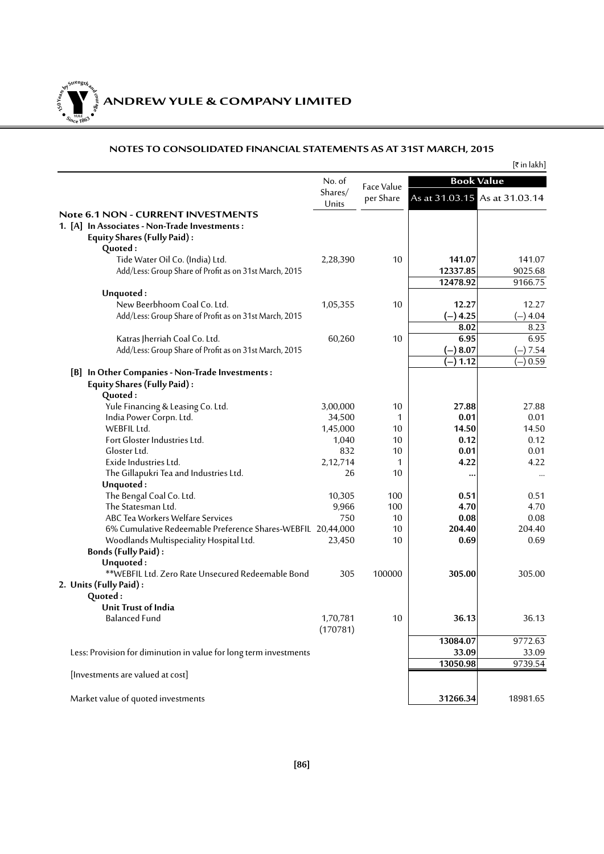**ANDREW YULE & COMPANY LIMITED 150Year<sup>s</sup>byStre<sup>n</sup>gthand<sup>c</sup>ou<sup>r</sup>age**

**<sup>S</sup>inc<sup>e</sup> <sup>1</sup>86<sup>3</sup>**  $\bullet$ . When  $\bullet$ 

|                                                                                                                           |                   |            |            | [₹ in lakh]                   |
|---------------------------------------------------------------------------------------------------------------------------|-------------------|------------|------------|-------------------------------|
|                                                                                                                           | No. of<br>Shares/ | Face Value |            | <b>Book Value</b>             |
|                                                                                                                           | Units             | per Share  |            | As at 31.03.15 As at 31.03.14 |
| Note 6.1 NON - CURRENT INVESTMENTS<br>1. [A] In Associates - Non-Trade Investments:<br><b>Equity Shares (Fully Paid):</b> |                   |            |            |                               |
| Quoted:                                                                                                                   |                   |            |            |                               |
| Tide Water Oil Co. (India) Ltd.                                                                                           | 2,28,390          | 10         | 141.07     | 141.07                        |
| Add/Less: Group Share of Profit as on 31st March, 2015                                                                    |                   |            | 12337.85   | 9025.68                       |
|                                                                                                                           |                   |            | 12478.92   | 9166.75                       |
| Unquoted:                                                                                                                 |                   |            |            |                               |
| New Beerbhoom Coal Co. Ltd.                                                                                               | 1,05,355          | 10         | 12.27      | 12.27                         |
| Add/Less: Group Share of Profit as on 31st March, 2015                                                                    |                   |            | $(-)$ 4.25 | $(-)$ 4.04                    |
|                                                                                                                           |                   |            | 8.02       | 8.23                          |
| Katras Jherriah Coal Co. Ltd.                                                                                             | 60,260            | 10         | 6.95       | 6.95                          |
| Add/Less: Group Share of Profit as on 31st March, 2015                                                                    |                   |            | $(-) 8.07$ | $(-)7.54$                     |
|                                                                                                                           |                   |            | 1.12       | 0.59                          |
| [B] In Other Companies - Non-Trade Investments :<br><b>Equity Shares (Fully Paid):</b>                                    |                   |            |            |                               |
| Quoted:                                                                                                                   |                   |            |            |                               |
| Yule Financing & Leasing Co. Ltd.                                                                                         | 3,00,000          | 10         | 27.88      | 27.88                         |
| India Power Corpn. Ltd.                                                                                                   | 34,500            | 1          | 0.01       | 0.01                          |
| WEBFIL Ltd.                                                                                                               | 1,45,000          | 10         | 14.50      | 14.50                         |
| Fort Gloster Industries Ltd.                                                                                              | 1,040             | 10         | 0.12       | 0.12                          |
| Gloster Ltd.                                                                                                              | 832               | 10         | 0.01       | 0.01                          |
| Exide Industries Ltd.                                                                                                     | 2,12,714          | 1          | 4.22       | 4.22                          |
| The Gillapukri Tea and Industries Ltd.                                                                                    | 26                | 10         |            | $\cdots$                      |
| Unquoted:                                                                                                                 |                   |            |            |                               |
| The Bengal Coal Co. Ltd.                                                                                                  | 10,305            | 100        | 0.51       | 0.51                          |
| The Statesman Ltd.                                                                                                        | 9,966             | 100        | 4.70       | 4.70                          |
| ABC Tea Workers Welfare Services                                                                                          | 750               | 10         | 0.08       | 0.08                          |
| 6% Cumulative Redeemable Preference Shares-WEBFIL 20,44,000                                                               |                   | 10<br>10   | 204.40     | 204.40<br>0.69                |
| Woodlands Multispeciality Hospital Ltd.                                                                                   | 23,450            |            | 0.69       |                               |
| <b>Bonds (Fully Paid):</b><br>Unquoted:                                                                                   |                   |            |            |                               |
| **WEBFIL Ltd. Zero Rate Unsecured Redeemable Bond                                                                         | 305               | 100000     | 305.00     | 305.00                        |
| 2. Units (Fully Paid):                                                                                                    |                   |            |            |                               |
| Quoted:                                                                                                                   |                   |            |            |                               |
| Unit Trust of India                                                                                                       |                   |            |            |                               |
| <b>Balanced Fund</b>                                                                                                      | 1,70,781          | 10         | 36.13      | 36.13                         |
|                                                                                                                           | (170781)          |            | 13084.07   |                               |
|                                                                                                                           |                   |            |            | 9772.63                       |
| Less: Provision for diminution in value for long term investments                                                         |                   |            | 33.09      | 33.09                         |
| [Investments are valued at cost]                                                                                          |                   |            | 13050.98   | 9739.54                       |
| Market value of quoted investments                                                                                        |                   |            | 31266.34   | 18981.65                      |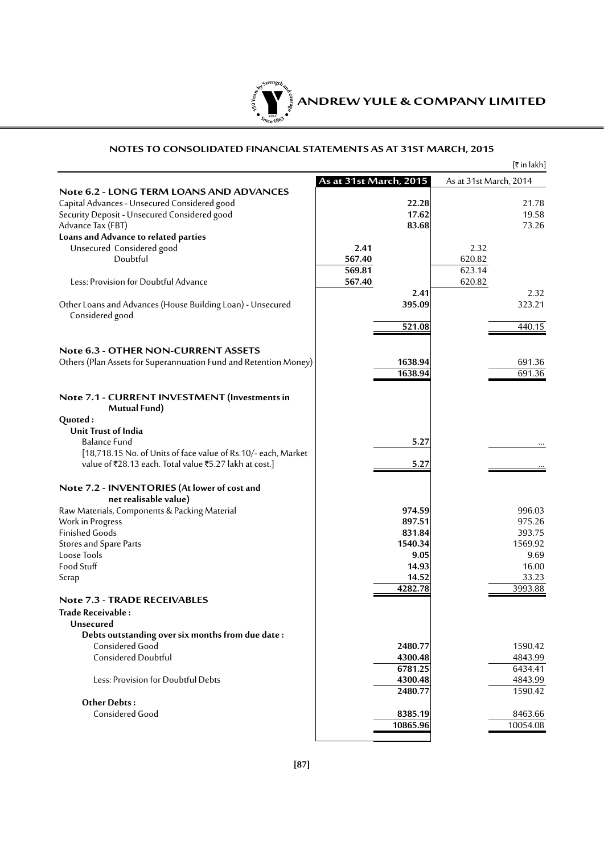

|                                                                  |                        |          |                        | [₹in lakh] |
|------------------------------------------------------------------|------------------------|----------|------------------------|------------|
|                                                                  | As at 31st March, 2015 |          | As at 31st March, 2014 |            |
| <b>Note 6.2 - LONG TERM LOANS AND ADVANCES</b>                   |                        |          |                        |            |
| Capital Advances - Unsecured Considered good                     |                        | 22.28    |                        | 21.78      |
| Security Deposit - Unsecured Considered good                     |                        | 17.62    |                        | 19.58      |
| Advance Tax (FBT)                                                |                        | 83.68    |                        | 73.26      |
| Loans and Advance to related parties                             |                        |          |                        |            |
| Unsecured Considered good                                        | 2.41                   |          | 2.32                   |            |
| Doubtful                                                         | 567.40                 |          | 620.82                 |            |
|                                                                  | 569.81                 |          | 623.14                 |            |
| Less: Provision for Doubtful Advance                             | 567.40                 |          | 620.82                 |            |
|                                                                  |                        | 2.41     |                        | 2.32       |
| Other Loans and Advances (House Building Loan) - Unsecured       |                        | 395.09   |                        | 323.21     |
| Considered good                                                  |                        |          |                        |            |
|                                                                  |                        | 521.08   |                        | 440.15     |
|                                                                  |                        |          |                        |            |
| <b>Note 6.3 - OTHER NON-CURRENT ASSETS</b>                       |                        |          |                        |            |
| Others (Plan Assets for Superannuation Fund and Retention Money) |                        | 1638.94  |                        | 691.36     |
|                                                                  |                        | 1638.94  |                        | 691.36     |
|                                                                  |                        |          |                        |            |
| Note 7.1 - CURRENT INVESTMENT (Investments in<br>Mutual Fund)    |                        |          |                        |            |
| Quoted:                                                          |                        |          |                        |            |
| Unit Trust of India                                              |                        |          |                        |            |
| <b>Balance Fund</b>                                              |                        | 5.27     |                        |            |
| [18,718.15 No. of Units of face value of Rs.10/- each, Market    |                        |          |                        |            |
| value of ₹28.13 each. Total value ₹5.27 lakh at cost.]           |                        | 5.27     |                        |            |
|                                                                  |                        |          |                        |            |
| Note 7.2 - INVENTORIES (At lower of cost and                     |                        |          |                        |            |
| net realisable value)                                            |                        |          |                        |            |
| Raw Materials, Components & Packing Material                     |                        | 974.59   |                        | 996.03     |
| Work in Progress                                                 |                        | 897.51   |                        | 975.26     |
| <b>Finished Goods</b>                                            |                        | 831.84   |                        | 393.75     |
| Stores and Spare Parts                                           |                        | 1540.34  |                        | 1569.92    |
| Loose Tools                                                      |                        | 9.05     |                        | 9.69       |
| Food Stuff                                                       |                        | 14.93    |                        | 16.00      |
| Scrap                                                            |                        | 14.52    |                        | 33.23      |
|                                                                  |                        | 4282.78  |                        | 3993.88    |
| <b>Note 7.3 - TRADE RECEIVABLES</b>                              |                        |          |                        |            |
| Trade Receivable :                                               |                        |          |                        |            |
| Unsecured                                                        |                        |          |                        |            |
| Debts outstanding over six months from due date:                 |                        |          |                        |            |
| Considered Good                                                  |                        | 2480.77  |                        | 1590.42    |
| Considered Doubtful                                              |                        | 4300.48  |                        | 4843.99    |
|                                                                  |                        | 6781.25  |                        | 6434.41    |
| Less: Provision for Doubtful Debts                               |                        | 4300.48  |                        | 4843.99    |
|                                                                  |                        | 2480.77  |                        | 1590.42    |
| <b>Other Debts:</b>                                              |                        |          |                        |            |
| Considered Good                                                  |                        | 8385.19  |                        | 8463.66    |
|                                                                  |                        | 10865.96 |                        | 10054.08   |
|                                                                  |                        |          |                        |            |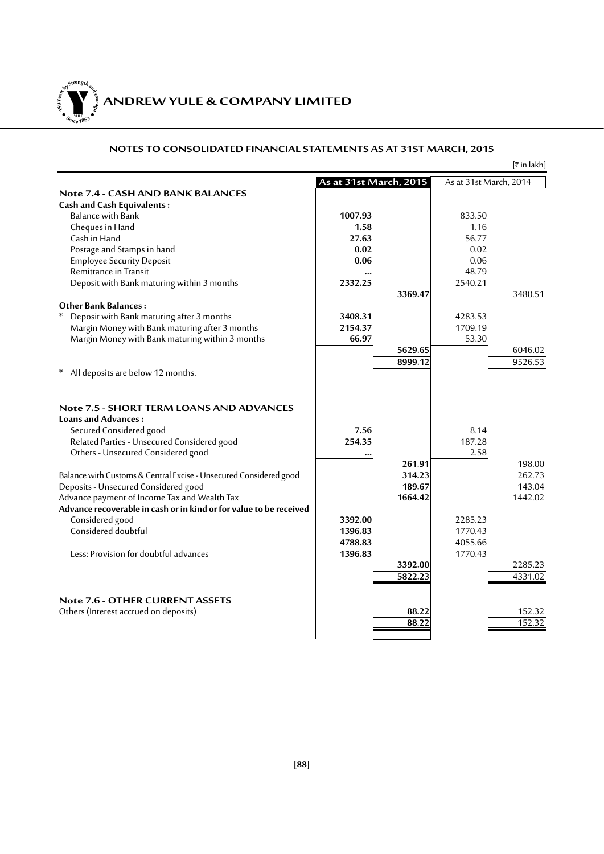**ANDREW YULE & COMPANY LIMITED 150Year<sup>s</sup>byStre<sup>n</sup>gthand<sup>c</sup>ou<sup>r</sup>age**  $\bullet$   $\frac{1}{\text{NICE}}$   $\bullet$   $\bullet$ 

|                                                                                                                                                                                        |                            |         |                        | $[\bar{x}$ in lakh] |
|----------------------------------------------------------------------------------------------------------------------------------------------------------------------------------------|----------------------------|---------|------------------------|---------------------|
|                                                                                                                                                                                        | As at 31st March, 2015     |         | As at 31st March, 2014 |                     |
| <b>Note 7.4 - CASH AND BANK BALANCES</b>                                                                                                                                               |                            |         |                        |                     |
| <b>Cash and Cash Equivalents:</b>                                                                                                                                                      |                            |         |                        |                     |
| Balance with Bank                                                                                                                                                                      | 1007.93                    |         | 833.50                 |                     |
| Cheques in Hand                                                                                                                                                                        | 1.58                       |         | 1.16                   |                     |
| Cash in Hand                                                                                                                                                                           | 27.63                      |         | 56.77                  |                     |
| Postage and Stamps in hand                                                                                                                                                             | 0.02                       |         | 0.02                   |                     |
| <b>Employee Security Deposit</b>                                                                                                                                                       | 0.06                       |         | 0.06                   |                     |
| Remittance in Transit                                                                                                                                                                  | $\ddotsc$                  |         | 48.79                  |                     |
| Deposit with Bank maturing within 3 months                                                                                                                                             | 2332.25                    |         | 2540.21                |                     |
|                                                                                                                                                                                        |                            | 3369.47 |                        | 3480.51             |
| <b>Other Bank Balances:</b>                                                                                                                                                            |                            |         |                        |                     |
| Deposit with Bank maturing after 3 months                                                                                                                                              | 3408.31                    |         | 4283.53                |                     |
| Margin Money with Bank maturing after 3 months                                                                                                                                         | 2154.37                    |         | 1709.19                |                     |
| Margin Money with Bank maturing within 3 months                                                                                                                                        | 66.97                      |         | 53.30                  |                     |
|                                                                                                                                                                                        |                            | 5629.65 |                        | 6046.02             |
|                                                                                                                                                                                        |                            | 8999.12 |                        | 9526.53             |
| All deposits are below 12 months.                                                                                                                                                      |                            |         |                        |                     |
| Note 7.5 - SHORT TERM LOANS AND ADVANCES<br><b>Loans and Advances:</b><br>Secured Considered good<br>Related Parties - Unsecured Considered good<br>Others - Unsecured Considered good | 7.56<br>254.35<br>$\cdots$ |         | 8.14<br>187.28<br>2.58 |                     |
|                                                                                                                                                                                        |                            | 261.91  |                        | 198.00              |
| Balance with Customs & Central Excise - Unsecured Considered good                                                                                                                      |                            | 314.23  |                        | 262.73              |
| Deposits - Unsecured Considered good                                                                                                                                                   |                            | 189.67  |                        | 143.04              |
| Advance payment of Income Tax and Wealth Tax                                                                                                                                           |                            | 1664.42 |                        | 1442.02             |
| Advance recoverable in cash or in kind or for value to be received                                                                                                                     |                            |         |                        |                     |
| Considered good                                                                                                                                                                        | 3392.00                    |         | 2285.23                |                     |
| Considered doubtful                                                                                                                                                                    | 1396.83                    |         | 1770.43                |                     |
|                                                                                                                                                                                        | 4788.83                    |         | 4055.66                |                     |
| Less: Provision for doubtful advances                                                                                                                                                  | 1396.83                    |         | 1770.43                |                     |
|                                                                                                                                                                                        |                            | 3392.00 |                        | 2285.23             |
|                                                                                                                                                                                        |                            | 5822.23 |                        | 4331.02             |
| <b>Note 7.6 - OTHER CURRENT ASSETS</b>                                                                                                                                                 |                            |         |                        |                     |
| Others (Interest accrued on deposits)                                                                                                                                                  |                            | 88.22   |                        | 152.32              |
|                                                                                                                                                                                        |                            | 88.22   |                        | 152.32              |
|                                                                                                                                                                                        |                            |         |                        |                     |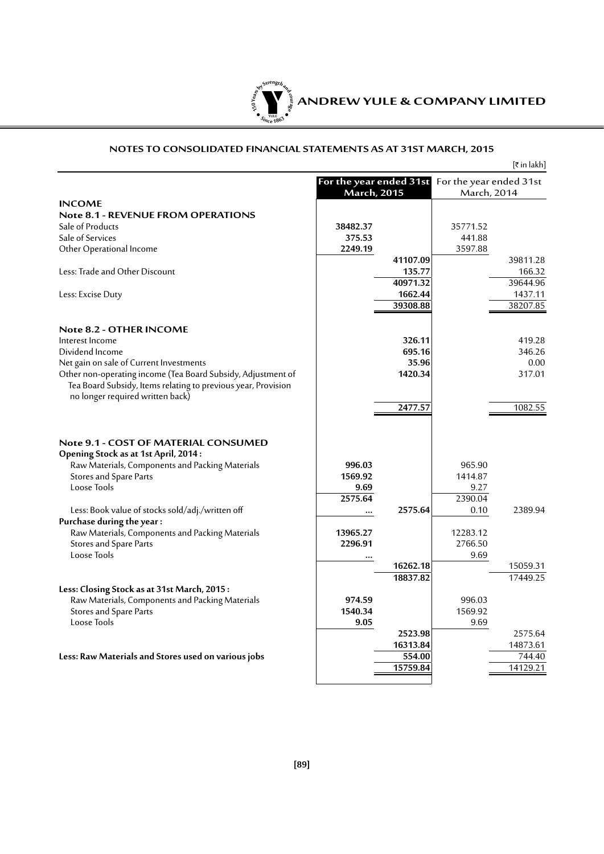

|  | [₹ in lakh] |
|--|-------------|
|--|-------------|

|                                                                                                                                                                          |                           | <b>March, 2015</b> | For the year ended 31st For the year ended 31st<br>March, 2014 |          |
|--------------------------------------------------------------------------------------------------------------------------------------------------------------------------|---------------------------|--------------------|----------------------------------------------------------------|----------|
| <b>INCOME</b>                                                                                                                                                            |                           |                    |                                                                |          |
| <b>Note 8.1 - REVENUE FROM OPERATIONS</b>                                                                                                                                |                           |                    |                                                                |          |
| Sale of Products                                                                                                                                                         | 38482.37                  |                    | 35771.52                                                       |          |
| Sale of Services                                                                                                                                                         | 375.53                    |                    | 441.88                                                         |          |
| Other Operational Income                                                                                                                                                 | 2249.19                   |                    | 3597.88                                                        |          |
|                                                                                                                                                                          |                           | 41107.09           |                                                                | 39811.28 |
|                                                                                                                                                                          |                           |                    |                                                                |          |
| Less: Trade and Other Discount                                                                                                                                           |                           | 135.77             |                                                                | 166.32   |
|                                                                                                                                                                          |                           | 40971.32           |                                                                | 39644.96 |
| Less: Excise Duty                                                                                                                                                        |                           | 1662.44            |                                                                | 1437.11  |
|                                                                                                                                                                          |                           | 39308.88           |                                                                | 38207.85 |
| Note 8.2 - OTHER INCOME                                                                                                                                                  |                           |                    |                                                                |          |
| Interest Income                                                                                                                                                          |                           | 326.11             |                                                                | 419.28   |
| Dividend Income                                                                                                                                                          |                           | 695.16             |                                                                | 346.26   |
| Net gain on sale of Current Investments                                                                                                                                  |                           | 35.96              |                                                                | 0.00     |
| Other non-operating income (Tea Board Subsidy, Adjustment of                                                                                                             |                           | 1420.34            |                                                                | 317.01   |
| Tea Board Subsidy, Items relating to previous year, Provision<br>no longer required written back)                                                                        |                           |                    |                                                                |          |
|                                                                                                                                                                          |                           | 2477.57            |                                                                | 1082.55  |
|                                                                                                                                                                          |                           |                    |                                                                |          |
| Note 9.1 - COST OF MATERIAL CONSUMED<br>Opening Stock as at 1st April, 2014:<br>Raw Materials, Components and Packing Materials<br>Stores and Spare Parts<br>Loose Tools | 996.03<br>1569.92<br>9.69 |                    | 965.90<br>1414.87<br>9.27                                      |          |
|                                                                                                                                                                          | 2575.64                   |                    | 2390.04                                                        |          |
| Less: Book value of stocks sold/adj./written off                                                                                                                         |                           | 2575.64            | 0.10                                                           | 2389.94  |
| Purchase during the year:                                                                                                                                                |                           |                    |                                                                |          |
| Raw Materials, Components and Packing Materials                                                                                                                          | 13965.27                  |                    | 12283.12                                                       |          |
| Stores and Spare Parts                                                                                                                                                   | 2296.91                   |                    | 2766.50                                                        |          |
| Loose Tools                                                                                                                                                              |                           |                    | 9.69                                                           |          |
|                                                                                                                                                                          |                           | 16262.18           |                                                                | 15059.31 |
|                                                                                                                                                                          |                           | 18837.82           |                                                                | 17449.25 |
| Less: Closing Stock as at 31st March, 2015:                                                                                                                              |                           |                    |                                                                |          |
| Raw Materials, Components and Packing Materials                                                                                                                          | 974.59                    |                    | 996.03                                                         |          |
| Stores and Spare Parts                                                                                                                                                   | 1540.34                   |                    | 1569.92                                                        |          |
| Loose Tools                                                                                                                                                              | 9.05                      |                    | 9.69                                                           |          |
|                                                                                                                                                                          |                           | 2523.98            |                                                                | 2575.64  |
|                                                                                                                                                                          |                           | 16313.84           |                                                                | 14873.61 |
| Less: Raw Materials and Stores used on various jobs                                                                                                                      |                           | 554.00             |                                                                | 744.40   |
|                                                                                                                                                                          |                           | 15759.84           |                                                                | 14129.21 |
|                                                                                                                                                                          |                           |                    |                                                                |          |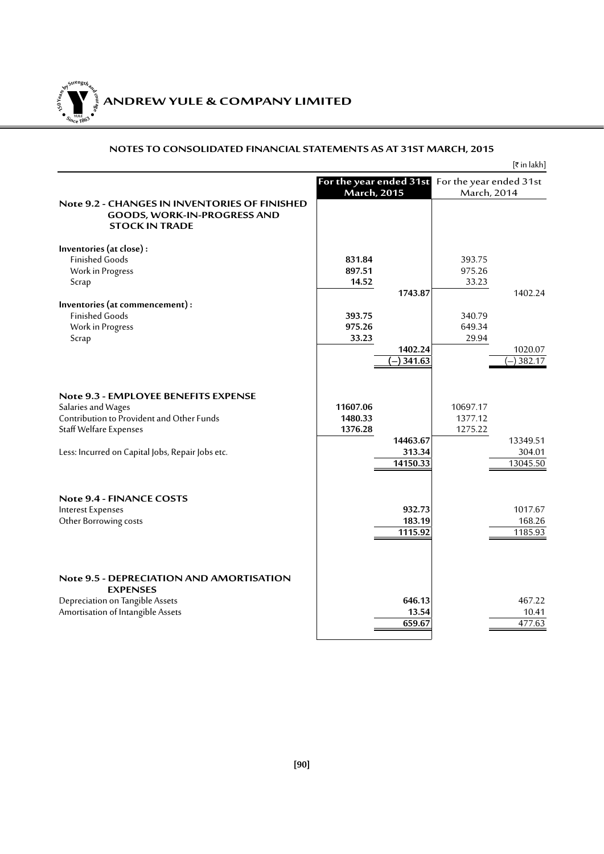**ANDREW YULE & COMPANY LIMITED 150Year<sup>s</sup>byStre<sup>n</sup>gthand<sup>c</sup>ou<sup>r</sup>age**  $\bullet$   $\frac{1}{\text{NICE}}$   $\bullet$   $\bullet$ 

|                                                                                                                                     |                                               |                                |                                        | [₹ in lakh]                    |
|-------------------------------------------------------------------------------------------------------------------------------------|-----------------------------------------------|--------------------------------|----------------------------------------|--------------------------------|
|                                                                                                                                     | For the year ended 31st<br><b>March, 2015</b> |                                | For the year ended 31st<br>March, 2014 |                                |
| Note 9.2 - CHANGES IN INVENTORIES OF FINISHED<br><b>GOODS, WORK-IN-PROGRESS AND</b><br><b>STOCK IN TRADE</b>                        |                                               |                                |                                        |                                |
| Inventories (at close):                                                                                                             |                                               |                                |                                        |                                |
| <b>Finished Goods</b>                                                                                                               | 831.84                                        |                                | 393.75                                 |                                |
| Work in Progress                                                                                                                    | 897.51                                        |                                | 975.26                                 |                                |
| Scrap                                                                                                                               | 14.52                                         |                                | 33.23                                  |                                |
|                                                                                                                                     |                                               | 1743.87                        |                                        | 1402.24                        |
| Inventories (at commencement) :<br><b>Finished Goods</b>                                                                            | 393.75                                        |                                | 340.79                                 |                                |
| Work in Progress                                                                                                                    | 975.26                                        |                                | 649.34                                 |                                |
| Scrap                                                                                                                               | 33.23                                         |                                | 29.94                                  |                                |
|                                                                                                                                     |                                               | 1402.24                        |                                        | 1020.07                        |
|                                                                                                                                     |                                               | 341.63                         |                                        | 382.17                         |
| Note 9.3 - EMPLOYEE BENEFITS EXPENSE<br>Salaries and Wages<br>Contribution to Provident and Other Funds<br>Staff Welfare Expenses   | 11607.06<br>1480.33<br>1376.28                |                                | 10697.17<br>1377.12<br>1275.22         |                                |
| Less: Incurred on Capital Jobs, Repair Jobs etc.                                                                                    |                                               | 14463.67<br>313.34<br>14150.33 |                                        | 13349.51<br>304.01<br>13045.50 |
| Note 9.4 - FINANCE COSTS<br><b>Interest Expenses</b><br>Other Borrowing costs                                                       |                                               | 932.73<br>183.19<br>1115.92    |                                        | 1017.67<br>168.26<br>1185.93   |
| Note 9.5 - DEPRECIATION AND AMORTISATION<br><b>EXPENSES</b><br>Depreciation on Tangible Assets<br>Amortisation of Intangible Assets |                                               | 646.13<br>13.54<br>659.67      |                                        | 467.22<br>10.41<br>477.63      |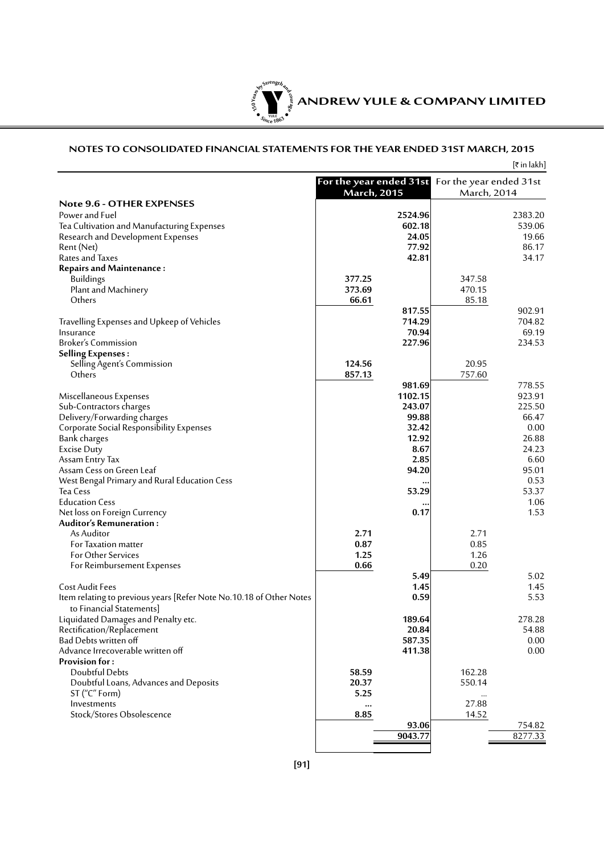

# **NOTES TO CONSOLIDATED FINANCIAL STATEMENTS FOR THE YEAR ENDED 31ST MARCH, 2015**

|                                                                                                 |                                               |         |                                        | [₹in lakh] |
|-------------------------------------------------------------------------------------------------|-----------------------------------------------|---------|----------------------------------------|------------|
|                                                                                                 | For the year ended 31st<br><b>March, 2015</b> |         | For the year ended 31st<br>March, 2014 |            |
| <b>Note 9.6 - OTHER EXPENSES</b>                                                                |                                               |         |                                        |            |
| Power and Fuel                                                                                  |                                               | 2524.96 |                                        | 2383.20    |
| Tea Cultivation and Manufacturing Expenses                                                      |                                               | 602.18  |                                        | 539.06     |
| Research and Development Expenses                                                               |                                               | 24.05   |                                        | 19.66      |
| Rent (Net)                                                                                      |                                               | 77.92   |                                        | 86.17      |
| Rates and Taxes                                                                                 |                                               | 42.81   |                                        | 34.17      |
| <b>Repairs and Maintenance:</b>                                                                 |                                               |         |                                        |            |
| <b>Buildings</b>                                                                                | 377.25                                        |         | 347.58                                 |            |
| Plant and Machinery                                                                             | 373.69                                        |         | 470.15                                 |            |
| Others                                                                                          | 66.61                                         |         | 85.18                                  |            |
|                                                                                                 |                                               | 817.55  |                                        | 902.91     |
| Travelling Expenses and Upkeep of Vehicles                                                      |                                               | 714.29  |                                        | 704.82     |
| Insurance                                                                                       |                                               | 70.94   |                                        | 69.19      |
| <b>Broker's Commission</b>                                                                      |                                               | 227.96  |                                        | 234.53     |
| <b>Selling Expenses:</b>                                                                        |                                               |         |                                        |            |
| Selling Agent's Commission                                                                      | 124.56                                        |         | 20.95                                  |            |
| Others                                                                                          | 857.13                                        | 981.69  | 757.60                                 | 778.55     |
|                                                                                                 |                                               | 1102.15 |                                        | 923.91     |
| Miscellaneous Expenses<br>Sub-Contractors charges                                               |                                               | 243.07  |                                        | 225.50     |
| Delivery/Forwarding charges                                                                     |                                               | 99.88   |                                        | 66.47      |
| Corporate Social Responsibility Expenses                                                        |                                               | 32.42   |                                        | 0.00       |
| Bank charges                                                                                    |                                               | 12.92   |                                        | 26.88      |
| <b>Excise Duty</b>                                                                              |                                               | 8.67    |                                        | 24.23      |
| Assam Entry Tax                                                                                 |                                               | 2.85    |                                        | 6.60       |
| Assam Cess on Green Leaf                                                                        |                                               | 94.20   |                                        | 95.01      |
| West Bengal Primary and Rural Education Cess                                                    |                                               |         |                                        | 0.53       |
| Tea Cess                                                                                        |                                               | 53.29   |                                        | 53.37      |
| <b>Education Cess</b>                                                                           |                                               |         |                                        | 1.06       |
| Net loss on Foreign Currency                                                                    |                                               | 0.17    |                                        | 1.53       |
| <b>Auditor's Remuneration:</b>                                                                  |                                               |         |                                        |            |
| As Auditor                                                                                      | 2.71                                          |         | 2.71                                   |            |
| For Taxation matter                                                                             | 0.87                                          |         | 0.85                                   |            |
| <b>For Other Services</b>                                                                       | 1.25                                          |         | 1.26                                   |            |
| For Reimbursement Expenses                                                                      | 0.66                                          |         | 0.20                                   |            |
|                                                                                                 |                                               | 5.49    |                                        | 5.02       |
| <b>Cost Audit Fees</b>                                                                          |                                               | 1.45    |                                        | 1.45       |
| Item relating to previous years [Refer Note No.10.18 of Other Notes<br>to Financial Statements] |                                               | 0.59    |                                        | 5.53       |
| Liquidated Damages and Penalty etc.                                                             |                                               | 189.64  |                                        | 278.28     |
| Rectification/Replacement                                                                       |                                               | 20.84   |                                        | 54.88      |
| Bad Debts written off                                                                           |                                               | 587.35  |                                        | $0.00\,$   |
| Advance Irrecoverable written off                                                               |                                               | 411.38  |                                        | 0.00       |
| <b>Provision for:</b>                                                                           |                                               |         |                                        |            |
| Doubtful Debts                                                                                  | 58.59                                         |         | 162.28                                 |            |
| Doubtful Loans, Advances and Deposits                                                           | 20.37                                         |         | 550.14                                 |            |
| ST ("C" Form)                                                                                   | 5.25                                          |         |                                        |            |
| Investments                                                                                     | $\cdots$                                      |         | 27.88                                  |            |
| Stock/Stores Obsolescence                                                                       | 8.85                                          | 93.06   | 14.52                                  | 754.82     |
|                                                                                                 |                                               | 9043.77 |                                        | 8277.33    |
|                                                                                                 |                                               |         |                                        |            |
|                                                                                                 |                                               |         |                                        |            |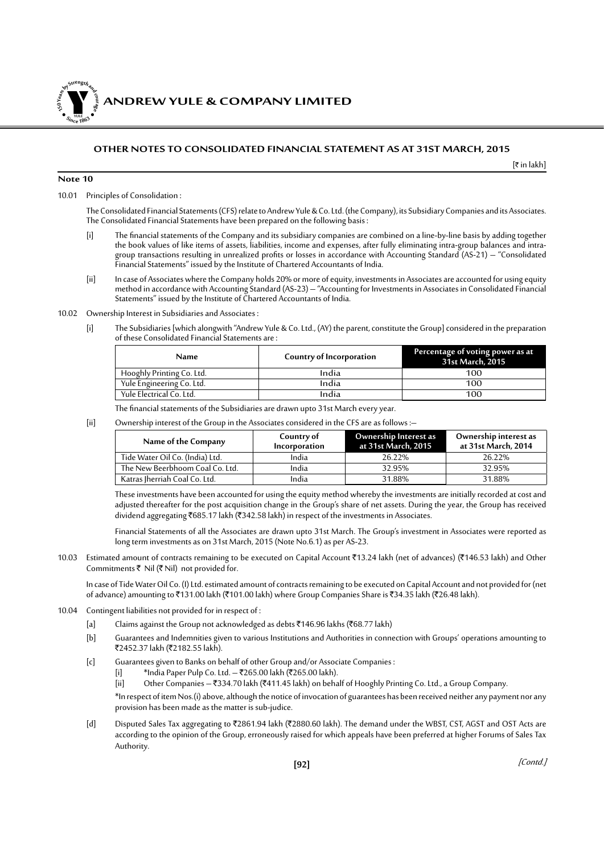*NDREW YULE & COMPANY LIMITED* 

#### **OTHER NOTES TO CONSOLIDATED FINANCIAL STATEMENT AS AT 31ST MARCH, 2015**

[` in lakh]

#### **Note 10**

**150Year<sup>s</sup>byStre<sup>n</sup>gthand<sup>c</sup>ou<sup>r</sup>age**

**<sup>S</sup>inc<sup>e</sup> <sup>1</sup>86<sup>3</sup>**  $\bullet$ . When  $\bullet$ 

10.01 Principles of Consolidation :

The Consolidated Financial Statements (CFS) relate to Andrew Yule & Co. Ltd. (the Company), its Subsidiary Companies and its Associates. The Consolidated Financial Statements have been prepared on the following basis :

- [i] The financial statements of the Company and its subsidiary companies are combined on a line-by-line basis by adding together the book values of like items of assets, liabilities, income and expenses, after fully eliminating intra-group balances and intragroup transactions resulting in unrealized profits or losses in accordance with Accounting Standard (AS-21) – "Consolidated Financial Statements" issued by the Institute of Chartered Accountants of India.
- [ii] In case of Associates where the Company holds 20% or more of equity, investments in Associates are accounted for using equity method in accordance with Accounting Standard (AS-23) – "Accounting for Investments in Associates in Consolidated Financial Statements" issued by the Institute of Chartered Accountants of India.
- 10.02 Ownership Interest in Subsidiaries and Associates :
	- [i] The Subsidiaries [which alongwith "Andrew Yule & Co. Ltd., (AY) the parent, constitute the Group] considered in the preparation of these Consolidated Financial Statements are :

| Name                      | Country of Incorporation | Percentage of voting power as at<br>31st March, 2015 |  |  |  |
|---------------------------|--------------------------|------------------------------------------------------|--|--|--|
| Hooghly Printing Co. Ltd. | India                    | 100                                                  |  |  |  |
| Yule Engineering Co. Ltd. | India                    | 100                                                  |  |  |  |
| Yule Electrical Co. Ltd.  | India                    | 100                                                  |  |  |  |

- The financial statements of the Subsidiaries are drawn upto 31st March every year.
- [ii] Ownership interest of the Group in the Associates considered in the CFS are as follows :–

| Name of the Company             | Country of<br>Incorporation | Ownership Interest as<br>at 31st March, 2015 | Ownership interest as<br>at 31st March, 2014 |  |
|---------------------------------|-----------------------------|----------------------------------------------|----------------------------------------------|--|
| Tide Water Oil Co. (India) Ltd. | India                       | 26.22%                                       | 26.22%                                       |  |
| The New Beerbhoom Coal Co. Ltd. | India                       | 32.95%                                       | 32.95%                                       |  |
| Katras Iherriah Coal Co. Ltd.   | India                       | 31.88%                                       | 31.88%                                       |  |

 These investments have been accounted for using the equity method whereby the investments are initially recorded at cost and adjusted thereafter for the post acquisition change in the Group's share of net assets. During the year, the Group has received dividend aggregating ₹685.17 lakh (₹342.58 lakh) in respect of the investments in Associates.

 Financial Statements of all the Associates are drawn upto 31st March. The Group's investment in Associates were reported as long term investments as on 31st March, 2015 (Note No.6.1) as per AS-23.

10.03 Estimated amount of contracts remaining to be executed on Capital Account ₹13.24 lakh (net of advances) (₹146.53 lakh) and Other Commitments  $\bar{\tau}$  Nil ( $\bar{\tau}$  Nil) not provided for.

In case of Tide Water Oil Co. (I) Ltd. estimated amount of contracts remaining to be executed on Capital Account and not provided for (net of advance) amounting to ₹131.00 lakh (₹101.00 lakh) where Group Companies Share is ₹34.35 lakh (₹26.48 lakh).

- 10.04 Contingent liabilities not provided for in respect of :
	- [a] Claims against the Group not acknowledged as debts ₹146.96 lakhs (₹68.77 lakh)
	- [b] Guarantees and Indemnities given to various Institutions and Authorities in connection with Groups' operations amounting to ₹2452.37 lakh (₹2182.55 lakh).
	- [c] Guarantees given to Banks on behalf of other Group and/or Associate Companies :
		- [i] \*India Paper Pulp Co. Ltd. ₹265.00 lakh (₹265.00 lakh).<br>[ii] Other Companies ₹334.70 lakh (₹411.45 lakh) on beha
		- [ii] Other Companies `334.70 lakh (`411.45 lakh) on behalf of Hooghly Printing Co. Ltd., a Group Company.

\*In respect of item Nos.(i) above, although the notice of invocation of guarantees has been received neither any payment nor any provision has been made as the matter is sub-judice.

[d] Disputed Sales Tax aggregating to ₹2861.94 lakh (₹2880.60 lakh). The demand under the WBST, CST, AGST and OST Acts are according to the opinion of the Group, erroneously raised for which appeals have been preferred at higher Forums of Sales Tax Authority.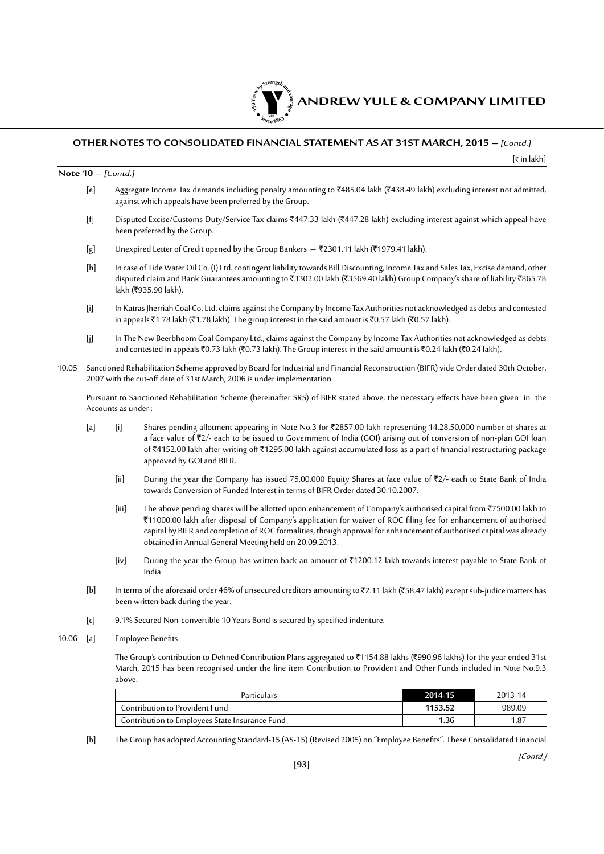

[` in lakh]

#### **Note 10 –** [Contd.]

- [e] Aggregate Income Tax demands including penalty amounting to  $\bar{\xi}$ 485.04 lakh ( $\bar{\xi}$ 438.49 lakh) excluding interest not admitted, against which appeals have been preferred by the Group.
- [f] Disputed Excise/Customs Duty/Service Tax claims ₹447.33 lakh (₹447.28 lakh) excluding interest against which appeal have been preferred by the Group.
- [g] Unexpired Letter of Credit opened by the Group Bankers ₹2301.11 lakh (₹1979.41 lakh).
- [h] In case of Tide Water Oil Co. (I) Ltd. contingent liability towards Bill Discounting, Income Tax and Sales Tax, Excise demand, other disputed claim and Bank Guarantees amounting to ₹3302.00 lakh (₹3569.40 lakh) Group Company's share of liability ₹865.78 lakh (₹935.90 lakh).
- [i] In Katras Jherriah Coal Co. Ltd. claims against the Company by Income Tax Authorities not acknowledged as debts and contested in appeals ₹1.78 lakh (₹1.78 lakh). The group interest in the said amount is ₹0.57 lakh (₹0.57 lakh).
- [j] In The New Beerbhoom Coal Company Ltd., claims against the Company by Income Tax Authorities not acknowledged as debts and contested in appeals ₹0.73 lakh (₹0.73 lakh). The Group interest in the said amount is ₹0.24 lakh (₹0.24 lakh).
- 10.05 Sanctioned Rehabilitation Scheme approved by Board for Industrial and Financial Reconstruction (BIFR) vide Order dated 30th October, 2007 with the cut-off date of 31st March, 2006 is under implementation.

Pursuant to Sanctioned Rehabilitation Scheme (hereinafter SRS) of BIFR stated above, the necessary effects have been given in the Accounts as under :–

- [a] [i] Shares pending allotment appearing in Note No.3 for ₹2857.00 lakh representing 14,28,50,000 number of shares at a face value of ₹2/- each to be issued to Government of India (GOI) arising out of conversion of non-plan GOI loan of `4152.00 lakh after writing off `1295.00 lakh against accumulated loss as a part of financial restructuring package approved by GOI and BIFR.
	- [ii] During the year the Company has issued 75,00,000 Equity Shares at face value of  $Z/2$  each to State Bank of India towards Conversion of Funded Interest in terms of BIFR Order dated 30.10.2007.
	- [iii] The above pending shares will be allotted upon enhancement of Company's authorised capital from ₹7500.00 lakh to `11000.00 lakh after disposal of Company's application for waiver of ROC filing fee for enhancement of authorised capital by BIFR and completion of ROC formalities, though approval for enhancement of authorised capital was already obtained in Annual General Meeting held on 20.09.2013.
	- [iv] During the year the Group has written back an amount of ₹1200.12 lakh towards interest payable to State Bank of India.
- [b] In terms of the aforesaid order 46% of unsecured creditors amounting to ₹2.11 lakh (₹58.47 lakh) except sub-judice matters has been written back during the year.
- [c] 9.1% Secured Non-convertible 10 Years Bond is secured by specified indenture.
- 10.06 [a] Employee Benefits

The Group's contribution to Defined Contribution Plans aggregated to ₹1154.88 lakhs (₹990.96 lakhs) for the year ended 31st March, 2015 has been recognised under the line item Contribution to Provident and Other Funds included in Note No.9.3 above.

| <b>Particulars</b>                             | 2014-15 | 2013-14 |
|------------------------------------------------|---------|---------|
| Contribution to Provident Fund                 | 1153.52 | 989.09  |
| Contribution to Employees State Insurance Fund | I.36    | 1.87    |

[b] The Group has adopted Accounting Standard-15 (AS-15) (Revised 2005) on "Employee Benefits". These Consolidated Financial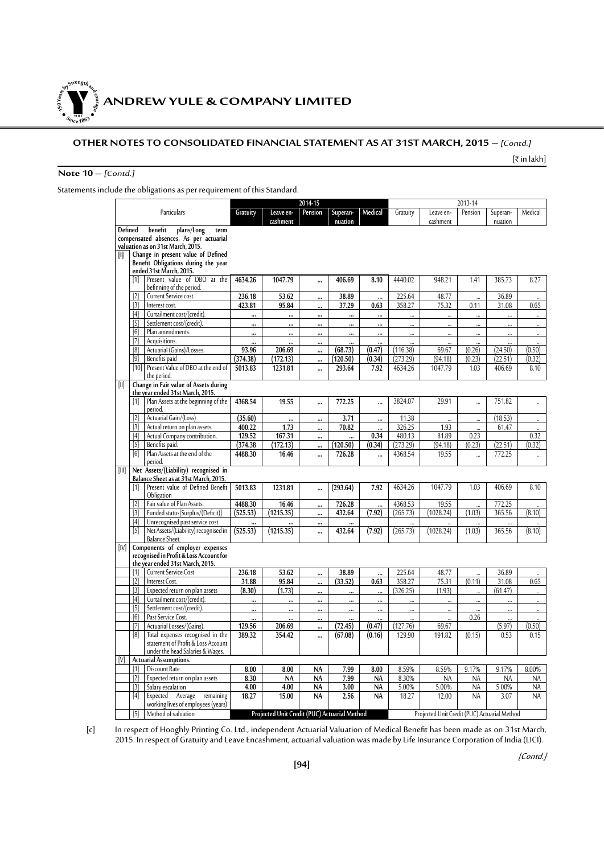

[₹ in lakh]

# **Note 10 –** [Contd.]

Statements include the obligations as per requirement of this Standard.

|                  |                                                                                                                                                    |                 |                                              | 2014-15              |                  |            |                      |                                              | 2013-14              |                      |           |
|------------------|----------------------------------------------------------------------------------------------------------------------------------------------------|-----------------|----------------------------------------------|----------------------|------------------|------------|----------------------|----------------------------------------------|----------------------|----------------------|-----------|
|                  | Particulars                                                                                                                                        | Gratuity        | Leave en-                                    | Pension              | Superan-         | Medical    | Gratuity             | Leave en-                                    | Pension              | Superan-             | Medical   |
|                  |                                                                                                                                                    |                 | cashment                                     |                      | nuation          |            |                      | cashment                                     |                      | nuation              |           |
| Defined<br>III.  | benefit<br>plans/Long<br>term<br>compensated absences. As per actuarial<br>valuation as on 31st March, 2015.<br>Change in present value of Defined |                 |                                              |                      |                  |            |                      |                                              |                      |                      |           |
|                  | Benefit Obligations during the year<br>ended 31st March, 2015.                                                                                     |                 |                                              |                      |                  |            |                      |                                              |                      |                      |           |
|                  | Present value of DBO at the<br>$\lceil 1 \rceil$<br>befinning of the period.                                                                       | 4634.26         | 1047.79                                      |                      | 406.69           | 8.10       | 4440.02              | 948.21                                       | 1.41                 | 385.73               | 8.27      |
| $[2]$            | Current Service cost.                                                                                                                              | 236.18          | 53.62                                        |                      | 38.89            |            | 225.64               | 48.77                                        |                      | 36.89                |           |
| $[3]$            | Interest cost.                                                                                                                                     | 423.81          | 95.84                                        |                      | 37.29            | 0.63       | 358.27               | 75.32                                        | 0.11                 | 31.08                | 0.65      |
| [4]              | Curtailment cost/(credit).                                                                                                                         |                 |                                              | $\cdots$             |                  |            |                      |                                              |                      |                      |           |
| $[5]$            | Settlement cost/(credit).                                                                                                                          | $\ddot{\cdots}$ | $\cdots$                                     | $\cdots$             |                  |            | $\ddot{\phantom{a}}$ | $\ddot{\phantom{a}}$                         | $\ddot{\phantom{a}}$ | $\ddot{\phantom{a}}$ |           |
| [6]              | Plan amendments.                                                                                                                                   |                 | $\cdots$                                     |                      |                  |            |                      |                                              |                      |                      |           |
| $\overline{[7]}$ | Acquisitions.                                                                                                                                      | $\cdots$        | $\ddot{\cdot}$                               |                      | …                |            |                      |                                              |                      |                      |           |
| [8]              | Actuarial (Gains)/Losses.                                                                                                                          | 93.96           | 206.69                                       |                      | (68.73)          | (0.47)     | (116.38)             | 69.67                                        | (0.26)               | (24.50)              | (0.50)    |
| $[9]$            | Benefits paid                                                                                                                                      | (374.38)        | (172.13)                                     | $\ddot{\cdot}$       | (120.50)         | (0.34)     | (273.29)             | (94.18)                                      | (0.23)               | (22.51)              | (0.32)    |
|                  | Present Value of DBO at the end of<br>$[10]$<br>the period.                                                                                        | 5013.83         | 1231.81                                      | $\ddotsc$            | 293.64           | 7.92       | 4634.26              | 1047.79                                      | 1.03                 | 406.69               | 8.10      |
| [II]             | Change in Fair value of Assets during<br>the year ended 31st March, 2015.                                                                          |                 |                                              |                      |                  |            |                      |                                              |                      |                      |           |
|                  | Plan Assets at the beginning of the<br>period.                                                                                                     | 4368.54         | 19.55                                        | $\ddotsc$            | 772.25           |            | 3824.07              | 29.91                                        |                      | 751.82               |           |
| $[2]$            | Actuarial Gain/(Loss)                                                                                                                              | (35.60)         |                                              | $\cdots$             | 3.71             |            | 11.38                |                                              |                      | (18.53)              |           |
| $\boxed{3}$      | Actual return on plan assets.                                                                                                                      | 400.22          | 1.73                                         |                      | 70.82            |            | 326.25               | 1.93                                         |                      | 61.47                |           |
| $[4]$            | Actual Company contribution.                                                                                                                       | 129.52          | 167.31                                       |                      |                  | 0.34       | 480.13               | 81.89                                        | 0.23                 |                      | 0.32      |
| $\overline{[5]}$ | Benefits paid.                                                                                                                                     | 374.38          | (172.13)                                     | $\ddot{\phantom{0}}$ | (120.50)         | (0.34)     | (273.29)             | (94.18)                                      | (0.23)               | (22.51)              | (0.32)    |
|                  | Plan Assets at the end of the<br>[6]<br>period.                                                                                                    | 4488.30         | 16.46                                        | $\ddot{\phantom{0}}$ | 726.28           |            | 4368.54              | 19.55                                        |                      | 772.25               | $\ddotsc$ |
| $[   ]$          | Net Assets/(Liability) recognised in                                                                                                               |                 |                                              |                      |                  |            |                      |                                              |                      |                      |           |
|                  | Balance Sheet as at 31st March, 2015.                                                                                                              |                 |                                              |                      |                  |            |                      |                                              |                      |                      |           |
|                  | Present value of Defined Benefit<br>$[1]$<br>Obligation                                                                                            | 5013.83         | 1231.81                                      |                      | (293.64)         | 7.92       | 4634.26              | 1047.79                                      | 1.03                 | 406.69               | 8.10      |
| $[2]$            | Fair value of Plan Assets.                                                                                                                         | 4488.30         | 16.46                                        | $\ddotsc$            | 726.28           |            | 4368.53              | 19.55                                        |                      | 772.25               |           |
| $\boxed{3}$      | Funded status[Surplus/(Deficit)]                                                                                                                   | (525.53)        | (1215.35)                                    | $\ddotsc$            | 432.64           | (7.92)     | (265.73)             | (1028.24)                                    | (1.03)               | 365.56               | (8.10)    |
| $[4]$            | Unrecognised past service cost.                                                                                                                    |                 |                                              |                      |                  |            |                      |                                              |                      |                      |           |
| $[5]$            | Net Assets/(Liability) recognised in<br><b>Balance Sheet.</b>                                                                                      | (525.53)        | (1215.35)                                    |                      | 432.64           | (7.92)     | (265.73)             | (1028.24)                                    | (1.03)               | 365.56               | (8.10)    |
| [IV]             | Components of employer expenses                                                                                                                    |                 |                                              |                      |                  |            |                      |                                              |                      |                      |           |
|                  | recognised in Profit & Loss Account for                                                                                                            |                 |                                              |                      |                  |            |                      |                                              |                      |                      |           |
|                  | the year ended 31st March, 2015.<br>Current Service Cost.<br>[1]                                                                                   | 236.18          |                                              |                      |                  |            |                      | 48.77                                        |                      |                      |           |
| $[2]$            | Interest Cost.                                                                                                                                     | 31.88           | 53.62<br>95.84                               | $\cdots$             | 38.89<br>(33.52) | <br>0.63   | 225.64<br>358.27     | 75.31                                        | (0.11)               | 36.89<br>31.08       | 0.65      |
| $[3]$            | Expected return on plan assets                                                                                                                     | (8.30)          | (1.73)                                       | $\ddot{\phantom{0}}$ |                  |            | (326.25)             | (1.93)                                       |                      | (61.47)              |           |
|                  | Curtailment cost/(credit).<br>[4]                                                                                                                  |                 |                                              | $\ddotsc$            |                  |            |                      |                                              |                      |                      | $\ddotsc$ |
| $[5]$            | Settlement cost/(credit).                                                                                                                          | $\cdots$        | $\cdots$                                     | $\cdots$             |                  |            |                      | $\ddot{\phantom{a}}$                         |                      |                      |           |
| [6]              | Past Service Cost.                                                                                                                                 | $\cdots$        | $\cdots$                                     |                      |                  |            | <u></u>              |                                              | 0.26                 |                      |           |
| [7]              | Actuarial Losses/(Gains)                                                                                                                           | <br>129.56      | <br>206.69                                   | <br>                 | <br>(72.45)      | <br>(0.47) | (127.76)             | 69.67                                        |                      | (5.97)               | (0.50)    |
| [8]              | Total expenses recognised in the                                                                                                                   | 389.32          | 354.42                                       | $\ddot{\phantom{0}}$ | (67.08)          | (0.16)     | 129.90               | 191.82                                       | (0.15)               | 0.53                 | 0.15      |
|                  | statement of Profit & Loss Account<br>under the head Salaries & Wages.                                                                             |                 |                                              |                      |                  |            |                      |                                              |                      |                      |           |
| M                | Actuarial Assumptions.                                                                                                                             |                 |                                              |                      |                  |            |                      |                                              |                      |                      |           |
|                  | $[1]$<br>Discount Rate                                                                                                                             | 8.00            | 8.00                                         | NA                   | 7.99             | 8.00       | 8.59%                | 8.59%                                        | 9.17%                | 9.17%                | 8.00%     |
| $[2]$            | Expected return on plan assets                                                                                                                     | 8.30            | <b>NA</b>                                    | <b>NA</b>            | 7.99             | <b>NA</b>  | 8.30%                | <b>NA</b>                                    | <b>NA</b>            | <b>NA</b>            | <b>NA</b> |
| $[3]$            | Salary escalation                                                                                                                                  | 4.00            | 4.00                                         | <b>NA</b>            | 3.00             | <b>NA</b>  | 5.00%                | 5.00%                                        | <b>NA</b>            | 5.00%                | <b>NA</b> |
| [4]              | Expected<br>Average<br>remaining                                                                                                                   | 18.27           | 15.00                                        | <b>NA</b>            | 2.56             | <b>NA</b>  | 18.27                | 12.00                                        | <b>NA</b>            | 3.07                 | <b>NA</b> |
|                  | working lives of employees (years)                                                                                                                 |                 |                                              |                      |                  |            |                      |                                              |                      |                      |           |
| $[5]$            | Method of valuation                                                                                                                                |                 | Projected Unit Credit (PUC) Actuarial Method |                      |                  |            |                      | Projected Unit Credit (PUC) Actuarial Method |                      |                      |           |

[c] In respect of Hooghly Printing Co. Ltd., independent Actuarial Valuation of Medical Benefit has been made as on 31st March, 2015. In respect of Gratuity and Leave Encashment, actuarial valuation was made by Life Insurance Corporation of India (LICI).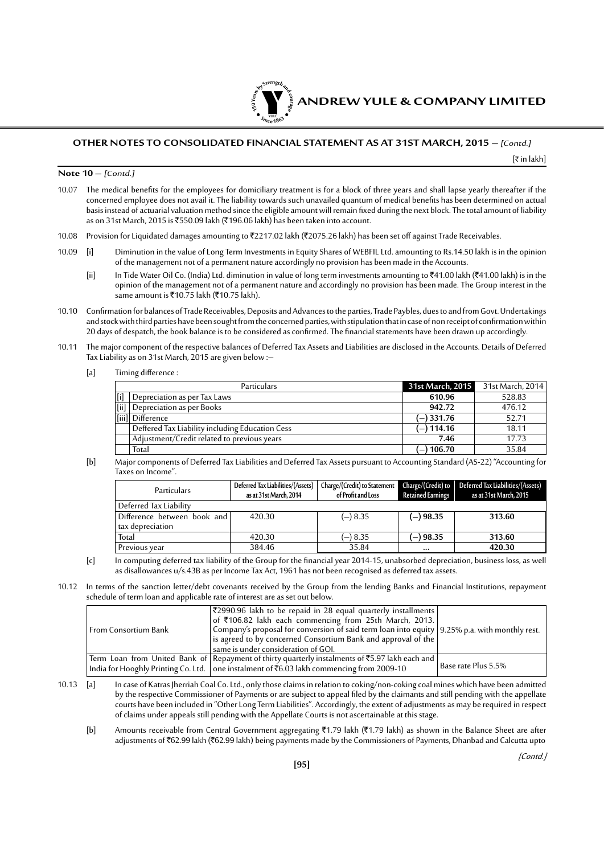

[₹ in lakh]

#### **Note 10 –** [Contd.]

- 10.07 The medical benefits for the employees for domiciliary treatment is for a block of three years and shall lapse yearly thereafter if the concerned employee does not avail it. The liability towards such unavailed quantum of medical benefits has been determined on actual basis instead of actuarial valuation method since the eligible amount will remain fixed during the next block. The total amount of liability as on 31st March, 2015 is ₹550.09 lakh (₹196.06 lakh) has been taken into account.
- 10.08 Provision for Liquidated damages amounting to ₹2217.02 lakh (₹2075.26 lakh) has been set off against Trade Receivables.
- 10.09 [i] Diminution in the value of Long Term Investments in Equity Shares of WEBFIL Ltd. amounting to Rs.14.50 lakh is in the opinion of the management not of a permanent nature accordingly no provision has been made in the Accounts.
	- [ii] In Tide Water Oil Co. (India) Ltd. diminution in value of long term investments amounting to `41.00 lakh (`41.00 lakh) is in the opinion of the management not of a permanent nature and accordingly no provision has been made. The Group interest in the same amount is  $\overline{5}10.75$  lakh ( $\overline{5}10.75$  lakh).
- 10.10 Confirmation for balances of Trade Receivables, Deposits and Advances to the parties, Trade Paybles, dues to and from Govt. Undertakings and stock with third parties have been sought from the concerned parties, with stipulation that in case of non receipt of confirmation within 20 days of despatch, the book balance is to be considered as confirmed. The financial statements have been drawn up accordingly.
- 10.11 The major component of the respective balances of Deferred Tax Assets and Liabilities are disclosed in the Accounts. Details of Deferred Tax Liability as on 31st March, 2015 are given below :–
	- [a] Timing difference :

|     | Particulars                                     | 31st March, 2015 | 31st March, 2014 |
|-----|-------------------------------------------------|------------------|------------------|
| [i] | Depreciation as per Tax Laws                    | 610.96           | 528.83           |
|     | [ii] Depreciation as per Books                  | 942.72           | 476.12           |
|     | [iii] Difference                                | (–) 331.76       | 52.71            |
|     | Deffered Tax Liability including Education Cess | (–) 114.16       | 18.11            |
|     | Adjustment/Credit related to previous years     | 7.46             | 17.73            |
|     | Total                                           | (–) 106.70       | 35.84            |

[b] Major components of Deferred Tax Liabilities and Deferred Tax Assets pursuant to Accounting Standard (AS-22) "Accounting for Taxes on Income".

| Particulars                                     | Deferred Tax Liabilities/(Assets)<br>as at 31st March, 2014 | Charge/(Credit) to Statement<br>of Profit and Loss | Retained Earnings | Charge/(Credit) to   Deferred Tax Liabilities/(Assets)<br>as at 31st March, 2015 |
|-------------------------------------------------|-------------------------------------------------------------|----------------------------------------------------|-------------------|----------------------------------------------------------------------------------|
| Deferred Tax Liability                          |                                                             |                                                    |                   |                                                                                  |
| Difference between book and<br>tax depreciation | 420.30                                                      | $(-)$ 8.35                                         | $(-) 98.35$       | 313.60                                                                           |
| Total                                           | 420.30                                                      | $(-)$ 8.35                                         | (—) 98.35         | 313.60                                                                           |
| Previous year                                   | 384.46                                                      | 35.84                                              | $\cdots$          | 420.30                                                                           |

- [c] In computing deferred tax liability of the Group for the financial year 2014-15, unabsorbed depreciation, business loss, as well as disallowances u/s.43B as per Income Tax Act, 1961 has not been recognised as deferred tax assets.
- 10.12 In terms of the sanction letter/debt covenants received by the Group from the lending Banks and Financial Institutions, repayment schedule of term loan and applicable rate of interest are as set out below.

| From Consortium Bank | ₹2990.96 lakh to be repaid in 28 equal quarterly installments  <br>of ₹106.82 lakh each commencing from 25th March, 2013.<br>Company's proposal for conversion of said term loan into equity   9.25% p.a. with monthly rest.<br>  is agreed to by concerned Consortium Bank and approval of the $\mid$<br>same is under consideration of GOI. |                     |
|----------------------|-----------------------------------------------------------------------------------------------------------------------------------------------------------------------------------------------------------------------------------------------------------------------------------------------------------------------------------------------|---------------------|
|                      | Term Loan from United Bank of Repayment of thirty quarterly instalments of $\bar{z}$ 5.97 lakh each and<br>India for Hooghly Printing Co. Ltd.   one instalment of ₹6.03 lakh commencing from 2009-10                                                                                                                                         | Base rate Plus 5.5% |

10.13 [a] In case of Katras Jherriah Coal Co. Ltd., only those claims in relation to coking/non-coking coal mines which have been admitted by the respective Commissioner of Payments or are subject to appeal filed by the claimants and still pending with the appellate courts have been included in "Other Long Term Liabilities". Accordingly, the extent of adjustments as may be required in respect of claims under appeals still pending with the Appellate Courts is not ascertainable at this stage.

[b] Amounts receivable from Central Government aggregating  $\overline{5}1.79$  lakh ( $\overline{5}1.79$  lakh) as shown in the Balance Sheet are after adjustments of `62.99 lakh (`62.99 lakh) being payments made by the Commissioners of Payments, Dhanbad and Calcutta upto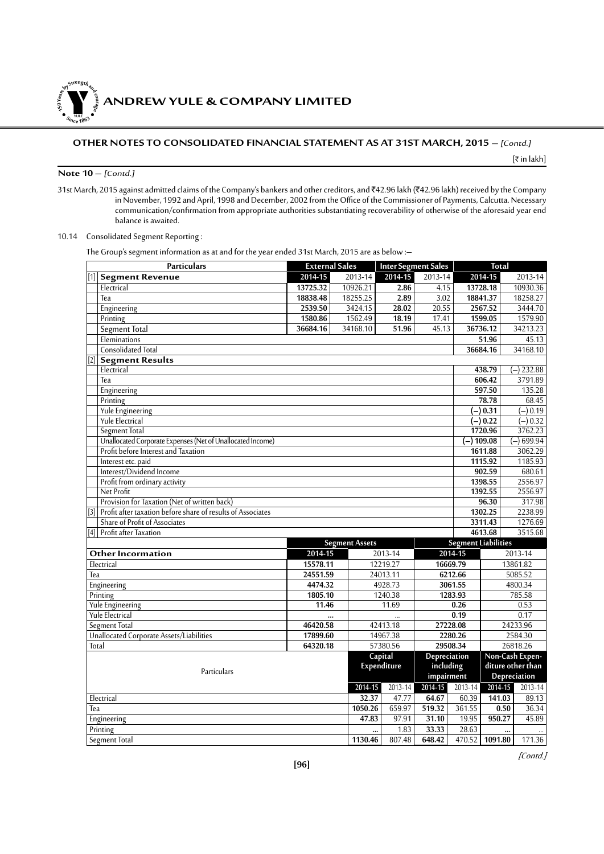**ANDREW YULE & COMPANY LIMITED** 

# **OTHER NOTES TO CONSOLIDATED FINANCIAL STATEMENT AS AT 31ST MARCH, 2015 –** [Contd.]

[` in lakh]

#### **Note 10 –** [Contd.]

**150Year<sup>s</sup>byStre<sup>n</sup>gthand<sup>c</sup>ou<sup>r</sup>age**

 $\bullet$   $\frac{1}{\text{NICE}}$   $\bullet$   $\bullet$ 

31st March, 2015 against admitted claims of the Company's bankers and other creditors, and ₹42.96 lakh (₹42.96 lakh) received by the Company in November, 1992 and April, 1998 and December, 2002 from the Office of the Commissioner of Payments, Calcutta. Necessary communication/confirmation from appropriate authorities substantiating recoverability of otherwise of the aforesaid year end balance is awaited.

#### 10.14 Consolidated Segment Reporting :

The Group's segment information as at and for the year ended 31st March, 2015 are as below :–

| <b>Particulars</b>                                                          | <b>External Sales</b> |                       | <b>Inter Segment Sales</b> |              |                            | <b>Total</b>         |                   |
|-----------------------------------------------------------------------------|-----------------------|-----------------------|----------------------------|--------------|----------------------------|----------------------|-------------------|
| <b>Segment Revenue</b><br>[1]                                               | 2014-15               | 2013-14               | 2014-15                    | 2013-14      |                            | 2014-15              | 2013-14           |
| Electrical                                                                  | 13725.32              | 10926.21              | 2.86                       | 4.15         |                            | 13728.18             | 10930.36          |
| Tea                                                                         | 18838.48              | 18255.25              | 2.89                       | 3.02         |                            | 18841.37             | 18258.27          |
| Engineering                                                                 | 2539.50               | 3424.15               | 28.02                      | 20.55        |                            | 2567.52              | 3444.70           |
| Printing                                                                    | 1580.86               | 1562.49               | 18.19                      | 17.41        |                            | 1599.05              | 1579.90           |
| Segment Total                                                               | 36684.16              | 34168.10              | 51.96                      | 45.13        |                            | 36736.12             | 34213.23          |
| Eleminations                                                                |                       |                       |                            |              |                            | 51.96                | 45.13             |
| <b>Consolidated Total</b>                                                   |                       |                       |                            |              |                            | 36684.16             | 34168.10          |
| $\overline{[2]}$<br><b>Segment Results</b>                                  |                       |                       |                            |              |                            |                      |                   |
| Electrical                                                                  |                       |                       |                            |              |                            | 438.79               | $(-)$ 232.88      |
| Tea                                                                         |                       |                       |                            |              |                            | 606.42               | 3791.89           |
| Engineering                                                                 |                       |                       |                            |              |                            | 597.50               | 135.28            |
| Printing                                                                    |                       |                       |                            |              |                            | 78.78                | 68.45             |
| <b>Yule Engineering</b>                                                     |                       |                       |                            |              |                            | $(-) 0.31$           | $(-) 0.19$        |
| Yule Electrical                                                             |                       |                       |                            |              |                            | $\overline{(-)}0.22$ | $(-) 0.32$        |
| Segment Total                                                               |                       |                       |                            |              |                            | 1720.96              | 3762.23           |
| Unallocated Corporate Expenses (Net of Unallocated Income)                  |                       |                       |                            |              | (–) 109.08                 |                      | $(-) 699.94$      |
| Profit before Interest and Taxation                                         |                       |                       |                            |              |                            | 1611.88              | 3062.29           |
| Interest etc. paid                                                          |                       |                       |                            |              |                            | 1115.92              | 1185.93           |
| Interest/Dividend Income                                                    |                       |                       |                            |              |                            | 902.59               | 680.61            |
| Profit from ordinary activity                                               |                       |                       |                            |              |                            | 1398.55              | 2556.97           |
| Net Profit                                                                  |                       |                       |                            |              |                            | 1392.55              | 2556.97           |
| Provision for Taxation (Net of written back)                                |                       |                       |                            |              |                            | 96.30                | 317.98            |
| [3] Profit after taxation before share of results of Associates             |                       |                       |                            |              |                            | 1302.25              | 2238.99           |
| Share of Profit of Associates                                               |                       |                       |                            |              |                            | 3311.43              | 1276.69           |
| [4] Profit after Taxation                                                   |                       |                       |                            |              |                            | 4613.68              | 3515.68           |
|                                                                             |                       | <b>Segment Assets</b> |                            |              | <b>Segment Liabilities</b> |                      |                   |
| Other Incormation                                                           | $2014 - 15$           |                       | 2013-14                    |              | $2014 - 15$                |                      | 2013-14           |
| Electrical                                                                  | 15578.11              |                       | 12219.27                   |              | 16669.79                   |                      | 13861.82          |
| Tea                                                                         | 24551.59              |                       | 24013.11                   |              | 6212.66                    |                      | 5085.52           |
| Engineering                                                                 | 4474.32               |                       | 4928.73                    |              | 3061.55                    |                      | 4800.34           |
| Printing                                                                    | 1805.10               |                       | 1240.38                    |              | 1283.93                    |                      | 785.58            |
| <b>Yule Engineering</b>                                                     | 11.46                 |                       | 11.69                      |              | 0.26                       |                      | 0.53              |
| <b>Yule Electrical</b>                                                      |                       |                       |                            |              | 0.19                       |                      | 0.17              |
| Segment Total                                                               | 46420.58              |                       | 42413.18                   |              | 27228.08                   |                      | 24233.96          |
| Unallocated Corporate Assets/Liabilities<br>17899.60<br>14967.38<br>2280.26 |                       |                       |                            |              |                            |                      | 2584.30           |
| Total                                                                       | 64320.18              |                       | 57380.56                   |              | 29508.34                   |                      | 26818.26          |
|                                                                             |                       |                       | Capital                    | Depreciation |                            |                      | Non-Cash Expen-   |
| Particulars                                                                 |                       |                       | Expenditure                | including    |                            |                      | diture other than |
|                                                                             |                       |                       |                            | impairment   |                            |                      | Depreciation      |
|                                                                             |                       | 2014-15               | 2013-14                    | $2014 - 15$  | 2013-14                    | $2014 - 15$          | 2013-14           |
| Electrical                                                                  |                       | 32.37                 | 47.77                      | 64.67        | 60.39                      | 141.03               | 89.13             |
| Tea                                                                         |                       | 1050.26               | 659.97                     | 519.32       | 361.55                     | 0.50                 | 36.34             |
| Engineering                                                                 |                       | 47.83                 | 97.91                      | 31.10        | 19.95                      | 950.27               | 45.89             |
| Printing                                                                    |                       |                       | 1.83<br>                   | 33.33        | 28.63                      |                      |                   |
| <b>Segment Total</b>                                                        |                       | 1130.46               | 807.48                     | 648.42       | 470.52                     | 1091.80              | 171.36            |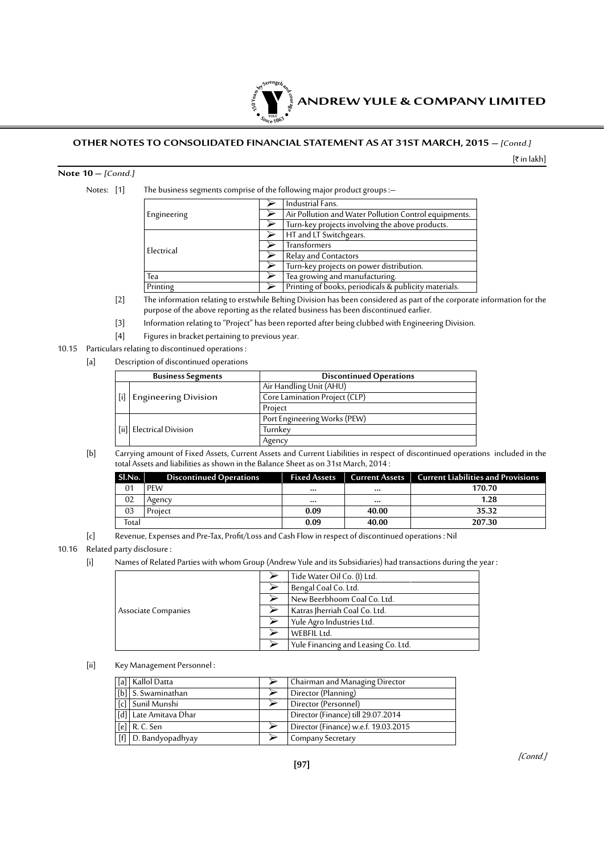

[` in lakh]

#### **Note 10 –** [Contd.]

Notes: [1] The business segments comprise of the following major product groups :-

|             |  | Industrial Fans.                                      |
|-------------|--|-------------------------------------------------------|
| Engineering |  | Air Pollution and Water Pollution Control equipments. |
|             |  | Turn-key projects involving the above products.       |
|             |  | HT and LT Switchgears.                                |
| Electrical  |  | Transformers                                          |
|             |  | <b>Relay and Contactors</b>                           |
|             |  | Turn-key projects on power distribution.              |
| Tea         |  | Tea growing and manufacturing.                        |
| Printing    |  | Printing of books, periodicals & publicity materials. |

 [2] The information relating to erstwhile Belting Division has been considered as part of the corporate information for the purpose of the above reporting as the related business has been discontinued earlier.

- [3] Information relating to "Project" has been reported after being clubbed with Engineering Division.
- [4] Figures in bracket pertaining to previous year.

#### 10.15 Particulars relating to discontinued operations :

[a] Description of discontinued operations

| <b>Business Segments</b>    | <b>Discontinued Operations</b> |
|-----------------------------|--------------------------------|
|                             | Air Handling Unit (AHU)        |
| <b>Engineering Division</b> | Core Lamination Project (CLP)  |
|                             | Project                        |
|                             | Port Engineering Works (PEW)   |
| [ii] Electrical Division    | Turnkey                        |
|                             | Agency                         |

[b] Carrying amount of Fixed Assets, Current Assets and Current Liabilities in respect of discontinued operations included in the total Assets and liabilities as shown in the Balance Sheet as on 31st March, 2014 :

| SI.No. | <b>Discontinued Operations</b> | <b>Fixed Assets</b> |          | Current Assets   Current Liabilities and Provisions |
|--------|--------------------------------|---------------------|----------|-----------------------------------------------------|
| 01     | <b>PEW</b>                     | $$                  | $\cdots$ | 170.70                                              |
| 02     | Agency                         | $$                  | $\cdots$ | 1.28                                                |
| 03     | Project                        | 0.09                | 40.00    | 35.32                                               |
| Total  |                                | 0.09                | 40.00    | 207.30                                              |

[c] Revenue, Expenses and Pre-Tax, Profit/Loss and Cash Flow in respect of discontinued operations : Nil

#### 10.16 Related party disclosure :

[i] Names of Related Parties with whom Group (Andrew Yule and its Subsidiaries) had transactions during the year :

|                     | Tide Water Oil Co. (I) Ltd.         |
|---------------------|-------------------------------------|
|                     | Bengal Coal Co. Ltd.                |
|                     | New Beerbhoom Coal Co. Ltd.         |
| Associate Companies | Katras Jherriah Coal Co. Ltd.       |
|                     | Yule Agro Industries Ltd.           |
|                     | WEBFIL Ltd.                         |
|                     | Yule Financing and Leasing Co. Ltd. |

[ii] Key Management Personnel :

| [a]   Kallol Datta                 | Chairman and Managing Director       |
|------------------------------------|--------------------------------------|
| [b] S. Swaminathan                 | Director (Planning)                  |
| [c] Sunil Munshi                   | Director (Personnel)                 |
| [d] Late Amitava Dhar              | Director (Finance) till 29.07.2014   |
| $\lceil e \rceil \rceil$ R. C. Sen | Director (Finance) w.e.f. 19.03.2015 |
| [f] D. Bandyopadhyay               | Company Secretary                    |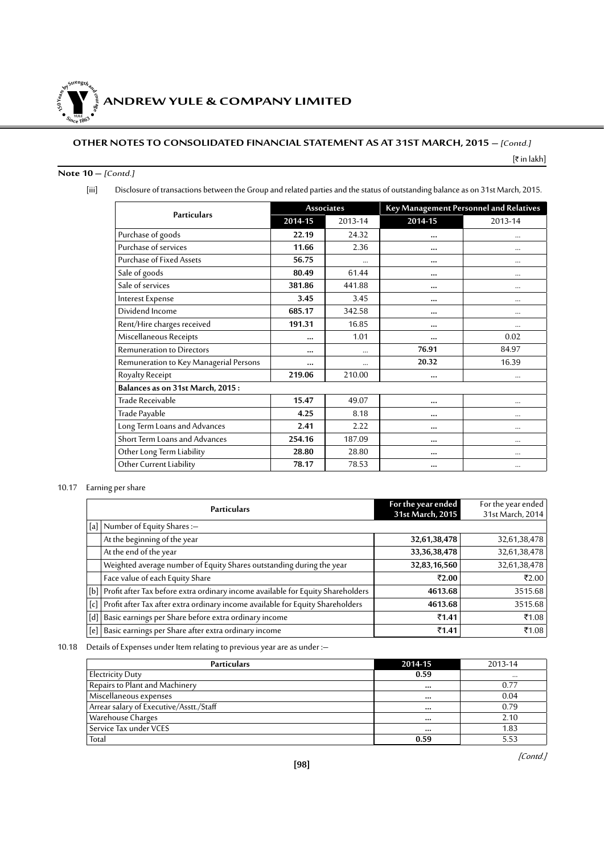**ANDREW YULE & COMPANY LIMITED** 

# **OTHER NOTES TO CONSOLIDATED FINANCIAL STATEMENT AS AT 31ST MARCH, 2015 –** [Contd.]

#### [₹ in lakh]

# **Note 10 –** [Contd.]

**150Year<sup>s</sup>byStre<sup>n</sup>gthand<sup>c</sup>ou<sup>r</sup>age**

 $\bullet$   $\frac{1}{\text{NICE}}$   $\bullet$   $\bullet$ 

[iii] Disclosure of transactions between the Group and related parties and the status of outstanding balance as on 31st March, 2015.

| <b>Particulars</b>                     |          | <b>Associates</b> | Key Management Personnel and Relatives |          |  |
|----------------------------------------|----------|-------------------|----------------------------------------|----------|--|
|                                        | 2014-15  | 2013-14           | 2014-15                                | 2013-14  |  |
| Purchase of goods                      | 22.19    | 24.32             |                                        | $\cdots$ |  |
| Purchase of services                   | 11.66    | 2.36              |                                        |          |  |
| <b>Purchase of Fixed Assets</b>        | 56.75    |                   |                                        | $\cdots$ |  |
| Sale of goods                          | 80.49    | 61.44             |                                        |          |  |
| Sale of services                       | 381.86   | 441.88            |                                        | $\cdots$ |  |
| Interest Expense                       | 3.45     | 3.45              |                                        | $\cdots$ |  |
| Dividend Income                        | 685.17   | 342.58            |                                        | $\cdots$ |  |
| Rent/Hire charges received             | 191.31   | 16.85             |                                        |          |  |
| Miscellaneous Receipts                 |          | 1.01              |                                        | 0.02     |  |
| <b>Remuneration to Directors</b>       |          |                   | 76.91                                  | 84.97    |  |
| Remuneration to Key Managerial Persons | $\cdots$ |                   | 20.32                                  | 16.39    |  |
| Royalty Receipt                        | 219.06   | 210.00            | $\cdots$                               | $\cdots$ |  |
| Balances as on 31st March, 2015:       |          |                   |                                        |          |  |
| Trade Receivable                       | 15.47    | 49.07             |                                        | $\cdots$ |  |
| Trade Payable                          | 4.25     | 8.18              |                                        |          |  |
| Long Term Loans and Advances           | 2.41     | 2.22              |                                        | $\cdots$ |  |
| Short Term Loans and Advances          | 254.16   | 187.09            |                                        |          |  |
| Other Long Term Liability              | 28.80    | 28.80             |                                        | $\cdots$ |  |
| Other Current Liability                | 78.17    | 78.53             |                                        | $\cdots$ |  |

# 10.17 Earning per share

| <b>Particulars</b>                                                                  | For the year ended<br>31st March, 2015 | For the year ended<br>31st March, 2014 |
|-------------------------------------------------------------------------------------|----------------------------------------|----------------------------------------|
| [a] Number of Equity Shares :-                                                      |                                        |                                        |
| At the beginning of the year                                                        | 32,61,38,478                           | 32,61,38,478                           |
| At the end of the year                                                              | 33, 36, 38, 478                        | 32,61,38,478                           |
| Weighted average number of Equity Shares outstanding during the year                | 32,83,16,560                           | 32,61,38,478                           |
| Face value of each Equity Share                                                     | ₹2.00                                  | ₹2.00                                  |
| [b] Profit after Tax before extra ordinary income available for Equity Shareholders | 4613.68                                | 3515.68                                |
| [c] Profit after Tax after extra ordinary income available for Equity Shareholders  | 4613.68                                | 3515.68                                |
| [d]   Basic earnings per Share before extra ordinary income                         | ₹1.41                                  | ₹1.08                                  |
| [e]   Basic earnings per Share after extra ordinary income                          | ₹1.41                                  | ₹1.08                                  |

# 10.18 Details of Expenses under Item relating to previous year are as under :–

| <b>Particulars</b>                      | 2014-15  | 2013-14  |
|-----------------------------------------|----------|----------|
| Electricity Duty                        | 0.59     | $\cdots$ |
| Repairs to Plant and Machinery          |          | 0.77     |
| Miscellaneous expenses                  | $\cdots$ | 0.04     |
| Arrear salary of Executive/Asstt./Staff |          | 0.79     |
| Warehouse Charges                       |          | 2.10     |
| Service Tax under VCES                  |          | 1.83     |
| Total                                   | 0.59     | 5.53     |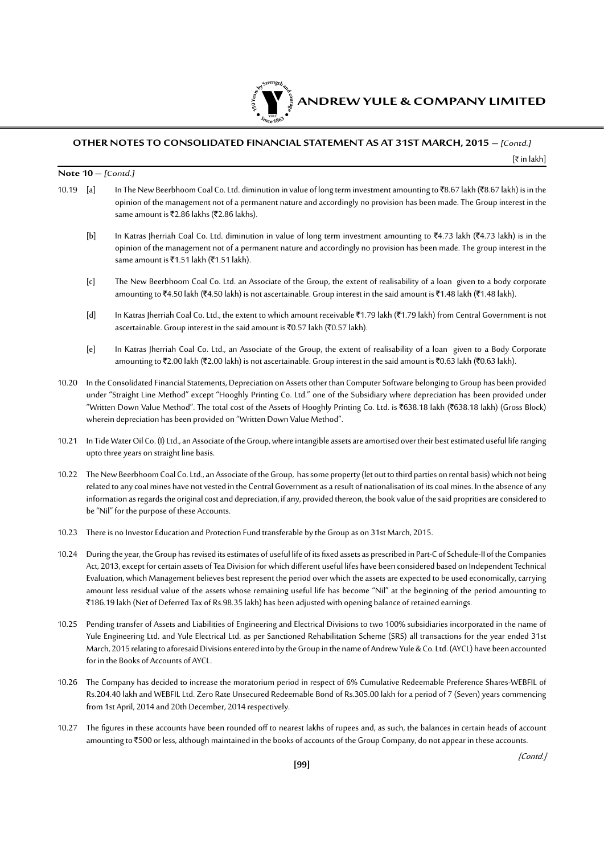

[` in lakh]

#### **Note 10 –** [Contd.]

- 10.19 [a] In The New Beerbhoom Coal Co. Ltd. diminution in value of long term investment amounting to  $\bar{x}$ 8.67 lakh ( $\bar{x}$ 8.67 lakh) is in the opinion of the management not of a permanent nature and accordingly no provision has been made. The Group interest in the same amount is ₹2.86 lakhs (₹2.86 lakhs).
	- [b] In Katras Jherriah Coal Co. Ltd. diminution in value of long term investment amounting to ₹4.73 lakh (₹4.73 lakh) is in the opinion of the management not of a permanent nature and accordingly no provision has been made. The group interest in the same amount is ₹1.51 lakh (₹1.51 lakh).
	- [c] The New Beerbhoom Coal Co. Ltd. an Associate of the Group, the extent of realisability of a loan given to a body corporate amounting to ₹4.50 lakh (₹4.50 lakh) is not ascertainable. Group interest in the said amount is ₹1.48 lakh (₹1.48 lakh).
	- [d] In Katras Jherriah Coal Co. Ltd., the extent to which amount receivable `1.79 lakh (`1.79 lakh) from Central Government is not ascertainable. Group interest in the said amount is  $\bar{\tau}$ 0.57 lakh ( $\bar{\tau}$ 0.57 lakh).
	- [e] In Katras Jherriah Coal Co. Ltd., an Associate of the Group, the extent of realisability of a loan given to a Body Corporate amounting to ₹2.00 lakh (₹2.00 lakh) is not ascertainable. Group interest in the said amount is ₹0.63 lakh (₹0.63 lakh).
- 10.20 In the Consolidated Financial Statements, Depreciation on Assets other than Computer Software belonging to Group has been provided under "Straight Line Method" except "Hooghly Printing Co. Ltd." one of the Subsidiary where depreciation has been provided under "Written Down Value Method". The total cost of the Assets of Hooghly Printing Co. Ltd. is `638.18 lakh (`638.18 lakh) (Gross Block) wherein depreciation has been provided on "Written Down Value Method".
- 10.21 In Tide Water Oil Co. (I) Ltd., an Associate of the Group, where intangible assets are amortised over their best estimated useful life ranging upto three years on straight line basis.
- 10.22 The New Beerbhoom Coal Co. Ltd., an Associate of the Group, has some property (let out to third parties on rental basis) which not being related to any coal mines have not vested in the Central Government as a result of nationalisation of its coal mines. In the absence of any information as regards the original cost and depreciation, if any, provided thereon, the book value of the said proprities are considered to be "Nil" for the purpose of these Accounts.
- 10.23 There is no Investor Education and Protection Fund transferable by the Group as on 31st March, 2015.
- 10.24 During the year, the Group has revised its estimates of useful life of its fixed assets as prescribed in Part-C of Schedule-II of the Companies Act, 2013, except for certain assets of Tea Division for which different useful lifes have been considered based on Independent Technical Evaluation, which Management believes best represent the period over which the assets are expected to be used economically, carrying amount less residual value of the assets whose remaining useful life has become "Nil" at the beginning of the period amounting to `186.19 lakh (Net of Deferred Tax of Rs.98.35 lakh) has been adjusted with opening balance of retained earnings.
- 10.25 Pending transfer of Assets and Liabilities of Engineering and Electrical Divisions to two 100% subsidiaries incorporated in the name of Yule Engineering Ltd. and Yule Electrical Ltd. as per Sanctioned Rehabilitation Scheme (SRS) all transactions for the year ended 31st March, 2015 relating to aforesaid Divisions entered into by the Group in the name of Andrew Yule & Co. Ltd. (AYCL) have been accounted for in the Books of Accounts of AYCL.
- 10.26 The Company has decided to increase the moratorium period in respect of 6% Cumulative Redeemable Preference Shares-WEBFIL of Rs.204.40 lakh and WEBFIL Ltd. Zero Rate Unsecured Redeemable Bond of Rs.305.00 lakh for a period of 7 (Seven) years commencing from 1st April, 2014 and 20th December, 2014 respectively.
- 10.27 The figures in these accounts have been rounded off to nearest lakhs of rupees and, as such, the balances in certain heads of account amounting to ₹500 or less, although maintained in the books of accounts of the Group Company, do not appear in these accounts.